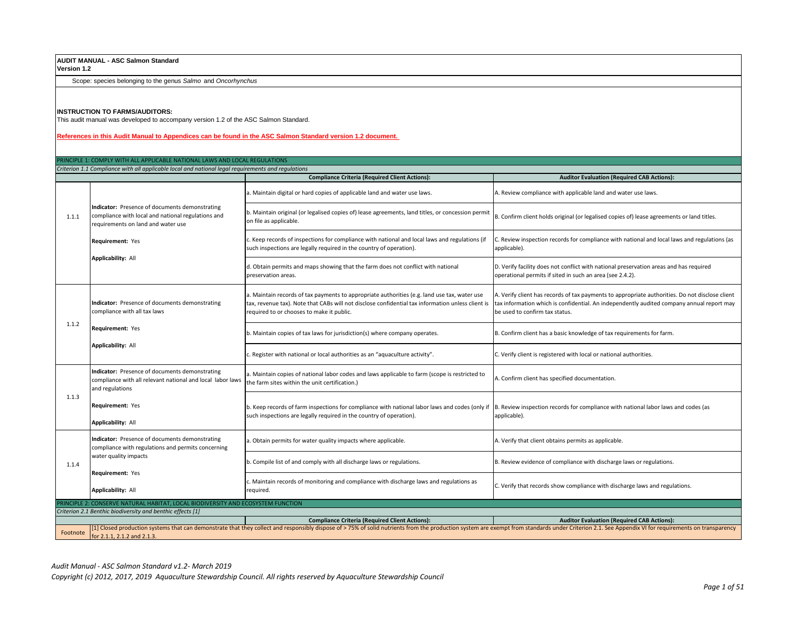# **AUDIT MANUAL - ASC Salmon Standard**

**Version 1.2**

Scope: species belonging to the genus *Salmo* and *Oncorhynchus*

## **INSTRUCTION TO FARMS/AUDITORS:**

This audit manual was developed to accompany version 1.2 of the ASC Salmon Standard.

## **References in this Audit Manual to Appendices can be found in the ASC Salmon Standard version 1.2 document.**

|          | PRINCIPLE 1: COMPLY WITH ALL APPLICABLE NATIONAL LAWS AND LOCAL REGULATIONS                                                                                                                                                                                 |                                                                                                                                                                                                                                                           |                                                                                                                                                                                                                                |  |  |
|----------|-------------------------------------------------------------------------------------------------------------------------------------------------------------------------------------------------------------------------------------------------------------|-----------------------------------------------------------------------------------------------------------------------------------------------------------------------------------------------------------------------------------------------------------|--------------------------------------------------------------------------------------------------------------------------------------------------------------------------------------------------------------------------------|--|--|
|          | Criterion 1.1 Compliance with all applicable local and national legal requirements and regulations                                                                                                                                                          |                                                                                                                                                                                                                                                           |                                                                                                                                                                                                                                |  |  |
|          |                                                                                                                                                                                                                                                             | <b>Compliance Criteria (Required Client Actions):</b>                                                                                                                                                                                                     | <b>Auditor Evaluation (Required CAB Actions):</b>                                                                                                                                                                              |  |  |
|          | Indicator: Presence of documents demonstrating<br>compliance with local and national regulations and<br>requirements on land and water use                                                                                                                  | a. Maintain digital or hard copies of applicable land and water use laws.                                                                                                                                                                                 | A. Review compliance with applicable land and water use laws.                                                                                                                                                                  |  |  |
| 1.1.1    |                                                                                                                                                                                                                                                             | b. Maintain original (or legalised copies of) lease agreements, land titles, or concession permit<br>on file as applicable.                                                                                                                               | B. Confirm client holds original (or legalised copies of) lease agreements or land titles.                                                                                                                                     |  |  |
|          | Requirement: Yes                                                                                                                                                                                                                                            | . Keep records of inspections for compliance with national and local laws and regulations (if<br>such inspections are legally required in the country of operation).                                                                                      | C. Review inspection records for compliance with national and local laws and regulations (as<br>applicable).                                                                                                                   |  |  |
|          | Applicability: All                                                                                                                                                                                                                                          | d. Obtain permits and maps showing that the farm does not conflict with national<br>preservation areas.                                                                                                                                                   | D. Verify facility does not conflict with national preservation areas and has required<br>operational permits if sited in such an area (see 2.4.2).                                                                            |  |  |
|          | Indicator: Presence of documents demonstrating<br>compliance with all tax laws                                                                                                                                                                              | a. Maintain records of tax payments to appropriate authorities (e.g. land use tax, water use<br>tax, revenue tax). Note that CABs will not disclose confidential tax information unless client is<br>required to or chooses to make it public.            | A. Verify client has records of tax payments to appropriate authorities. Do not disclose client<br>tax information which is confidential. An independently audited company annual report may<br>be used to confirm tax status. |  |  |
| 1.1.2    | Requirement: Yes                                                                                                                                                                                                                                            | b. Maintain copies of tax laws for jurisdiction(s) where company operates.                                                                                                                                                                                | B. Confirm client has a basic knowledge of tax requirements for farm.                                                                                                                                                          |  |  |
|          | <b>Applicability: All</b>                                                                                                                                                                                                                                   | . Register with national or local authorities as an "aquaculture activity".                                                                                                                                                                               | C. Verify client is registered with local or national authorities.                                                                                                                                                             |  |  |
|          | Indicator: Presence of documents demonstrating<br>compliance with all relevant national and local labor laws<br>and regulations                                                                                                                             | a. Maintain copies of national labor codes and laws applicable to farm (scope is restricted to<br>the farm sites within the unit certification.)                                                                                                          | A. Confirm client has specified documentation.                                                                                                                                                                                 |  |  |
| 1.1.3    | Requirement: Yes<br>Applicability: All                                                                                                                                                                                                                      | b. Keep records of farm inspections for compliance with national labor laws and codes (only if  B. Review inspection records for compliance with national labor laws and codes (as<br>such inspections are legally required in the country of operation). | applicable).                                                                                                                                                                                                                   |  |  |
|          | Indicator: Presence of documents demonstrating<br>compliance with regulations and permits concerning                                                                                                                                                        | a. Obtain permits for water quality impacts where applicable.                                                                                                                                                                                             | A. Verify that client obtains permits as applicable.                                                                                                                                                                           |  |  |
| 1.1.4    | water quality impacts                                                                                                                                                                                                                                       | b. Compile list of and comply with all discharge laws or regulations.                                                                                                                                                                                     | B. Review evidence of compliance with discharge laws or regulations.                                                                                                                                                           |  |  |
|          | Requirement: Yes<br><b>Applicability: All</b>                                                                                                                                                                                                               | . Maintain records of monitoring and compliance with discharge laws and regulations as<br>required.                                                                                                                                                       | C. Verify that records show compliance with discharge laws and regulations.                                                                                                                                                    |  |  |
|          | PRINCIPLE 2: CONSERVE NATURAL HABITAT, LOCAL BIODIVERSITY AND ECOSYSTEM FUNCTION                                                                                                                                                                            |                                                                                                                                                                                                                                                           |                                                                                                                                                                                                                                |  |  |
|          | Criterion 2.1 Benthic biodiversity and benthic effects [1]                                                                                                                                                                                                  |                                                                                                                                                                                                                                                           |                                                                                                                                                                                                                                |  |  |
|          |                                                                                                                                                                                                                                                             | <b>Compliance Criteria (Required Client Actions):</b>                                                                                                                                                                                                     | <b>Auditor Evaluation (Required CAB Actions):</b>                                                                                                                                                                              |  |  |
| Footnote | [1] Closed production systems that can demonstrate that they collect and responsibly dispose of > 75% of solid nutrients from the production system are exempt from standards under Criterion 2.1. See Appendix VI for require<br>for 2 1 1 2 1 2 and 2 1 3 |                                                                                                                                                                                                                                                           |                                                                                                                                                                                                                                |  |  |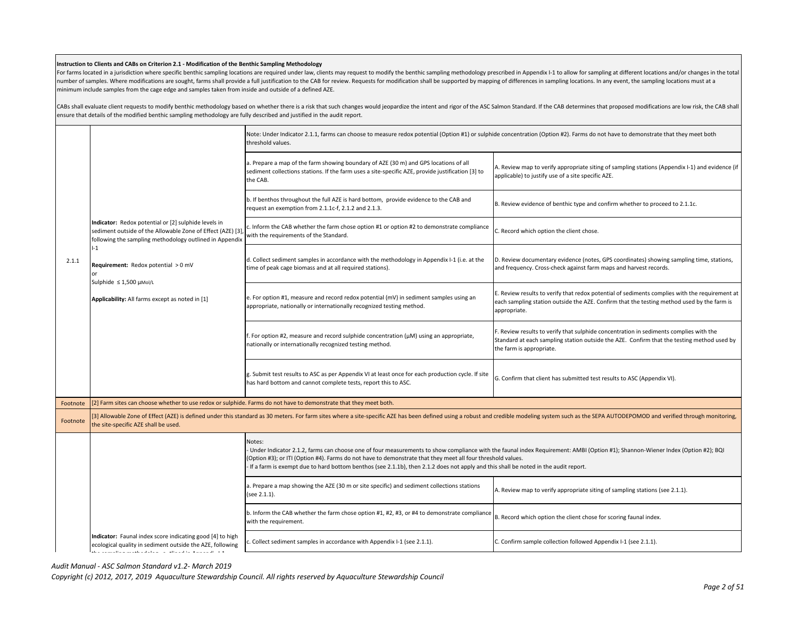### **Instruction to Clients and CABs on Criterion 2.1 - Modification of the Benthic Sampling Methodology**

For farms located in a jurisdiction where specific benthic sampling locations are required under law, clients may request to modify the benthic sampling methodology prescribed in Appendix 1-1 to allow for sampling at diffe number of samples. Where modifications are sought, farms shall provide a full justification to the CAB for review. Requests for modification shall be supported by mapping of differences in sampling locations. In any event, minimum include samples from the cage edge and samples taken from inside and outside of a defined AZE.

CABs shall evaluate client requests to modify benthic methodology based on whether there is a risk that such changes would jeopardize the intent and rigor of the ASC Salmon Standard. If the CAB determines that proposed mod ensure that details of the modified benthic sampling methodology are fully described and justified in the audit report.

|          |                                                                                                                                                                                                  | Note: Under Indicator 2.1.1, farms can choose to measure redox potential (Option #1) or sulphide concentration (Option #2). Farms do not have to demonstrate that they meet both<br>threshold values.                                                                                                                                                                                                                                          |                                                                                                                                                                                                                  |
|----------|--------------------------------------------------------------------------------------------------------------------------------------------------------------------------------------------------|------------------------------------------------------------------------------------------------------------------------------------------------------------------------------------------------------------------------------------------------------------------------------------------------------------------------------------------------------------------------------------------------------------------------------------------------|------------------------------------------------------------------------------------------------------------------------------------------------------------------------------------------------------------------|
|          |                                                                                                                                                                                                  | a. Prepare a map of the farm showing boundary of AZE (30 m) and GPS locations of all<br>sediment collections stations. If the farm uses a site-specific AZE, provide justification [3] to<br>the CAB.                                                                                                                                                                                                                                          | A. Review map to verify appropriate siting of sampling stations (Appendix I-1) and evidence (if<br>applicable) to justify use of a site specific AZE.                                                            |
|          |                                                                                                                                                                                                  | b. If benthos throughout the full AZE is hard bottom, provide evidence to the CAB and<br>request an exemption from 2.1.1c-f, 2.1.2 and 2.1.3.                                                                                                                                                                                                                                                                                                  | B. Review evidence of benthic type and confirm whether to proceed to 2.1.1c.                                                                                                                                     |
|          | ndicator: Redox potential or [2] sulphide levels in<br>sediment outside of the Allowable Zone of Effect (AZE) [3]<br>following the sampling methodology outlined in Appendix                     | c. Inform the CAB whether the farm chose option #1 or option #2 to demonstrate compliance<br>with the requirements of the Standard.                                                                                                                                                                                                                                                                                                            | C. Record which option the client chose.                                                                                                                                                                         |
| 2.1.1    | $-1$<br>Requirement: Redox potential > 0 mV<br>Sulphide ≤ 1,500 µMol/L                                                                                                                           | d. Collect sediment samples in accordance with the methodology in Appendix I-1 (i.e. at the<br>time of peak cage biomass and at all required stations).                                                                                                                                                                                                                                                                                        | D. Review documentary evidence (notes, GPS coordinates) showing sampling time, stations,<br>and frequency. Cross-check against farm maps and harvest records.                                                    |
|          | Applicability: All farms except as noted in [1]                                                                                                                                                  | e. For option #1, measure and record redox potential (mV) in sediment samples using an<br>appropriate, nationally or internationally recognized testing method.                                                                                                                                                                                                                                                                                | E. Review results to verify that redox potential of sediments complies with the requirement at<br>each sampling station outside the AZE. Confirm that the testing method used by the farm is<br>appropriate.     |
|          |                                                                                                                                                                                                  | f. For option #2, measure and record sulphide concentration $(\mu M)$ using an appropriate,<br>nationally or internationally recognized testing method.                                                                                                                                                                                                                                                                                        | F. Review results to verify that sulphide concentration in sediments complies with the<br>Standard at each sampling station outside the AZE. Confirm that the testing method used by<br>the farm is appropriate. |
|          |                                                                                                                                                                                                  | g. Submit test results to ASC as per Appendix VI at least once for each production cycle. If site<br>has hard bottom and cannot complete tests, report this to ASC.                                                                                                                                                                                                                                                                            | G. Confirm that client has submitted test results to ASC (Appendix VI).                                                                                                                                          |
| Footnote | [2] Farm sites can choose whether to use redox or sulphide. Farms do not have to demonstrate that they meet both.                                                                                |                                                                                                                                                                                                                                                                                                                                                                                                                                                |                                                                                                                                                                                                                  |
| Footnote | the site-specific AZE shall be used.                                                                                                                                                             | [3] Allowable Zone of Effect (AZE) is defined under this standard as 30 meters. For farm sites where a site-specific AZE has been defined using a robust and credible modeling system such as the SEPA AUTODEPOMOD and verifie                                                                                                                                                                                                                 |                                                                                                                                                                                                                  |
|          |                                                                                                                                                                                                  | Notes:<br>Under Indicator 2.1.2, farms can choose one of four measurements to show compliance with the faunal index Requirement: AMBI (Option #1); Shannon-Wiener Index (Option #2); BQI<br>(Option #3); or ITI (Option #4). Farms do not have to demonstrate that they meet all four threshold values.<br>If a farm is exempt due to hard bottom benthos (see 2.1.1b), then 2.1.2 does not apply and this shall be noted in the audit report. |                                                                                                                                                                                                                  |
|          |                                                                                                                                                                                                  | a. Prepare a map showing the AZE (30 m or site specific) and sediment collections stations<br>(see 2.1.1).                                                                                                                                                                                                                                                                                                                                     | A. Review map to verify appropriate siting of sampling stations (see 2.1.1).                                                                                                                                     |
|          |                                                                                                                                                                                                  | b. Inform the CAB whether the farm chose option #1, #2, #3, or #4 to demonstrate compliance<br>with the requirement.                                                                                                                                                                                                                                                                                                                           | B. Record which option the client chose for scoring faunal index.                                                                                                                                                |
|          | Indicator: Faunal index score indicating good [4] to high<br>ecological quality in sediment outside the AZE, following<br>الأراري فاستحصاصه المتابع المصطفور المتحاصل والمستحدث والمستحدث والملا | c. Collect sediment samples in accordance with Appendix I-1 (see 2.1.1).                                                                                                                                                                                                                                                                                                                                                                       | C. Confirm sample collection followed Appendix I-1 (see 2.1.1).                                                                                                                                                  |
|          |                                                                                                                                                                                                  |                                                                                                                                                                                                                                                                                                                                                                                                                                                |                                                                                                                                                                                                                  |

*Audit Manual - ASC Salmon Standard v1.2- March 2019*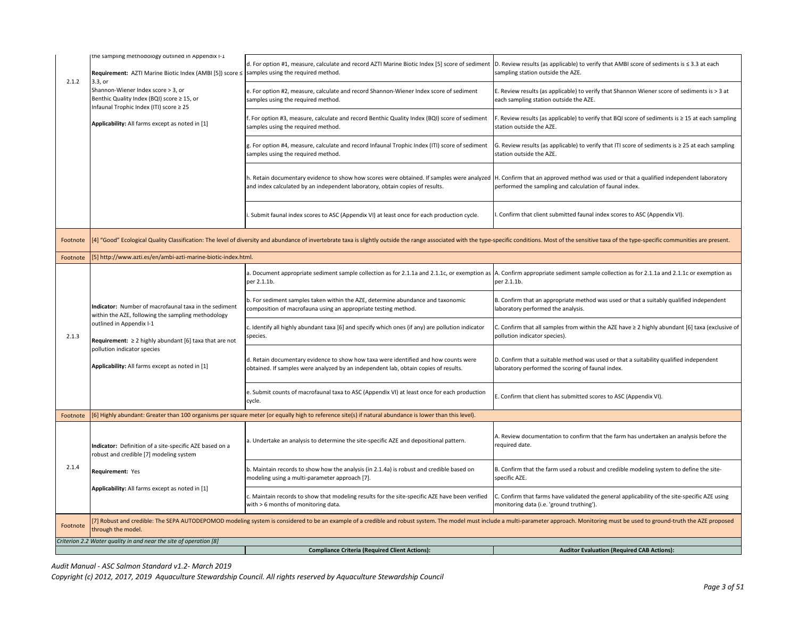|          | the sampling methodology outlined in Appendix I-1                                                                                                                                                                                                    |                                                                                                                                                                                                                                |                                                                                                                                                   |  |
|----------|------------------------------------------------------------------------------------------------------------------------------------------------------------------------------------------------------------------------------------------------------|--------------------------------------------------------------------------------------------------------------------------------------------------------------------------------------------------------------------------------|---------------------------------------------------------------------------------------------------------------------------------------------------|--|
| 2.1.2    | Requirement: AZTI Marine Biotic Index (AMBI [5]) score ≤<br>3.3, or                                                                                                                                                                                  | d. For option #1, measure, calculate and record AZTI Marine Biotic Index [5] score of sediment<br>samples using the required method.                                                                                           | D. Review results (as applicable) to verify that AMBI score of sediments is $\leq$ 3.3 at each<br>sampling station outside the AZE.               |  |
|          | Shannon-Wiener Index score > 3, or<br>Benthic Quality Index (BQI) score ≥ 15, or<br>Infaunal Trophic Index (ITI) score ≥ 25                                                                                                                          | e. For option #2, measure, calculate and record Shannon-Wiener Index score of sediment<br>samples using the required method.                                                                                                   | E. Review results (as applicable) to verify that Shannon Wiener score of sediments is > 3 at<br>each sampling station outside the AZE.            |  |
|          | Applicability: All farms except as noted in [1]                                                                                                                                                                                                      | For option #3, measure, calculate and record Benthic Quality Index (BQI) score of sediment<br>samples using the required method.                                                                                               | F. Review results (as applicable) to verify that BQI score of sediments is $\geq 15$ at each sampling<br>station outside the AZE.                 |  |
|          |                                                                                                                                                                                                                                                      | g. For option #4, measure, calculate and record Infaunal Trophic Index (ITI) score of sediment<br>samples using the required method.                                                                                           | G. Review results (as applicable) to verify that ITI score of sediments is $\geq 25$ at each sampling<br>station outside the AZE.                 |  |
|          |                                                                                                                                                                                                                                                      | h. Retain documentary evidence to show how scores were obtained. If samples were analyzed<br>and index calculated by an independent laboratory, obtain copies of results.                                                      | H. Confirm that an approved method was used or that a qualified independent laboratory<br>performed the sampling and calculation of faunal index. |  |
|          |                                                                                                                                                                                                                                                      | . Submit faunal index scores to ASC (Appendix VI) at least once for each production cycle.                                                                                                                                     | Confirm that client submitted faunal index scores to ASC (Appendix VI).                                                                           |  |
| Footnote |                                                                                                                                                                                                                                                      | 4] "Good" Ecological Quality Classification: The level of diversity and abundance of invertebrate taxa is slightly outside the range associated with the type-specific conditions. Most of the sensitive taxa of the type-spec |                                                                                                                                                   |  |
| Footnote | 5] http://www.azti.es/en/ambi-azti-marine-biotic-index.html.                                                                                                                                                                                         |                                                                                                                                                                                                                                |                                                                                                                                                   |  |
|          |                                                                                                                                                                                                                                                      | a. Document appropriate sediment sample collection as for 2.1.1a and 2.1.1c, or exemption as<br>per 2.1.1b.                                                                                                                    | A. Confirm appropriate sediment sample collection as for 2.1.1a and 2.1.1c or exemption as<br>per 2.1.1b.                                         |  |
|          | Indicator: Number of macrofaunal taxa in the sediment<br>within the AZE, following the sampling methodology                                                                                                                                          | b. For sediment samples taken within the AZE, determine abundance and taxonomic<br>composition of macrofauna using an appropriate testing method.                                                                              | B. Confirm that an appropriate method was used or that a suitably qualified independent<br>laboratory performed the analysis.                     |  |
| 2.1.3    | outlined in Appendix I-1<br>Requirement: $\geq 2$ highly abundant [6] taxa that are not                                                                                                                                                              | I dentify all highly abundant taxa [6] and specify which ones (if any) are pollution indicator<br>species.                                                                                                                     | C. Confirm that all samples from within the AZE have $\geq 2$ highly abundant [6] taxa (exclusive of<br>pollution indicator species).             |  |
|          | pollution indicator species<br>Applicability: All farms except as noted in [1]                                                                                                                                                                       | d. Retain documentary evidence to show how taxa were identified and how counts were<br>obtained. If samples were analyzed by an independent lab, obtain copies of results.                                                     | D. Confirm that a suitable method was used or that a suitability qualified independent<br>laboratory performed the scoring of faunal index.       |  |
|          |                                                                                                                                                                                                                                                      | e. Submit counts of macrofaunal taxa to ASC (Appendix VI) at least once for each production<br>cycle.                                                                                                                          | . Confirm that client has submitted scores to ASC (Appendix VI).                                                                                  |  |
| Footnote |                                                                                                                                                                                                                                                      | 6] Highly abundant: Greater than 100 organisms per square meter (or equally high to reference site(s) if natural abundance is lower than this level).                                                                          |                                                                                                                                                   |  |
|          | Indicator: Definition of a site-specific AZE based on a<br>robust and credible [7] modeling system                                                                                                                                                   | a. Undertake an analysis to determine the site-specific AZE and depositional pattern.                                                                                                                                          | A. Review documentation to confirm that the farm has undertaken an analysis before the<br>required date.                                          |  |
| 2.1.4    | Requirement: Yes                                                                                                                                                                                                                                     | b. Maintain records to show how the analysis (in 2.1.4a) is robust and credible based on<br>modeling using a multi-parameter approach [7].                                                                                     | B. Confirm that the farm used a robust and credible modeling system to define the site-<br>specific AZE.                                          |  |
|          | Applicability: All farms except as noted in [1]                                                                                                                                                                                                      | . Maintain records to show that modeling results for the site-specific AZE have been verified<br>with > 6 months of monitoring data.                                                                                           | C. Confirm that farms have validated the general applicability of the site-specific AZE using<br>monitoring data (i.e. 'ground truthing').        |  |
| Footnote | [7] Robust and credible: The SEPA AUTODEPOMOD modeling system is considered to be an example of a credible and robust system. The model must include a multi-parameter approach. Monitoring must be used to ground-truth the A<br>through the model. |                                                                                                                                                                                                                                |                                                                                                                                                   |  |
|          | Criterion 2.2 Water quality in and near the site of operation [8]                                                                                                                                                                                    |                                                                                                                                                                                                                                |                                                                                                                                                   |  |
|          |                                                                                                                                                                                                                                                      | <b>Compliance Criteria (Required Client Actions):</b>                                                                                                                                                                          | <b>Auditor Evaluation (Required CAB Actions):</b>                                                                                                 |  |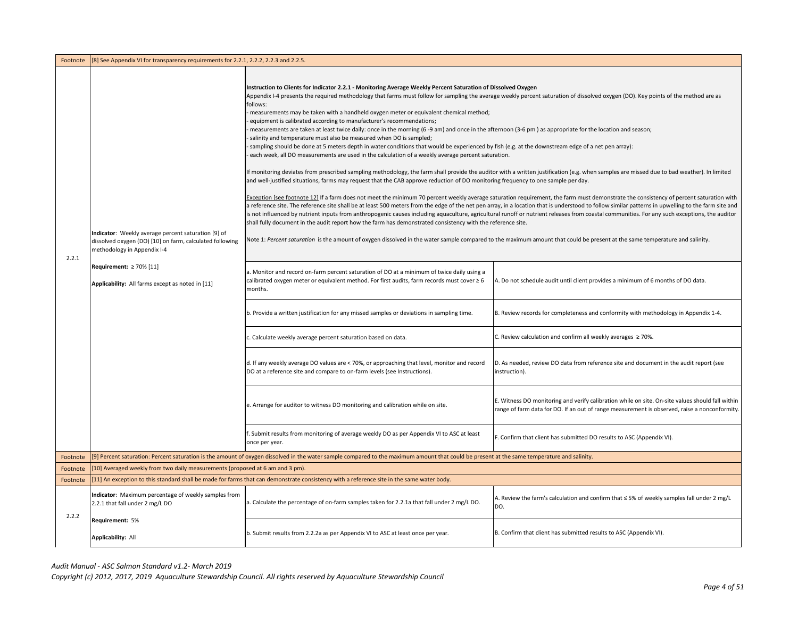| Footnote | [8] See Appendix VI for transparency requirements for 2.2.1, 2.2.2, 2.2.3 and 2.2.5                                                                                                                                                 |                                                                                                                                                                                                                                                                                                                                                                                                                                                                                                                                                                                                                                                                                                                                                                                                                                                                                                                                                                                                                                                                                                                                                                                                                                                                                                                                                                                                                                                                                                                                                                                                                                                                                                                                                                                                                                                                                                                                                                                                                                                                                                                                                                                                                                                                                                                                                                |                                                                                                                                                                                                                                                                                                                                                                                                                                                                                                                                                                                                                                                                                                                                                                                                                                                                                                                                                                                                                                                                                                                                                                                                                                   |
|----------|-------------------------------------------------------------------------------------------------------------------------------------------------------------------------------------------------------------------------------------|----------------------------------------------------------------------------------------------------------------------------------------------------------------------------------------------------------------------------------------------------------------------------------------------------------------------------------------------------------------------------------------------------------------------------------------------------------------------------------------------------------------------------------------------------------------------------------------------------------------------------------------------------------------------------------------------------------------------------------------------------------------------------------------------------------------------------------------------------------------------------------------------------------------------------------------------------------------------------------------------------------------------------------------------------------------------------------------------------------------------------------------------------------------------------------------------------------------------------------------------------------------------------------------------------------------------------------------------------------------------------------------------------------------------------------------------------------------------------------------------------------------------------------------------------------------------------------------------------------------------------------------------------------------------------------------------------------------------------------------------------------------------------------------------------------------------------------------------------------------------------------------------------------------------------------------------------------------------------------------------------------------------------------------------------------------------------------------------------------------------------------------------------------------------------------------------------------------------------------------------------------------------------------------------------------------------------------------------------------------|-----------------------------------------------------------------------------------------------------------------------------------------------------------------------------------------------------------------------------------------------------------------------------------------------------------------------------------------------------------------------------------------------------------------------------------------------------------------------------------------------------------------------------------------------------------------------------------------------------------------------------------------------------------------------------------------------------------------------------------------------------------------------------------------------------------------------------------------------------------------------------------------------------------------------------------------------------------------------------------------------------------------------------------------------------------------------------------------------------------------------------------------------------------------------------------------------------------------------------------|
| 2.2.1    | Indicator: Weekly average percent saturation [9] of<br>dissolved oxygen (DO) [10] on farm, calculated following<br>methodology in Appendix I-4<br>Requirement: $\geq 70\%$ [11]<br>Applicability: All farms except as noted in [11] | Instruction to Clients for Indicator 2.2.1 - Monitoring Average Weekly Percent Saturation of Dissolved Oxygen<br>Appendix I-4 presents the required methodology that farms must follow for sampling the average weekly percent saturation of dissolved oxygen (DO). Key points of the method are as<br>follows:<br>measurements may be taken with a handheld oxygen meter or equivalent chemical method;<br>equipment is calibrated according to manufacturer's recommendations;<br>measurements are taken at least twice daily: once in the morning (6-9 am) and once in the afternoon (3-6 pm) as appropriate for the location and season;<br>salinity and temperature must also be measured when DO is sampled;<br>sampling should be done at 5 meters depth in water conditions that would be experienced by fish (e.g. at the downstream edge of a net pen array):<br>each week, all DO measurements are used in the calculation of a weekly average percent saturation.<br>f monitoring deviates from prescribed sampling methodology, the farm shall provide the auditor with a written justification (e.g. when samples are missed due to bad weather). In limited<br>and well-justified situations, farms may request that the CAB approve reduction of DO monitoring frequency to one sample per day.<br>shall fully document in the audit report how the farm has demonstrated consistency with the reference site.<br>Note 1: Percent saturation is the amount of oxygen dissolved in the water sample compared to the maximum amount that could be present at the same temperature and salinity.<br>a. Monitor and record on-farm percent saturation of DO at a minimum of twice daily using a<br>calibrated oxygen meter or equivalent method. For first audits, farm records must cover ≥ 6<br>months.<br>b. Provide a written justification for any missed samples or deviations in sampling time.<br>. Calculate weekly average percent saturation based on data.<br>d. If any weekly average DO values are < 70%, or approaching that level, monitor and record<br>DO at a reference site and compare to on-farm levels (see Instructions).<br>e. Arrange for auditor to witness DO monitoring and calibration while on site.<br>f. Submit results from monitoring of average weekly DO as per Appendix VI to ASC at least<br>once per year. | Exception [see footnote 12] If a farm does not meet the minimum 70 percent weekly average saturation requirement, the farm must demonstrate the consistency of percent saturation with<br>a reference site. The reference site shall be at least 500 meters from the edge of the net pen array, in a location that is understood to follow similar patterns in upwelling to the farm site and<br>is not influenced by nutrient inputs from anthropogenic causes including aquaculture, agricultural runoff or nutrient releases from coastal communities. For any such exceptions, the auditor<br>A. Do not schedule audit until client provides a minimum of 6 months of DO data.<br>B. Review records for completeness and conformity with methodology in Appendix 1-4.<br>C. Review calculation and confirm all weekly averages ≥ 70%.<br>D. As needed, review DO data from reference site and document in the audit report (see<br>instruction).<br>E. Witness DO monitoring and verify calibration while on site. On-site values should fall within<br>range of farm data for DO. If an out of range measurement is observed, raise a nonconformity.<br>F. Confirm that client has submitted DO results to ASC (Appendix VI) |
| Footnote |                                                                                                                                                                                                                                     | [9] Percent saturation: Percent saturation is the amount of oxygen dissolved in the water sample compared to the maximum amount that could be present at the same temperature and salinity.                                                                                                                                                                                                                                                                                                                                                                                                                                                                                                                                                                                                                                                                                                                                                                                                                                                                                                                                                                                                                                                                                                                                                                                                                                                                                                                                                                                                                                                                                                                                                                                                                                                                                                                                                                                                                                                                                                                                                                                                                                                                                                                                                                    |                                                                                                                                                                                                                                                                                                                                                                                                                                                                                                                                                                                                                                                                                                                                                                                                                                                                                                                                                                                                                                                                                                                                                                                                                                   |
| Footnote | [10] Averaged weekly from two daily measurements (proposed at 6 am and 3 pm).                                                                                                                                                       |                                                                                                                                                                                                                                                                                                                                                                                                                                                                                                                                                                                                                                                                                                                                                                                                                                                                                                                                                                                                                                                                                                                                                                                                                                                                                                                                                                                                                                                                                                                                                                                                                                                                                                                                                                                                                                                                                                                                                                                                                                                                                                                                                                                                                                                                                                                                                                |                                                                                                                                                                                                                                                                                                                                                                                                                                                                                                                                                                                                                                                                                                                                                                                                                                                                                                                                                                                                                                                                                                                                                                                                                                   |
| Footnote |                                                                                                                                                                                                                                     | [11] An exception to this standard shall be made for farms that can demonstrate consistency with a reference site in the same water body.                                                                                                                                                                                                                                                                                                                                                                                                                                                                                                                                                                                                                                                                                                                                                                                                                                                                                                                                                                                                                                                                                                                                                                                                                                                                                                                                                                                                                                                                                                                                                                                                                                                                                                                                                                                                                                                                                                                                                                                                                                                                                                                                                                                                                      |                                                                                                                                                                                                                                                                                                                                                                                                                                                                                                                                                                                                                                                                                                                                                                                                                                                                                                                                                                                                                                                                                                                                                                                                                                   |
| 2.2.2    | Indicator: Maximum percentage of weekly samples from<br>2.2.1 that fall under 2 mg/L DO                                                                                                                                             | a. Calculate the percentage of on-farm samples taken for 2.2.1a that fall under 2 mg/L DO.                                                                                                                                                                                                                                                                                                                                                                                                                                                                                                                                                                                                                                                                                                                                                                                                                                                                                                                                                                                                                                                                                                                                                                                                                                                                                                                                                                                                                                                                                                                                                                                                                                                                                                                                                                                                                                                                                                                                                                                                                                                                                                                                                                                                                                                                     | A. Review the farm's calculation and confirm that $\leq$ 5% of weekly samples fall under 2 mg/L<br>DO.                                                                                                                                                                                                                                                                                                                                                                                                                                                                                                                                                                                                                                                                                                                                                                                                                                                                                                                                                                                                                                                                                                                            |
|          | Requirement: 5%<br><b>Applicability: All</b>                                                                                                                                                                                        | b. Submit results from 2.2.2a as per Appendix VI to ASC at least once per year.                                                                                                                                                                                                                                                                                                                                                                                                                                                                                                                                                                                                                                                                                                                                                                                                                                                                                                                                                                                                                                                                                                                                                                                                                                                                                                                                                                                                                                                                                                                                                                                                                                                                                                                                                                                                                                                                                                                                                                                                                                                                                                                                                                                                                                                                                | B. Confirm that client has submitted results to ASC (Appendix VI).                                                                                                                                                                                                                                                                                                                                                                                                                                                                                                                                                                                                                                                                                                                                                                                                                                                                                                                                                                                                                                                                                                                                                                |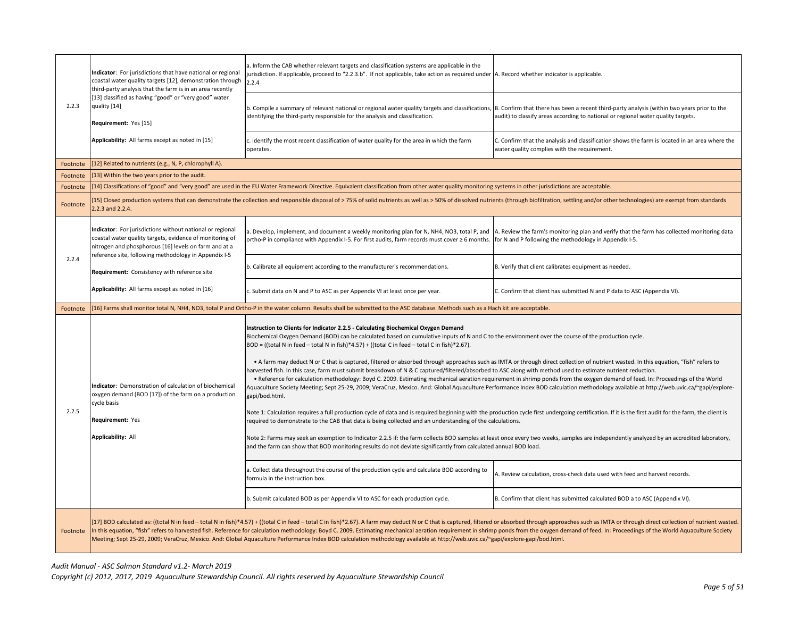|          | Indicator: For jurisdictions that have national or regional<br>coastal water quality targets [12], demonstration through<br>third-party analysis that the farm is in an area recently | a. Inform the CAB whether relevant targets and classification systems are applicable in the<br>urisdiction. If applicable, proceed to "2.2.3.b". If not applicable, take action as required under A. Record whether indicator is applicable.<br>2.2.4                                                                                                                                                                                                                                                                                                                                                                                                                                                                                                                                                                                                                                                                                                                                                                                                                                                                                                                                                                                                                                                                                                                                                                                                                                                                                                                                                                                                                                                                                 |                                                                                                                                                |  |
|----------|---------------------------------------------------------------------------------------------------------------------------------------------------------------------------------------|---------------------------------------------------------------------------------------------------------------------------------------------------------------------------------------------------------------------------------------------------------------------------------------------------------------------------------------------------------------------------------------------------------------------------------------------------------------------------------------------------------------------------------------------------------------------------------------------------------------------------------------------------------------------------------------------------------------------------------------------------------------------------------------------------------------------------------------------------------------------------------------------------------------------------------------------------------------------------------------------------------------------------------------------------------------------------------------------------------------------------------------------------------------------------------------------------------------------------------------------------------------------------------------------------------------------------------------------------------------------------------------------------------------------------------------------------------------------------------------------------------------------------------------------------------------------------------------------------------------------------------------------------------------------------------------------------------------------------------------|------------------------------------------------------------------------------------------------------------------------------------------------|--|
| 2.2.3    | [13] classified as having "good" or "very good" water<br>quality [14]<br>Requirement: Yes [15]                                                                                        | b. Compile a summary of relevant national or regional water quality targets and classifications, B. Confirm that there has been a recent third-party analysis (within two years prior to the<br>identifying the third-party responsible for the analysis and classification.                                                                                                                                                                                                                                                                                                                                                                                                                                                                                                                                                                                                                                                                                                                                                                                                                                                                                                                                                                                                                                                                                                                                                                                                                                                                                                                                                                                                                                                          | audit) to classify areas according to national or regional water quality targets.                                                              |  |
|          | Applicability: All farms except as noted in [15]                                                                                                                                      | c. Identify the most recent classification of water quality for the area in which the farm<br>operates.                                                                                                                                                                                                                                                                                                                                                                                                                                                                                                                                                                                                                                                                                                                                                                                                                                                                                                                                                                                                                                                                                                                                                                                                                                                                                                                                                                                                                                                                                                                                                                                                                               | C. Confirm that the analysis and classification shows the farm is located in an area where the<br>water quality complies with the requirement. |  |
| Footnote | [12] Related to nutrients (e.g., N, P, chlorophyll A).                                                                                                                                |                                                                                                                                                                                                                                                                                                                                                                                                                                                                                                                                                                                                                                                                                                                                                                                                                                                                                                                                                                                                                                                                                                                                                                                                                                                                                                                                                                                                                                                                                                                                                                                                                                                                                                                                       |                                                                                                                                                |  |
| Footnote | [13] Within the two years prior to the audit.                                                                                                                                         |                                                                                                                                                                                                                                                                                                                                                                                                                                                                                                                                                                                                                                                                                                                                                                                                                                                                                                                                                                                                                                                                                                                                                                                                                                                                                                                                                                                                                                                                                                                                                                                                                                                                                                                                       |                                                                                                                                                |  |
| Footnote |                                                                                                                                                                                       | [14] Classifications of "good" and "very good" are used in the EU Water Framework Directive. Equivalent classification from other water quality monitoring systems in other jurisdictions are acceptable.                                                                                                                                                                                                                                                                                                                                                                                                                                                                                                                                                                                                                                                                                                                                                                                                                                                                                                                                                                                                                                                                                                                                                                                                                                                                                                                                                                                                                                                                                                                             |                                                                                                                                                |  |
| Footnote | 2.2.3 and 2.2.4.                                                                                                                                                                      | [15] Closed production systems that can demonstrate the collection and responsible disposal of > 75% of solid nutrients as well as > 50% of dissolved nutrients (through biofiltration, settling and/or other technologies) ar                                                                                                                                                                                                                                                                                                                                                                                                                                                                                                                                                                                                                                                                                                                                                                                                                                                                                                                                                                                                                                                                                                                                                                                                                                                                                                                                                                                                                                                                                                        |                                                                                                                                                |  |
|          | Indicator: For jurisdictions without national or regional<br>coastal water quality targets, evidence of monitoring of<br>nitrogen and phosphorous [16] levels on farm and at a        | a. Develop, implement, and document a weekly monitoring plan for N, NH4, NO3, total P, and  A. Review the farm's monitoring plan and verify that the farm has collected monitoring data<br>ortho-P in compliance with Appendix I-5. For first audits, farm records must cover ≥ 6 months.   for N and P following the methodology in Appendix I-5.                                                                                                                                                                                                                                                                                                                                                                                                                                                                                                                                                                                                                                                                                                                                                                                                                                                                                                                                                                                                                                                                                                                                                                                                                                                                                                                                                                                    |                                                                                                                                                |  |
| 2.2.4    | reference site, following methodology in Appendix I-5<br>Requirement: Consistency with reference site                                                                                 | b. Calibrate all equipment according to the manufacturer's recommendations.                                                                                                                                                                                                                                                                                                                                                                                                                                                                                                                                                                                                                                                                                                                                                                                                                                                                                                                                                                                                                                                                                                                                                                                                                                                                                                                                                                                                                                                                                                                                                                                                                                                           | B. Verify that client calibrates equipment as needed.                                                                                          |  |
|          | Applicability: All farms except as noted in [16]                                                                                                                                      | c. Submit data on N and P to ASC as per Appendix VI at least once per year.                                                                                                                                                                                                                                                                                                                                                                                                                                                                                                                                                                                                                                                                                                                                                                                                                                                                                                                                                                                                                                                                                                                                                                                                                                                                                                                                                                                                                                                                                                                                                                                                                                                           | C. Confirm that client has submitted N and P data to ASC (Appendix VI).                                                                        |  |
|          |                                                                                                                                                                                       | [16] Farms shall monitor total N, NH4, NO3, total P and Ortho-P in the water column. Results shall be submitted to the ASC database. Methods such as a Hach kit are acceptable.                                                                                                                                                                                                                                                                                                                                                                                                                                                                                                                                                                                                                                                                                                                                                                                                                                                                                                                                                                                                                                                                                                                                                                                                                                                                                                                                                                                                                                                                                                                                                       |                                                                                                                                                |  |
| Footnote |                                                                                                                                                                                       |                                                                                                                                                                                                                                                                                                                                                                                                                                                                                                                                                                                                                                                                                                                                                                                                                                                                                                                                                                                                                                                                                                                                                                                                                                                                                                                                                                                                                                                                                                                                                                                                                                                                                                                                       |                                                                                                                                                |  |
| 2.2.5    | Indicator: Demonstration of calculation of biochemical<br>oxygen demand (BOD [17]) of the farm on a production<br>cycle basis<br>Requirement: Yes<br><b>Applicability: All</b>        | Instruction to Clients for Indicator 2.2.5 - Calculating Biochemical Oxygen Demand<br>Biochemical Oxygen Demand (BOD) can be calculated based on cumulative inputs of N and C to the environment over the course of the production cycle.<br>$BOD = ((total N in feed - total N in fish)*4.57) + ((total C in feed - total C in fish)*2.67).$<br>. A farm may deduct N or C that is captured, filtered or absorbed through approaches such as IMTA or through direct collection of nutrient wasted. In this equation, "fish" refers to<br>harvested fish. In this case, farm must submit breakdown of N & C captured/filtered/absorbed to ASC along with method used to estimate nutrient reduction.<br>. Reference for calculation methodology: Boyd C. 2009. Estimating mechanical aeration requirement in shrimp ponds from the oxygen demand of feed. In: Proceedings of the World<br>Aquaculture Society Meeting; Sept 25-29, 2009; VeraCruz, Mexico. And: Global Aquaculture Performance Index BOD calculation methodology available at http://web.uvic.ca/~gapi/explore-<br>gapi/bod.html.<br>Note 1: Calculation requires a full production cycle of data and is required beginning with the production cycle first undergoing certification. If it is the first audit for the farm, the client is<br>required to demonstrate to the CAB that data is being collected and an understanding of the calculations.<br>Note 2: Farms may seek an exemption to Indicator 2.2.5 if: the farm collects BOD samples at least once every two weeks, samples are independently analyzed by an accredited laboratory,<br>and the farm can show that BOD monitoring results do not deviate significantly from calculated annual BOD load. |                                                                                                                                                |  |
|          |                                                                                                                                                                                       | a. Collect data throughout the course of the production cycle and calculate BOD according to<br>formula in the instruction box.                                                                                                                                                                                                                                                                                                                                                                                                                                                                                                                                                                                                                                                                                                                                                                                                                                                                                                                                                                                                                                                                                                                                                                                                                                                                                                                                                                                                                                                                                                                                                                                                       | A. Review calculation, cross-check data used with feed and harvest records.                                                                    |  |
|          |                                                                                                                                                                                       | b. Submit calculated BOD as per Appendix VI to ASC for each production cycle.                                                                                                                                                                                                                                                                                                                                                                                                                                                                                                                                                                                                                                                                                                                                                                                                                                                                                                                                                                                                                                                                                                                                                                                                                                                                                                                                                                                                                                                                                                                                                                                                                                                         | B. Confirm that client has submitted calculated BOD a to ASC (Appendix VI).                                                                    |  |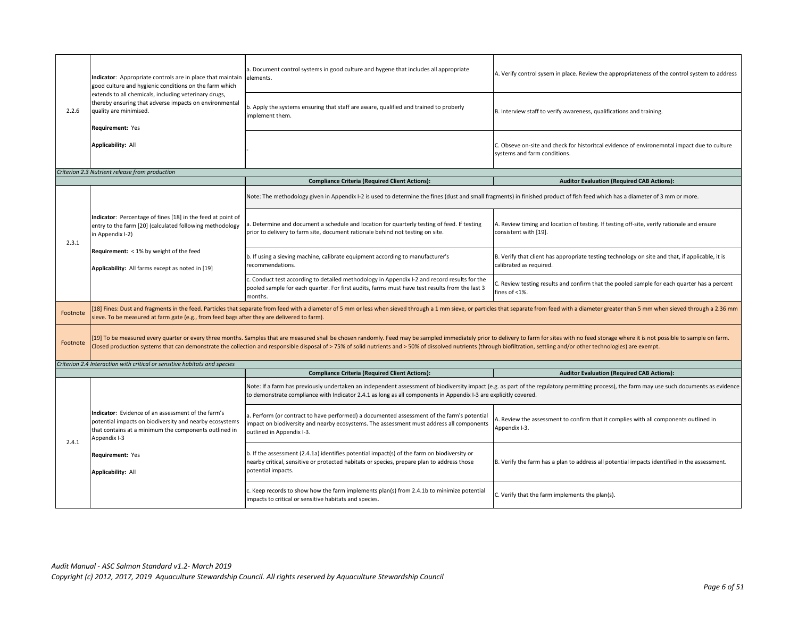|          | Indicator: Appropriate controls are in place that maintain<br>good culture and hygienic conditions on the farm which                                                                   | a. Document control systems in good culture and hygene that includes all appropriate<br>elements.                                                                                                                                                                                                                                                                                                                                                             | A. Verify control sysem in place. Review the appropriateness of the control system to address                                                                                               |
|----------|----------------------------------------------------------------------------------------------------------------------------------------------------------------------------------------|---------------------------------------------------------------------------------------------------------------------------------------------------------------------------------------------------------------------------------------------------------------------------------------------------------------------------------------------------------------------------------------------------------------------------------------------------------------|---------------------------------------------------------------------------------------------------------------------------------------------------------------------------------------------|
| 2.2.6    | extends to all chemicals, including veterinary drugs,<br>thereby ensuring that adverse impacts on environmental<br>quality are minimised.<br>Requirement: Yes                          | b. Apply the systems ensuring that staff are aware, qualified and trained to proberly<br>implement them.                                                                                                                                                                                                                                                                                                                                                      | B. Interview staff to verify awareness, qualifications and training.                                                                                                                        |
|          | <b>Applicability: All</b>                                                                                                                                                              |                                                                                                                                                                                                                                                                                                                                                                                                                                                               | C. Obseve on-site and check for historitcal evidence of environemntal impact due to culture<br>systems and farm conditions.                                                                 |
|          | Criterion 2.3 Nutrient release from production                                                                                                                                         |                                                                                                                                                                                                                                                                                                                                                                                                                                                               |                                                                                                                                                                                             |
|          |                                                                                                                                                                                        | <b>Compliance Criteria (Required Client Actions):</b>                                                                                                                                                                                                                                                                                                                                                                                                         | <b>Auditor Evaluation (Required CAB Actions):</b>                                                                                                                                           |
|          |                                                                                                                                                                                        | Note: The methodology given in Appendix I-2 is used to determine the fines (dust and small fragments) in finished product of fish feed which has a diameter of 3 mm or more.                                                                                                                                                                                                                                                                                  |                                                                                                                                                                                             |
| 2.3.1    | Indicator: Percentage of fines [18] in the feed at point of<br>entry to the farm [20] (calculated following methodology<br>in Appendix I-2)                                            | a. Determine and document a schedule and location for quarterly testing of feed. If testing<br>prior to delivery to farm site, document rationale behind not testing on site.                                                                                                                                                                                                                                                                                 | A. Review timing and location of testing. If testing off-site, verify rationale and ensure<br>consistent with [19].                                                                         |
|          | Requirement: < 1% by weight of the feed<br>Applicability: All farms except as noted in [19]                                                                                            | b. If using a sieving machine, calibrate equipment according to manufacturer's<br>recommendations.                                                                                                                                                                                                                                                                                                                                                            | B. Verify that client has appropriate testing technology on site and that, if applicable, it is<br>calibrated as required.                                                                  |
|          |                                                                                                                                                                                        | c. Conduct test according to detailed methodology in Appendix I-2 and record results for the<br>pooled sample for each quarter. For first audits, farms must have test results from the last 3<br>months.                                                                                                                                                                                                                                                     | C. Review testing results and confirm that the pooled sample for each quarter has a percent<br>fines of <1%.                                                                                |
| Footnote | sieve. To be measured at farm gate (e.g., from feed bags after they are delivered to farm).                                                                                            | [18] Fines: Dust and fragments in the feed. Particles that separate from feed with a diameter of 5 mm or less when sieved through a 1 mm sieve, or particles that separate from feed with a diameter greater than 5 mm when si                                                                                                                                                                                                                                |                                                                                                                                                                                             |
| Footnote |                                                                                                                                                                                        | [19] To be measured every quarter or every three months. Samples that are measured shall be chosen randomly. Feed may be sampled immediately prior to delivery to farm for sites with no feed storage where it is not possible<br>Closed production systems that can demonstrate the collection and responsible disposal of > 75% of solid nutrients and > 50% of dissolved nutrients (through biofiltration, settling and/or other technologies) are exempt. |                                                                                                                                                                                             |
|          | Criterion 2.4 Interaction with critical or sensitive habitats and species                                                                                                              |                                                                                                                                                                                                                                                                                                                                                                                                                                                               |                                                                                                                                                                                             |
|          |                                                                                                                                                                                        | <b>Compliance Criteria (Required Client Actions):</b>                                                                                                                                                                                                                                                                                                                                                                                                         | <b>Auditor Evaluation (Required CAB Actions):</b>                                                                                                                                           |
|          |                                                                                                                                                                                        | to demonstrate compliance with Indicator 2.4.1 as long as all components in Appendix I-3 are explicitly covered.                                                                                                                                                                                                                                                                                                                                              | Note: If a farm has previously undertaken an independent assessment of biodiversity impact (e.g. as part of the regulatory permitting process), the farm may use such documents as evidence |
| 2.4.1    | Indicator: Evidence of an assessment of the farm's<br>potential impacts on biodiversity and nearby ecosystems<br>that contains at a minimum the components outlined in<br>Appendix I-3 | a. Perform (or contract to have performed) a documented assessment of the farm's potential<br>impact on biodiversity and nearby ecosystems. The assessment must address all components<br>outlined in Appendix I-3.                                                                                                                                                                                                                                           | A. Review the assessment to confirm that it complies with all components outlined in<br>Appendix I-3.                                                                                       |
|          | Requirement: Yes<br><b>Applicability: All</b>                                                                                                                                          | b. If the assessment (2.4.1a) identifies potential impact(s) of the farm on biodiversity or<br>nearby critical, sensitive or protected habitats or species, prepare plan to address those<br>potential impacts.                                                                                                                                                                                                                                               | B. Verify the farm has a plan to address all potential impacts identified in the assessment.                                                                                                |
|          |                                                                                                                                                                                        | c. Keep records to show how the farm implements plan(s) from 2.4.1b to minimize potential<br>impacts to critical or sensitive habitats and species.                                                                                                                                                                                                                                                                                                           | C. Verify that the farm implements the plan(s).                                                                                                                                             |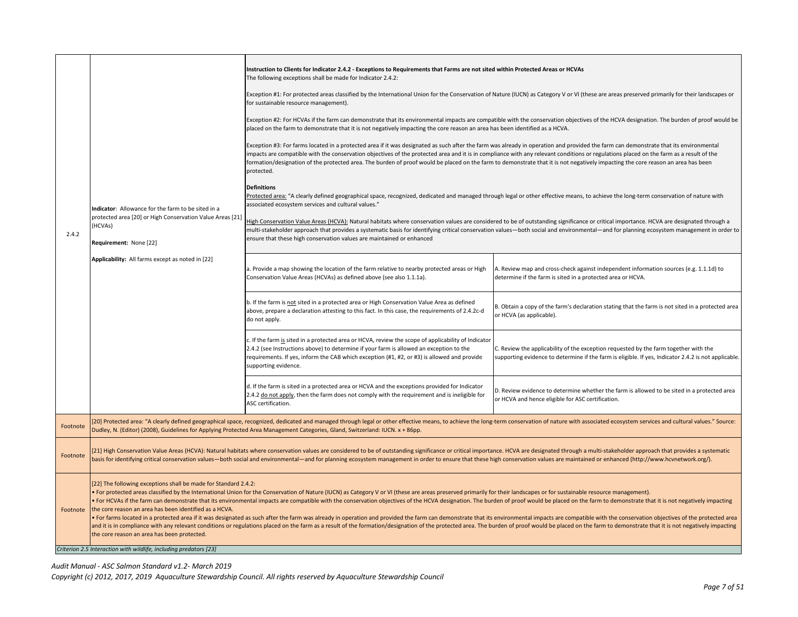|          | Instruction to Clients for Indicator 2.4.2 - Exceptions to Requirements that Farms are not sited within Protected Areas or HCVAs<br>The following exceptions shall be made for Indicator 2.4.2:                                                                                                                                                                                                                                                                                                                                                                                                                                                                                                                                                                                                                                                                                                                                                                                                                                                                                                          |                                                                                                                                                                                                                                                                                                                                                                                                                                                                                                                                                                                    |                                                                                                                                                                                              |  |
|----------|----------------------------------------------------------------------------------------------------------------------------------------------------------------------------------------------------------------------------------------------------------------------------------------------------------------------------------------------------------------------------------------------------------------------------------------------------------------------------------------------------------------------------------------------------------------------------------------------------------------------------------------------------------------------------------------------------------------------------------------------------------------------------------------------------------------------------------------------------------------------------------------------------------------------------------------------------------------------------------------------------------------------------------------------------------------------------------------------------------|------------------------------------------------------------------------------------------------------------------------------------------------------------------------------------------------------------------------------------------------------------------------------------------------------------------------------------------------------------------------------------------------------------------------------------------------------------------------------------------------------------------------------------------------------------------------------------|----------------------------------------------------------------------------------------------------------------------------------------------------------------------------------------------|--|
|          |                                                                                                                                                                                                                                                                                                                                                                                                                                                                                                                                                                                                                                                                                                                                                                                                                                                                                                                                                                                                                                                                                                          | Exception #1: For protected areas classified by the International Union for the Conservation of Nature (IUCN) as Category V or VI (these are areas preserved primarily for their landscapes or<br>for sustainable resource management).                                                                                                                                                                                                                                                                                                                                            |                                                                                                                                                                                              |  |
|          |                                                                                                                                                                                                                                                                                                                                                                                                                                                                                                                                                                                                                                                                                                                                                                                                                                                                                                                                                                                                                                                                                                          | placed on the farm to demonstrate that it is not negatively impacting the core reason an area has been identified as a HCVA.                                                                                                                                                                                                                                                                                                                                                                                                                                                       | Exception #2: For HCVAs if the farm can demonstrate that its environmental impacts are compatible with the conservation objectives of the HCVA designation. The burden of proof would be     |  |
|          |                                                                                                                                                                                                                                                                                                                                                                                                                                                                                                                                                                                                                                                                                                                                                                                                                                                                                                                                                                                                                                                                                                          | Exception #3: For farms located in a protected area if it was designated as such after the farm was already in operation and provided the farm can demonstrate that its environmental<br>impacts are compatible with the conservation objectives of the protected area and it is in compliance with any relevant conditions or regulations placed on the farm as a result of the<br>formation/designation of the protected area. The burden of proof would be placed on the farm to demonstrate that it is not negatively impacting the core reason an area has been<br>protected. |                                                                                                                                                                                              |  |
|          | Indicator: Allowance for the farm to be sited in a                                                                                                                                                                                                                                                                                                                                                                                                                                                                                                                                                                                                                                                                                                                                                                                                                                                                                                                                                                                                                                                       | <b>Definitions</b><br>Protected area: "A clearly defined geographical space, recognized, dedicated and managed through legal or other effective means, to achieve the long-term conservation of nature with<br>associated ecosystem services and cultural values."                                                                                                                                                                                                                                                                                                                 |                                                                                                                                                                                              |  |
| 2.4.2    | protected area [20] or High Conservation Value Areas [21]<br>(HCVAs)<br>Requirement: None [22]<br>Applicability: All farms except as noted in [22]                                                                                                                                                                                                                                                                                                                                                                                                                                                                                                                                                                                                                                                                                                                                                                                                                                                                                                                                                       | High Conservation Value Areas (HCVA): Natural habitats where conservation values are considered to be of outstanding significance or critical importance. HCVA are designated through a<br>multi-stakeholder approach that provides a systematic basis for identifying critical conservation values—both social and environmental—and for planning ecosystem management in order to<br>ensure that these high conservation values are maintained or enhanced                                                                                                                       |                                                                                                                                                                                              |  |
|          |                                                                                                                                                                                                                                                                                                                                                                                                                                                                                                                                                                                                                                                                                                                                                                                                                                                                                                                                                                                                                                                                                                          | a. Provide a map showing the location of the farm relative to nearby protected areas or High<br>Conservation Value Areas (HCVAs) as defined above (see also 1.1.1a).                                                                                                                                                                                                                                                                                                                                                                                                               | A. Review map and cross-check against independent information sources (e.g. 1.1.1d) to<br>determine if the farm is sited in a protected area or HCVA.                                        |  |
|          |                                                                                                                                                                                                                                                                                                                                                                                                                                                                                                                                                                                                                                                                                                                                                                                                                                                                                                                                                                                                                                                                                                          | b. If the farm is not sited in a protected area or High Conservation Value Area as defined<br>above, prepare a declaration attesting to this fact. In this case, the requirements of 2.4.2c-d<br>do not apply.                                                                                                                                                                                                                                                                                                                                                                     | B. Obtain a copy of the farm's declaration stating that the farm is not sited in a protected area<br>or HCVA (as applicable).                                                                |  |
|          |                                                                                                                                                                                                                                                                                                                                                                                                                                                                                                                                                                                                                                                                                                                                                                                                                                                                                                                                                                                                                                                                                                          | c. If the farm is sited in a protected area or HCVA, review the scope of applicability of Indicator<br>2.4.2 (see Instructions above) to determine if your farm is allowed an exception to the<br>requirements. If yes, inform the CAB which exception (#1, #2, or #3) is allowed and provide<br>supporting evidence.                                                                                                                                                                                                                                                              | C. Review the applicability of the exception requested by the farm together with the<br>supporting evidence to determine if the farm is eligible. If yes, Indicator 2.4.2 is not applicable. |  |
|          |                                                                                                                                                                                                                                                                                                                                                                                                                                                                                                                                                                                                                                                                                                                                                                                                                                                                                                                                                                                                                                                                                                          | d. If the farm is sited in a protected area or HCVA and the exceptions provided for Indicator<br>2.4.2 do not apply, then the farm does not comply with the requirement and is ineligible for<br>ASC certification.                                                                                                                                                                                                                                                                                                                                                                | D. Review evidence to determine whether the farm is allowed to be sited in a protected area<br>or HCVA and hence eligible for ASC certification.                                             |  |
| Footnote |                                                                                                                                                                                                                                                                                                                                                                                                                                                                                                                                                                                                                                                                                                                                                                                                                                                                                                                                                                                                                                                                                                          | [20] Protected area: "A clearly defined geographical space, recognized, dedicated and managed through legal or other effective means, to achieve the long-term conservation of nature with associated ecosystem services and c<br>Dudley, N. (Editor) (2008), Guidelines for Applying Protected Area Management Categories, Gland, Switzerland: IUCN. x + 86pp.                                                                                                                                                                                                                    |                                                                                                                                                                                              |  |
| Footnote | [21] High Conservation Value Areas (HCVA): Natural habitats where conservation values are considered to be of outstanding significance or critical importance. HCVA are designated through a multi-stakeholder approach that p<br>basis for identifying critical conservation values—both social and environmental—and for planning ecosystem management in order to ensure that these high conservation values are maintained or enhanced (http://www.hcvnetwor                                                                                                                                                                                                                                                                                                                                                                                                                                                                                                                                                                                                                                         |                                                                                                                                                                                                                                                                                                                                                                                                                                                                                                                                                                                    |                                                                                                                                                                                              |  |
| Footnote | [22] The following exceptions shall be made for Standard 2.4.2:<br>• For protected areas classified by the International Union for the Conservation of Nature (IUCN) as Category V or VI (these are areas preserved primarily for their landscapes or for sustainable resource management).<br>• For HCVAs if the farm can demonstrate that its environmental impacts are compatible with the conservation objectives of the HCVA designation. The burden of proof would be placed on the farm to demonstrate that it is not<br>the core reason an area has been identified as a HCVA.<br>For farms located in a protected area if it was designated as such after the farm was already in operation and provided the farm can demonstrate that its environmental impacts are compatible with the conservation objective<br>and it is in compliance with any relevant conditions or regulations placed on the farm as a result of the formation/designation of the protected area. The burden of proof would be placed on the farm to demonstrate that it<br>the core reason an area has been protected. |                                                                                                                                                                                                                                                                                                                                                                                                                                                                                                                                                                                    |                                                                                                                                                                                              |  |
|          | Criterion 2.5 Interaction with wildlife, including predators [23]                                                                                                                                                                                                                                                                                                                                                                                                                                                                                                                                                                                                                                                                                                                                                                                                                                                                                                                                                                                                                                        |                                                                                                                                                                                                                                                                                                                                                                                                                                                                                                                                                                                    |                                                                                                                                                                                              |  |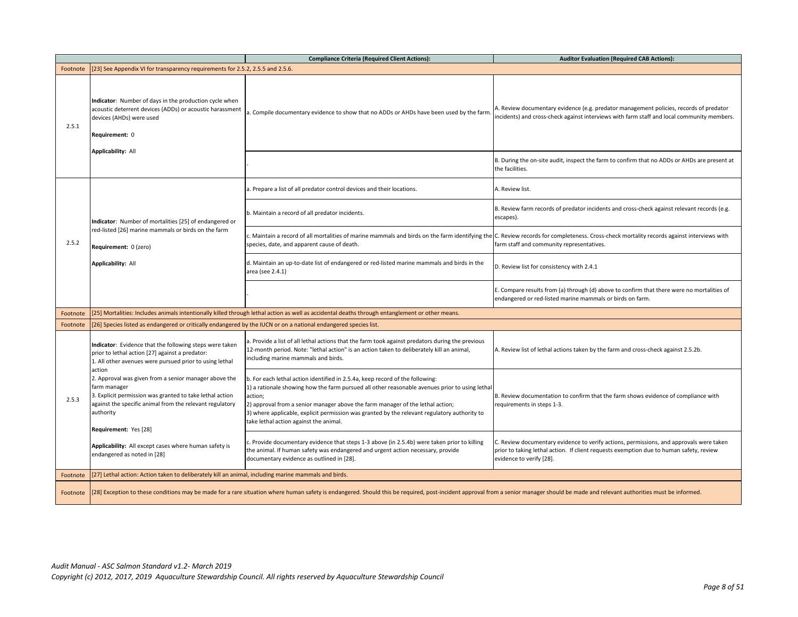|          |                                                                                                                                                                                                                                               | <b>Compliance Criteria (Required Client Actions):</b>                                                                                                                                                                                                                                                                                                                                                                  | <b>Auditor Evaluation (Required CAB Actions):</b>                                                                                                                                                              |  |
|----------|-----------------------------------------------------------------------------------------------------------------------------------------------------------------------------------------------------------------------------------------------|------------------------------------------------------------------------------------------------------------------------------------------------------------------------------------------------------------------------------------------------------------------------------------------------------------------------------------------------------------------------------------------------------------------------|----------------------------------------------------------------------------------------------------------------------------------------------------------------------------------------------------------------|--|
| Footnote | [23] See Appendix VI for transparency requirements for 2.5.2, 2.5.5 and 2.5.6.                                                                                                                                                                |                                                                                                                                                                                                                                                                                                                                                                                                                        |                                                                                                                                                                                                                |  |
| 2.5.1    | Indicator: Number of days in the production cycle when<br>acoustic deterrent devices (ADDs) or acoustic harassment<br>devices (AHDs) were used<br>Requirement: 0                                                                              | . Compile documentary evidence to show that no ADDs or AHDs have been used by the farm.                                                                                                                                                                                                                                                                                                                                | A. Review documentary evidence (e.g. predator management policies, records of predator<br>incidents) and cross-check against interviews with farm staff and local community members.                           |  |
|          | Applicability: All                                                                                                                                                                                                                            |                                                                                                                                                                                                                                                                                                                                                                                                                        | B. During the on-site audit, inspect the farm to confirm that no ADDs or AHDs are present at<br>the facilities.                                                                                                |  |
|          |                                                                                                                                                                                                                                               | a. Prepare a list of all predator control devices and their locations.                                                                                                                                                                                                                                                                                                                                                 | A. Review list.                                                                                                                                                                                                |  |
|          | Indicator: Number of mortalities [25] of endangered or                                                                                                                                                                                        | b. Maintain a record of all predator incidents.                                                                                                                                                                                                                                                                                                                                                                        | B. Review farm records of predator incidents and cross-check against relevant records (e.g.<br>escapes).                                                                                                       |  |
| 2.5.2    | red-listed [26] marine mammals or birds on the farm<br>Requirement: 0 (zero)                                                                                                                                                                  | . Maintain a record of all mortalities of marine mammals and birds on the farm identifying the C. Review records for completeness. Cross-check mortality records against interviews with<br>species, date, and apparent cause of death.                                                                                                                                                                                | farm staff and community representatives.                                                                                                                                                                      |  |
|          | Applicability: All                                                                                                                                                                                                                            | d. Maintain an up-to-date list of endangered or red-listed marine mammals and birds in the<br>area (see 2.4.1)                                                                                                                                                                                                                                                                                                         | D. Review list for consistency with 2.4.1                                                                                                                                                                      |  |
|          |                                                                                                                                                                                                                                               |                                                                                                                                                                                                                                                                                                                                                                                                                        | E. Compare results from (a) through (d) above to confirm that there were no mortalities of<br>endangered or red-listed marine mammals or birds on farm.                                                        |  |
| Footnote | [25] Mortalities: Includes animals intentionally killed through lethal action as well as accidental deaths through entanglement or other means.                                                                                               |                                                                                                                                                                                                                                                                                                                                                                                                                        |                                                                                                                                                                                                                |  |
| Footnote | [26] Species listed as endangered or critically endangered by the IUCN or on a national endangered species list.                                                                                                                              |                                                                                                                                                                                                                                                                                                                                                                                                                        |                                                                                                                                                                                                                |  |
|          | Indicator: Evidence that the following steps were taken<br>prior to lethal action [27] against a predator:<br>1. All other avenues were pursued prior to using lethal                                                                         | a. Provide a list of all lethal actions that the farm took against predators during the previous<br>12-month period. Note: "lethal action" is an action taken to deliberately kill an animal,<br>including marine mammals and birds.                                                                                                                                                                                   | A. Review list of lethal actions taken by the farm and cross-check against 2.5.2b.                                                                                                                             |  |
| 2.5.3    | action<br>2. Approval was given from a senior manager above the<br>farm manager<br>3. Explicit permission was granted to take lethal action<br>against the specific animal from the relevant regulatory<br>authority<br>Requirement: Yes [28] | b. For each lethal action identified in 2.5.4a, keep record of the following:<br>1) a rationale showing how the farm pursued all other reasonable avenues prior to using lethal<br>action;<br>2) approval from a senior manager above the farm manager of the lethal action;<br>3) where applicable, explicit permission was granted by the relevant regulatory authority to<br>take lethal action against the animal. | B. Review documentation to confirm that the farm shows evidence of compliance with<br>requirements in steps 1-3.                                                                                               |  |
|          | Applicability: All except cases where human safety is<br>endangered as noted in [28]                                                                                                                                                          | . Provide documentary evidence that steps 1-3 above (in 2.5.4b) were taken prior to killing<br>the animal. If human safety was endangered and urgent action necessary, provide<br>documentary evidence as outlined in [28].                                                                                                                                                                                            | C. Review documentary evidence to verify actions, permissions, and approvals were taken<br>prior to taking lethal action. If client requests exemption due to human safety, review<br>evidence to verify [28]. |  |
| Footnote | [27] Lethal action: Action taken to deliberately kill an animal, including marine mammals and birds.                                                                                                                                          |                                                                                                                                                                                                                                                                                                                                                                                                                        |                                                                                                                                                                                                                |  |
|          | Footnote [28] Exception to these conditions may be made for a rare situation where human safety is endangered. Should this be required, post-incident approval from a senior manager should be made and relevant authorities m                |                                                                                                                                                                                                                                                                                                                                                                                                                        |                                                                                                                                                                                                                |  |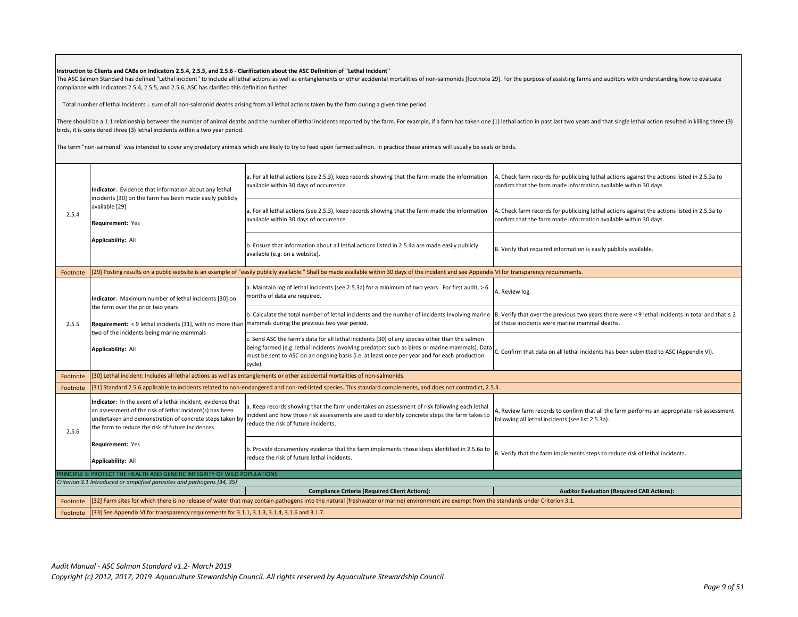#### **Instruction to Clients and CABs on Indicators 2.5.4, 2.5.5, and 2.5.6 - Clarification about the ASC Definition of "Lethal Incident"**

The ASC Salmon Standard has defined "Lethal incident" to include all lethal actions as well as entanglements or other accidental mortalities of non-salmonids [footnote 29]. For the purpose of assisting farms and auditors w compliance with Indicators 2.5.4, 2.5.5, and 2.5.6, ASC has clarified this definition further:

Total number of lethal Incidents = sum of all non-salmonid deaths arising from all lethal actions taken by the farm during a given time period

There should be a 1:1 relationship between the number of animal deaths and the number of lethal incidents reported by the farm. For example, if a farm has taken one (1) lethal action in past last two years and that single birds, it is considered three (3) lethal incidents within a two year period.

The term "non-salmonid" was intended to cover any predatory animals which are likely to try to feed upon farmed salmon. In practice these animals will usually be seals or birds.

|          | Indicator: Evidence that information about any lethal<br>incidents [30] on the farm has been made easily publicly                                                                                                                      | a. For all lethal actions (see 2.5.3), keep records showing that the farm made the information<br>available within 30 days of occurrence.                                                                                                                                                                                                                                                  | A. Check farm records for publicizing lethal actions against the actions listed in 2.5.3a to<br>confirm that the farm made information available within 30 days. |
|----------|----------------------------------------------------------------------------------------------------------------------------------------------------------------------------------------------------------------------------------------|--------------------------------------------------------------------------------------------------------------------------------------------------------------------------------------------------------------------------------------------------------------------------------------------------------------------------------------------------------------------------------------------|------------------------------------------------------------------------------------------------------------------------------------------------------------------|
| 2.5.4    | available [29]<br>Requirement: Yes                                                                                                                                                                                                     | a. For all lethal actions (see 2.5.3), keep records showing that the farm made the information<br>available within 30 days of occurrence.                                                                                                                                                                                                                                                  | A. Check farm records for publicizing lethal actions against the actions listed in 2.5.3a to<br>confirm that the farm made information available within 30 days. |
|          | <b>Applicability: All</b>                                                                                                                                                                                                              | b. Ensure that information about all lethal actions listed in 2.5.4a are made easily publicly<br>available (e.g. on a website).                                                                                                                                                                                                                                                            | B. Verify that required information is easily publicly available.                                                                                                |
| Footnote |                                                                                                                                                                                                                                        | [29] Posting results on a public website is an example of "easily publicly available." Shall be made available within 30 days of the incident and see Appendix VI for transparency requirements.                                                                                                                                                                                           |                                                                                                                                                                  |
|          | Indicator: Maximum number of lethal incidents [30] on                                                                                                                                                                                  | a. Maintain log of lethal incidents (see 2.5.3a) for a minimum of two years. For first audit, > 6<br>months of data are required.                                                                                                                                                                                                                                                          | A. Review log.                                                                                                                                                   |
| 2.5.5    | the farm over the prior two years<br>Requirement: < 9 lethal incidents [31], with no more than mammals during the previous two year period.<br>two of the incidents being marine mammals                                               | b. Calculate the total number of lethal incidents and the number of incidents involving marine $ B$ . Verify that over the previous two years there were <9 lethal incidents in total and that $\leq$ 2                                                                                                                                                                                    | of those incidents were marine mammal deaths.                                                                                                                    |
|          | <b>Applicability: All</b>                                                                                                                                                                                                              | c. Send ASC the farm's data for all lethal incidents [30] of any species other than the salmon<br>chack the control of the control of the SC (Appendix VI). Details of marine mammals). Data confirm that data on all lethal incidents has been submitted to ASC (Appendix VI).<br>must be sent to ASC on an ongoing basis (i.e. at least once per year and for each production<br>cycle). |                                                                                                                                                                  |
| Footnote |                                                                                                                                                                                                                                        | [30] Lethal incident: Includes all lethal actions as well as entanglements or other accidental mortalities of non-salmonids.                                                                                                                                                                                                                                                               |                                                                                                                                                                  |
| Footnote |                                                                                                                                                                                                                                        | [31] Standard 2.5.6 applicable to incidents related to non-endangered and non-red-listed species. This standard complements, and does not contradict, 2.5.3.                                                                                                                                                                                                                               |                                                                                                                                                                  |
| 2.5.6    | Indicator: In the event of a lethal incident, evidence that<br>an assessment of the risk of lethal incident(s) has been<br>undertaken and demonstration of concrete steps taken by<br>the farm to reduce the risk of future incidences | a. Keep records showing that the farm undertakes an assessment of risk following each lethal<br>incident and how those risk assessments are used to identify concrete steps the farm takes to<br>reduce the risk of future incidents.                                                                                                                                                      | A. Review farm records to confirm that all the farm performs an appropriate risk assessment<br>following all lethal incidents (see list 2.5.3a).                 |
|          | Requirement: Yes<br><b>Applicability: All</b>                                                                                                                                                                                          | b. Provide documentary evidence that the farm implements those steps identified in 2.5.6a to<br>reduce the risk of future lethal incidents.                                                                                                                                                                                                                                                | B. Verify that the farm implements steps to reduce risk of lethal incidents.                                                                                     |
|          | PRINCIPLE 3: PROTECT THE HEALTH AND GENETIC INTEGRITY OF WILD POPULATIONS                                                                                                                                                              |                                                                                                                                                                                                                                                                                                                                                                                            |                                                                                                                                                                  |
|          | Criterion 3.1 Introduced or amplified parasites and pathogens [34, 35]                                                                                                                                                                 |                                                                                                                                                                                                                                                                                                                                                                                            |                                                                                                                                                                  |
|          |                                                                                                                                                                                                                                        | <b>Compliance Criteria (Required Client Actions):</b>                                                                                                                                                                                                                                                                                                                                      | <b>Auditor Evaluation (Required CAB Actions):</b>                                                                                                                |
| Footnote |                                                                                                                                                                                                                                        | [32] Farm sites for which there is no release of water that may contain pathogens into the natural (freshwater or marine) environment are exempt from the standards under Criterion 3.1.                                                                                                                                                                                                   |                                                                                                                                                                  |
|          | Footnote [33] See Appendix VI for transparency requirements for 3.1.1, 3.1.3, 3.1.4, 3.1.6 and 3.1.7.                                                                                                                                  |                                                                                                                                                                                                                                                                                                                                                                                            |                                                                                                                                                                  |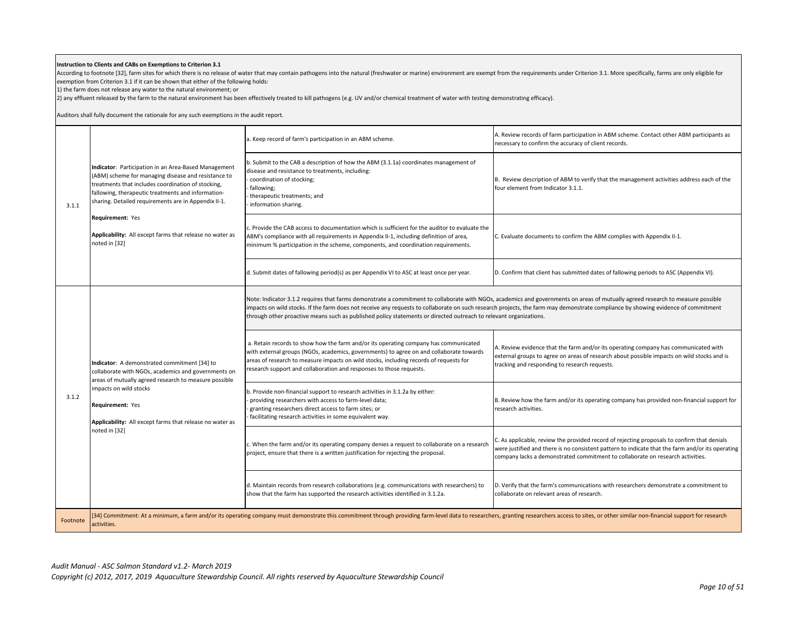#### **Instruction to Clients and CABs on Exemptions to Criterion 3.1**

According to footnote [32], farm sites for which there is no release of water that may contain pathogens into the natural (freshwater or marine) environment are exempt from the requirements under Criterion 3.1. More specif exemption from Criterion 3.1 if it can be shown that either of the following holds:

1) the farm does not release any water to the natural environment; or

2) any effluent released by the farm to the natural environment has been effectively treated to kill pathogens (e.g. UV and/or chemical treatment of water with testing demonstrating efficacy).

Auditors shall fully document the rationale for any such exemptions in the audit report.

| 3.1.1    | Indicator: Participation in an Area-Based Management<br>(ABM) scheme for managing disease and resistance to<br>treatments that includes coordination of stocking,<br>fallowing, therapeutic treatments and information-<br>sharing. Detailed requirements are in Appendix II-1.<br>Requirement: Yes<br>Applicability: All except farms that release no water as<br>noted in [32] | a. Keep record of farm's participation in an ABM scheme.                                                                                                                                                                                                                                                                                                                                                                                                                                  | A. Review records of farm participation in ABM scheme. Contact other ABM participants as<br>necessary to confirm the accuracy of client records.                                                                                                                                  |
|----------|----------------------------------------------------------------------------------------------------------------------------------------------------------------------------------------------------------------------------------------------------------------------------------------------------------------------------------------------------------------------------------|-------------------------------------------------------------------------------------------------------------------------------------------------------------------------------------------------------------------------------------------------------------------------------------------------------------------------------------------------------------------------------------------------------------------------------------------------------------------------------------------|-----------------------------------------------------------------------------------------------------------------------------------------------------------------------------------------------------------------------------------------------------------------------------------|
|          |                                                                                                                                                                                                                                                                                                                                                                                  | b. Submit to the CAB a description of how the ABM (3.1.1a) coordinates management of<br>disease and resistance to treatments, including:<br>coordination of stocking;<br>fallowing;<br>therapeutic treatments; and<br>information sharing.                                                                                                                                                                                                                                                | B. Review description of ABM to verify that the management activities address each of the<br>four element from Indicator 3.1.1.                                                                                                                                                   |
|          |                                                                                                                                                                                                                                                                                                                                                                                  | c. Provide the CAB access to documentation which is sufficient for the auditor to evaluate the<br>ABM's compliance with all requirements in Appendix II-1, including definition of area,<br>minimum % participation in the scheme, components, and coordination requirements.                                                                                                                                                                                                             | C. Evaluate documents to confirm the ABM complies with Appendix II-1.                                                                                                                                                                                                             |
|          |                                                                                                                                                                                                                                                                                                                                                                                  | d. Submit dates of fallowing period(s) as per Appendix VI to ASC at least once per year.                                                                                                                                                                                                                                                                                                                                                                                                  | D. Confirm that client has submitted dates of fallowing periods to ASC (Appendix VI).                                                                                                                                                                                             |
|          |                                                                                                                                                                                                                                                                                                                                                                                  | Note: Indicator 3.1.2 requires that farms demonstrate a commitment to collaborate with NGOs, academics and governments on areas of mutually agreed research to measure possible<br>impacts on wild stocks. If the farm does not receive any requests to collaborate on such research projects, the farm may demonstrate compliance by showing evidence of commitment<br>through other proactive means such as published policy statements or directed outreach to relevant organizations. |                                                                                                                                                                                                                                                                                   |
|          | Indicator: A demonstrated commitment [34] to<br>collaborate with NGOs, academics and governments on<br>areas of mutually agreed research to measure possible<br>impacts on wild stocks<br>Requirement: Yes<br>Applicability: All except farms that release no water as<br>noted in [32]                                                                                          | a. Retain records to show how the farm and/or its operating company has communicated<br>with external groups (NGOs, academics, governments) to agree on and collaborate towards<br>areas of research to measure impacts on wild stocks, including records of requests for<br>research support and collaboration and responses to those requests.                                                                                                                                          | A. Review evidence that the farm and/or its operating company has communicated with<br>external groups to agree on areas of research about possible impacts on wild stocks and is<br>tracking and responding to research requests.                                                |
| 3.1.2    |                                                                                                                                                                                                                                                                                                                                                                                  | b. Provide non-financial support to research activities in 3.1.2a by either:<br>providing researchers with access to farm-level data;<br>granting researchers direct access to farm sites; or<br>facilitating research activities in some equivalent way.                                                                                                                                                                                                                                 | B. Review how the farm and/or its operating company has provided non-financial support for<br>research activities.                                                                                                                                                                |
|          |                                                                                                                                                                                                                                                                                                                                                                                  | c. When the farm and/or its operating company denies a request to collaborate on a research<br>project, ensure that there is a written justification for rejecting the proposal.                                                                                                                                                                                                                                                                                                          | C. As applicable, review the provided record of rejecting proposals to confirm that denials<br>were justified and there is no consistent pattern to indicate that the farm and/or its operating<br>company lacks a demonstrated commitment to collaborate on research activities. |
|          |                                                                                                                                                                                                                                                                                                                                                                                  | d. Maintain records from research collaborations (e.g. communications with researchers) to<br>show that the farm has supported the research activities identified in 3.1.2a.                                                                                                                                                                                                                                                                                                              | D. Verify that the farm's communications with researchers demonstrate a commitment to<br>collaborate on relevant areas of research.                                                                                                                                               |
| Footnote | activities.                                                                                                                                                                                                                                                                                                                                                                      | [34] Commitment: At a minimum, a farm and/or its operating company must demonstrate this commitment through providing farm-level data to researchers, granting researchers access to sites, or other similar non-financial sup                                                                                                                                                                                                                                                            |                                                                                                                                                                                                                                                                                   |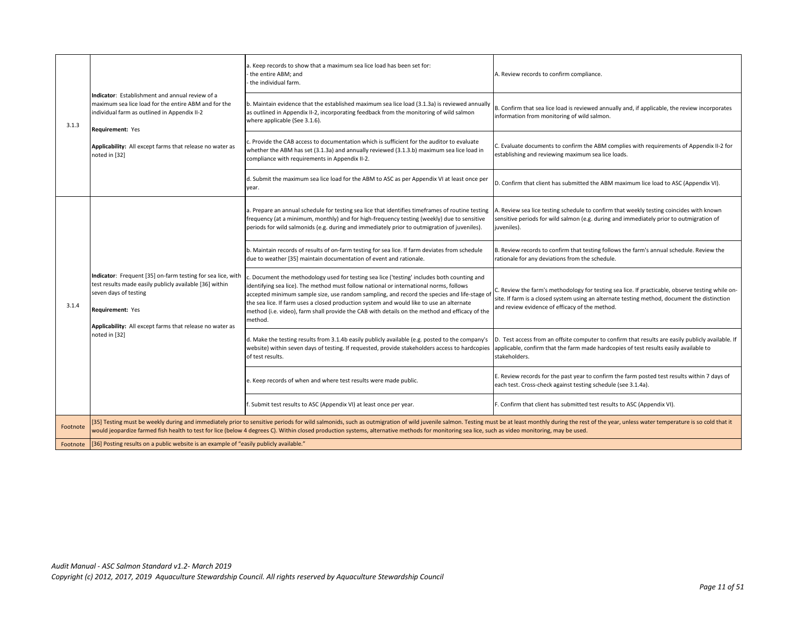| 3.1.3    | Indicator: Establishment and annual review of a<br>maximum sea lice load for the entire ABM and for the<br>individual farm as outlined in Appendix II-2<br>Requirement: Yes                                                                                                                                                                                                                                                       | a. Keep records to show that a maximum sea lice load has been set for:<br>the entire ABM; and<br>the individual farm.                                                                                                                                                                                                                                                                                                                                                                         | A. Review records to confirm compliance.                                                                                                                                                                                                          |
|----------|-----------------------------------------------------------------------------------------------------------------------------------------------------------------------------------------------------------------------------------------------------------------------------------------------------------------------------------------------------------------------------------------------------------------------------------|-----------------------------------------------------------------------------------------------------------------------------------------------------------------------------------------------------------------------------------------------------------------------------------------------------------------------------------------------------------------------------------------------------------------------------------------------------------------------------------------------|---------------------------------------------------------------------------------------------------------------------------------------------------------------------------------------------------------------------------------------------------|
|          |                                                                                                                                                                                                                                                                                                                                                                                                                                   | b. Maintain evidence that the established maximum sea lice load (3.1.3a) is reviewed annually<br>as outlined in Appendix II-2, incorporating feedback from the monitoring of wild salmon<br>where applicable (See 3.1.6).                                                                                                                                                                                                                                                                     | B. Confirm that sea lice load is reviewed annually and, if applicable, the review incorporates<br>information from monitoring of wild salmon.                                                                                                     |
|          | Applicability: All except farms that release no water as<br>noted in [32]                                                                                                                                                                                                                                                                                                                                                         | c. Provide the CAB access to documentation which is sufficient for the auditor to evaluate<br>whether the ABM has set (3.1.3a) and annually reviewed (3.1.3.b) maximum sea lice load in<br>compliance with requirements in Appendix II-2.                                                                                                                                                                                                                                                     | . Evaluate documents to confirm the ABM complies with requirements of Appendix II-2 for<br>establishing and reviewing maximum sea lice loads.                                                                                                     |
|          |                                                                                                                                                                                                                                                                                                                                                                                                                                   | d. Submit the maximum sea lice load for the ABM to ASC as per Appendix VI at least once per<br>year.                                                                                                                                                                                                                                                                                                                                                                                          | D. Confirm that client has submitted the ABM maximum lice load to ASC (Appendix VI).                                                                                                                                                              |
|          |                                                                                                                                                                                                                                                                                                                                                                                                                                   | a. Prepare an annual schedule for testing sea lice that identifies timeframes of routine testing<br>frequency (at a minimum, monthly) and for high-frequency testing (weekly) due to sensitive<br>periods for wild salmonids (e.g. during and immediately prior to outmigration of juveniles).                                                                                                                                                                                                | A. Review sea lice testing schedule to confirm that weekly testing coincides with known<br>sensitive periods for wild salmon (e.g. during and immediately prior to outmigration of<br>juveniles).                                                 |
|          | Indicator: Frequent [35] on-farm testing for sea lice, with<br>test results made easily publicly available [36] within<br>seven days of testing<br>Requirement: Yes<br>Applicability: All except farms that release no water as<br>noted in [32]                                                                                                                                                                                  | b. Maintain records of results of on-farm testing for sea lice. If farm deviates from schedule<br>due to weather [35] maintain documentation of event and rationale.                                                                                                                                                                                                                                                                                                                          | B. Review records to confirm that testing follows the farm's annual schedule. Review the<br>rationale for any deviations from the schedule.                                                                                                       |
| 3.1.4    |                                                                                                                                                                                                                                                                                                                                                                                                                                   | c. Document the methodology used for testing sea lice ('testing' includes both counting and<br>identifying sea lice). The method must follow national or international norms, follows<br>accepted minimum sample size, use random sampling, and record the species and life-stage of<br>the sea lice. If farm uses a closed production system and would like to use an alternate<br>method (i.e. video), farm shall provide the CAB with details on the method and efficacy of the<br>method. | . Review the farm's methodology for testing sea lice. If practicable, observe testing while on-<br>site. If farm is a closed system using an alternate testing method, document the distinction<br>and review evidence of efficacy of the method. |
|          |                                                                                                                                                                                                                                                                                                                                                                                                                                   | d. Make the testing results from 3.1.4b easily publicly available (e.g. posted to the company's<br>website) within seven days of testing. If requested, provide stakeholders access to hardcopies<br>of test results.                                                                                                                                                                                                                                                                         | D. Test access from an offsite computer to confirm that results are easily publicly available. If<br>applicable, confirm that the farm made hardcopies of test results easily available to<br>stakeholders.                                       |
|          |                                                                                                                                                                                                                                                                                                                                                                                                                                   | e. Keep records of when and where test results were made public.                                                                                                                                                                                                                                                                                                                                                                                                                              | E. Review records for the past year to confirm the farm posted test results within 7 days of<br>each test. Cross-check against testing schedule (see 3.1.4a).                                                                                     |
|          |                                                                                                                                                                                                                                                                                                                                                                                                                                   | f. Submit test results to ASC (Appendix VI) at least once per year.                                                                                                                                                                                                                                                                                                                                                                                                                           | F. Confirm that client has submitted test results to ASC (Appendix VI).                                                                                                                                                                           |
| Footnote | [35] Testing must be weekly during and immediately prior to sensitive periods for wild salmonids, such as outmigration of wild juvenile salmon. Testing must be at least monthly during the rest of the year, unless water tem<br>would jeopardize farmed fish health to test for lice (below 4 degrees C). Within closed production systems, alternative methods for monitoring sea lice, such as video monitoring, may be used. |                                                                                                                                                                                                                                                                                                                                                                                                                                                                                               |                                                                                                                                                                                                                                                   |
| Footnote | [36] Posting results on a public website is an example of "easily publicly available."                                                                                                                                                                                                                                                                                                                                            |                                                                                                                                                                                                                                                                                                                                                                                                                                                                                               |                                                                                                                                                                                                                                                   |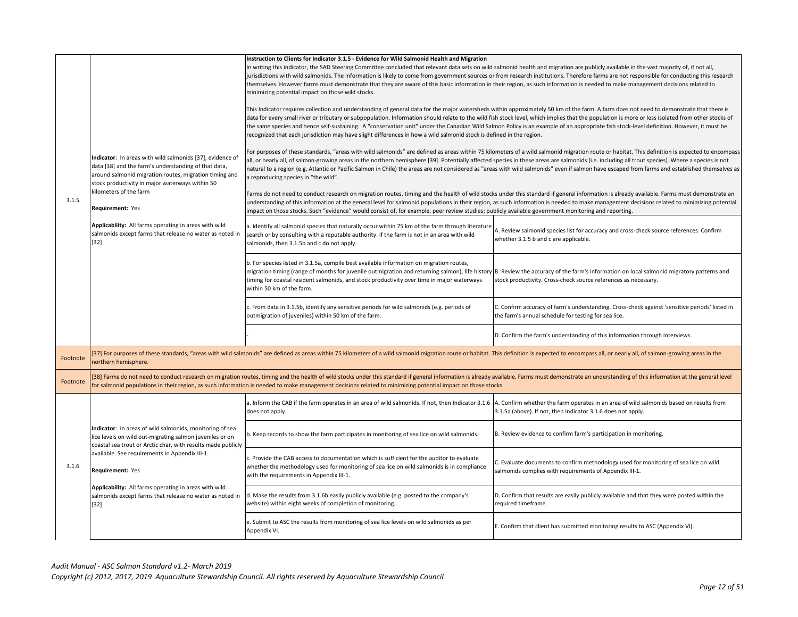| 3.1.5    | Indicator: In areas with wild salmonids [37], evidence of<br>data [38] and the farm's understanding of that data,<br>around salmonid migration routes, migration timing and<br>stock productivity in major waterways within 50<br>kilometers of the farm<br>Requirement: Yes<br>Applicability: All farms operating in areas with wild<br>salmonids except farms that release no water as noted in<br>$[32]$ | Instruction to Clients for Indicator 3.1.5 - Evidence for Wild Salmonid Health and Migration<br>In writing this indicator, the SAD Steering Committee concluded that relevant data sets on wild salmonid health and migration are publicly available in the vast majority of, if not all,<br>jurisdictions with wild salmonids. The information is likely to come from government sources or from research institutions. Therefore farms are not responsible for conducting this research<br>themselves. However farms must demonstrate that they are aware of this basic information in their region, as such information is needed to make management decisions related to<br>minimizing potential impact on those wild stocks.<br>This Indicator requires collection and understanding of general data for the major watersheds within approximately 50 km of the farm. A farm does not need to demonstrate that there is<br>data for every small river or tributary or subpopulation. Information should relate to the wild fish stock level, which implies that the population is more or less isolated from other stocks of<br>the same species and hence self-sustaining. A "conservation unit" under the Canadian Wild Salmon Policy is an example of an appropriate fish stock-level definition. However, it must be<br>recognized that each jurisdiction may have slight differences in how a wild salmonid stock is defined in the region.<br>For purposes of these standards, "areas with wild salmonids" are defined as areas within 75 kilometers of a wild salmonid migration route or habitat. This definition is expected to encompass<br>all, or nearly all, of salmon-growing areas in the northern hemisphere [39]. Potentially affected species in these areas are salmonids (i.e. including all trout species). Where a species is not<br>natural to a region (e.g. Atlantic or Pacific Salmon in Chile) the areas are not considered as "areas with wild salmonids" even if salmon have escaped from farms and established themselves as<br>a reproducing species in "the wild".<br>Farms do not need to conduct research on migration routes, timing and the health of wild stocks under this standard if general information is already available. Farms must demonstrate an<br>understanding of this information at the general level for salmonid populations in their region, as such information is needed to make management decisions related to minimizing potential<br>impact on those stocks. Such "evidence" would consist of, for example, peer review studies; publicly available government monitoring and reporting.<br>a. Identify all salmonid species that naturally occur within 75 km of the farm through literature<br>search or by consulting with a reputable authority. If the farm is not in an area with wild<br>salmonids, then 3.1.5b and c do not apply.<br>b. For species listed in 3.1.5a, compile best available information on migration routes,<br>migration timing (range of months for juvenile outmigration and returning salmon), life history B. Review the accuracy of the farm's information on local salmonid migratory patterns and<br>timing for coastal resident salmonids, and stock productivity over time in major waterways<br>within 50 km of the farm.<br>. From data in 3.1.5b, identify any sensitive periods for wild salmonids (e.g. periods of<br>outmigration of juveniles) within 50 km of the farm. | A. Review salmonid species list for accuracy and cross-check source references. Confirm<br>whether 3.1.5 b and c are applicable.<br>stock productivity. Cross-check source references as necessary.<br>C. Confirm accuracy of farm's understanding. Cross-check against 'sensitive periods' listed in<br>the farm's annual schedule for testing for sea lice.<br>D. Confirm the farm's understanding of this information through interviews. |
|----------|-------------------------------------------------------------------------------------------------------------------------------------------------------------------------------------------------------------------------------------------------------------------------------------------------------------------------------------------------------------------------------------------------------------|----------------------------------------------------------------------------------------------------------------------------------------------------------------------------------------------------------------------------------------------------------------------------------------------------------------------------------------------------------------------------------------------------------------------------------------------------------------------------------------------------------------------------------------------------------------------------------------------------------------------------------------------------------------------------------------------------------------------------------------------------------------------------------------------------------------------------------------------------------------------------------------------------------------------------------------------------------------------------------------------------------------------------------------------------------------------------------------------------------------------------------------------------------------------------------------------------------------------------------------------------------------------------------------------------------------------------------------------------------------------------------------------------------------------------------------------------------------------------------------------------------------------------------------------------------------------------------------------------------------------------------------------------------------------------------------------------------------------------------------------------------------------------------------------------------------------------------------------------------------------------------------------------------------------------------------------------------------------------------------------------------------------------------------------------------------------------------------------------------------------------------------------------------------------------------------------------------------------------------------------------------------------------------------------------------------------------------------------------------------------------------------------------------------------------------------------------------------------------------------------------------------------------------------------------------------------------------------------------------------------------------------------------------------------------------------------------------------------------------------------------------------------------------------------------------------------------------------------------------------------------------------------------------------------------------------------------------------------------------------------------------------------------------------------------------------------------------------------------------------------------------------------------------------------------------------------------------------------------------------------------------------------------------------------------------------------------------------------------------------------------------------------------------------------------------------------------------------------------------------|----------------------------------------------------------------------------------------------------------------------------------------------------------------------------------------------------------------------------------------------------------------------------------------------------------------------------------------------------------------------------------------------------------------------------------------------|
| Footnote | northern hemisphere.                                                                                                                                                                                                                                                                                                                                                                                        | [37] For purposes of these standards, "areas with wild salmonids" are defined as areas within 75 kilometers of a wild salmonid migration route or habitat. This definition is expected to encompass all, or nearly all, of sal                                                                                                                                                                                                                                                                                                                                                                                                                                                                                                                                                                                                                                                                                                                                                                                                                                                                                                                                                                                                                                                                                                                                                                                                                                                                                                                                                                                                                                                                                                                                                                                                                                                                                                                                                                                                                                                                                                                                                                                                                                                                                                                                                                                                                                                                                                                                                                                                                                                                                                                                                                                                                                                                                                                                                                                                                                                                                                                                                                                                                                                                                                                                                                                                                                                         |                                                                                                                                                                                                                                                                                                                                                                                                                                              |
| Footnote |                                                                                                                                                                                                                                                                                                                                                                                                             | [38] Farms do not need to conduct research on migration routes, timing and the health of wild stocks under this standard if general information is already available. Farms must demonstrate an understanding of this informat<br>for salmonid populations in their region, as such information is needed to make management decisions related to minimizing potential impact on those stocks.                                                                                                                                                                                                                                                                                                                                                                                                                                                                                                                                                                                                                                                                                                                                                                                                                                                                                                                                                                                                                                                                                                                                                                                                                                                                                                                                                                                                                                                                                                                                                                                                                                                                                                                                                                                                                                                                                                                                                                                                                                                                                                                                                                                                                                                                                                                                                                                                                                                                                                                                                                                                                                                                                                                                                                                                                                                                                                                                                                                                                                                                                         |                                                                                                                                                                                                                                                                                                                                                                                                                                              |
|          |                                                                                                                                                                                                                                                                                                                                                                                                             | a. Inform the CAB if the farm operates in an area of wild salmonids. If not, then Indicator 3.1.6<br>does not apply.                                                                                                                                                                                                                                                                                                                                                                                                                                                                                                                                                                                                                                                                                                                                                                                                                                                                                                                                                                                                                                                                                                                                                                                                                                                                                                                                                                                                                                                                                                                                                                                                                                                                                                                                                                                                                                                                                                                                                                                                                                                                                                                                                                                                                                                                                                                                                                                                                                                                                                                                                                                                                                                                                                                                                                                                                                                                                                                                                                                                                                                                                                                                                                                                                                                                                                                                                                   | A. Confirm whether the farm operates in an area of wild salmonids based on results from<br>3.1.5a (above). If not, then Indicator 3.1.6 does not apply.                                                                                                                                                                                                                                                                                      |
|          | Indicator: In areas of wild salmonids, monitoring of sea<br>lice levels on wild out-migrating salmon juveniles or on<br>coastal sea trout or Arctic char, with results made publicly                                                                                                                                                                                                                        | b. Keep records to show the farm participates in monitoring of sea lice on wild salmonids.                                                                                                                                                                                                                                                                                                                                                                                                                                                                                                                                                                                                                                                                                                                                                                                                                                                                                                                                                                                                                                                                                                                                                                                                                                                                                                                                                                                                                                                                                                                                                                                                                                                                                                                                                                                                                                                                                                                                                                                                                                                                                                                                                                                                                                                                                                                                                                                                                                                                                                                                                                                                                                                                                                                                                                                                                                                                                                                                                                                                                                                                                                                                                                                                                                                                                                                                                                                             | B. Review evidence to confirm farm's participation in monitoring.                                                                                                                                                                                                                                                                                                                                                                            |
| 3.1.6    | available. See requirements in Appendix III-1.<br><b>Requirement: Yes</b><br>Applicability: All farms operating in areas with wild<br>salmonids except farms that release no water as noted in<br>$[32]$                                                                                                                                                                                                    | c. Provide the CAB access to documentation which is sufficient for the auditor to evaluate<br>whether the methodology used for monitoring of sea lice on wild salmonids is in compliance<br>with the requirements in Appendix III-1.                                                                                                                                                                                                                                                                                                                                                                                                                                                                                                                                                                                                                                                                                                                                                                                                                                                                                                                                                                                                                                                                                                                                                                                                                                                                                                                                                                                                                                                                                                                                                                                                                                                                                                                                                                                                                                                                                                                                                                                                                                                                                                                                                                                                                                                                                                                                                                                                                                                                                                                                                                                                                                                                                                                                                                                                                                                                                                                                                                                                                                                                                                                                                                                                                                                   | C. Evaluate documents to confirm methodology used for monitoring of sea lice on wild<br>salmonids complies with requirements of Appendix III-1.                                                                                                                                                                                                                                                                                              |
|          |                                                                                                                                                                                                                                                                                                                                                                                                             | d. Make the results from 3.1.6b easily publicly available (e.g. posted to the company's<br>website) within eight weeks of completion of monitoring.                                                                                                                                                                                                                                                                                                                                                                                                                                                                                                                                                                                                                                                                                                                                                                                                                                                                                                                                                                                                                                                                                                                                                                                                                                                                                                                                                                                                                                                                                                                                                                                                                                                                                                                                                                                                                                                                                                                                                                                                                                                                                                                                                                                                                                                                                                                                                                                                                                                                                                                                                                                                                                                                                                                                                                                                                                                                                                                                                                                                                                                                                                                                                                                                                                                                                                                                    | D. Confirm that results are easily publicly available and that they were posted within the<br>required timeframe.                                                                                                                                                                                                                                                                                                                            |
|          |                                                                                                                                                                                                                                                                                                                                                                                                             | e. Submit to ASC the results from monitoring of sea lice levels on wild salmonids as per<br>Appendix VI.                                                                                                                                                                                                                                                                                                                                                                                                                                                                                                                                                                                                                                                                                                                                                                                                                                                                                                                                                                                                                                                                                                                                                                                                                                                                                                                                                                                                                                                                                                                                                                                                                                                                                                                                                                                                                                                                                                                                                                                                                                                                                                                                                                                                                                                                                                                                                                                                                                                                                                                                                                                                                                                                                                                                                                                                                                                                                                                                                                                                                                                                                                                                                                                                                                                                                                                                                                               | E. Confirm that client has submitted monitoring results to ASC (Appendix VI).                                                                                                                                                                                                                                                                                                                                                                |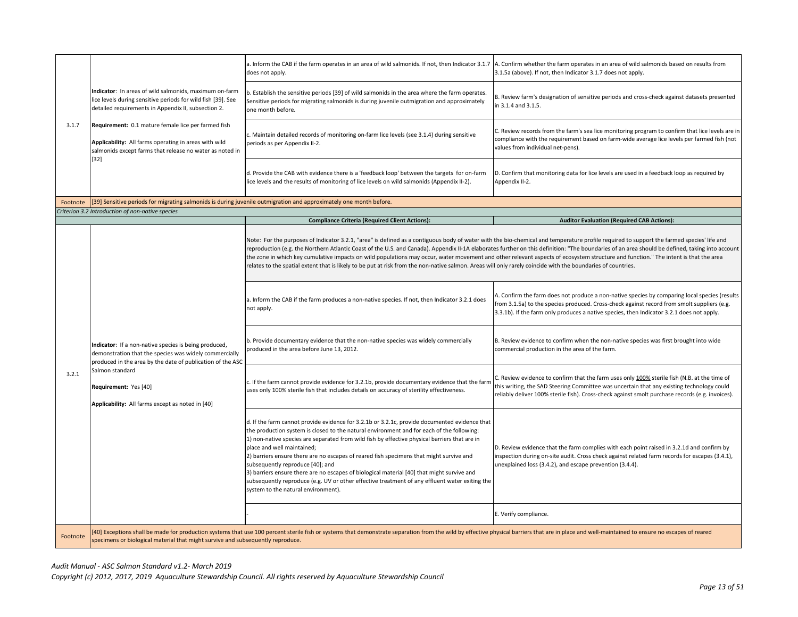|          |                                                                                                                                                                                                                                                                                                                                                           | a. Inform the CAB if the farm operates in an area of wild salmonids. If not, then Indicator 3.1.7<br>does not apply.                                                                                                                                                                                                                                                                                                                                                                                                                                                                                                                                                                            | A. Confirm whether the farm operates in an area of wild salmonids based on results from<br>3.1.5a (above). If not, then Indicator 3.1.7 does not apply.                                                                                                                                       |
|----------|-----------------------------------------------------------------------------------------------------------------------------------------------------------------------------------------------------------------------------------------------------------------------------------------------------------------------------------------------------------|-------------------------------------------------------------------------------------------------------------------------------------------------------------------------------------------------------------------------------------------------------------------------------------------------------------------------------------------------------------------------------------------------------------------------------------------------------------------------------------------------------------------------------------------------------------------------------------------------------------------------------------------------------------------------------------------------|-----------------------------------------------------------------------------------------------------------------------------------------------------------------------------------------------------------------------------------------------------------------------------------------------|
|          | Indicator: In areas of wild salmonids, maximum on-farm<br>lice levels during sensitive periods for wild fish [39]. See<br>detailed requirements in Appendix II, subsection 2.<br>Requirement: 0.1 mature female lice per farmed fish<br>Applicability: All farms operating in areas with wild<br>salmonids except farms that release no water as noted in | b. Establish the sensitive periods [39] of wild salmonids in the area where the farm operates.<br>Sensitive periods for migrating salmonids is during juvenile outmigration and approximately<br>one month before.                                                                                                                                                                                                                                                                                                                                                                                                                                                                              | B. Review farm's designation of sensitive periods and cross-check against datasets presented<br>in 3.1.4 and 3.1.5.                                                                                                                                                                           |
| 3.1.7    |                                                                                                                                                                                                                                                                                                                                                           | c. Maintain detailed records of monitoring on-farm lice levels (see 3.1.4) during sensitive<br>periods as per Appendix II-2.                                                                                                                                                                                                                                                                                                                                                                                                                                                                                                                                                                    | C. Review records from the farm's sea lice monitoring program to confirm that lice levels are in<br>compliance with the requirement based on farm-wide average lice levels per farmed fish (not<br>values from individual net-pens).                                                          |
|          | $[32]$                                                                                                                                                                                                                                                                                                                                                    | d. Provide the CAB with evidence there is a 'feedback loop' between the targets for on-farm<br>lice levels and the results of monitoring of lice levels on wild salmonids (Appendix II-2).                                                                                                                                                                                                                                                                                                                                                                                                                                                                                                      | D. Confirm that monitoring data for lice levels are used in a feedback loop as required by<br>Appendix II-2.                                                                                                                                                                                  |
| Footnote | [39] Sensitive periods for migrating salmonids is during juvenile outmigration and approximately one month before.                                                                                                                                                                                                                                        |                                                                                                                                                                                                                                                                                                                                                                                                                                                                                                                                                                                                                                                                                                 |                                                                                                                                                                                                                                                                                               |
|          | Criterion 3.2 Introduction of non-native species                                                                                                                                                                                                                                                                                                          |                                                                                                                                                                                                                                                                                                                                                                                                                                                                                                                                                                                                                                                                                                 |                                                                                                                                                                                                                                                                                               |
|          |                                                                                                                                                                                                                                                                                                                                                           | <b>Compliance Criteria (Required Client Actions):</b>                                                                                                                                                                                                                                                                                                                                                                                                                                                                                                                                                                                                                                           | <b>Auditor Evaluation (Required CAB Actions):</b>                                                                                                                                                                                                                                             |
|          |                                                                                                                                                                                                                                                                                                                                                           | Note: For the purposes of Indicator 3.2.1, "area" is defined as a contiguous body of water with the bio-chemical and temperature profile required to support the farmed species' life and<br>the zone in which key cumulative impacts on wild populations may occur, water movement and other relevant aspects of ecosystem structure and function." The intent is that the area<br>relates to the spatial extent that is likely to be put at risk from the non-native salmon. Areas will only rarely coincide with the boundaries of countries.                                                                                                                                                | reproduction (e.g. the Northern Atlantic Coast of the U.S. and Canada). Appendix II-1A elaborates further on this definition: "The boundaries of an area should be defined, taking into account                                                                                               |
|          |                                                                                                                                                                                                                                                                                                                                                           | a. Inform the CAB if the farm produces a non-native species. If not, then Indicator 3.2.1 does<br>not apply.                                                                                                                                                                                                                                                                                                                                                                                                                                                                                                                                                                                    | A. Confirm the farm does not produce a non-native species by comparing local species (results<br>from 3.1.5a) to the species produced. Cross-check against record from smolt suppliers (e.g.<br>3.3.1b). If the farm only produces a native species, then Indicator 3.2.1 does not apply.     |
|          | Indicator: If a non-native species is being produced,<br>demonstration that the species was widely commercially<br>produced in the area by the date of publication of the ASC                                                                                                                                                                             | b. Provide documentary evidence that the non-native species was widely commercially<br>produced in the area before June 13, 2012.                                                                                                                                                                                                                                                                                                                                                                                                                                                                                                                                                               | B. Review evidence to confirm when the non-native species was first brought into wide<br>commercial production in the area of the farm.                                                                                                                                                       |
| 3.2.1    | Salmon standard<br>Requirement: Yes [40]<br>Applicability: All farms except as noted in [40]                                                                                                                                                                                                                                                              | c. If the farm cannot provide evidence for 3.2.1b, provide documentary evidence that the farm<br>uses only 100% sterile fish that includes details on accuracy of sterility effectiveness.                                                                                                                                                                                                                                                                                                                                                                                                                                                                                                      | C. Review evidence to confirm that the farm uses only 100% sterile fish (N.B. at the time of<br>this writing, the SAD Steering Committee was uncertain that any existing technology could<br>reliably deliver 100% sterile fish). Cross-check against smolt purchase records (e.g. invoices). |
|          |                                                                                                                                                                                                                                                                                                                                                           | d. If the farm cannot provide evidence for 3.2.1b or 3.2.1c, provide documented evidence that<br>the production system is closed to the natural environment and for each of the following:<br>1) non-native species are separated from wild fish by effective physical barriers that are in<br>place and well maintained;<br>2) barriers ensure there are no escapes of reared fish specimens that might survive and<br>subsequently reproduce [40]; and<br>3) barriers ensure there are no escapes of biological material [40] that might survive and<br>subsequently reproduce (e.g. UV or other effective treatment of any effluent water exiting the<br>system to the natural environment). | D. Review evidence that the farm complies with each point raised in 3.2.1d and confirm by<br>inspection during on-site audit. Cross check against related farm records for escapes (3.4.1),<br>unexplained loss (3.4.2), and escape prevention (3.4.4).                                       |
|          |                                                                                                                                                                                                                                                                                                                                                           |                                                                                                                                                                                                                                                                                                                                                                                                                                                                                                                                                                                                                                                                                                 | E. Verify compliance.                                                                                                                                                                                                                                                                         |
| Footnote | specimens or biological material that might survive and subsequently reproduce.                                                                                                                                                                                                                                                                           | 40] Exceptions shall be made for production systems that use 100 percent sterile fish or systems that demonstrate separation from the wild by effective physical barriers that are in place and well-maintained to ensure no e                                                                                                                                                                                                                                                                                                                                                                                                                                                                  |                                                                                                                                                                                                                                                                                               |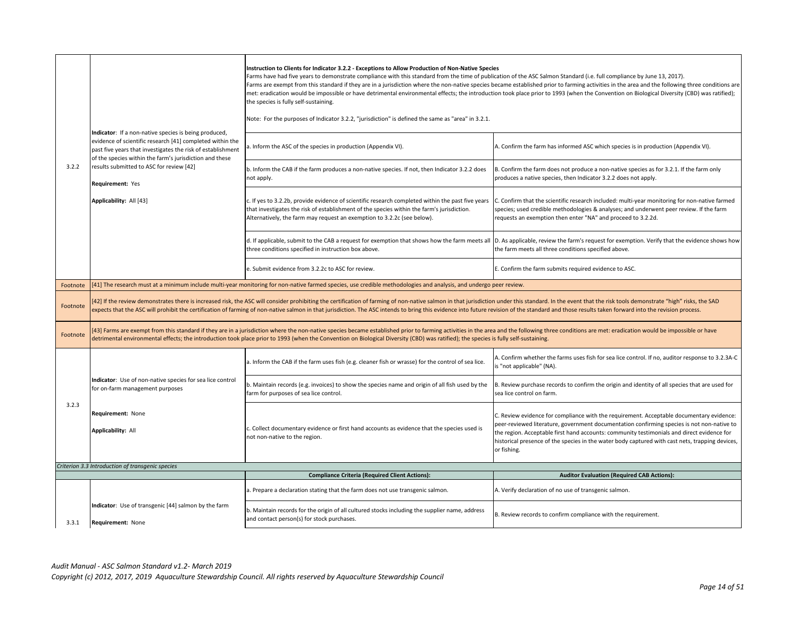|          |                                                                                                                                                                                                                                              | Instruction to Clients for Indicator 3.2.2 - Exceptions to Allow Production of Non-Native Species<br>Farms have had five years to demonstrate compliance with this standard from the time of publication of the ASC Salmon Standard (i.e. full compliance by June 13, 2017).<br>Farms are exempt from this standard if they are in a jurisdiction where the non-native species became established prior to farming activities in the area and the following three conditions are<br>met: eradication would be impossible or have detrimental environmental effects; the introduction took place prior to 1993 (when the Convention on Biological Diversity (CBD) was ratified);<br>the species is fully self-sustaining.<br>Note: For the purposes of Indicator 3.2.2, "jurisdiction" is defined the same as "area" in 3.2.1. |                                                                                                                                                                                                                                                                                                                                                                                                        |  |
|----------|----------------------------------------------------------------------------------------------------------------------------------------------------------------------------------------------------------------------------------------------|-------------------------------------------------------------------------------------------------------------------------------------------------------------------------------------------------------------------------------------------------------------------------------------------------------------------------------------------------------------------------------------------------------------------------------------------------------------------------------------------------------------------------------------------------------------------------------------------------------------------------------------------------------------------------------------------------------------------------------------------------------------------------------------------------------------------------------|--------------------------------------------------------------------------------------------------------------------------------------------------------------------------------------------------------------------------------------------------------------------------------------------------------------------------------------------------------------------------------------------------------|--|
|          | Indicator: If a non-native species is being produced,<br>evidence of scientific research [41] completed within the<br>past five years that investigates the risk of establishment<br>of the species within the farm's jurisdiction and these | a. Inform the ASC of the species in production (Appendix VI).                                                                                                                                                                                                                                                                                                                                                                                                                                                                                                                                                                                                                                                                                                                                                                 | A. Confirm the farm has informed ASC which species is in production (Appendix VI).                                                                                                                                                                                                                                                                                                                     |  |
| 3.2.2    | results submitted to ASC for review [42]<br>Requirement: Yes                                                                                                                                                                                 | b. Inform the CAB if the farm produces a non-native species. If not, then Indicator 3.2.2 does<br>not apply.                                                                                                                                                                                                                                                                                                                                                                                                                                                                                                                                                                                                                                                                                                                  | B. Confirm the farm does not produce a non-native species as for 3.2.1. If the farm only<br>produces a native species, then Indicator 3.2.2 does not apply.                                                                                                                                                                                                                                            |  |
|          | Applicability: All [43]                                                                                                                                                                                                                      | c. If yes to 3.2.2b, provide evidence of scientific research completed within the past five years<br>that investigates the risk of establishment of the species within the farm's jurisdiction.<br>Alternatively, the farm may request an exemption to 3.2.2c (see below).                                                                                                                                                                                                                                                                                                                                                                                                                                                                                                                                                    | C. Confirm that the scientific research included: multi-year monitoring for non-native farmed<br>species; used credible methodologies & analyses; and underwent peer review. If the farm<br>requests an exemption then enter "NA" and proceed to 3.2.2d.                                                                                                                                               |  |
|          |                                                                                                                                                                                                                                              | d. If applicable, submit to the CAB a request for exemption that shows how the farm meets all<br>three conditions specified in instruction box above.                                                                                                                                                                                                                                                                                                                                                                                                                                                                                                                                                                                                                                                                         | D. As applicable, review the farm's request for exemption. Verify that the evidence shows how<br>the farm meets all three conditions specified above.                                                                                                                                                                                                                                                  |  |
|          |                                                                                                                                                                                                                                              | e. Submit evidence from 3.2.2c to ASC for review.                                                                                                                                                                                                                                                                                                                                                                                                                                                                                                                                                                                                                                                                                                                                                                             | E. Confirm the farm submits required evidence to ASC.                                                                                                                                                                                                                                                                                                                                                  |  |
| Footnote |                                                                                                                                                                                                                                              | [41] The research must at a minimum include multi-year monitoring for non-native farmed species, use credible methodologies and analysis, and undergo peer review.                                                                                                                                                                                                                                                                                                                                                                                                                                                                                                                                                                                                                                                            |                                                                                                                                                                                                                                                                                                                                                                                                        |  |
| Footnote |                                                                                                                                                                                                                                              | [42] If the review demonstrates there is increased risk, the ASC will consider prohibiting the certification of farming of non-native salmon in that jurisdiction under this standard. In the event that the risk tools demons<br>expects that the ASC will prohibit the certification of farming of non-native salmon in that jurisdiction. The ASC intends to bring this evidence into future revision of the standard and those results taken forward into th                                                                                                                                                                                                                                                                                                                                                              |                                                                                                                                                                                                                                                                                                                                                                                                        |  |
| Footnote |                                                                                                                                                                                                                                              | [43] Farms are exempt from this standard if they are in a jurisdiction where the non-native species became established prior to farming activities in the area and the following three conditions are met: eradication would b<br>detrimental environmental effects; the introduction took place prior to 1993 (when the Convention on Biological Diversity (CBD) was ratified); the species is fully self-sustaining.                                                                                                                                                                                                                                                                                                                                                                                                        |                                                                                                                                                                                                                                                                                                                                                                                                        |  |
|          |                                                                                                                                                                                                                                              | a. Inform the CAB if the farm uses fish (e.g. cleaner fish or wrasse) for the control of sea lice.                                                                                                                                                                                                                                                                                                                                                                                                                                                                                                                                                                                                                                                                                                                            | A. Confirm whether the farms uses fish for sea lice control. If no, auditor response to 3.2.3A-C<br>is "not applicable" (NA).                                                                                                                                                                                                                                                                          |  |
|          | Indicator: Use of non-native species for sea lice control<br>for on-farm management purposes                                                                                                                                                 | b. Maintain records (e.g. invoices) to show the species name and origin of all fish used by the<br>farm for purposes of sea lice control.                                                                                                                                                                                                                                                                                                                                                                                                                                                                                                                                                                                                                                                                                     | B. Review purchase records to confirm the origin and identity of all species that are used for<br>sea lice control on farm.                                                                                                                                                                                                                                                                            |  |
| 3.2.3    | <b>Requirement: None</b><br><b>Applicability: All</b>                                                                                                                                                                                        | . Collect documentary evidence or first hand accounts as evidence that the species used is<br>not non-native to the region.                                                                                                                                                                                                                                                                                                                                                                                                                                                                                                                                                                                                                                                                                                   | C. Review evidence for compliance with the requirement. Acceptable documentary evidence:<br>peer-reviewed literature, government documentation confirming species is not non-native to<br>the region. Acceptable first hand accounts: community testimonials and direct evidence for<br>historical presence of the species in the water body captured with cast nets, trapping devices,<br>or fishing. |  |
|          | Criterion 3.3 Introduction of transgenic species                                                                                                                                                                                             |                                                                                                                                                                                                                                                                                                                                                                                                                                                                                                                                                                                                                                                                                                                                                                                                                               |                                                                                                                                                                                                                                                                                                                                                                                                        |  |
|          |                                                                                                                                                                                                                                              | <b>Compliance Criteria (Required Client Actions):</b><br>a. Prepare a declaration stating that the farm does not use transgenic salmon.                                                                                                                                                                                                                                                                                                                                                                                                                                                                                                                                                                                                                                                                                       | <b>Auditor Evaluation (Required CAB Actions):</b><br>A. Verify declaration of no use of transgenic salmon.                                                                                                                                                                                                                                                                                             |  |
| 3.3.1    | Indicator: Use of transgenic [44] salmon by the farm<br>Requirement: None                                                                                                                                                                    | b. Maintain records for the origin of all cultured stocks including the supplier name, address<br>and contact person(s) for stock purchases.                                                                                                                                                                                                                                                                                                                                                                                                                                                                                                                                                                                                                                                                                  | B. Review records to confirm compliance with the requirement.                                                                                                                                                                                                                                                                                                                                          |  |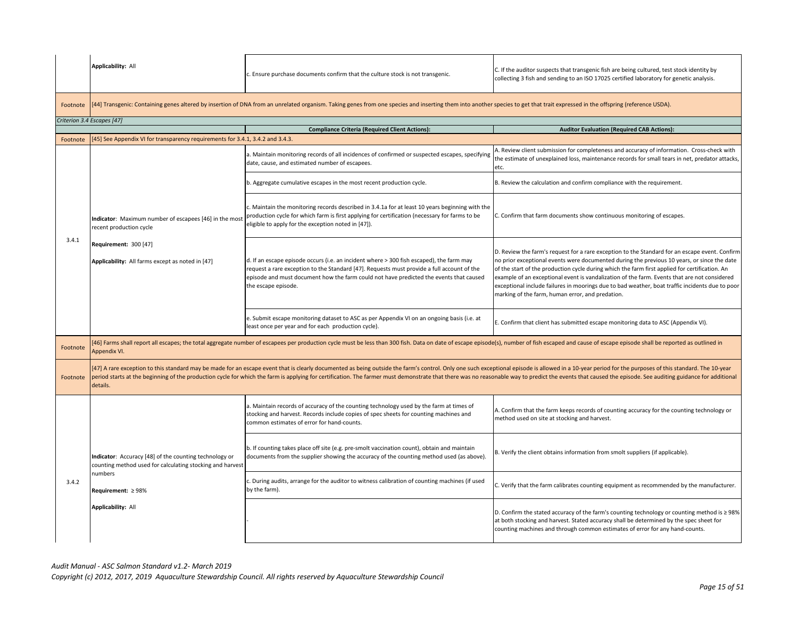|          | Applicability: All                                                                                                                                  | c. Ensure purchase documents confirm that the culture stock is not transgenic.                                                                                                                                                                                                                                                                                                                                                                                   | C. If the auditor suspects that transgenic fish are being cultured, test stock identity by<br>collecting 3 fish and sending to an ISO 17025 certified laboratory for genetic analysis.                                                                                                                                                                                                                                                                                                                                                                 |  |  |  |
|----------|-----------------------------------------------------------------------------------------------------------------------------------------------------|------------------------------------------------------------------------------------------------------------------------------------------------------------------------------------------------------------------------------------------------------------------------------------------------------------------------------------------------------------------------------------------------------------------------------------------------------------------|--------------------------------------------------------------------------------------------------------------------------------------------------------------------------------------------------------------------------------------------------------------------------------------------------------------------------------------------------------------------------------------------------------------------------------------------------------------------------------------------------------------------------------------------------------|--|--|--|
| Footnote |                                                                                                                                                     | [44] Transgenic: Containing genes altered by insertion of DNA from an unrelated organism. Taking genes from one species and inserting them into another species to get that trait expressed in the offspring (reference USDA).                                                                                                                                                                                                                                   |                                                                                                                                                                                                                                                                                                                                                                                                                                                                                                                                                        |  |  |  |
|          | Criterion 3.4 Escapes [47]                                                                                                                          |                                                                                                                                                                                                                                                                                                                                                                                                                                                                  |                                                                                                                                                                                                                                                                                                                                                                                                                                                                                                                                                        |  |  |  |
|          |                                                                                                                                                     | <b>Compliance Criteria (Required Client Actions):</b>                                                                                                                                                                                                                                                                                                                                                                                                            | <b>Auditor Evaluation (Required CAB Actions):</b>                                                                                                                                                                                                                                                                                                                                                                                                                                                                                                      |  |  |  |
| Footnote | [45] See Appendix VI for transparency requirements for 3.4.1, 3.4.2 and 3.4.3.                                                                      |                                                                                                                                                                                                                                                                                                                                                                                                                                                                  |                                                                                                                                                                                                                                                                                                                                                                                                                                                                                                                                                        |  |  |  |
|          |                                                                                                                                                     | a. Maintain monitoring records of all incidences of confirmed or suspected escapes, specifying<br>date, cause, and estimated number of escapees.                                                                                                                                                                                                                                                                                                                 | A. Review client submission for completeness and accuracy of information. Cross-check with<br>the estimate of unexplained loss, maintenance records for small tears in net, predator attacks,<br>etc.                                                                                                                                                                                                                                                                                                                                                  |  |  |  |
|          |                                                                                                                                                     | b. Aggregate cumulative escapes in the most recent production cycle.                                                                                                                                                                                                                                                                                                                                                                                             | B. Review the calculation and confirm compliance with the requirement.                                                                                                                                                                                                                                                                                                                                                                                                                                                                                 |  |  |  |
|          | Indicator: Maximum number of escapees [46] in the mos<br>recent production cycle                                                                    | c. Maintain the monitoring records described in 3.4.1a for at least 10 years beginning with the<br>production cycle for which farm is first applying for certification (necessary for farms to be<br>eligible to apply for the exception noted in [47]).                                                                                                                                                                                                         | C. Confirm that farm documents show continuous monitoring of escapes.                                                                                                                                                                                                                                                                                                                                                                                                                                                                                  |  |  |  |
| 3.4.1    | Requirement: 300 [47]<br>Applicability: All farms except as noted in [47]                                                                           | d. If an escape episode occurs (i.e. an incident where > 300 fish escaped), the farm may<br>request a rare exception to the Standard [47]. Requests must provide a full account of the<br>episode and must document how the farm could not have predicted the events that caused<br>the escape episode.                                                                                                                                                          | D. Review the farm's request for a rare exception to the Standard for an escape event. Confirm<br>no prior exceptional events were documented during the previous 10 years, or since the date<br>of the start of the production cycle during which the farm first applied for certification. An<br>example of an exceptional event is vandalization of the farm. Events that are not considered<br>exceptional include failures in moorings due to bad weather, boat traffic incidents due to poor<br>marking of the farm, human error, and predation. |  |  |  |
|          |                                                                                                                                                     | e. Submit escape monitoring dataset to ASC as per Appendix VI on an ongoing basis (i.e. at<br>east once per year and for each production cycle).                                                                                                                                                                                                                                                                                                                 | E. Confirm that client has submitted escape monitoring data to ASC (Appendix VI).                                                                                                                                                                                                                                                                                                                                                                                                                                                                      |  |  |  |
| Footnote | Appendix VI.                                                                                                                                        | 46] Farms shall report all escapes; the total aggregate number of escapees per production cycle must be less than 300 fish. Data on date of escape episode(s), number of fish escaped and cause of escape episode shall be rep                                                                                                                                                                                                                                   |                                                                                                                                                                                                                                                                                                                                                                                                                                                                                                                                                        |  |  |  |
| Footnote | details.                                                                                                                                            | [47] A rare exception to this standard may be made for an escape event that is clearly documented as being outside the farm's control. Only one such exceptional episode is allowed in a 10-year period for the purposes of th<br>period starts at the beginning of the production cycle for which the farm is applying for certification. The farmer must demonstrate that there was no reasonable way to predict the events that caused the episode. See audit |                                                                                                                                                                                                                                                                                                                                                                                                                                                                                                                                                        |  |  |  |
|          | Indicator: Accuracy [48] of the counting technology or<br>counting method used for calculating stocking and harvest<br>numbers<br>Requirement: ≥98% | a. Maintain records of accuracy of the counting technology used by the farm at times of<br>stocking and harvest. Records include copies of spec sheets for counting machines and<br>common estimates of error for hand-counts.                                                                                                                                                                                                                                   | A. Confirm that the farm keeps records of counting accuracy for the counting technology or<br>method used on site at stocking and harvest.                                                                                                                                                                                                                                                                                                                                                                                                             |  |  |  |
| 3.4.2    |                                                                                                                                                     | b. If counting takes place off site (e.g. pre-smolt vaccination count), obtain and maintain<br>documents from the supplier showing the accuracy of the counting method used (as above).                                                                                                                                                                                                                                                                          | B. Verify the client obtains information from smolt suppliers (if applicable).                                                                                                                                                                                                                                                                                                                                                                                                                                                                         |  |  |  |
|          |                                                                                                                                                     | c. During audits, arrange for the auditor to witness calibration of counting machines (if used<br>by the farm).                                                                                                                                                                                                                                                                                                                                                  | C. Verify that the farm calibrates counting equipment as recommended by the manufacturer.                                                                                                                                                                                                                                                                                                                                                                                                                                                              |  |  |  |
|          | Applicability: All                                                                                                                                  |                                                                                                                                                                                                                                                                                                                                                                                                                                                                  | D. Confirm the stated accuracy of the farm's counting technology or counting method is $\geq$ 98%<br>at both stocking and harvest. Stated accuracy shall be determined by the spec sheet for<br>counting machines and through common estimates of error for any hand-counts.                                                                                                                                                                                                                                                                           |  |  |  |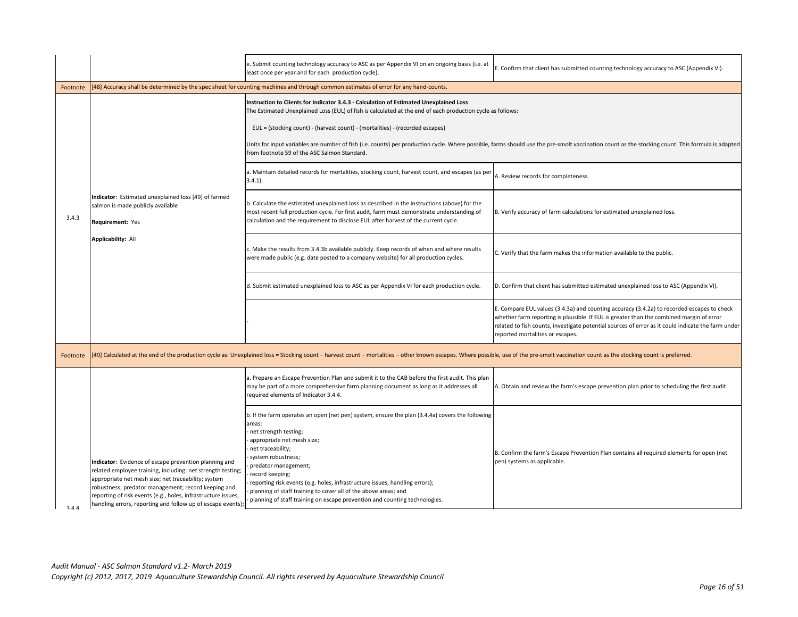|          |                                                                                                                                                                                                                                                                                                                                                                   | e. Submit counting technology accuracy to ASC as per Appendix VI on an ongoing basis (i.e. at<br>least once per year and for each production cycle).                                                                                                                                                                                                                                                                                                                                   | E. Confirm that client has submitted counting technology accuracy to ASC (Appendix VI).                                                                                                                                                                                                                                          |  |
|----------|-------------------------------------------------------------------------------------------------------------------------------------------------------------------------------------------------------------------------------------------------------------------------------------------------------------------------------------------------------------------|----------------------------------------------------------------------------------------------------------------------------------------------------------------------------------------------------------------------------------------------------------------------------------------------------------------------------------------------------------------------------------------------------------------------------------------------------------------------------------------|----------------------------------------------------------------------------------------------------------------------------------------------------------------------------------------------------------------------------------------------------------------------------------------------------------------------------------|--|
| Footnote |                                                                                                                                                                                                                                                                                                                                                                   | [48] Accuracy shall be determined by the spec sheet for counting machines and through common estimates of error for any hand-counts.                                                                                                                                                                                                                                                                                                                                                   |                                                                                                                                                                                                                                                                                                                                  |  |
|          |                                                                                                                                                                                                                                                                                                                                                                   | Instruction to Clients for Indicator 3.4.3 - Calculation of Estimated Unexplained Loss<br>The Estimated Unexplained Loss (EUL) of fish is calculated at the end of each production cycle as follows:<br>EUL = (stocking count) - (harvest count) - (mortalities) - (recorded escapes)<br>from footnote 59 of the ASC Salmon Standard.                                                                                                                                                  | Units for input variables are number of fish (i.e. counts) per production cycle. Where possible, farms should use the pre-smolt vaccination count as the stocking count. This formula is adapted                                                                                                                                 |  |
|          |                                                                                                                                                                                                                                                                                                                                                                   | a. Maintain detailed records for mortalities, stocking count, harvest count, and escapes (as per<br>$3.4.1$ ).                                                                                                                                                                                                                                                                                                                                                                         | A. Review records for completeness.                                                                                                                                                                                                                                                                                              |  |
| 3.4.3    | Indicator: Estimated unexplained loss [49] of farmed<br>salmon is made publicly available<br>Requirement: Yes                                                                                                                                                                                                                                                     | b. Calculate the estimated unexplained loss as described in the instructions (above) for the<br>most recent full production cycle. For first audit, farm must demonstrate understanding of<br>calculation and the requirement to disclose EUL after harvest of the current cycle.                                                                                                                                                                                                      | B. Verify accuracy of farm calculations for estimated unexplained loss.                                                                                                                                                                                                                                                          |  |
|          | <b>Applicability: All</b>                                                                                                                                                                                                                                                                                                                                         | Make the results from 3.4.3b available publicly. Keep records of when and where results<br>were made public (e.g. date posted to a company website) for all production cycles.                                                                                                                                                                                                                                                                                                         | C. Verify that the farm makes the information available to the public.                                                                                                                                                                                                                                                           |  |
|          |                                                                                                                                                                                                                                                                                                                                                                   | d. Submit estimated unexplained loss to ASC as per Appendix VI for each production cycle.                                                                                                                                                                                                                                                                                                                                                                                              | D. Confirm that client has submitted estimated unexplained loss to ASC (Appendix VI).                                                                                                                                                                                                                                            |  |
|          |                                                                                                                                                                                                                                                                                                                                                                   |                                                                                                                                                                                                                                                                                                                                                                                                                                                                                        | E. Compare EUL values (3.4.3a) and counting accuracy (3.4.2a) to recorded escapes to check<br>whether farm reporting is plausible. If EUL is greater than the combined margin of error<br>related to fish counts, investigate potential sources of error as it could indicate the farm under<br>reported mortalities or escapes. |  |
| Footnote |                                                                                                                                                                                                                                                                                                                                                                   | [49] Calculated at the end of the production cycle as: Unexplained loss = Stocking count - harvest count - mortalities - other known escapes. Where possible, use of the pre-smolt vaccination count as the stocking count is                                                                                                                                                                                                                                                          |                                                                                                                                                                                                                                                                                                                                  |  |
|          |                                                                                                                                                                                                                                                                                                                                                                   | a. Prepare an Escape Prevention Plan and submit it to the CAB before the first audit. This plan<br>may be part of a more comprehensive farm planning document as long as it addresses all<br>required elements of Indicator 3.4.4.                                                                                                                                                                                                                                                     | A. Obtain and review the farm's escape prevention plan prior to scheduling the first audit.                                                                                                                                                                                                                                      |  |
| 311      | Indicator: Evidence of escape prevention planning and<br>related employee training, including: net strength testing;<br>appropriate net mesh size; net traceability; system<br>robustness; predator management; record keeping and<br>reporting of risk events (e.g., holes, infrastructure issues,<br>handling errors, reporting and follow up of escape events) | b. If the farm operates an open (net pen) system, ensure the plan (3.4.4a) covers the following<br>areas:<br>net strength testing;<br>appropriate net mesh size;<br>net traceability;<br>system robustness;<br>predator management;<br>record keeping;<br>reporting risk events (e.g. holes, infrastructure issues, handling errors);<br>planning of staff training to cover all of the above areas; and<br>planning of staff training on escape prevention and counting technologies. | B. Confirm the farm's Escape Prevention Plan contains all required elements for open (net<br>pen) systems as applicable.                                                                                                                                                                                                         |  |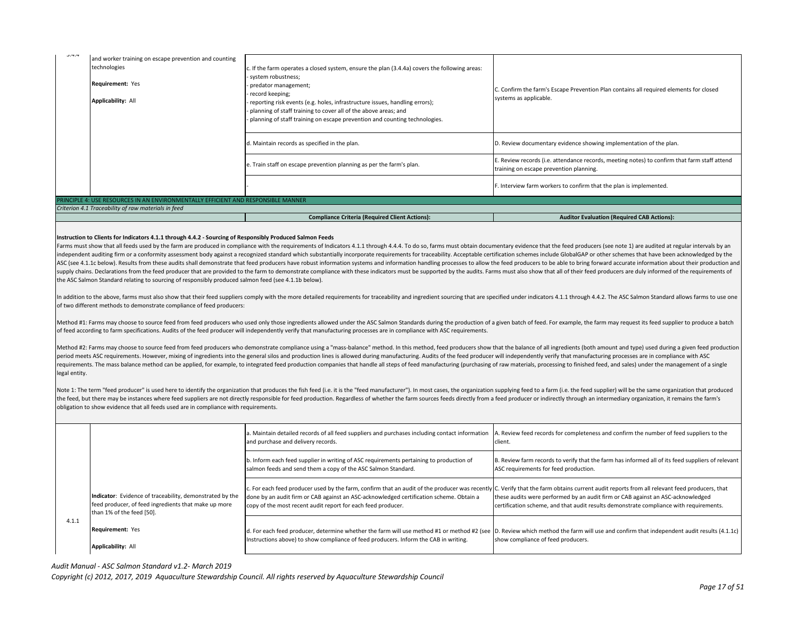| 3.7.7                                                                                                                                                                                                                                                                                                                                                                                                                                                                                                                                                                                                                                                                                                                                                                                                                                                                                                                                                                                                                                                                                                                                                                                                                                                                                                                                                                                                                                                              | and worker training on escape prevention and counting<br>technologies<br>Requirement: Yes<br><b>Applicability: All</b>                   | If the farm operates a closed system, ensure the plan (3.4.4a) covers the following areas:<br>system robustness;<br>predator management;<br>record keeping;<br>reporting risk events (e.g. holes, infrastructure issues, handling errors);<br>planning of staff training to cover all of the above areas; and<br>planning of staff training on escape prevention and counting technologies. | C. Confirm the farm's Escape Prevention Plan contains all required elements for closed<br>systems as applicable.                        |
|--------------------------------------------------------------------------------------------------------------------------------------------------------------------------------------------------------------------------------------------------------------------------------------------------------------------------------------------------------------------------------------------------------------------------------------------------------------------------------------------------------------------------------------------------------------------------------------------------------------------------------------------------------------------------------------------------------------------------------------------------------------------------------------------------------------------------------------------------------------------------------------------------------------------------------------------------------------------------------------------------------------------------------------------------------------------------------------------------------------------------------------------------------------------------------------------------------------------------------------------------------------------------------------------------------------------------------------------------------------------------------------------------------------------------------------------------------------------|------------------------------------------------------------------------------------------------------------------------------------------|---------------------------------------------------------------------------------------------------------------------------------------------------------------------------------------------------------------------------------------------------------------------------------------------------------------------------------------------------------------------------------------------|-----------------------------------------------------------------------------------------------------------------------------------------|
|                                                                                                                                                                                                                                                                                                                                                                                                                                                                                                                                                                                                                                                                                                                                                                                                                                                                                                                                                                                                                                                                                                                                                                                                                                                                                                                                                                                                                                                                    |                                                                                                                                          | d. Maintain records as specified in the plan.                                                                                                                                                                                                                                                                                                                                               | D. Review documentary evidence showing implementation of the plan.                                                                      |
|                                                                                                                                                                                                                                                                                                                                                                                                                                                                                                                                                                                                                                                                                                                                                                                                                                                                                                                                                                                                                                                                                                                                                                                                                                                                                                                                                                                                                                                                    |                                                                                                                                          | e. Train staff on escape prevention planning as per the farm's plan.                                                                                                                                                                                                                                                                                                                        | E. Review records (i.e. attendance records, meeting notes) to confirm that farm staff attend<br>training on escape prevention planning. |
|                                                                                                                                                                                                                                                                                                                                                                                                                                                                                                                                                                                                                                                                                                                                                                                                                                                                                                                                                                                                                                                                                                                                                                                                                                                                                                                                                                                                                                                                    |                                                                                                                                          |                                                                                                                                                                                                                                                                                                                                                                                             | F. Interview farm workers to confirm that the plan is implemented.                                                                      |
|                                                                                                                                                                                                                                                                                                                                                                                                                                                                                                                                                                                                                                                                                                                                                                                                                                                                                                                                                                                                                                                                                                                                                                                                                                                                                                                                                                                                                                                                    | PRINCIPLE 4: USE RESOURCES IN AN ENVIRONMENTALLY EFFICIENT AND RESPONSIBLE MANNER<br>Criterion 4.1 Traceability of raw materials in feed |                                                                                                                                                                                                                                                                                                                                                                                             |                                                                                                                                         |
|                                                                                                                                                                                                                                                                                                                                                                                                                                                                                                                                                                                                                                                                                                                                                                                                                                                                                                                                                                                                                                                                                                                                                                                                                                                                                                                                                                                                                                                                    |                                                                                                                                          | <b>Compliance Criteria (Required Client Actions):</b>                                                                                                                                                                                                                                                                                                                                       | <b>Auditor Evaluation (Required CAB Actions):</b>                                                                                       |
| Instruction to Clients for Indicators 4.1.1 through 4.4.2 - Sourcing of Responsibly Produced Salmon Feeds<br>Farms must show that all feeds used by the farm are produced in compliance with the requirements of Indicators 4.1.1 through 4.4.4. To do so, farms must obtain documentary evidence that the feed producers (see note 1) are<br>independent auditing firm or a conformity assessment body against a recognized standard which substantially incorporate requirements for traceability. Acceptable certification schemes include GlobalGAP or other schemes tha<br>ASC (see 4.1.1c below). Results from these audits shall demonstrate that feed producers have robust information systems and information handling processes to allow the feed producers to be able to bring forward accurate in<br>supply chains. Declarations from the feed producer that are provided to the farm to demonstrate compliance with these indicators must be supported by the audits. Farms must also show that all of their feed producers are du<br>the ASC Salmon Standard relating to sourcing of responsibly produced salmon feed (see 4.1.1b below).<br>In addition to the above, farms must also show that their feed suppliers comply with the more detailed requirements for traceability and ingredient sourcing that are specified under indicators 4.1.1 through 4.4.2. The ASC<br>of two different methods to demonstrate compliance of feed producers: |                                                                                                                                          |                                                                                                                                                                                                                                                                                                                                                                                             |                                                                                                                                         |

Method #1: Farms may choose to source feed from feed producers who used only those ingredients allowed under the ASC Salmon Standards during the production of a given batch of feed. For example, the farm may request its fe of feed according to farm specifications. Audits of the feed producer will independently verify that manufacturing processes are in compliance with ASC requirements.

Method #2: Farms may choose to source feed from feed producers who demonstrate compliance using a "mass-balance" method. In this method, feed producers show that the balance of all ingredients (both amount and type) used d period meets ASC requirements. However, mixing of ingredients into the general silos and production lines is allowed during manufacturing. Audits of the feed producer will independently verify that manufacturing processes requirements. The mass balance method can be applied, for example, to integrated feed production companies that handle all steps of feed manufacturing (purchasing of raw materials, processing to finished feed, and sales) u legal entity.

Note 1: The term "feed producer" is used here to identify the organization that produces the fish feed (i.e. it is the "feed manufacturer"). In most cases, the organization supplying feed to a farm (i.e. the feed supplier) the feed, but there may be instances where feed suppliers are not directly responsible for feed production. Regardless of whether the farm sources feeds directly from a feed producer or indirectly through an intermediary o obligation to show evidence that all feeds used are in compliance with requirements.

|       |                                                                                                                                               | a. Maintain detailed records of all feed suppliers and purchases including contact information A. Review feed records for completeness and confirm the number of feed suppliers to the<br>and purchase and delivery records.                                                                                                                           | client.                                                                                                                                                                   |
|-------|-----------------------------------------------------------------------------------------------------------------------------------------------|--------------------------------------------------------------------------------------------------------------------------------------------------------------------------------------------------------------------------------------------------------------------------------------------------------------------------------------------------------|---------------------------------------------------------------------------------------------------------------------------------------------------------------------------|
|       |                                                                                                                                               | b. Inform each feed supplier in writing of ASC requirements pertaining to production of<br>salmon feeds and send them a copy of the ASC Salmon Standard.                                                                                                                                                                                               | B. Review farm records to verify that the farm has informed all of its feed suppliers of relevant<br>ASC requirements for feed production.                                |
|       | Indicator: Evidence of traceability, demonstrated by the<br>feed producer, of feed ingredients that make up more<br>than 1% of the feed [50]. | c. For each feed producer used by the farm, confirm that an audit of the producer was recently C. Verify that the farm obtains current audit reports from all relevant feed producers, that<br>done by an audit firm or CAB against an ASC-acknowledged certification scheme. Obtain a<br>copy of the most recent audit report for each feed producer. | these audits were performed by an audit firm or CAB against an ASC-acknowledged<br>certification scheme, and that audit results demonstrate compliance with requirements. |
| 4.1.1 | Requirement: Yes<br>Applicability: All                                                                                                        | d. For each feed producer, determine whether the farm will use method #1 or method #2 (see  D. Review which method the farm will use and confirm that independent audit results (4.1.1c)<br>Instructions above) to show compliance of feed producers. Inform the CAB in writing.                                                                       | show compliance of feed producers.                                                                                                                                        |

*Audit Manual - ASC Salmon Standard v1.2- March 2019*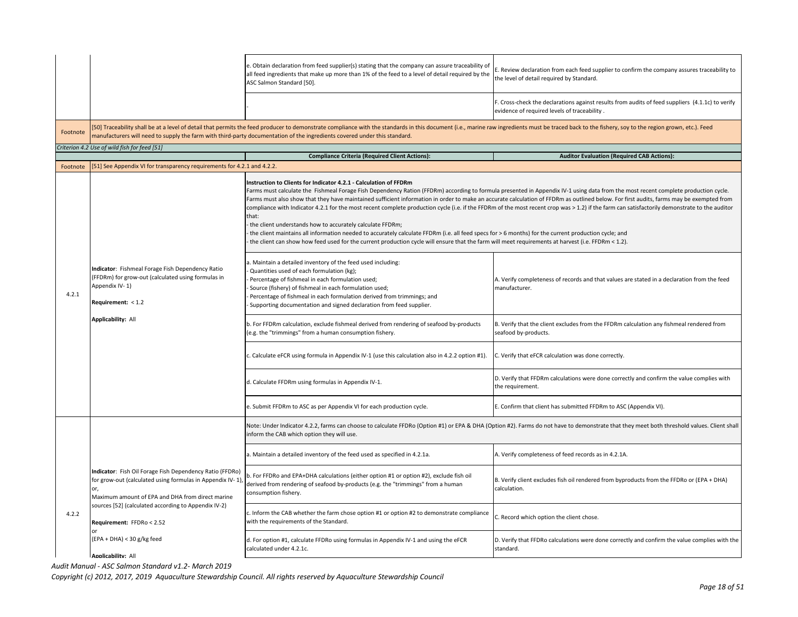|          |                                                                                                                                                                                                                                                                                                                             | e. Obtain declaration from feed supplier(s) stating that the company can assure traceability of<br>all feed ingredients that make up more than 1% of the feed to a level of detail required by the<br>ASC Salmon Standard [50].                                                                                                                                                                                                                                                                                                                                                                                                                                                                                                                                                                                                                                                                                                                                                                                                         | Review declaration from each feed supplier to confirm the company assures traceability to<br>the level of detail required by Standard.          |
|----------|-----------------------------------------------------------------------------------------------------------------------------------------------------------------------------------------------------------------------------------------------------------------------------------------------------------------------------|-----------------------------------------------------------------------------------------------------------------------------------------------------------------------------------------------------------------------------------------------------------------------------------------------------------------------------------------------------------------------------------------------------------------------------------------------------------------------------------------------------------------------------------------------------------------------------------------------------------------------------------------------------------------------------------------------------------------------------------------------------------------------------------------------------------------------------------------------------------------------------------------------------------------------------------------------------------------------------------------------------------------------------------------|-------------------------------------------------------------------------------------------------------------------------------------------------|
|          |                                                                                                                                                                                                                                                                                                                             |                                                                                                                                                                                                                                                                                                                                                                                                                                                                                                                                                                                                                                                                                                                                                                                                                                                                                                                                                                                                                                         | . Cross-check the declarations against results from audits of feed suppliers (4.1.1c) to verify<br>evidence of required levels of traceability. |
| Footnote |                                                                                                                                                                                                                                                                                                                             | [50] Traceability shall be at a level of detail that permits the feed producer to demonstrate compliance with the standards in this document (i.e., marine raw ingredients must be traced back to the fishery, soy to the regi<br>manufacturers will need to supply the farm with third-party documentation of the ingredients covered under this standard.                                                                                                                                                                                                                                                                                                                                                                                                                                                                                                                                                                                                                                                                             |                                                                                                                                                 |
|          | Criterion 4.2 Use of wild fish for feed [51]                                                                                                                                                                                                                                                                                |                                                                                                                                                                                                                                                                                                                                                                                                                                                                                                                                                                                                                                                                                                                                                                                                                                                                                                                                                                                                                                         |                                                                                                                                                 |
|          |                                                                                                                                                                                                                                                                                                                             | <b>Compliance Criteria (Required Client Actions):</b>                                                                                                                                                                                                                                                                                                                                                                                                                                                                                                                                                                                                                                                                                                                                                                                                                                                                                                                                                                                   | <b>Auditor Evaluation (Required CAB Actions):</b>                                                                                               |
| Footnote | [51] See Appendix VI for transparency requirements for 4.2.1 and 4.2.2.                                                                                                                                                                                                                                                     |                                                                                                                                                                                                                                                                                                                                                                                                                                                                                                                                                                                                                                                                                                                                                                                                                                                                                                                                                                                                                                         |                                                                                                                                                 |
| 4.2.1    | Indicator: Fishmeal Forage Fish Dependency Ratio<br>(FFDRm) for grow-out (calculated using formulas in<br>Appendix IV-1)<br>Requirement: < 1.2<br><b>Applicability: All</b>                                                                                                                                                 | Instruction to Clients for Indicator 4.2.1 - Calculation of FFDRm<br>Farms must calculate the Fishmeal Forage Fish Dependency Ration (FFDRm) according to formula presented in Appendix IV-1 using data from the most recent complete production cycle.<br>Farms must also show that they have maintained sufficient information in order to make an accurate calculation of FFDRm as outlined below. For first audits, farms may be exempted from<br>compliance with Indicator 4.2.1 for the most recent complete production cycle (i.e. if the FFDRm of the most recent crop was > 1.2) if the farm can satisfactorily demonstrate to the auditor<br>that:<br>the client understands how to accurately calculate FFDRm;<br>the client maintains all information needed to accurately calculate FFDRm (i.e. all feed specs for > 6 months) for the current production cycle; and<br>the client can show how feed used for the current production cycle will ensure that the farm will meet requirements at harvest (i.e. FFDRm < 1.2). |                                                                                                                                                 |
|          |                                                                                                                                                                                                                                                                                                                             | . Maintain a detailed inventory of the feed used including:<br>Quantities used of each formulation (kg);<br>Percentage of fishmeal in each formulation used;<br>Source (fishery) of fishmeal in each formulation used;<br>Percentage of fishmeal in each formulation derived from trimmings; and<br>Supporting documentation and signed declaration from feed supplier.                                                                                                                                                                                                                                                                                                                                                                                                                                                                                                                                                                                                                                                                 | A. Verify completeness of records and that values are stated in a declaration from the feed<br>manufacturer.                                    |
|          |                                                                                                                                                                                                                                                                                                                             | b. For FFDRm calculation, exclude fishmeal derived from rendering of seafood by-products<br>(e.g. the "trimmings" from a human consumption fishery.                                                                                                                                                                                                                                                                                                                                                                                                                                                                                                                                                                                                                                                                                                                                                                                                                                                                                     | B. Verify that the client excludes from the FFDRm calculation any fishmeal rendered from<br>seafood by-products.                                |
|          |                                                                                                                                                                                                                                                                                                                             | Calculate eFCR using formula in Appendix IV-1 (use this calculation also in 4.2.2 option #1).                                                                                                                                                                                                                                                                                                                                                                                                                                                                                                                                                                                                                                                                                                                                                                                                                                                                                                                                           | C. Verify that eFCR calculation was done correctly.                                                                                             |
|          |                                                                                                                                                                                                                                                                                                                             | d. Calculate FFDRm using formulas in Appendix IV-1.                                                                                                                                                                                                                                                                                                                                                                                                                                                                                                                                                                                                                                                                                                                                                                                                                                                                                                                                                                                     | D. Verify that FFDRm calculations were done correctly and confirm the value complies with<br>the requirement.                                   |
|          |                                                                                                                                                                                                                                                                                                                             | e. Submit FFDRm to ASC as per Appendix VI for each production cycle.                                                                                                                                                                                                                                                                                                                                                                                                                                                                                                                                                                                                                                                                                                                                                                                                                                                                                                                                                                    | E. Confirm that client has submitted FFDRm to ASC (Appendix VI).                                                                                |
|          |                                                                                                                                                                                                                                                                                                                             | Note: Under Indicator 4.2.2, farms can choose to calculate FFDRo (Option #1) or EPA & DHA (Option #2). Farms do not have to demonstrate that they meet both threshold values. Client shall<br>inform the CAB which option they will use.                                                                                                                                                                                                                                                                                                                                                                                                                                                                                                                                                                                                                                                                                                                                                                                                |                                                                                                                                                 |
|          |                                                                                                                                                                                                                                                                                                                             | a. Maintain a detailed inventory of the feed used as specified in 4.2.1a.                                                                                                                                                                                                                                                                                                                                                                                                                                                                                                                                                                                                                                                                                                                                                                                                                                                                                                                                                               | A. Verify completeness of feed records as in 4.2.1A.                                                                                            |
| 4.2.2    | Indicator: Fish Oil Forage Fish Dependency Ratio (FFDRo)<br>for grow-out (calculated using formulas in Appendix IV-1)<br>or,<br>Maximum amount of EPA and DHA from direct marine<br>sources [52] (calculated according to Appendix IV-2)<br>Requirement: FFDRo < 2.52<br>$(EPA + DHA) < 30 g/kg$ feed<br>Annlicability: All | ). For FFDRo and EPA+DHA calculations (either option #1 or option #2), exclude fish oil<br>derived from rendering of seafood by-products (e.g. the "trimmings" from a human<br>consumption fishery.                                                                                                                                                                                                                                                                                                                                                                                                                                                                                                                                                                                                                                                                                                                                                                                                                                     | B. Verify client excludes fish oil rendered from byproducts from the FFDRo or (EPA + DHA)<br>calculation.                                       |
|          |                                                                                                                                                                                                                                                                                                                             | Inform the CAB whether the farm chose option #1 or option #2 to demonstrate compliance<br>with the requirements of the Standard.                                                                                                                                                                                                                                                                                                                                                                                                                                                                                                                                                                                                                                                                                                                                                                                                                                                                                                        | C. Record which option the client chose.                                                                                                        |
|          |                                                                                                                                                                                                                                                                                                                             | d. For option #1, calculate FFDRo using formulas in Appendix IV-1 and using the eFCR<br>calculated under 4.2.1c.                                                                                                                                                                                                                                                                                                                                                                                                                                                                                                                                                                                                                                                                                                                                                                                                                                                                                                                        | D. Verify that FFDRo calculations were done correctly and confirm the value complies with the<br>standard.                                      |
|          |                                                                                                                                                                                                                                                                                                                             |                                                                                                                                                                                                                                                                                                                                                                                                                                                                                                                                                                                                                                                                                                                                                                                                                                                                                                                                                                                                                                         |                                                                                                                                                 |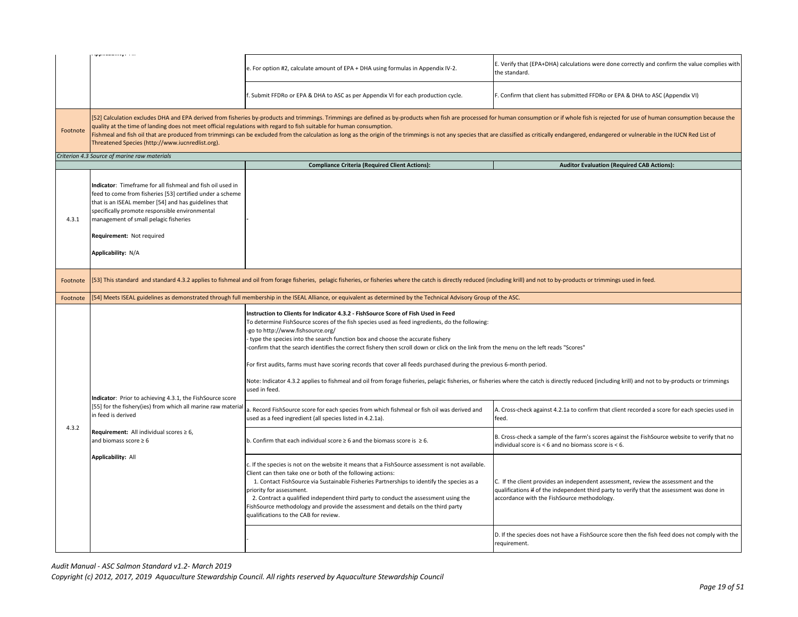|                      | ------ <i>1</i> -                                                                                                                                                                                                                                                                                                                                                                                                                                                                                                                                                                                                                             |                                                                                                                                                                                                                                                                                                                                                                                                                                                                                                                                                                             |                                                                                                                                                                                                                                 |
|----------------------|-----------------------------------------------------------------------------------------------------------------------------------------------------------------------------------------------------------------------------------------------------------------------------------------------------------------------------------------------------------------------------------------------------------------------------------------------------------------------------------------------------------------------------------------------------------------------------------------------------------------------------------------------|-----------------------------------------------------------------------------------------------------------------------------------------------------------------------------------------------------------------------------------------------------------------------------------------------------------------------------------------------------------------------------------------------------------------------------------------------------------------------------------------------------------------------------------------------------------------------------|---------------------------------------------------------------------------------------------------------------------------------------------------------------------------------------------------------------------------------|
|                      |                                                                                                                                                                                                                                                                                                                                                                                                                                                                                                                                                                                                                                               | e. For option #2, calculate amount of EPA + DHA using formulas in Appendix IV-2.                                                                                                                                                                                                                                                                                                                                                                                                                                                                                            | E. Verify that (EPA+DHA) calculations were done correctly and confirm the value complies with<br>the standard.                                                                                                                  |
|                      |                                                                                                                                                                                                                                                                                                                                                                                                                                                                                                                                                                                                                                               | f. Submit FFDRo or EPA & DHA to ASC as per Appendix VI for each production cycle.                                                                                                                                                                                                                                                                                                                                                                                                                                                                                           | F. Confirm that client has submitted FFDRo or EPA & DHA to ASC (Appendix VI)                                                                                                                                                    |
| Footnote             | [52] Calculation excludes DHA and EPA derived from fisheries by-products and trimmings. Trimmings are defined as by-products when fish are processed for human consumption or if whole fish is rejected for use of human consu<br>quality at the time of landing does not meet official regulations with regard to fish suitable for human consumption.<br>Fishmeal and fish oil that are produced from trimmings can be excluded from the calculation as long as the origin of the trimmings is not any species that are classified as critically endangered, endangered or vulnerable i<br>Threatened Species (http://www.iucnredlist.org). |                                                                                                                                                                                                                                                                                                                                                                                                                                                                                                                                                                             |                                                                                                                                                                                                                                 |
|                      | Criterion 4.3 Source of marine raw materials                                                                                                                                                                                                                                                                                                                                                                                                                                                                                                                                                                                                  |                                                                                                                                                                                                                                                                                                                                                                                                                                                                                                                                                                             |                                                                                                                                                                                                                                 |
|                      |                                                                                                                                                                                                                                                                                                                                                                                                                                                                                                                                                                                                                                               | <b>Compliance Criteria (Required Client Actions):</b>                                                                                                                                                                                                                                                                                                                                                                                                                                                                                                                       | <b>Auditor Evaluation (Required CAB Actions):</b>                                                                                                                                                                               |
| 4.3.1                | Indicator: Timeframe for all fishmeal and fish oil used in<br>feed to come from fisheries [53] certified under a scheme<br>that is an ISEAL member [54] and has guidelines that<br>specifically promote responsible environmental<br>management of small pelagic fisheries<br>Requirement: Not required<br>Applicability: N/A                                                                                                                                                                                                                                                                                                                 |                                                                                                                                                                                                                                                                                                                                                                                                                                                                                                                                                                             |                                                                                                                                                                                                                                 |
| Footnote<br>Footnote | [53] This standard and standard 4.3.2 applies to fishmeal and oil from forage fisheries, pelagic fisheries, or fisheries where the catch is directly reduced (including krill) and not to by-products or trimmings used in fee                                                                                                                                                                                                                                                                                                                                                                                                                |                                                                                                                                                                                                                                                                                                                                                                                                                                                                                                                                                                             |                                                                                                                                                                                                                                 |
|                      | 54] Meets ISEAL guidelines as demonstrated through full membership in the ISEAL Alliance, or equivalent as determined by the Technical Advisory Group of the ASC.                                                                                                                                                                                                                                                                                                                                                                                                                                                                             |                                                                                                                                                                                                                                                                                                                                                                                                                                                                                                                                                                             |                                                                                                                                                                                                                                 |
|                      |                                                                                                                                                                                                                                                                                                                                                                                                                                                                                                                                                                                                                                               | Instruction to Clients for Indicator 4.3.2 - FishSource Score of Fish Used in Feed<br>To determine FishSource scores of the fish species used as feed ingredients, do the following:<br>-go to http://www.fishsource.org/<br>type the species into the search function box and choose the accurate fishery<br>confirm that the search identifies the correct fishery then scroll down or click on the link from the menu on the left reads "Scores"<br>For first audits, farms must have scoring records that cover all feeds purchased during the previous 6-month period. |                                                                                                                                                                                                                                 |
|                      |                                                                                                                                                                                                                                                                                                                                                                                                                                                                                                                                                                                                                                               |                                                                                                                                                                                                                                                                                                                                                                                                                                                                                                                                                                             |                                                                                                                                                                                                                                 |
|                      | Indicator: Prior to achieving 4.3.1, the FishSource score<br>[55] for the fishery(ies) from which all marine raw material<br>in feed is derived                                                                                                                                                                                                                                                                                                                                                                                                                                                                                               | Note: Indicator 4.3.2 applies to fishmeal and oil from forage fisheries, pelagic fisheries, or fisheries where the catch is directly reduced (including krill) and not to by-products or trimmings<br>used in feed.                                                                                                                                                                                                                                                                                                                                                         |                                                                                                                                                                                                                                 |
| 4.3.2                |                                                                                                                                                                                                                                                                                                                                                                                                                                                                                                                                                                                                                                               | . Record FishSource score for each species from which fishmeal or fish oil was derived and<br>used as a feed ingredient (all species listed in 4.2.1a).                                                                                                                                                                                                                                                                                                                                                                                                                     | A. Cross-check against 4.2.1a to confirm that client recorded a score for each species used in<br>feed.                                                                                                                         |
|                      | Requirement: All individual scores $\geq 6$ ,<br>and biomass score $\geq 6$                                                                                                                                                                                                                                                                                                                                                                                                                                                                                                                                                                   | b. Confirm that each individual score $\geq 6$ and the biomass score is $\geq 6$ .                                                                                                                                                                                                                                                                                                                                                                                                                                                                                          | B. Cross-check a sample of the farm's scores against the FishSource website to verify that no<br>individual score is $<$ 6 and no biomass score is $<$ 6.                                                                       |
|                      | <b>Applicability: All</b>                                                                                                                                                                                                                                                                                                                                                                                                                                                                                                                                                                                                                     | c. If the species is not on the website it means that a FishSource assessment is not available.<br>Client can then take one or both of the following actions:<br>1. Contact FishSource via Sustainable Fisheries Partnerships to identify the species as a<br>priority for assessment.<br>2. Contract a qualified independent third party to conduct the assessment using the<br>FishSource methodology and provide the assessment and details on the third party<br>qualifications to the CAB for review.                                                                  | C. If the client provides an independent assessment, review the assessment and the<br>qualifications if of the independent third party to verify that the assessment was done in<br>accordance with the FishSource methodology. |
|                      |                                                                                                                                                                                                                                                                                                                                                                                                                                                                                                                                                                                                                                               |                                                                                                                                                                                                                                                                                                                                                                                                                                                                                                                                                                             | D. If the species does not have a FishSource score then the fish feed does not comply with the<br>requirement.                                                                                                                  |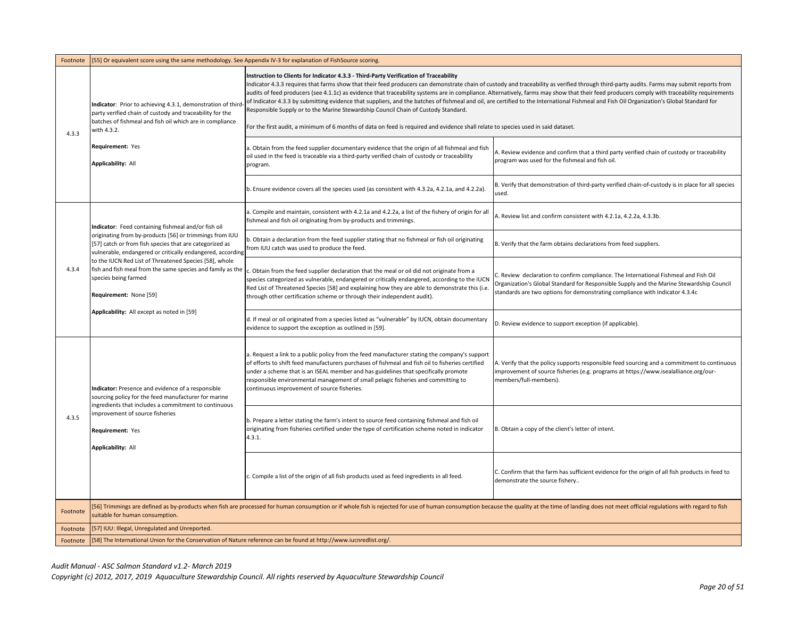| Footnote | 55] Or equivalent score using the same methodology. See Appendix IV-3 for explanation of FishSource scoring.                                                                                                                                                      |                                                                                                                                                                                                                                                                                                                                                                                                                                                                                                                                                                                                                                                                                                                                                                         |                                                                                                                                                                                                                                                                  |
|----------|-------------------------------------------------------------------------------------------------------------------------------------------------------------------------------------------------------------------------------------------------------------------|-------------------------------------------------------------------------------------------------------------------------------------------------------------------------------------------------------------------------------------------------------------------------------------------------------------------------------------------------------------------------------------------------------------------------------------------------------------------------------------------------------------------------------------------------------------------------------------------------------------------------------------------------------------------------------------------------------------------------------------------------------------------------|------------------------------------------------------------------------------------------------------------------------------------------------------------------------------------------------------------------------------------------------------------------|
|          | ndicator: Prior to achieving 4.3.1, demonstration of thir<br>party verified chain of custody and traceability for the<br>batches of fishmeal and fish oil which are in compliance                                                                                 | Instruction to Clients for Indicator 4.3.3 - Third-Party Verification of Traceability<br>Indicator 4.3.3 requires that farms show that their feed producers can demonstrate chain of custody and traceability as verified through third-party audits. Farms may submit reports from<br>audits of feed producers (see 4.1.1c) as evidence that traceability systems are in compliance. Alternatively, farms may show that their feed producers comply with traceability requirements<br>of Indicator 4.3.3 by submitting evidence that suppliers, and the batches of fishmeal and oil, are certified to the International Fishmeal and Fish Oil Organization's Global Standard for<br>Responsible Supply or to the Marine Stewardship Council Chain of Custody Standard. |                                                                                                                                                                                                                                                                  |
| 4.3.3    | with 4.3.2.                                                                                                                                                                                                                                                       | For the first audit, a minimum of 6 months of data on feed is required and evidence shall relate to species used in said dataset.                                                                                                                                                                                                                                                                                                                                                                                                                                                                                                                                                                                                                                       |                                                                                                                                                                                                                                                                  |
|          | Requirement: Yes<br>Applicability: All                                                                                                                                                                                                                            | a. Obtain from the feed supplier documentary evidence that the origin of all fishmeal and fish<br>oil used in the feed is traceable via a third-party verified chain of custody or traceability<br>program.                                                                                                                                                                                                                                                                                                                                                                                                                                                                                                                                                             | A. Review evidence and confirm that a third party verified chain of custody or traceability<br>program was used for the fishmeal and fish oil.                                                                                                                   |
|          |                                                                                                                                                                                                                                                                   | b. Ensure evidence covers all the species used (as consistent with 4.3.2a, 4.2.1a, and 4.2.2a).                                                                                                                                                                                                                                                                                                                                                                                                                                                                                                                                                                                                                                                                         | B. Verify that demonstration of third-party verified chain-of-custody is in place for all species<br>used.                                                                                                                                                       |
|          | Indicator: Feed containing fishmeal and/or fish oil                                                                                                                                                                                                               | a. Compile and maintain, consistent with 4.2.1a and 4.2.2a, a list of the fishery of origin for all<br>fishmeal and fish oil originating from by-products and trimmings.                                                                                                                                                                                                                                                                                                                                                                                                                                                                                                                                                                                                | A. Review list and confirm consistent with 4.2.1a, 4.2.2a, 4.3.3b.                                                                                                                                                                                               |
|          | originating from by-products [56] or trimmings from IUU<br>[57] catch or from fish species that are categorized as<br>vulnerable, endangered or critically endangered, according                                                                                  | b. Obtain a declaration from the feed supplier stating that no fishmeal or fish oil originating<br>from IUU catch was used to produce the feed.                                                                                                                                                                                                                                                                                                                                                                                                                                                                                                                                                                                                                         | B. Verify that the farm obtains declarations from feed suppliers.                                                                                                                                                                                                |
| 4.3.4    | to the IUCN Red List of Threatened Species [58], whole<br>fish and fish meal from the same species and family as the<br>species being farmed<br>Requirement: None [59]<br>Applicability: All except as noted in [59]                                              | c. Obtain from the feed supplier declaration that the meal or oil did not originate from a<br>species categorized as vulnerable, endangered or critically endangered, according to the IUCN<br>Red List of Threatened Species [58] and explaining how they are able to demonstrate this (i.e.<br>through other certification scheme or through their independent audit).                                                                                                                                                                                                                                                                                                                                                                                                | C. Review declaration to confirm compliance. The International Fishmeal and Fish Oil<br>Organization's Global Standard for Responsible Supply and the Marine Stewardship Council<br>standards are two options for demonstrating compliance with Indicator 4.3.4c |
|          |                                                                                                                                                                                                                                                                   | d. If meal or oil originated from a species listed as "vulnerable" by IUCN, obtain documentary<br>evidence to support the exception as outlined in [59].                                                                                                                                                                                                                                                                                                                                                                                                                                                                                                                                                                                                                | D. Review evidence to support exception (if applicable).                                                                                                                                                                                                         |
|          | ndicator: Presence and evidence of a responsible<br>sourcing policy for the feed manufacturer for marine                                                                                                                                                          | a. Request a link to a public policy from the feed manufacturer stating the company's support<br>of efforts to shift feed manufacturers purchases of fishmeal and fish oil to fisheries certified<br>under a scheme that is an ISEAL member and has guidelines that specifically promote<br>responsible environmental management of small pelagic fisheries and committing to<br>continuous improvement of source fisheries.                                                                                                                                                                                                                                                                                                                                            | A. Verify that the policy supports responsible feed sourcing and a commitment to continuous<br>improvement of source fisheries (e.g. programs at https://www.isealalliance.org/our-<br>members/full-members).                                                    |
| 4.3.5    | ngredients that includes a commitment to continuous<br>mprovement of source fisheries<br>Requirement: Yes<br>Applicability: All                                                                                                                                   | b. Prepare a letter stating the farm's intent to source feed containing fishmeal and fish oil<br>originating from fisheries certified under the type of certification scheme noted in indicator<br>4.3.1.                                                                                                                                                                                                                                                                                                                                                                                                                                                                                                                                                               | B. Obtain a copy of the client's letter of intent.                                                                                                                                                                                                               |
|          |                                                                                                                                                                                                                                                                   | c. Compile a list of the origin of all fish products used as feed ingredients in all feed.                                                                                                                                                                                                                                                                                                                                                                                                                                                                                                                                                                                                                                                                              | C. Confirm that the farm has sufficient evidence for the origin of all fish products in feed to<br>demonstrate the source fishery                                                                                                                                |
| Footnote | 56] Trimmings are defined as by-products when fish are processed for human consumption or if whole fish is rejected for use of human consumption because the quality at the time of landing does not meet official regulations<br>suitable for human consumption. |                                                                                                                                                                                                                                                                                                                                                                                                                                                                                                                                                                                                                                                                                                                                                                         |                                                                                                                                                                                                                                                                  |
| Footnote | [57] IUU: Illegal, Unregulated and Unreported.                                                                                                                                                                                                                    |                                                                                                                                                                                                                                                                                                                                                                                                                                                                                                                                                                                                                                                                                                                                                                         |                                                                                                                                                                                                                                                                  |
| Footnote | [58] The International Union for the Conservation of Nature reference can be found at http://www.iucnredlist.org/.                                                                                                                                                |                                                                                                                                                                                                                                                                                                                                                                                                                                                                                                                                                                                                                                                                                                                                                                         |                                                                                                                                                                                                                                                                  |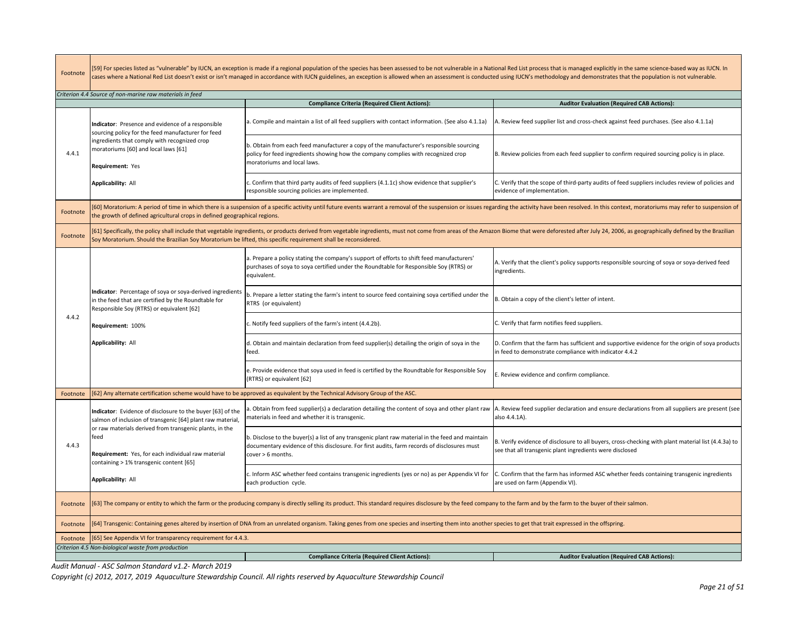| Footnote | 59] For species listed as "vulnerable" by IUCN, an exception is made if a regional population of the species has been assessed to be not vulnerable in a National Red List process that is managed explicitly in the same scie<br>cases where a National Red List doesn't exist or isn't managed in accordance with IUCN guidelines, an exception is allowed when an assessment is conducted using IUCN's methodology and demonstrates that the population is no |                                                                                                                                                                                                                                |                                                                                                                                                                 |  |  |
|----------|------------------------------------------------------------------------------------------------------------------------------------------------------------------------------------------------------------------------------------------------------------------------------------------------------------------------------------------------------------------------------------------------------------------------------------------------------------------|--------------------------------------------------------------------------------------------------------------------------------------------------------------------------------------------------------------------------------|-----------------------------------------------------------------------------------------------------------------------------------------------------------------|--|--|
|          | Criterion 4.4 Source of non-marine raw materials in feed                                                                                                                                                                                                                                                                                                                                                                                                         |                                                                                                                                                                                                                                |                                                                                                                                                                 |  |  |
|          |                                                                                                                                                                                                                                                                                                                                                                                                                                                                  | <b>Compliance Criteria (Required Client Actions):</b>                                                                                                                                                                          | <b>Auditor Evaluation (Required CAB Actions):</b>                                                                                                               |  |  |
| 4.4.1    | <b>Indicator:</b> Presence and evidence of a responsible<br>sourcing policy for the feed manufacturer for feed                                                                                                                                                                                                                                                                                                                                                   | a. Compile and maintain a list of all feed suppliers with contact information. (See also 4.1.1a)                                                                                                                               | A. Review feed supplier list and cross-check against feed purchases. (See also 4.1.1a)                                                                          |  |  |
|          | ingredients that comply with recognized crop<br>moratoriums [60] and local laws [61]<br>Requirement: Yes                                                                                                                                                                                                                                                                                                                                                         | b. Obtain from each feed manufacturer a copy of the manufacturer's responsible sourcing<br>policy for feed ingredients showing how the company complies with recognized crop<br>moratoriums and local laws.                    | B. Review policies from each feed supplier to confirm required sourcing policy is in place.                                                                     |  |  |
|          | <b>Applicability: All</b>                                                                                                                                                                                                                                                                                                                                                                                                                                        | Confirm that third party audits of feed suppliers (4.1.1c) show evidence that supplier's<br>responsible sourcing policies are implemented.                                                                                     | C. Verify that the scope of third-party audits of feed suppliers includes review of policies and<br>evidence of implementation.                                 |  |  |
| Footnote | the growth of defined agricultural crops in defined geographical regions.                                                                                                                                                                                                                                                                                                                                                                                        | 60] Moratorium: A period of time in which there is a suspension of a specific activity until future events warrant a removal of the suspension or issues regarding the activity have been resolved. In this context, moratoriu |                                                                                                                                                                 |  |  |
| Footnote | Soy Moratorium. Should the Brazilian Soy Moratorium be lifted, this specific requirement shall be reconsidered.                                                                                                                                                                                                                                                                                                                                                  | 61] Specifically, the policy shall include that vegetable ingredients, or products derived from vegetable ingredients, must not come from areas of the Amazon Biome that were deforested after July 24, 2006, as geographicall |                                                                                                                                                                 |  |  |
|          |                                                                                                                                                                                                                                                                                                                                                                                                                                                                  | a. Prepare a policy stating the company's support of efforts to shift feed manufacturers'<br>purchases of soya to soya certified under the Roundtable for Responsible Soy (RTRS) or<br>equivalent.                             | A. Verify that the client's policy supports responsible sourcing of soya or soya-derived feed<br>ingredients.                                                   |  |  |
|          | Indicator: Percentage of soya or soya-derived ingredients<br>in the feed that are certified by the Roundtable for<br>Responsible Soy (RTRS) or equivalent [62]                                                                                                                                                                                                                                                                                                   | b. Prepare a letter stating the farm's intent to source feed containing soya certified under the<br>RTRS (or equivalent)                                                                                                       | B. Obtain a copy of the client's letter of intent.                                                                                                              |  |  |
| 4.4.2    | Requirement: 100%                                                                                                                                                                                                                                                                                                                                                                                                                                                | . Notify feed suppliers of the farm's intent (4.4.2b).                                                                                                                                                                         | C. Verify that farm notifies feed suppliers.                                                                                                                    |  |  |
|          | <b>Applicability: All</b>                                                                                                                                                                                                                                                                                                                                                                                                                                        | d. Obtain and maintain declaration from feed supplier(s) detailing the origin of soya in the<br>feed.                                                                                                                          | D. Confirm that the farm has sufficient and supportive evidence for the origin of soya products<br>in feed to demonstrate compliance with indicator 4.4.2       |  |  |
|          |                                                                                                                                                                                                                                                                                                                                                                                                                                                                  | e. Provide evidence that soya used in feed is certified by the Roundtable for Responsible Soy<br>(RTRS) or equivalent [62]                                                                                                     | E. Review evidence and confirm compliance.                                                                                                                      |  |  |
| Footnote |                                                                                                                                                                                                                                                                                                                                                                                                                                                                  | 62] Any alternate certification scheme would have to be approved as equivalent by the Technical Advisory Group of the ASC.                                                                                                     |                                                                                                                                                                 |  |  |
|          | Indicator: Evidence of disclosure to the buyer [63] of the<br>salmon of inclusion of transgenic [64] plant raw material,                                                                                                                                                                                                                                                                                                                                         | . Obtain from feed supplier(s) a declaration detailing the content of soya and other plant raw<br>materials in feed and whether it is transgenic.                                                                              | A. Review feed supplier declaration and ensure declarations from all suppliers are present (see<br>also 4.4.1A).                                                |  |  |
| 4.4.3    | or raw materials derived from transgenic plants, in the<br>feed<br>Requirement: Yes, for each individual raw material<br>containing > 1% transgenic content [65]                                                                                                                                                                                                                                                                                                 | b. Disclose to the buyer(s) a list of any transgenic plant raw material in the feed and maintain<br>documentary evidence of this disclosure. For first audits, farm records of disclosures must<br>cover > 6 months.           | B. Verify evidence of disclosure to all buyers, cross-checking with plant material list (4.4.3a) to<br>see that all transgenic plant ingredients were disclosed |  |  |
|          | Applicability: All                                                                                                                                                                                                                                                                                                                                                                                                                                               | c. Inform ASC whether feed contains transgenic ingredients (yes or no) as per Appendix VI for<br>each production cycle.                                                                                                        | C. Confirm that the farm has informed ASC whether feeds containing transgenic ingredients<br>are used on farm (Appendix VI).                                    |  |  |
| Footnote | 63] The company or entity to which the farm or the producing company is directly selling its product. This standard requires disclosure by the feed company to the farm and by the farm to the buyer of their salmon.                                                                                                                                                                                                                                            |                                                                                                                                                                                                                                |                                                                                                                                                                 |  |  |
| Footnote | 64] Transgenic: Containing genes altered by insertion of DNA from an unrelated organism. Taking genes from one species and inserting them into another species to get that trait expressed in the offspring.                                                                                                                                                                                                                                                     |                                                                                                                                                                                                                                |                                                                                                                                                                 |  |  |
| Footnote | [65] See Appendix VI for transparency requirement for 4.4.3.                                                                                                                                                                                                                                                                                                                                                                                                     |                                                                                                                                                                                                                                |                                                                                                                                                                 |  |  |
|          | Criterion 4.5 Non-biological waste from production                                                                                                                                                                                                                                                                                                                                                                                                               |                                                                                                                                                                                                                                |                                                                                                                                                                 |  |  |
|          |                                                                                                                                                                                                                                                                                                                                                                                                                                                                  | <b>Compliance Criteria (Required Client Actions):</b>                                                                                                                                                                          | <b>Auditor Evaluation (Required CAB Actions):</b>                                                                                                               |  |  |

 $\overline{\phantom{a}}$ 

**College**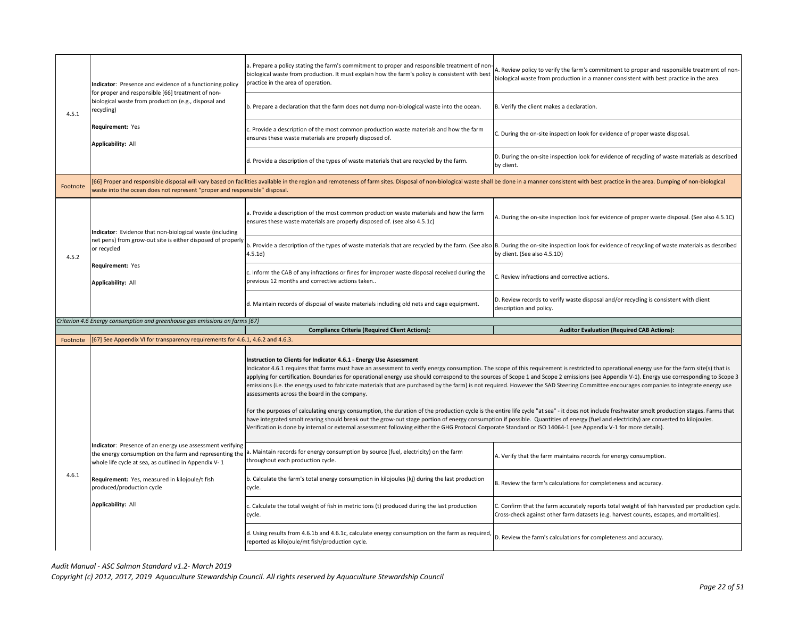| 4.5.1    | Indicator: Presence and evidence of a functioning policy<br>for proper and responsible [66] treatment of non-<br>biological waste from production (e.g., disposal and<br>recycling) | a. Prepare a policy stating the farm's commitment to proper and responsible treatment of non<br>biological waste from production. It must explain how the farm's policy is consistent with best<br>practice in the area of operation.                                                                                                                                                                                                                                                                                                                                                                                                                                                                                                                                                                                                                                                                                                                                                                                                                                         | A. Review policy to verify the farm's commitment to proper and responsible treatment of non-<br>biological waste from production in a manner consistent with best practice in the area.      |
|----------|-------------------------------------------------------------------------------------------------------------------------------------------------------------------------------------|-------------------------------------------------------------------------------------------------------------------------------------------------------------------------------------------------------------------------------------------------------------------------------------------------------------------------------------------------------------------------------------------------------------------------------------------------------------------------------------------------------------------------------------------------------------------------------------------------------------------------------------------------------------------------------------------------------------------------------------------------------------------------------------------------------------------------------------------------------------------------------------------------------------------------------------------------------------------------------------------------------------------------------------------------------------------------------|----------------------------------------------------------------------------------------------------------------------------------------------------------------------------------------------|
|          |                                                                                                                                                                                     | b. Prepare a declaration that the farm does not dump non-biological waste into the ocean.                                                                                                                                                                                                                                                                                                                                                                                                                                                                                                                                                                                                                                                                                                                                                                                                                                                                                                                                                                                     | B. Verify the client makes a declaration.                                                                                                                                                    |
|          | Requirement: Yes<br>Applicability: All                                                                                                                                              | c. Provide a description of the most common production waste materials and how the farm<br>ensures these waste materials are properly disposed of.                                                                                                                                                                                                                                                                                                                                                                                                                                                                                                                                                                                                                                                                                                                                                                                                                                                                                                                            | C. During the on-site inspection look for evidence of proper waste disposal.                                                                                                                 |
|          |                                                                                                                                                                                     | d. Provide a description of the types of waste materials that are recycled by the farm.                                                                                                                                                                                                                                                                                                                                                                                                                                                                                                                                                                                                                                                                                                                                                                                                                                                                                                                                                                                       | D. During the on-site inspection look for evidence of recycling of waste materials as described<br>by client.                                                                                |
| Footnote | waste into the ocean does not represent "proper and responsible" disposal.                                                                                                          | 66] Proper and responsible disposal will vary based on facilities available in the region and remoteness of farm sites. Disposal of non-biological waste shall be done in a manner consistent with best practice in the area.                                                                                                                                                                                                                                                                                                                                                                                                                                                                                                                                                                                                                                                                                                                                                                                                                                                 |                                                                                                                                                                                              |
|          | Indicator: Evidence that non-biological waste (including                                                                                                                            | a. Provide a description of the most common production waste materials and how the farm<br>ensures these waste materials are properly disposed of. (see also 4.5.1c)                                                                                                                                                                                                                                                                                                                                                                                                                                                                                                                                                                                                                                                                                                                                                                                                                                                                                                          | A. During the on-site inspection look for evidence of proper waste disposal. (See also 4.5.1C)                                                                                               |
| 4.5.2    | net pens) from grow-out site is either disposed of properly<br>or recycled                                                                                                          | b. Provide a description of the types of waste materials that are recycled by the farm. (See also B. During the on-site inspection look for evidence of recycling of waste materials as described<br>4.5.1d)                                                                                                                                                                                                                                                                                                                                                                                                                                                                                                                                                                                                                                                                                                                                                                                                                                                                  | by client. (See also 4.5.1D)                                                                                                                                                                 |
|          | Requirement: Yes<br><b>Applicability: All</b>                                                                                                                                       | c. Inform the CAB of any infractions or fines for improper waste disposal received during the<br>previous 12 months and corrective actions taken                                                                                                                                                                                                                                                                                                                                                                                                                                                                                                                                                                                                                                                                                                                                                                                                                                                                                                                              | C. Review infractions and corrective actions.                                                                                                                                                |
|          |                                                                                                                                                                                     | d. Maintain records of disposal of waste materials including old nets and cage equipment.                                                                                                                                                                                                                                                                                                                                                                                                                                                                                                                                                                                                                                                                                                                                                                                                                                                                                                                                                                                     | D. Review records to verify waste disposal and/or recycling is consistent with client                                                                                                        |
|          |                                                                                                                                                                                     |                                                                                                                                                                                                                                                                                                                                                                                                                                                                                                                                                                                                                                                                                                                                                                                                                                                                                                                                                                                                                                                                               | description and policy.                                                                                                                                                                      |
|          | Criterion 4.6 Energy consumption and greenhouse gas emissions on farms [67]                                                                                                         |                                                                                                                                                                                                                                                                                                                                                                                                                                                                                                                                                                                                                                                                                                                                                                                                                                                                                                                                                                                                                                                                               |                                                                                                                                                                                              |
|          |                                                                                                                                                                                     | <b>Compliance Criteria (Required Client Actions):</b>                                                                                                                                                                                                                                                                                                                                                                                                                                                                                                                                                                                                                                                                                                                                                                                                                                                                                                                                                                                                                         | <b>Auditor Evaluation (Required CAB Actions):</b>                                                                                                                                            |
| Footnote | [67] See Appendix VI for transparency requirements for 4.6.1, 4.6.2 and 4.6.3.                                                                                                      |                                                                                                                                                                                                                                                                                                                                                                                                                                                                                                                                                                                                                                                                                                                                                                                                                                                                                                                                                                                                                                                                               |                                                                                                                                                                                              |
|          |                                                                                                                                                                                     | Instruction to Clients for Indicator 4.6.1 - Energy Use Assessment<br>Indicator 4.6.1 requires that farms must have an assessment to verify energy consumption. The scope of this requirement is restricted to operational energy use for the farm site(s) that is<br>emissions (i.e. the energy used to fabricate materials that are purchased by the farm) is not required. However the SAD Steering Committee encourages companies to integrate energy use<br>assessments across the board in the company.<br>For the purposes of calculating energy consumption, the duration of the production cycle is the entire life cycle "at sea" - it does not include freshwater smolt production stages. Farms that<br>have integrated smolt rearing should break out the grow-out stage portion of energy consumption if possible. Quantities of energy (fuel and electricity) are converted to kilojoules.<br>Verification is done by internal or external assessment following either the GHG Protocol Corporate Standard or ISO 14064-1 (see Appendix V-1 for more details). | applying for certification. Boundaries for operational energy use should correspond to the sources of Scope 1 and Scope 2 emissions (see Appendix V-1). Energy use corresponding to Scope 3  |
|          | Indicator: Presence of an energy use assessment verifying<br>the energy consumption on the farm and representing the<br>whole life cycle at sea, as outlined in Appendix V-1        | a. Maintain records for energy consumption by source (fuel, electricity) on the farm<br>throughout each production cycle.                                                                                                                                                                                                                                                                                                                                                                                                                                                                                                                                                                                                                                                                                                                                                                                                                                                                                                                                                     | A. Verify that the farm maintains records for energy consumption.                                                                                                                            |
| 4.6.1    | Requirement: Yes, measured in kilojoule/t fish<br>produced/production cycle                                                                                                         | b. Calculate the farm's total energy consumption in kilojoules (kj) during the last production<br>cycle.                                                                                                                                                                                                                                                                                                                                                                                                                                                                                                                                                                                                                                                                                                                                                                                                                                                                                                                                                                      | B. Review the farm's calculations for completeness and accuracy.                                                                                                                             |
|          | <b>Applicability: All</b>                                                                                                                                                           | c. Calculate the total weight of fish in metric tons (t) produced during the last production<br>cycle.                                                                                                                                                                                                                                                                                                                                                                                                                                                                                                                                                                                                                                                                                                                                                                                                                                                                                                                                                                        | C. Confirm that the farm accurately reports total weight of fish harvested per production cycle.<br>Cross-check against other farm datasets (e.g. harvest counts, escapes, and mortalities). |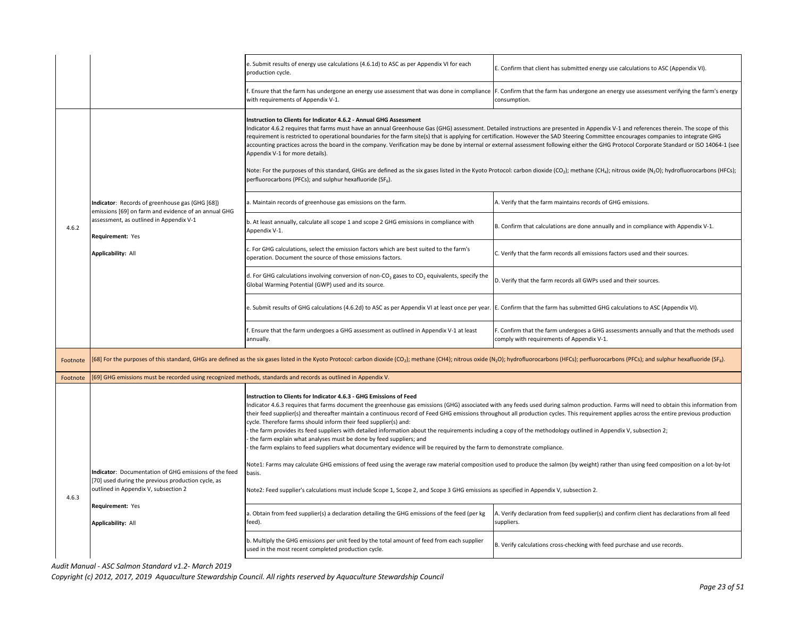|          |                                                                                                                                                    | e. Submit results of energy use calculations (4.6.1d) to ASC as per Appendix VI for each<br>production cycle.                                                                                                                                                                                                                                                                                                                                                                                                                                                                                                                                                                                                                                                                                             | E. Confirm that client has submitted energy use calculations to ASC (Appendix VI).                                                                                                         |
|----------|----------------------------------------------------------------------------------------------------------------------------------------------------|-----------------------------------------------------------------------------------------------------------------------------------------------------------------------------------------------------------------------------------------------------------------------------------------------------------------------------------------------------------------------------------------------------------------------------------------------------------------------------------------------------------------------------------------------------------------------------------------------------------------------------------------------------------------------------------------------------------------------------------------------------------------------------------------------------------|--------------------------------------------------------------------------------------------------------------------------------------------------------------------------------------------|
|          |                                                                                                                                                    | Ensure that the farm has undergone an energy use assessment that was done in compliance<br>with requirements of Appendix V-1.                                                                                                                                                                                                                                                                                                                                                                                                                                                                                                                                                                                                                                                                             | F. Confirm that the farm has undergone an energy use assessment verifying the farm's energy<br>consumption.                                                                                |
|          |                                                                                                                                                    | Instruction to Clients for Indicator 4.6.2 - Annual GHG Assessment<br>Indicator 4.6.2 requires that farms must have an annual Greenhouse Gas (GHG) assessment. Detailed instructions are presented in Appendix V-1 and references therein. The scope of this<br>requirement is restricted to operational boundaries for the farm site(s) that is applying for certification. However the SAD Steering Committee encourages companies to integrate GHG<br>Appendix V-1 for more details).<br>Note: For the purposes of this standard, GHGs are defined as the six gases listed in the Kyoto Protocol: carbon dioxide (CO <sub>2</sub> ); methane (CH <sub>a</sub> ); nitrous oxide (N <sub>2</sub> O); hydrofluorocarbons (HFCs);<br>perfluorocarbons (PFCs); and sulphur hexafluoride (SF <sub>6</sub> ). | accounting practices across the board in the company. Verification may be done by internal or external assessment following either the GHG Protocol Corporate Standard or ISO 14064-1 (see |
|          | Indicator: Records of greenhouse gas (GHG [68])                                                                                                    | a. Maintain records of greenhouse gas emissions on the farm.                                                                                                                                                                                                                                                                                                                                                                                                                                                                                                                                                                                                                                                                                                                                              | A. Verify that the farm maintains records of GHG emissions.                                                                                                                                |
| 4.6.2    | emissions [69] on farm and evidence of an annual GHG<br>assessment, as outlined in Appendix V-1<br>Requirement: Yes                                | b. At least annually, calculate all scope 1 and scope 2 GHG emissions in compliance with<br>Appendix V-1.                                                                                                                                                                                                                                                                                                                                                                                                                                                                                                                                                                                                                                                                                                 | B. Confirm that calculations are done annually and in compliance with Appendix V-1.                                                                                                        |
|          | <b>Applicability: All</b>                                                                                                                          | For GHG calculations, select the emission factors which are best suited to the farm's<br>operation. Document the source of those emissions factors.                                                                                                                                                                                                                                                                                                                                                                                                                                                                                                                                                                                                                                                       | C. Verify that the farm records all emissions factors used and their sources.                                                                                                              |
|          |                                                                                                                                                    | d. For GHG calculations involving conversion of non-CO <sub>2</sub> gases to CO <sub>2</sub> equivalents, specify the<br>Global Warming Potential (GWP) used and its source.                                                                                                                                                                                                                                                                                                                                                                                                                                                                                                                                                                                                                              | D. Verify that the farm records all GWPs used and their sources.                                                                                                                           |
|          |                                                                                                                                                    | e. Submit results of GHG calculations (4.6.2d) to ASC as per Appendix VI at least once per year. SE. Confirm that the farm has submitted GHG calculations to ASC (Appendix VI).                                                                                                                                                                                                                                                                                                                                                                                                                                                                                                                                                                                                                           |                                                                                                                                                                                            |
|          |                                                                                                                                                    | . Ensure that the farm undergoes a GHG assessment as outlined in Appendix V-1 at least<br>annually.                                                                                                                                                                                                                                                                                                                                                                                                                                                                                                                                                                                                                                                                                                       | . Confirm that the farm undergoes a GHG assessments annually and that the methods used<br>comply with requirements of Appendix V-1.                                                        |
| Footnote |                                                                                                                                                    | [68] For the purposes of this standard, GHGs are defined as the six gases listed in the Kyoto Protocol: carbon dioxide (CO <sub>2</sub> ); methane (CH4); nitrous oxide (N <sub>2</sub> O); hydrofluorocarbons (HFCs); perfluorocarbons (PFCs); and                                                                                                                                                                                                                                                                                                                                                                                                                                                                                                                                                       |                                                                                                                                                                                            |
| Footnote | [69] GHG emissions must be recorded using recognized methods, standards and records as outlined in Appendix V.                                     |                                                                                                                                                                                                                                                                                                                                                                                                                                                                                                                                                                                                                                                                                                                                                                                                           |                                                                                                                                                                                            |
|          |                                                                                                                                                    | Instruction to Clients for Indicator 4.6.3 - GHG Emissions of Feed<br>their feed supplier(s) and thereafter maintain a continuous record of Feed GHG emissions throughout all production cycles. This requirement applies across the entire previous production<br>cycle. Therefore farms should inform their feed supplier(s) and:<br>the farm provides its feed suppliers with detailed information about the requirements including a copy of the methodology outlined in Appendix V, subsection 2;<br>the farm explain what analyses must be done by feed suppliers; and<br>the farm explains to feed suppliers what documentary evidence will be required by the farm to demonstrate compliance.                                                                                                     | Indicator 4.6.3 requires that farms document the greenhouse gas emissions (GHG) associated with any feeds used during salmon production. Farms will need to obtain this information from   |
|          | ndicator: Documentation of GHG emissions of the feed<br>[70] used during the previous production cycle, as<br>outlined in Appendix V, subsection 2 | Note1: Farms may calculate GHG emissions of feed using the average raw material composition used to produce the salmon (by weight) rather than using feed composition on a lot-by-lot<br>basis.<br>Note2: Feed supplier's calculations must include Scope 1, Scope 2, and Scope 3 GHG emissions as specified in Appendix V, subsection 2.                                                                                                                                                                                                                                                                                                                                                                                                                                                                 |                                                                                                                                                                                            |
| 4.6.3    | Requirement: Yes                                                                                                                                   | a. Obtain from feed supplier(s) a declaration detailing the GHG emissions of the feed (per kg                                                                                                                                                                                                                                                                                                                                                                                                                                                                                                                                                                                                                                                                                                             | A. Verify declaration from feed supplier(s) and confirm client has declarations from all feed                                                                                              |
|          | Applicability: All                                                                                                                                 | feed).                                                                                                                                                                                                                                                                                                                                                                                                                                                                                                                                                                                                                                                                                                                                                                                                    | suppliers.                                                                                                                                                                                 |
|          |                                                                                                                                                    | b. Multiply the GHG emissions per unit feed by the total amount of feed from each supplier<br>used in the most recent completed production cycle.                                                                                                                                                                                                                                                                                                                                                                                                                                                                                                                                                                                                                                                         | B. Verify calculations cross-checking with feed purchase and use records.                                                                                                                  |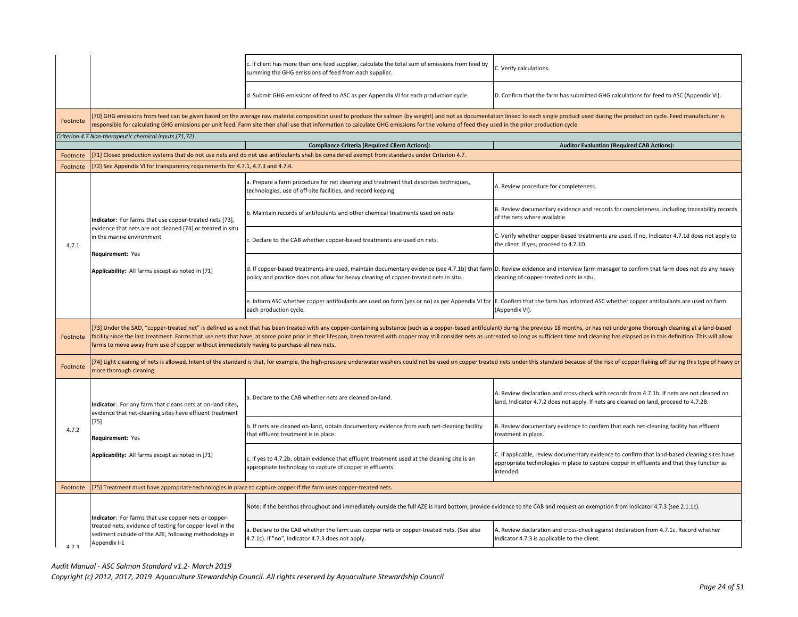|          |                                                                                                                                                                                                                                                           | . If client has more than one feed supplier, calculate the total sum of emissions from feed by<br>summing the GHG emissions of feed from each supplier.                                                                                                                                                                                                                                                                                                         | C. Verify calculations.                                                                                                                                                                                 |
|----------|-----------------------------------------------------------------------------------------------------------------------------------------------------------------------------------------------------------------------------------------------------------|-----------------------------------------------------------------------------------------------------------------------------------------------------------------------------------------------------------------------------------------------------------------------------------------------------------------------------------------------------------------------------------------------------------------------------------------------------------------|---------------------------------------------------------------------------------------------------------------------------------------------------------------------------------------------------------|
|          |                                                                                                                                                                                                                                                           | d. Submit GHG emissions of feed to ASC as per Appendix VI for each production cycle.                                                                                                                                                                                                                                                                                                                                                                            | D. Confirm that the farm has submitted GHG calculations for feed to ASC (Appendix VI).                                                                                                                  |
| Footnote |                                                                                                                                                                                                                                                           | [70] GHG emissions from feed can be given based on the average raw material composition used to produce the salmon (by weight) and not as documentation linked to each single product used during the production cycle. Feed m<br>responsible for calculating GHG emissions per unit feed. Farm site then shall use that information to calculate GHG emissions for the volume of feed they used in the prior production cycle.                                 |                                                                                                                                                                                                         |
|          | Criterion 4.7 Non-therapeutic chemical inputs [71,72]                                                                                                                                                                                                     |                                                                                                                                                                                                                                                                                                                                                                                                                                                                 |                                                                                                                                                                                                         |
|          |                                                                                                                                                                                                                                                           | <b>Compliance Criteria (Required Client Actions):</b>                                                                                                                                                                                                                                                                                                                                                                                                           | <b>Auditor Evaluation (Required CAB Actions):</b>                                                                                                                                                       |
| Footnote |                                                                                                                                                                                                                                                           | [71] Closed production systems that do not use nets and do not use antifoulants shall be considered exempt from standards under Criterion 4.7.                                                                                                                                                                                                                                                                                                                  |                                                                                                                                                                                                         |
| Footnote | [72] See Appendix VI for transparency requirements for 4.7.1, 4.7.3 and 4.7.4.                                                                                                                                                                            |                                                                                                                                                                                                                                                                                                                                                                                                                                                                 |                                                                                                                                                                                                         |
|          |                                                                                                                                                                                                                                                           | a. Prepare a farm procedure for net cleaning and treatment that describes techniques,<br>technologies, use of off-site facilities, and record keeping.                                                                                                                                                                                                                                                                                                          | A. Review procedure for completeness.                                                                                                                                                                   |
|          | Indicator: For farms that use copper-treated nets [73],                                                                                                                                                                                                   | b. Maintain records of antifoulants and other chemical treatments used on nets.                                                                                                                                                                                                                                                                                                                                                                                 | B. Review documentary evidence and records for completeness, including traceability records<br>of the nets where available.                                                                             |
| 4.7.1    | evidence that nets are not cleaned [74] or treated in situ<br>in the marine environment<br>Requirement: Yes                                                                                                                                               | . Declare to the CAB whether copper-based treatments are used on nets.                                                                                                                                                                                                                                                                                                                                                                                          | C. Verify whether copper-based treatments are used. If no, Indicator 4.7.1d does not apply to<br>the client. If yes, proceed to 4.7.1D.                                                                 |
|          | Applicability: All farms except as noted in [71]                                                                                                                                                                                                          | d. If copper-based treatments are used, maintain documentary evidence (see 4.7.1b) that farm D. Review evidence and interview farm manager to confirm that farm does not do any heavy<br>policy and practice does not allow for heavy cleaning of copper-treated nets in situ.                                                                                                                                                                                  | cleaning of copper-treated nets in situ.                                                                                                                                                                |
|          |                                                                                                                                                                                                                                                           | e. Inform ASC whether copper antifoulants are used on farm (yes or no) as per Appendix VI for  E. Confirm that the farm has informed ASC whether copper antifoulants are used on farm<br>each production cycle.                                                                                                                                                                                                                                                 | (Appendix VI).                                                                                                                                                                                          |
| Footnote | farms to move away from use of copper without immediately having to purchase all new nets.                                                                                                                                                                | [73] Under the SAD, "copper-treated net" is defined as a net that has been treated with any copper-containing substance (such as a copper-based antifoulant) durng the previous 18 months, or has not undergone thorough clean<br>facility since the last treatment. Farms that use nets that have, at some point prior in their lifespan, been treated with copper may still consider nets as untreated so long as sufficient time and cleaning has elapsed as |                                                                                                                                                                                                         |
| Footnote | [74] Light cleaning of nets is allowed. Intent of the standard is that, for example, the high-pressure underwater washers could not be used on copper treated nets under this standard because of the risk of copper flaking o<br>more thorough cleaning. |                                                                                                                                                                                                                                                                                                                                                                                                                                                                 |                                                                                                                                                                                                         |
|          | Indicator: For any farm that cleans nets at on-land sites,<br>evidence that net-cleaning sites have effluent treatment                                                                                                                                    | 1. Declare to the CAB whether nets are cleaned on-land.                                                                                                                                                                                                                                                                                                                                                                                                         | A. Review declaration and cross-check with records from 4.7.1b. If nets are not cleaned on<br>land, Indicator 4.7.2 does not apply. If nets are cleaned on land, proceed to 4.7.2B.                     |
| 4.7.2    | $[75]$<br>Requirement: Yes                                                                                                                                                                                                                                | b. If nets are cleaned on-land, obtain documentary evidence from each net-cleaning facility<br>that effluent treatment is in place.                                                                                                                                                                                                                                                                                                                             | B. Review documentary evidence to confirm that each net-cleaning facility has effluent<br>treatment in place.                                                                                           |
|          | Applicability: All farms except as noted in [71]                                                                                                                                                                                                          | c. If yes to 4.7.2b, obtain evidence that effluent treatment used at the cleaning site is an<br>appropriate technology to capture of copper in effluents.                                                                                                                                                                                                                                                                                                       | C. If applicable, review documentary evidence to confirm that land-based cleaning sites have<br>appropriate technologies in place to capture copper in effluents and that they function as<br>intended. |
| Footnote | [75] Treatment must have appropriate technologies in place to capture copper if the farm uses copper-treated nets.                                                                                                                                        |                                                                                                                                                                                                                                                                                                                                                                                                                                                                 |                                                                                                                                                                                                         |
|          |                                                                                                                                                                                                                                                           | Note: If the benthos throughout and immediately outside the full AZE is hard bottom, provide evidence to the CAB and request an exemption from Indicator 4.7.3 (see 2.1.1c).                                                                                                                                                                                                                                                                                    |                                                                                                                                                                                                         |
| 473      | Indicator: For farms that use copper nets or copper-<br>treated nets, evidence of testing for copper level in the<br>sediment outside of the AZE, following methodology in<br>Appendix I-1                                                                | a. Declare to the CAB whether the farm uses copper nets or copper-treated nets. (See also<br>4.7.1c). If "no", Indicator 4.7.3 does not apply.                                                                                                                                                                                                                                                                                                                  | A. Review declaration and cross-check against declaration from 4.7.1c. Record whether<br>Indicator 4.7.3 is applicable to the client.                                                                   |
|          |                                                                                                                                                                                                                                                           |                                                                                                                                                                                                                                                                                                                                                                                                                                                                 |                                                                                                                                                                                                         |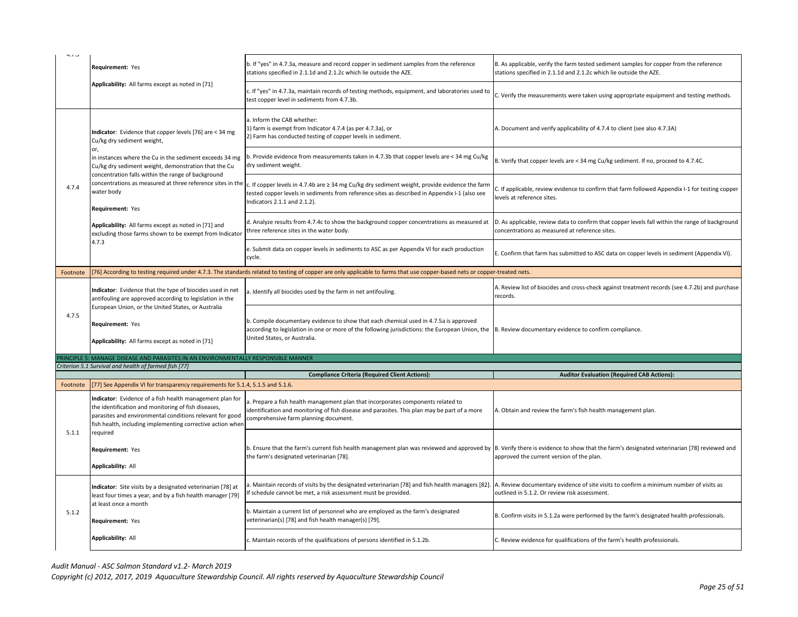|          | Requirement: Yes                                                                                                                                                                                                                                                                                                            | b. If "yes" in 4.7.3a, measure and record copper in sediment samples from the reference<br>stations specified in 2.1.1d and 2.1.2c which lie outside the AZE.                                                                                                                   | B. As applicable, verify the farm tested sediment samples for copper from the reference<br>stations specified in 2.1.1d and 2.1.2c which lie outside the AZE. |
|----------|-----------------------------------------------------------------------------------------------------------------------------------------------------------------------------------------------------------------------------------------------------------------------------------------------------------------------------|---------------------------------------------------------------------------------------------------------------------------------------------------------------------------------------------------------------------------------------------------------------------------------|---------------------------------------------------------------------------------------------------------------------------------------------------------------|
|          | Applicability: All farms except as noted in [71]                                                                                                                                                                                                                                                                            | If "yes" in 4.7.3a, maintain records of testing methods, equipment, and laboratories used to<br>test copper level in sediments from 4.7.3b.                                                                                                                                     | C. Verify the measurements were taken using appropriate equipment and testing methods.                                                                        |
|          | Indicator: Evidence that copper levels [76] are < 34 mg<br>Cu/kg dry sediment weight,                                                                                                                                                                                                                                       | a. Inform the CAB whether:<br>1) farm is exempt from Indicator 4.7.4 (as per 4.7.3a), or<br>2) Farm has conducted testing of copper levels in sediment.                                                                                                                         | A. Document and verify applicability of 4.7.4 to client (see also 4.7.3A)                                                                                     |
|          | or,<br>in instances where the Cu in the sediment exceeds 34 mg<br>Cu/kg dry sediment weight, demonstration that the Cu                                                                                                                                                                                                      | b. Provide evidence from measurements taken in 4.7.3b that copper levels are < 34 mg Cu/kg<br>dry sediment weight.                                                                                                                                                              | B. Verify that copper levels are < 34 mg Cu/kg sediment. If no, proceed to 4.7.4C.                                                                            |
| 4.7.4    | concentration falls within the range of background<br>concentrations as measured at three reference sites in the<br>water body<br>Requirement: Yes                                                                                                                                                                          | c. If copper levels in 4.7.4b are ≥ 34 mg Cu/kg dry sediment weight, provide evidence the farm<br>tested copper levels in sediments from reference sites as described in Appendix I-1 (also see<br>Indicators 2.1.1 and 2.1.2).                                                 | C. If applicable, review evidence to confirm that farm followed Appendix I-1 for testing copper<br>levels at reference sites.                                 |
|          | Applicability: All farms except as noted in [71] and<br>excluding those farms shown to be exempt from Indicator                                                                                                                                                                                                             | d. Analyze results from 4.7.4c to show the background copper concentrations as measured at<br>three reference sites in the water body.                                                                                                                                          | D. As applicable, review data to confirm that copper levels fall within the range of background<br>concentrations as measured at reference sites.             |
|          | 4.7.3                                                                                                                                                                                                                                                                                                                       | e. Submit data on copper levels in sediments to ASC as per Appendix VI for each production<br>cycle.                                                                                                                                                                            | E. Confirm that farm has submitted to ASC data on copper levels in sediment (Appendix VI).                                                                    |
| Footnote |                                                                                                                                                                                                                                                                                                                             | [76] According to testing required under 4.7.3. The standards related to testing of copper are only applicable to farms that use copper-based nets or copper-treated nets.                                                                                                      |                                                                                                                                                               |
|          | Indicator: Evidence that the type of biocides used in net<br>antifouling are approved according to legislation in the                                                                                                                                                                                                       | a. Identify all biocides used by the farm in net antifouling.                                                                                                                                                                                                                   | A. Review list of biocides and cross-check against treatment records (see 4.7.2b) and purchase<br>records.                                                    |
| 4.7.5    | European Union, or the United States, or Australia                                                                                                                                                                                                                                                                          |                                                                                                                                                                                                                                                                                 |                                                                                                                                                               |
|          | Requirement: Yes<br>Applicability: All farms except as noted in [71]                                                                                                                                                                                                                                                        | b. Compile documentary evidence to show that each chemical used in 4.7.5a is approved<br>according to legislation in one or more of the following jurisdictions: the European Union, the  B. Review documentary evidence to confirm compliance.<br>United States, or Australia. |                                                                                                                                                               |
|          | RINCIPLE 5: MANAGE DISEASE AND PARASITES IN AN ENVIRONMENTALLY RESPONSIBLE MANNER                                                                                                                                                                                                                                           |                                                                                                                                                                                                                                                                                 |                                                                                                                                                               |
|          | Criterion 5.1 Survival and health of farmed fish [77]                                                                                                                                                                                                                                                                       |                                                                                                                                                                                                                                                                                 |                                                                                                                                                               |
|          |                                                                                                                                                                                                                                                                                                                             | <b>Compliance Criteria (Required Client Actions):</b>                                                                                                                                                                                                                           | <b>Auditor Evaluation (Required CAB Actions):</b>                                                                                                             |
| Footnote | [77] See Appendix VI for transparency requirements for 5.1.4, 5.1.5 and 5.1.6.<br>Indicator: Evidence of a fish health management plan for<br>the identification and monitoring of fish diseases,<br>parasites and environmental conditions relevant for good<br>fish health, including implementing corrective action wher | a. Prepare a fish health management plan that incorporates components related to<br>identification and monitoring of fish disease and parasites. This plan may be part of a more<br>comprehensive farm planning document.                                                       | A. Obtain and review the farm's fish health management plan.                                                                                                  |
| 5.1.1    | required<br>Requirement: Yes<br>Applicability: All                                                                                                                                                                                                                                                                          | b. Ensure that the farm's current fish health management plan was reviewed and approved by  B. Verify there is evidence to show that the farm's designated veterinarian [78] reviewed and<br>the farm's designated veterinarian [78].                                           | approved the current version of the plan.                                                                                                                     |
|          | Indicator: Site visits by a designated veterinarian [78] at<br>least four times a year, and by a fish health manager [79]                                                                                                                                                                                                   | a. Maintain records of visits by the designated veterinarian [78] and fish health managers [82].<br>f schedule cannot be met, a risk assessment must be provided.                                                                                                               | A. Review documentary evidence of site visits to confirm a minimum number of visits as<br>outlined in 5.1.2. Or review risk assessment.                       |
| 5.1.2    | at least once a month<br>Requirement: Yes                                                                                                                                                                                                                                                                                   | . Maintain a current list of personnel who are employed as the farm's designated<br>veterinarian(s) [78] and fish health manager(s) [79].                                                                                                                                       | B. Confirm visits in 5.1.2a were performed by the farm's designated health professionals.                                                                     |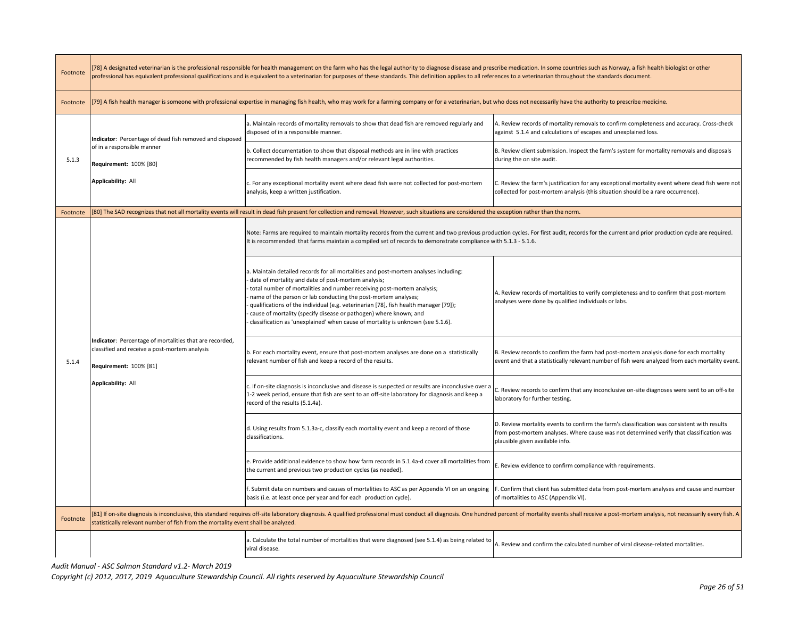| [78] A designated veterinarian is the professional responsible for health management on the farm who has the legal authority to diagnose disease and prescribe medication. In some countries such as Norway, a fish health bio<br>professional has equivalent professional qualifications and is equivalent to a veterinarian for purposes of these standards. This definition applies to all references to a veterinarian throughout the standards document.                                                                           |                                                                                                                                                                                                                            |  |
|-----------------------------------------------------------------------------------------------------------------------------------------------------------------------------------------------------------------------------------------------------------------------------------------------------------------------------------------------------------------------------------------------------------------------------------------------------------------------------------------------------------------------------------------|----------------------------------------------------------------------------------------------------------------------------------------------------------------------------------------------------------------------------|--|
| [79] A fish health manager is someone with professional expertise in managing fish health, who may work for a farming company or for a veterinarian, but who does not necessarily have the authority to prescribe medicine.                                                                                                                                                                                                                                                                                                             |                                                                                                                                                                                                                            |  |
| a. Maintain records of mortality removals to show that dead fish are removed regularly and<br>disposed of in a responsible manner.                                                                                                                                                                                                                                                                                                                                                                                                      | A. Review records of mortality removals to confirm completeness and accuracy. Cross-check<br>against 5.1.4 and calculations of escapes and unexplained loss.                                                               |  |
| b. Collect documentation to show that disposal methods are in line with practices<br>recommended by fish health managers and/or relevant legal authorities.                                                                                                                                                                                                                                                                                                                                                                             | B. Review client submission. Inspect the farm's system for mortality removals and disposals<br>during the on site audit.                                                                                                   |  |
| c. For any exceptional mortality event where dead fish were not collected for post-mortem<br>analysis, keep a written justification.                                                                                                                                                                                                                                                                                                                                                                                                    | C. Review the farm's justification for any exceptional mortality event where dead fish were not<br>collected for post-mortem analysis (this situation should be a rare occurrence).                                        |  |
| [80] The SAD recognizes that not all mortality events will result in dead fish present for collection and removal. However, such situations are considered the exception rather than the norm.                                                                                                                                                                                                                                                                                                                                          |                                                                                                                                                                                                                            |  |
| Note: Farms are required to maintain mortality records from the current and two previous production cycles. For first audit, records for the current and prior production cycle are required.<br>It is recommended that farms maintain a compiled set of records to demonstrate compliance with 5.1.3 - 5.1.6.                                                                                                                                                                                                                          |                                                                                                                                                                                                                            |  |
| a. Maintain detailed records for all mortalities and post-mortem analyses including:<br>date of mortality and date of post-mortem analysis;<br>total number of mortalities and number receiving post-mortem analysis;<br>name of the person or lab conducting the post-mortem analyses;<br>qualifications of the individual (e.g. veterinarian [78], fish health manager [79]);<br>cause of mortality (specify disease or pathogen) where known; and<br>classification as 'unexplained' when cause of mortality is unknown (see 5.1.6). | A. Review records of mortalities to verify completeness and to confirm that post-mortem<br>analyses were done by qualified individuals or labs.                                                                            |  |
| b. For each mortality event, ensure that post-mortem analyses are done on a statistically<br>relevant number of fish and keep a record of the results.                                                                                                                                                                                                                                                                                                                                                                                  | B. Review records to confirm the farm had post-mortem analysis done for each mortality<br>event and that a statistically relevant number of fish were analyzed from each mortality event.                                  |  |
| c. If on-site diagnosis is inconclusive and disease is suspected or results are inconclusive over a<br>1-2 week period, ensure that fish are sent to an off-site laboratory for diagnosis and keep a<br>record of the results (5.1.4a).                                                                                                                                                                                                                                                                                                 | C. Review records to confirm that any inconclusive on-site diagnoses were sent to an off-site<br>laboratory for further testing.                                                                                           |  |
| d. Using results from 5.1.3a-c, classify each mortality event and keep a record of those<br>classifications.                                                                                                                                                                                                                                                                                                                                                                                                                            | D. Review mortality events to confirm the farm's classification was consistent with results<br>from post-mortem analyses. Where cause was not determined verify that classification was<br>plausible given available info. |  |
| e. Provide additional evidence to show how farm records in 5.1.4a-d cover all mortalities from<br>the current and previous two production cycles (as needed).                                                                                                                                                                                                                                                                                                                                                                           | . Review evidence to confirm compliance with requirements.                                                                                                                                                                 |  |
| . Submit data on numbers and causes of mortalities to ASC as per Appendix VI on an ongoing<br>basis (i.e. at least once per year and for each production cycle).                                                                                                                                                                                                                                                                                                                                                                        | F. Confirm that client has submitted data from post-mortem analyses and cause and number<br>of mortalities to ASC (Appendix VI).                                                                                           |  |
| [81] If on-site diagnosis is inconclusive, this standard requires off-site laboratory diagnosis. A qualified professional must conduct all diagnosis. One hundred percent of mortality events shall receive a post-mortem anal<br>statistically relevant number of fish from the mortality event shall be analyzed.                                                                                                                                                                                                                     |                                                                                                                                                                                                                            |  |
| a. Calculate the total number of mortalities that were diagnosed (see 5.1.4) as being related to<br>viral disease.                                                                                                                                                                                                                                                                                                                                                                                                                      | A. Review and confirm the calculated number of viral disease-related mortalities.                                                                                                                                          |  |
|                                                                                                                                                                                                                                                                                                                                                                                                                                                                                                                                         |                                                                                                                                                                                                                            |  |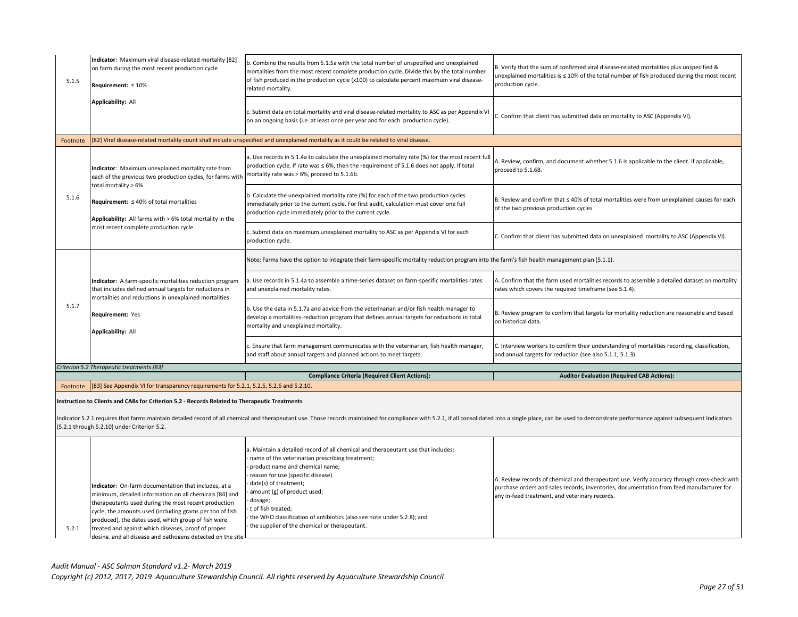| 5.1.5    | Indicator: Maximum viral disease-related mortality [82]<br>on farm during the most recent production cycle<br>Requirement: $\leq 10\%$                                      | b. Combine the results from 5.1.5a with the total number of unspecified and unexplained<br>mortalities from the most recent complete production cycle. Divide this by the total number<br>of fish produced in the production cycle (x100) to calculate percent maximum viral disease-<br>related mortality. | B. Verify that the sum of confirmed viral disease-related mortalities plus unspecified &<br>unexplained mortalities is $\leq 10\%$ of the total number of fish produced during the most recent<br>production cycle.                        |
|----------|-----------------------------------------------------------------------------------------------------------------------------------------------------------------------------|-------------------------------------------------------------------------------------------------------------------------------------------------------------------------------------------------------------------------------------------------------------------------------------------------------------|--------------------------------------------------------------------------------------------------------------------------------------------------------------------------------------------------------------------------------------------|
|          | <b>Applicability: All</b>                                                                                                                                                   | c. Submit data on total mortality and viral disease-related mortality to ASC as per Appendix VI<br>on an ongoing basis (i.e. at least once per year and for each production cycle).                                                                                                                         | C. Confirm that client has submitted data on mortality to ASC (Appendix VI).                                                                                                                                                               |
| Footnote |                                                                                                                                                                             | [82] Viral disease-related mortality count shall include unspecified and unexplained mortality as it could be related to viral disease.                                                                                                                                                                     |                                                                                                                                                                                                                                            |
|          | Indicator: Maximum unexplained mortality rate from<br>each of the previous two production cycles, for farms with                                                            | a. Use records in 5.1.4a to calculate the unexplained mortality rate (%) for the most recent ful<br>production cycle. If rate was ≤ 6%, then the requirement of 5.1.6 does not apply. If total<br>mortality rate was > 6%, proceed to 5.1.6b.                                                               | A. Review, confirm, and document whether 5.1.6 is applicable to the client. If applicable,<br>proceed to 5.1.6B.                                                                                                                           |
| 5.1.6    | total mortality > 6%<br>Requirement: $\leq 40\%$ of total mortalities<br>Applicability: All farms with > 6% total mortality in the                                          | b. Calculate the unexplained mortality rate (%) for each of the two production cycles<br>immediately prior to the current cycle. For first audit, calculation must cover one full<br>production cycle immediately prior to the current cycle.                                                               | B. Review and confirm that $\leq 40\%$ of total mortalities were from unexplained causes for each<br>of the two previous production cycles                                                                                                 |
|          | most recent complete production cycle.                                                                                                                                      | c. Submit data on maximum unexplained mortality to ASC as per Appendix VI for each<br>production cycle.                                                                                                                                                                                                     | C. Confirm that client has submitted data on unexplained mortality to ASC (Appendix VI).                                                                                                                                                   |
|          |                                                                                                                                                                             | Note: Farms have the option to integrate their farm-specific mortality reduction program into the farm's fish health management plan (5.1.1).                                                                                                                                                               |                                                                                                                                                                                                                                            |
|          | Indicator: A farm-specific mortalities reduction program<br>that includes defined annual targets for reductions in<br>mortalities and reductions in unexplained mortalities | a. Use records in 5.1.4a to assemble a time-series dataset on farm-specific mortalities rates<br>and unexplained mortality rates.                                                                                                                                                                           | A. Confirm that the farm used mortalities records to assemble a detailed dataset on mortality<br>rates which covers the required timeframe (see 5.1.4).                                                                                    |
| 5.1.7    | Requirement: Yes<br><b>Applicability: All</b>                                                                                                                               | b. Use the data in 5.1.7a and advice from the veterinarian and/or fish health manager to<br>develop a mortalities-reduction program that defines annual targets for reductions in total<br>mortality and unexplained mortality.                                                                             | B. Review program to confirm that targets for mortality reduction are reasonable and based<br>on historical data.                                                                                                                          |
|          |                                                                                                                                                                             | c. Ensure that farm management communicates with the veterinarian, fish health manager,<br>and staff about annual targets and planned actions to meet targets.                                                                                                                                              | C. Interview workers to confirm their understanding of mortalities recording, classification,<br>and annual targets for reduction (see also 5.1.1, 5.1.3).                                                                                 |
|          | Criterion 5.2 Therapeutic treatments [83]                                                                                                                                   |                                                                                                                                                                                                                                                                                                             |                                                                                                                                                                                                                                            |
| Footnote | [83] See Appendix VI for transparency requirements for 5.2.1, 5.2.5, 5.2.6 and 5.2.10.                                                                                      | <b>Compliance Criteria (Required Client Actions):</b>                                                                                                                                                                                                                                                       | <b>Auditor Evaluation (Required CAB Actions):</b>                                                                                                                                                                                          |
|          | nstruction to Clients and CABs for Criterion 5.2 - Records Related to Therapeutic Treatments<br>(5.2.1 through 5.2.10) under Criterion 5.2.                                 | ndicator 5.2.1 requires that farms maintain detailed record of all chemical and therapeutant use. Those records maintained for compliance with 5.2.1, if all consolidated into a single place, can be used to demonstrate perf                                                                              |                                                                                                                                                                                                                                            |
|          | Indicator: On-farm documentation that includes, at a<br>minimum, detailed information on all chemicals [84] and<br>therapeutants used during the most recent production     | a. Maintain a detailed record of all chemical and therapeutant use that includes:<br>name of the veterinarian prescribing treatment;<br>product name and chemical name;<br>reason for use (specific disease)<br>date(s) of treatment;<br>amount (g) of product used;<br>dosage;                             | A. Review records of chemical and therapeutant use. Verify accuracy through cross-check with<br>purchase orders and sales records, inventories, documentation from feed manufacturer for<br>any in-feed treatment, and veterinary records. |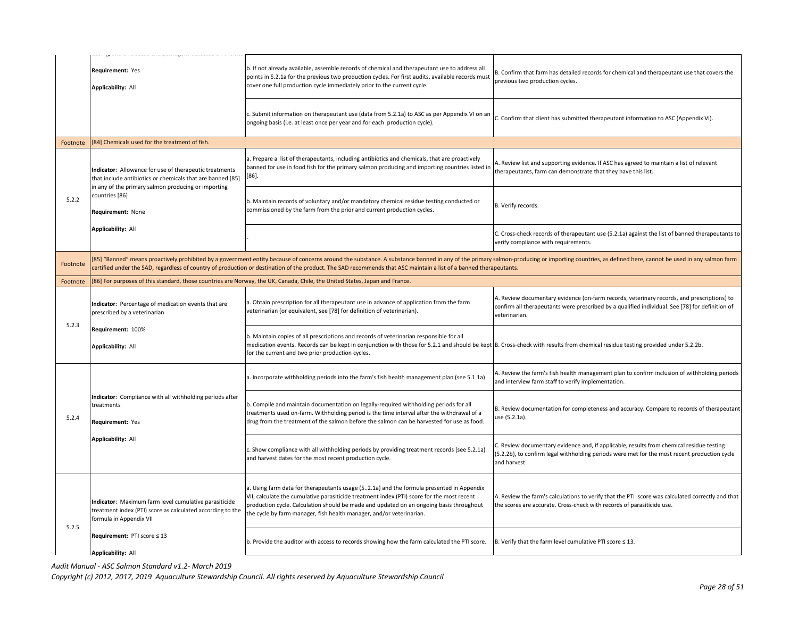|          | ana an aibeabe ana pachoke                                                                                                                                                  |                                                                                                                                                                                                                                                                                                                                                                                                     |                                                                                                                                                                                                                |
|----------|-----------------------------------------------------------------------------------------------------------------------------------------------------------------------------|-----------------------------------------------------------------------------------------------------------------------------------------------------------------------------------------------------------------------------------------------------------------------------------------------------------------------------------------------------------------------------------------------------|----------------------------------------------------------------------------------------------------------------------------------------------------------------------------------------------------------------|
|          | Requirement: Yes<br><b>Applicability: All</b>                                                                                                                               | b. If not already available, assemble records of chemical and therapeutant use to address all<br>points in 5.2.1a for the previous two production cycles. For first audits, available records must<br>cover one full production cycle immediately prior to the current cycle.                                                                                                                       | B. Confirm that farm has detailed records for chemical and therapeutant use that covers the<br>previous two production cycles.                                                                                 |
|          |                                                                                                                                                                             | Submit information on therapeutant use (data from 5.2.1a) to ASC as per Appendix VI on an<br>ongoing basis (i.e. at least once per year and for each production cycle).                                                                                                                                                                                                                             | C. Confirm that client has submitted therapeutant information to ASC (Appendix VI).                                                                                                                            |
| Footnote | [84] Chemicals used for the treatment of fish.                                                                                                                              |                                                                                                                                                                                                                                                                                                                                                                                                     |                                                                                                                                                                                                                |
|          | Indicator: Allowance for use of therapeutic treatments<br>that include antibiotics or chemicals that are banned [85]<br>in any of the primary salmon producing or importing | . Prepare a list of therapeutants, including antibiotics and chemicals, that are proactively<br>banned for use in food fish for the primary salmon producing and importing countries listed in<br>$[86]$ .                                                                                                                                                                                          | . Review list and supporting evidence. If ASC has agreed to maintain a list of relevant<br>therapeutants, farm can demonstrate that they have this list.                                                       |
| 5.2.2    | countries [86]<br>Requirement: None                                                                                                                                         | b. Maintain records of voluntary and/or mandatory chemical residue testing conducted or<br>commissioned by the farm from the prior and current production cycles.                                                                                                                                                                                                                                   | B. Verify records.                                                                                                                                                                                             |
|          | <b>Applicability: All</b>                                                                                                                                                   |                                                                                                                                                                                                                                                                                                                                                                                                     | C. Cross-check records of therapeutant use (5.2.1a) against the list of banned therapeutants to<br>verify compliance with requirements.                                                                        |
| Footnote |                                                                                                                                                                             | [85] "Banned" means proactively prohibited by a government entity because of concerns around the substance. A substance banned in any of the primary salmon-producing or importing countries, as defined here, cannot be used<br>certified under the SAD, regardless of country of production or destination of the product. The SAD recommends that ASC maintain a list of a banned therapeutants. |                                                                                                                                                                                                                |
| Footnote |                                                                                                                                                                             | 86] For purposes of this standard, those countries are Norway, the UK, Canada, Chile, the United States, Japan and France.                                                                                                                                                                                                                                                                          |                                                                                                                                                                                                                |
| 5.2.3    | Indicator: Percentage of medication events that are<br>prescribed by a veterinarian                                                                                         | a. Obtain prescription for all therapeutant use in advance of application from the farm<br>veterinarian (or equivalent, see [78] for definition of veterinarian).                                                                                                                                                                                                                                   | A. Review documentary evidence (on-farm records, veterinary records, and prescriptions) to<br>confirm all therapeutants were prescribed by a qualified individual. See [78] for definition of<br>veterinarian. |
|          | Requirement: 100%<br><b>Applicability: All</b>                                                                                                                              | b. Maintain copies of all prescriptions and records of veterinarian responsible for all<br>medication events. Records can be kept in conjunction with those for 5.2.1 and should be kept B. Cross-check with results from chemical residue testing provided under 5.2.2b.<br>for the current and two prior production cycles.                                                                       |                                                                                                                                                                                                                |
|          |                                                                                                                                                                             | a. Incorporate withholding periods into the farm's fish health management plan (see 5.1.1a).                                                                                                                                                                                                                                                                                                        | A. Review the farm's fish health management plan to confirm inclusion of withholding periods<br>and interview farm staff to verify implementation.                                                             |
| 5.2.4    | Indicator: Compliance with all withholding periods after<br>treatments<br>Requirement: Yes                                                                                  | b. Compile and maintain documentation on legally-required withholding periods for all<br>treatments used on-farm. Withholding period is the time interval after the withdrawal of a<br>drug from the treatment of the salmon before the salmon can be harvested for use as food.                                                                                                                    | B. Review documentation for completeness and accuracy. Compare to records of therapeutant<br>use (5.2.1a).                                                                                                     |
|          | <b>Applicability: All</b>                                                                                                                                                   | . Show compliance with all withholding periods by providing treatment records (see 5.2.1a)<br>and harvest dates for the most recent production cycle.                                                                                                                                                                                                                                               | . Review documentary evidence and, if applicable, results from chemical residue testing<br>(5.2.2b), to confirm legal withholding periods were met for the most recent production cycle<br>and harvest.        |
| 5.2.5    | Indicator: Maximum farm level cumulative parasiticide<br>treatment index (PTI) score as calculated according to the<br>formula in Appendix VII                              | a. Using farm data for therapeutants usage (52.1a) and the formula presented in Appendix<br>VII, calculate the cumulative parasiticide treatment index (PTI) score for the most recent<br>production cycle. Calculation should be made and updated on an ongoing basis throughout<br>the cycle by farm manager, fish health manager, and/or veterinarian.                                           | A. Review the farm's calculations to verify that the PTI score was calculated correctly and that<br>the scores are accurate. Cross-check with records of parasiticide use.                                     |
|          | Requirement: PTI score ≤ 13<br><b>Applicability: All</b>                                                                                                                    | b. Provide the auditor with access to records showing how the farm calculated the PTI score.                                                                                                                                                                                                                                                                                                        | B. Verify that the farm level cumulative PTI score $\leq$ 13.                                                                                                                                                  |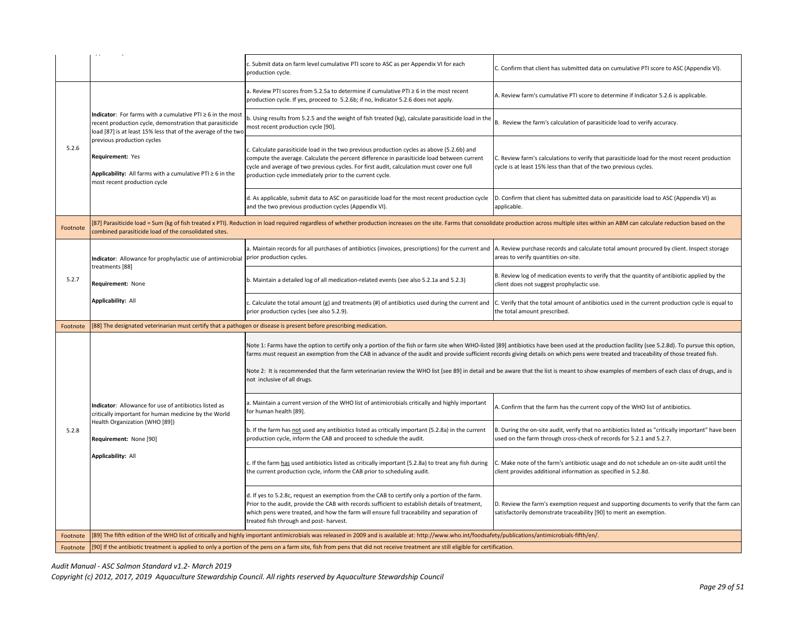|          |                                                                                                                                                                                                 | c. Submit data on farm level cumulative PTI score to ASC as per Appendix VI for each<br>production cycle.                                                                                                                                                                                                                                                                                                                                                                                                                                                                                                              | C. Confirm that client has submitted data on cumulative PTI score to ASC (Appendix VI).                                                                                    |
|----------|-------------------------------------------------------------------------------------------------------------------------------------------------------------------------------------------------|------------------------------------------------------------------------------------------------------------------------------------------------------------------------------------------------------------------------------------------------------------------------------------------------------------------------------------------------------------------------------------------------------------------------------------------------------------------------------------------------------------------------------------------------------------------------------------------------------------------------|----------------------------------------------------------------------------------------------------------------------------------------------------------------------------|
|          | Indicator: For farms with a cumulative PTI ≥ 6 in the most<br>recent production cycle, demonstration that parasiticide<br>load [87] is at least 15% less that of the average of the two         | a. Review PTI scores from 5.2.5a to determine if cumulative PTI $\geq 6$ in the most recent<br>production cycle. If yes, proceed to 5.2.6b; if no, Indicator 5.2.6 does not apply.                                                                                                                                                                                                                                                                                                                                                                                                                                     | A. Review farm's cumulative PTI score to determine if Indicator 5.2.6 is applicable.                                                                                       |
|          |                                                                                                                                                                                                 | b. Using results from 5.2.5 and the weight of fish treated (kg), calculate parasiticide load in the<br>most recent production cycle [90].                                                                                                                                                                                                                                                                                                                                                                                                                                                                              | B. Review the farm's calculation of parasiticide load to verify accuracy.                                                                                                  |
| 5.2.6    | previous production cycles<br>Requirement: Yes<br>Applicability: All farms with a cumulative PTI $\geq 6$ in the<br>most recent production cycle                                                | . Calculate parasiticide load in the two previous production cycles as above (5.2.6b) and<br>compute the average. Calculate the percent difference in parasiticide load between current<br>cycle and average of two previous cycles. For first audit, calculation must cover one full<br>production cycle immediately prior to the current cycle.                                                                                                                                                                                                                                                                      | C. Review farm's calculations to verify that parasiticide load for the most recent production<br>cycle is at least 15% less than that of the two previous cycles.          |
|          |                                                                                                                                                                                                 | d. As applicable, submit data to ASC on parasiticide load for the most recent production cycle<br>and the two previous production cycles (Appendix VI).                                                                                                                                                                                                                                                                                                                                                                                                                                                                | D. Confirm that client has submitted data on parasiticide load to ASC (Appendix VI) as<br>applicable.                                                                      |
| Footnote | combined parasiticide load of the consolidated sites.                                                                                                                                           | [87] Parasiticide load = Sum (kg of fish treated x PTI). Reduction in load required regardless of whether production increases on the site. Farms that consolidate production across multiple sites within an ABM can calculat                                                                                                                                                                                                                                                                                                                                                                                         |                                                                                                                                                                            |
|          | Indicator: Allowance for prophylactic use of antimicrobial<br>treatments [88]                                                                                                                   | I. Maintain records for all purchases of antibiotics (invoices, prescriptions) for the current and<br>prior production cycles.                                                                                                                                                                                                                                                                                                                                                                                                                                                                                         | A. Review purchase records and calculate total amount procured by client. Inspect storage<br>areas to verify quantities on-site.                                           |
| 5.2.7    | Requirement: None                                                                                                                                                                               | b. Maintain a detailed log of all medication-related events (see also 5.2.1a and 5.2.3)                                                                                                                                                                                                                                                                                                                                                                                                                                                                                                                                | B. Review log of medication events to verify that the quantity of antibiotic applied by the<br>client does not suggest prophylactic use.                                   |
|          | <b>Applicability: All</b>                                                                                                                                                                       | c. Calculate the total amount (g) and treatments (#) of antibiotics used during the current and<br>prior production cycles (see also 5.2.9).                                                                                                                                                                                                                                                                                                                                                                                                                                                                           | C. Verify that the total amount of antibiotics used in the current production cycle is equal to<br>the total amount prescribed.                                            |
| Footnote | [88] The designated veterinarian must certify that a pathogen or disease is present before prescribing medication.                                                                              |                                                                                                                                                                                                                                                                                                                                                                                                                                                                                                                                                                                                                        |                                                                                                                                                                            |
|          | Indicator: Allowance for use of antibiotics listed as<br>critically important for human medicine by the World<br>Health Organization (WHO [89])<br>Requirement: None [90]<br>Applicability: All | Note 1: Farms have the option to certify only a portion of the fish or farm site when WHO-listed [89] antibiotics have been used at the production facility (see 5.2.8d). To pursue this option,<br>farms must request an exemption from the CAB in advance of the audit and provide sufficient records giving details on which pens were treated and traceability of those treated fish.<br>Note 2: It is recommended that the farm veterinarian review the WHO list [see 89] in detail and be aware that the list is meant to show examples of members of each class of drugs, and is<br>not inclusive of all drugs. |                                                                                                                                                                            |
|          |                                                                                                                                                                                                 | a. Maintain a current version of the WHO list of antimicrobials critically and highly important<br>for human health [89].                                                                                                                                                                                                                                                                                                                                                                                                                                                                                              | A. Confirm that the farm has the current copy of the WHO list of antibiotics.                                                                                              |
| 5.2.8    |                                                                                                                                                                                                 | b. If the farm has not used any antibiotics listed as critically important (5.2.8a) in the current<br>production cycle, inform the CAB and proceed to schedule the audit.                                                                                                                                                                                                                                                                                                                                                                                                                                              | B. During the on-site audit, verify that no antibiotics listed as "critically important" have been<br>used on the farm through cross-check of records for 5.2.1 and 5.2.7. |
|          |                                                                                                                                                                                                 | . If the farm has used antibiotics listed as critically important (5.2.8a) to treat any fish during<br>the current production cycle, inform the CAB prior to scheduling audit.                                                                                                                                                                                                                                                                                                                                                                                                                                         | C. Make note of the farm's antibiotic usage and do not schedule an on-site audit until the<br>client provides additional information as specified in 5.2.8d.               |
|          |                                                                                                                                                                                                 | d. If yes to 5.2.8c, request an exemption from the CAB to certify only a portion of the farm.<br>Prior to the audit, provide the CAB with records sufficient to establish details of treatment,<br>which pens were treated, and how the farm will ensure full traceability and separation of<br>treated fish through and post- harvest.                                                                                                                                                                                                                                                                                | D. Review the farm's exemption request and supporting documents to verify that the farm can<br>satisfactorily demonstrate traceability [90] to merit an exemption.         |
| Footnote |                                                                                                                                                                                                 | [89] The fifth edition of the WHO list of critically and highly important antimicrobials was released in 2009 and is available at: http://www.who.int/foodsafety/publications/antimicrobials-fifth/en/.                                                                                                                                                                                                                                                                                                                                                                                                                |                                                                                                                                                                            |
|          | [90] If the antibiotic treatment is applied to only a portion of the pens on a farm site, fish from pens that did not receive treatment are still eligible for certification.                   |                                                                                                                                                                                                                                                                                                                                                                                                                                                                                                                                                                                                                        |                                                                                                                                                                            |

*Audit Manual - ASC Salmon Standard v1.2- March 2019*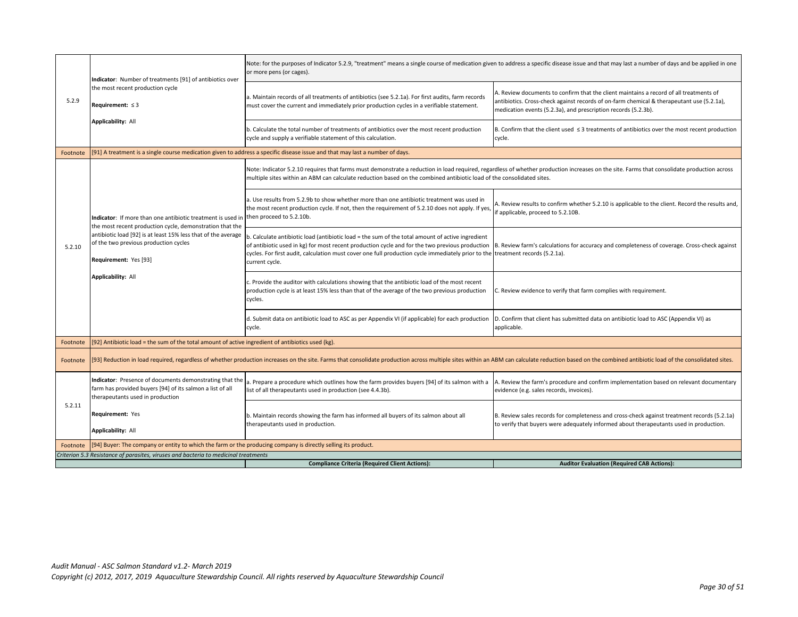|          | Indicator: Number of treatments [91] of antibiotics over                                                                                                                                                                                                                                | Note: for the purposes of Indicator 5.2.9, "treatment" means a single course of medication given to address a specific disease issue and that may last a number of days and be applied in one<br>or more pens (or cages).                                                                                                                             |                                                                                                                                                                                                                                                       |
|----------|-----------------------------------------------------------------------------------------------------------------------------------------------------------------------------------------------------------------------------------------------------------------------------------------|-------------------------------------------------------------------------------------------------------------------------------------------------------------------------------------------------------------------------------------------------------------------------------------------------------------------------------------------------------|-------------------------------------------------------------------------------------------------------------------------------------------------------------------------------------------------------------------------------------------------------|
| 5.2.9    | the most recent production cycle<br>Requirement: $\leq$ 3                                                                                                                                                                                                                               | a. Maintain records of all treatments of antibiotics (see 5.2.1a). For first audits, farm records<br>must cover the current and immediately prior production cycles in a verifiable statement.                                                                                                                                                        | A. Review documents to confirm that the client maintains a record of all treatments of<br>antibiotics. Cross-check against records of on-farm chemical & therapeutant use (5.2.1a),<br>medication events (5.2.3a), and prescription records (5.2.3b). |
|          | <b>Applicability: All</b>                                                                                                                                                                                                                                                               | b. Calculate the total number of treatments of antibiotics over the most recent production<br>cycle and supply a verifiable statement of this calculation.                                                                                                                                                                                            | B. Confirm that the client used $\leq$ 3 treatments of antibiotics over the most recent production<br>cycle.                                                                                                                                          |
| Footnote |                                                                                                                                                                                                                                                                                         | [91] A treatment is a single course medication given to address a specific disease issue and that may last a number of days.                                                                                                                                                                                                                          |                                                                                                                                                                                                                                                       |
|          |                                                                                                                                                                                                                                                                                         | Note: Indicator 5.2.10 requires that farms must demonstrate a reduction in load required, regardless of whether production increases on the site. Farms that consolidate production across<br>multiple sites within an ABM can calculate reduction based on the combined antibiotic load of the consolidated sites.                                   |                                                                                                                                                                                                                                                       |
|          | Indicator: If more than one antibiotic treatment is used ir<br>the most recent production cycle, demonstration that the<br>antibiotic load [92] is at least 15% less that of the average<br>of the two previous production cycles<br>Requirement: Yes [93]<br><b>Applicability: All</b> | a. Use results from 5.2.9b to show whether more than one antibiotic treatment was used in<br>the most recent production cycle. If not, then the requirement of 5.2.10 does not apply. If yes,<br>then proceed to 5.2.10b.                                                                                                                             | A. Review results to confirm whether 5.2.10 is applicable to the client. Record the results and,<br>if applicable, proceed to 5.2.10B.                                                                                                                |
| 5.2.10   |                                                                                                                                                                                                                                                                                         | . Calculate antibiotic load (antibiotic load = the sum of the total amount of active ingredient<br>of antibiotic used in kg) for most recent production cycle and for the two previous production<br>cycles. For first audit, calculation must cover one full production cycle immediately prior to the treatment records (5.2.1a).<br>current cycle. | B. Review farm's calculations for accuracy and completeness of coverage. Cross-check against                                                                                                                                                          |
|          |                                                                                                                                                                                                                                                                                         | c. Provide the auditor with calculations showing that the antibiotic load of the most recent<br>production cycle is at least 15% less than that of the average of the two previous production<br>cycles.                                                                                                                                              | C. Review evidence to verify that farm complies with requirement.                                                                                                                                                                                     |
|          |                                                                                                                                                                                                                                                                                         | d. Submit data on antibiotic load to ASC as per Appendix VI (if applicable) for each production<br>cycle.                                                                                                                                                                                                                                             | D. Confirm that client has submitted data on antibiotic load to ASC (Appendix VI) as<br>applicable.                                                                                                                                                   |
| Footnote | [92] Antibiotic load = the sum of the total amount of active ingredient of antibiotics used (kg).                                                                                                                                                                                       |                                                                                                                                                                                                                                                                                                                                                       |                                                                                                                                                                                                                                                       |
| Footnote |                                                                                                                                                                                                                                                                                         | [93] Reduction in load required, regardless of whether production increases on the site. Farms that consolidate production across multiple sites within an ABM can calculate reduction based on the combined antibiotic load o                                                                                                                        |                                                                                                                                                                                                                                                       |
|          | Indicator: Presence of documents demonstrating that the<br>farm has provided buyers [94] of its salmon a list of all<br>therapeutants used in production                                                                                                                                | a. Prepare a procedure which outlines how the farm provides buyers [94] of its salmon with a<br>list of all therapeutants used in production (see 4.4.3b).                                                                                                                                                                                            | A. Review the farm's procedure and confirm implementation based on relevant documentary<br>evidence (e.g. sales records, invoices).                                                                                                                   |
| 5.2.11   | <b>Requirement: Yes</b><br>Applicability: All                                                                                                                                                                                                                                           | b. Maintain records showing the farm has informed all buyers of its salmon about all<br>therapeutants used in production.                                                                                                                                                                                                                             | B. Review sales records for completeness and cross-check against treatment records (5.2.1a)<br>to verify that buyers were adequately informed about therapeutants used in production.                                                                 |
| Footnote | [94] Buyer: The company or entity to which the farm or the producing company is directly selling its product.                                                                                                                                                                           |                                                                                                                                                                                                                                                                                                                                                       |                                                                                                                                                                                                                                                       |
|          | Criterion 5.3 Resistance of parasites, viruses and bacteria to medicinal treatments                                                                                                                                                                                                     |                                                                                                                                                                                                                                                                                                                                                       |                                                                                                                                                                                                                                                       |
|          |                                                                                                                                                                                                                                                                                         | <b>Compliance Criteria (Required Client Actions):</b>                                                                                                                                                                                                                                                                                                 | <b>Auditor Evaluation (Required CAB Actions):</b>                                                                                                                                                                                                     |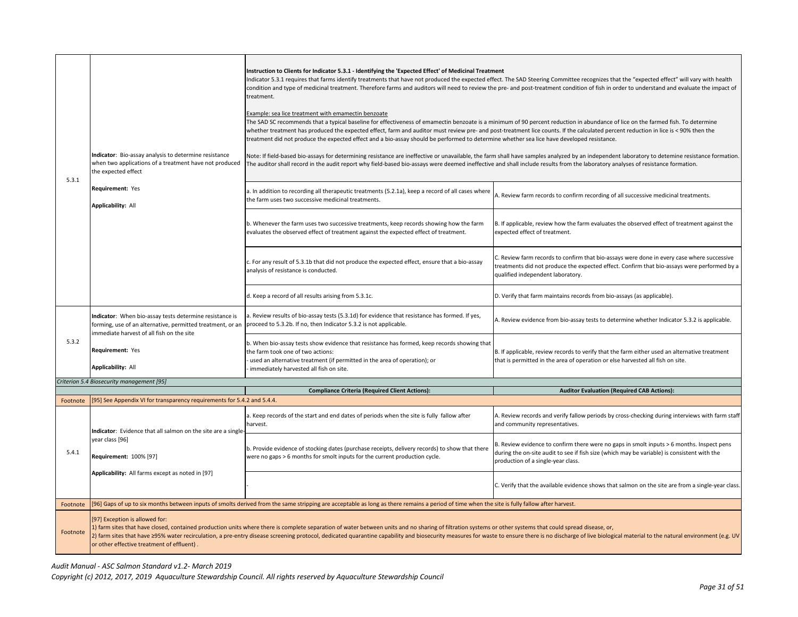|          | Indicator: Bio-assay analysis to determine resistance                                                                                                              | Instruction to Clients for Indicator 5.3.1 - Identifying the 'Expected Effect' of Medicinal Treatment<br>Indicator 5.3.1 requires that farms identify treatments that have not produced the expected effect. The SAD Steering Committee recognizes that the "expected effect" will vary with health<br>treatment.<br>Example: sea lice treatment with emamectin benzoate<br>The SAD SC recommends that a typical baseline for effectiveness of emamectin benzoate is a minimum of 90 percent reduction in abundance of lice on the farmed fish. To determine<br>whether treatment has produced the expected effect, farm and auditor must review pre- and post-treatment lice counts. If the calculated percent reduction in lice is < 90% then the<br>treatment did not produce the expected effect and a bio-assay should be performed to determine whether sea lice have developed resistance. | condition and type of medicinal treatment. Therefore farms and auditors will need to review the pre- and post-treatment condition of fish in order to understand and evaluate the impact of<br>Note: If field-based bio-assays for determining resistance are ineffective or unavailable, the farm shall have samples analyzed by an independent laboratory to detemine resistance formation. |  |
|----------|--------------------------------------------------------------------------------------------------------------------------------------------------------------------|---------------------------------------------------------------------------------------------------------------------------------------------------------------------------------------------------------------------------------------------------------------------------------------------------------------------------------------------------------------------------------------------------------------------------------------------------------------------------------------------------------------------------------------------------------------------------------------------------------------------------------------------------------------------------------------------------------------------------------------------------------------------------------------------------------------------------------------------------------------------------------------------------|-----------------------------------------------------------------------------------------------------------------------------------------------------------------------------------------------------------------------------------------------------------------------------------------------------------------------------------------------------------------------------------------------|--|
| 5.3.1    | when two applications of a treatment have not produced<br>the expected effect<br>Requirement: Yes                                                                  | The auditor shall record in the audit report why field-based bio-assays were deemed ineffective and shall include results from the laboratory analyses of resistance formation.<br>a. In addition to recording all therapeutic treatments (5.2.1a), keep a record of all cases where                                                                                                                                                                                                                                                                                                                                                                                                                                                                                                                                                                                                              |                                                                                                                                                                                                                                                                                                                                                                                               |  |
|          | <b>Applicability: All</b>                                                                                                                                          | the farm uses two successive medicinal treatments.                                                                                                                                                                                                                                                                                                                                                                                                                                                                                                                                                                                                                                                                                                                                                                                                                                                | A. Review farm records to confirm recording of all successive medicinal treatments.                                                                                                                                                                                                                                                                                                           |  |
|          |                                                                                                                                                                    | b. Whenever the farm uses two successive treatments, keep records showing how the farm<br>evaluates the observed effect of treatment against the expected effect of treatment.                                                                                                                                                                                                                                                                                                                                                                                                                                                                                                                                                                                                                                                                                                                    | B. If applicable, review how the farm evaluates the observed effect of treatment against the<br>expected effect of treatment.                                                                                                                                                                                                                                                                 |  |
|          |                                                                                                                                                                    | c. For any result of 5.3.1b that did not produce the expected effect, ensure that a bio-assay<br>analysis of resistance is conducted.                                                                                                                                                                                                                                                                                                                                                                                                                                                                                                                                                                                                                                                                                                                                                             | C. Review farm records to confirm that bio-assays were done in every case where successive<br>treatments did not produce the expected effect. Confirm that bio-assays were performed by a<br>qualified independent laboratory.                                                                                                                                                                |  |
|          |                                                                                                                                                                    | d. Keep a record of all results arising from 5.3.1c.                                                                                                                                                                                                                                                                                                                                                                                                                                                                                                                                                                                                                                                                                                                                                                                                                                              | D. Verify that farm maintains records from bio-assays (as applicable).                                                                                                                                                                                                                                                                                                                        |  |
|          | Indicator: When bio-assay tests determine resistance is<br>forming, use of an alternative, permitted treatment, or an<br>immediate harvest of all fish on the site | a. Review results of bio-assay tests (5.3.1d) for evidence that resistance has formed. If yes,<br>proceed to 5.3.2b. If no, then Indicator 5.3.2 is not applicable.                                                                                                                                                                                                                                                                                                                                                                                                                                                                                                                                                                                                                                                                                                                               | A. Review evidence from bio-assay tests to determine whether Indicator 5.3.2 is applicable.                                                                                                                                                                                                                                                                                                   |  |
| 5.3.2    | Requirement: Yes<br><b>Applicability: All</b>                                                                                                                      | b. When bio-assay tests show evidence that resistance has formed, keep records showing that<br>the farm took one of two actions:<br>used an alternative treatment (if permitted in the area of operation); or<br>immediately harvested all fish on site.                                                                                                                                                                                                                                                                                                                                                                                                                                                                                                                                                                                                                                          | B. If applicable, review records to verify that the farm either used an alternative treatment<br>that is permitted in the area of operation or else harvested all fish on site.                                                                                                                                                                                                               |  |
|          | Criterion 5.4 Biosecurity management [95]                                                                                                                          | <b>Compliance Criteria (Required Client Actions):</b>                                                                                                                                                                                                                                                                                                                                                                                                                                                                                                                                                                                                                                                                                                                                                                                                                                             | <b>Auditor Evaluation (Required CAB Actions):</b>                                                                                                                                                                                                                                                                                                                                             |  |
| Footnote | [95] See Appendix VI for transparency requirements for 5.4.2 and 5.4.4.                                                                                            |                                                                                                                                                                                                                                                                                                                                                                                                                                                                                                                                                                                                                                                                                                                                                                                                                                                                                                   |                                                                                                                                                                                                                                                                                                                                                                                               |  |
|          | Indicator: Evidence that all salmon on the site are a single-                                                                                                      | a. Keep records of the start and end dates of periods when the site is fully fallow after<br>harvest.                                                                                                                                                                                                                                                                                                                                                                                                                                                                                                                                                                                                                                                                                                                                                                                             | A. Review records and verify fallow periods by cross-checking during interviews with farm staff<br>and community representatives.                                                                                                                                                                                                                                                             |  |
| 5.4.1    | year class [96]<br><b>Requirement: 100% [97]</b>                                                                                                                   | b. Provide evidence of stocking dates (purchase receipts, delivery records) to show that there<br>were no gaps > 6 months for smolt inputs for the current production cycle.                                                                                                                                                                                                                                                                                                                                                                                                                                                                                                                                                                                                                                                                                                                      | B. Review evidence to confirm there were no gaps in smolt inputs > 6 months. Inspect pens<br>during the on-site audit to see if fish size (which may be variable) is consistent with the<br>production of a single-year class.                                                                                                                                                                |  |
|          | Applicability: All farms except as noted in [97]                                                                                                                   |                                                                                                                                                                                                                                                                                                                                                                                                                                                                                                                                                                                                                                                                                                                                                                                                                                                                                                   | C. Verify that the available evidence shows that salmon on the site are from a single-year class.                                                                                                                                                                                                                                                                                             |  |
| Footnote |                                                                                                                                                                    | [96] Gaps of up to six months between inputs of smolts derived from the same stripping are acceptable as long as there remains a period of time when the site is fully fallow after harvest.                                                                                                                                                                                                                                                                                                                                                                                                                                                                                                                                                                                                                                                                                                      |                                                                                                                                                                                                                                                                                                                                                                                               |  |
| Footnote | [97] Exception is allowed for:<br>or other effective treatment of effluent).                                                                                       | 1) farm sites that have closed, contained production units where there is complete separation of water between units and no sharing of filtration systems or other systems that could spread disease, or,<br>2) farm sites that have 295% water recirculation, a pre-entry disease screening protocol, dedicated quarantine capability and biosecurity measures for waste to ensure there is no discharge of live biological material to th                                                                                                                                                                                                                                                                                                                                                                                                                                                       |                                                                                                                                                                                                                                                                                                                                                                                               |  |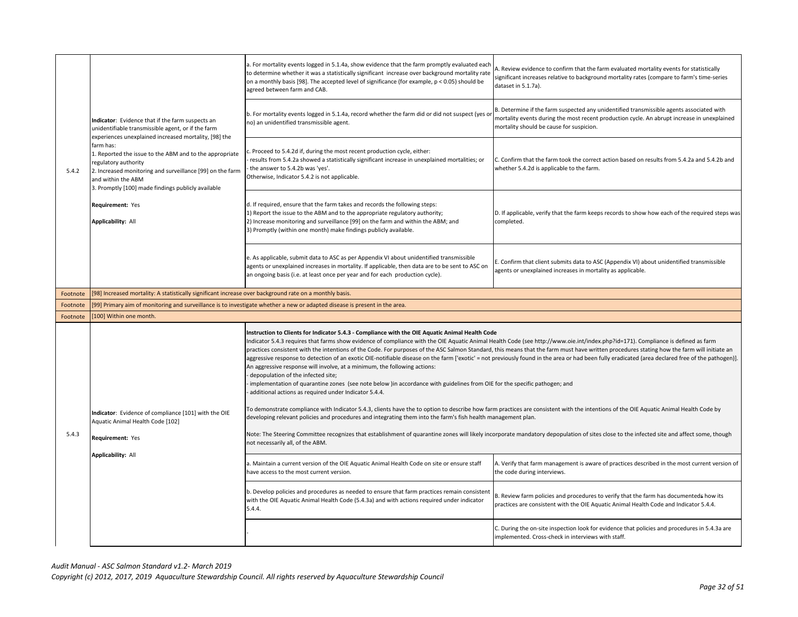| 5.4.2    | Indicator: Evidence that if the farm suspects an<br>unidentifiable transmissible agent, or if the farm<br>experiences unexplained increased mortality, [98] the<br>farm has:<br>1. Reported the issue to the ABM and to the appropriate<br>regulatory authority<br>2. Increased monitoring and surveillance [99] on the farm<br>and within the ABM<br>3. Promptly [100] made findings publicly available | a. For mortality events logged in 5.1.4a, show evidence that the farm promptly evaluated each<br>to determine whether it was a statistically significant increase over background mortality rate<br>on a monthly basis [98]. The accepted level of significance (for example, $p < 0.05$ ) should be<br>agreed between farm and CAB.                                                                                                                                                                                                                                                                                                                                                                                                                                                                                                                                                                                                                                                            | A. Review evidence to confirm that the farm evaluated mortality events for statistically<br>significant increases relative to background mortality rates (compare to farm's time-series<br>dataset in 5.1.7a).                      |
|----------|----------------------------------------------------------------------------------------------------------------------------------------------------------------------------------------------------------------------------------------------------------------------------------------------------------------------------------------------------------------------------------------------------------|-------------------------------------------------------------------------------------------------------------------------------------------------------------------------------------------------------------------------------------------------------------------------------------------------------------------------------------------------------------------------------------------------------------------------------------------------------------------------------------------------------------------------------------------------------------------------------------------------------------------------------------------------------------------------------------------------------------------------------------------------------------------------------------------------------------------------------------------------------------------------------------------------------------------------------------------------------------------------------------------------|-------------------------------------------------------------------------------------------------------------------------------------------------------------------------------------------------------------------------------------|
|          |                                                                                                                                                                                                                                                                                                                                                                                                          | b. For mortality events logged in 5.1.4a, record whether the farm did or did not suspect (yes or<br>no) an unidentified transmissible agent.                                                                                                                                                                                                                                                                                                                                                                                                                                                                                                                                                                                                                                                                                                                                                                                                                                                    | B. Determine if the farm suspected any unidentified transmissible agents associated with<br>mortality events during the most recent production cycle. An abrupt increase in unexplained<br>mortality should be cause for suspicion. |
|          |                                                                                                                                                                                                                                                                                                                                                                                                          | . Proceed to 5.4.2d if, during the most recent production cycle, either:<br>results from 5.4.2a showed a statistically significant increase in unexplained mortalities; or<br>the answer to 5.4.2b was 'yes'.<br>Otherwise, Indicator 5.4.2 is not applicable.                                                                                                                                                                                                                                                                                                                                                                                                                                                                                                                                                                                                                                                                                                                                  | C. Confirm that the farm took the correct action based on results from 5.4.2a and 5.4.2b and<br>whether 5.4.2d is applicable to the farm.                                                                                           |
|          | Requirement: Yes<br><b>Applicability: All</b>                                                                                                                                                                                                                                                                                                                                                            | d. If required, ensure that the farm takes and records the following steps:<br>1) Report the issue to the ABM and to the appropriate regulatory authority;<br>2) Increase monitoring and surveillance [99] on the farm and within the ABM; and<br>3) Promptly (within one month) make findings publicly available.                                                                                                                                                                                                                                                                                                                                                                                                                                                                                                                                                                                                                                                                              | D. If applicable, verify that the farm keeps records to show how each of the required steps was<br>completed.                                                                                                                       |
|          |                                                                                                                                                                                                                                                                                                                                                                                                          | e. As applicable, submit data to ASC as per Appendix VI about unidentified transmissible<br>agents or unexplained increases in mortality. If applicable, then data are to be sent to ASC on<br>an ongoing basis (i.e. at least once per year and for each production cycle).                                                                                                                                                                                                                                                                                                                                                                                                                                                                                                                                                                                                                                                                                                                    | E. Confirm that client submits data to ASC (Appendix VI) about unidentified transmissible<br>agents or unexplained increases in mortality as applicable.                                                                            |
| Footnote | [98] Increased mortality: A statistically significant increase over background rate on a monthly basis.                                                                                                                                                                                                                                                                                                  |                                                                                                                                                                                                                                                                                                                                                                                                                                                                                                                                                                                                                                                                                                                                                                                                                                                                                                                                                                                                 |                                                                                                                                                                                                                                     |
| Footnote |                                                                                                                                                                                                                                                                                                                                                                                                          | [99] Primary aim of monitoring and surveillance is to investigate whether a new or adapted disease is present in the area.                                                                                                                                                                                                                                                                                                                                                                                                                                                                                                                                                                                                                                                                                                                                                                                                                                                                      |                                                                                                                                                                                                                                     |
| Footnote | [100] Within one month.                                                                                                                                                                                                                                                                                                                                                                                  |                                                                                                                                                                                                                                                                                                                                                                                                                                                                                                                                                                                                                                                                                                                                                                                                                                                                                                                                                                                                 |                                                                                                                                                                                                                                     |
|          |                                                                                                                                                                                                                                                                                                                                                                                                          | Instruction to Clients for Indicator 5.4.3 - Compliance with the OIE Aquatic Animal Health Code<br>Indicator 5.4.3 requires that farms show evidence of compliance with the OIE Aquatic Animal Health Code (see http://www.oie.int/index.php?id=171). Compliance is defined as farm<br>practices consistent with the intentions of the Code. For purposes of the ASC Salmon Standard, this means that the farm must have written procedures stating how the farm will initiate an<br>aggressive response to detection of an exotic OIE-notifiable disease on the farm ['exotic' = not previously found in the area or had been fully eradicated (area declared free of the pathogen)].<br>An aggressive response will involve, at a minimum, the following actions:<br>depopulation of the infected site;<br>implementation of quarantine zones (see note below )in accordance with guidelines from OIE for the specific pathogen; and<br>additional actions as required under Indicator 5.4.4. |                                                                                                                                                                                                                                     |
|          | Indicator: Evidence of compliance [101] with the OIE<br>Aquatic Animal Health Code [102]                                                                                                                                                                                                                                                                                                                 | To demonstrate compliance with Indicator 5.4.3, clients have the to option to describe how farm practices are consistent with the intentions of the OIE Aquatic Animal Health Code by<br>developing relevant policies and procedures and integrating them into the farm's fish health management plan.                                                                                                                                                                                                                                                                                                                                                                                                                                                                                                                                                                                                                                                                                          |                                                                                                                                                                                                                                     |
| 5.4.3    | Requirement: Yes                                                                                                                                                                                                                                                                                                                                                                                         | Note: The Steering Committee recognizes that establishment of quarantine zones will likely incorporate mandatory depopulation of sites close to the infected site and affect some, though<br>not necessarily all, of the ABM.                                                                                                                                                                                                                                                                                                                                                                                                                                                                                                                                                                                                                                                                                                                                                                   |                                                                                                                                                                                                                                     |
|          | Applicability: All                                                                                                                                                                                                                                                                                                                                                                                       | a. Maintain a current version of the OIE Aquatic Animal Health Code on site or ensure staff<br>have access to the most current version.                                                                                                                                                                                                                                                                                                                                                                                                                                                                                                                                                                                                                                                                                                                                                                                                                                                         | A. Verify that farm management is aware of practices described in the most current version of<br>the code during interviews.                                                                                                        |
|          |                                                                                                                                                                                                                                                                                                                                                                                                          | b. Develop policies and procedures as needed to ensure that farm practices remain consistent<br>with the OIE Aquatic Animal Health Code (5.4.3a) and with actions required under indicator<br>5.4.4.                                                                                                                                                                                                                                                                                                                                                                                                                                                                                                                                                                                                                                                                                                                                                                                            | B. Review farm policies and procedures to verify that the farm has documenteds how its<br>practices are consistent with the OIE Aquatic Animal Health Code and Indicator 5.4.4.                                                     |
|          |                                                                                                                                                                                                                                                                                                                                                                                                          |                                                                                                                                                                                                                                                                                                                                                                                                                                                                                                                                                                                                                                                                                                                                                                                                                                                                                                                                                                                                 | C. During the on-site inspection look for evidence that policies and procedures in 5.4.3a are<br>implemented. Cross-check in interviews with staff.                                                                                 |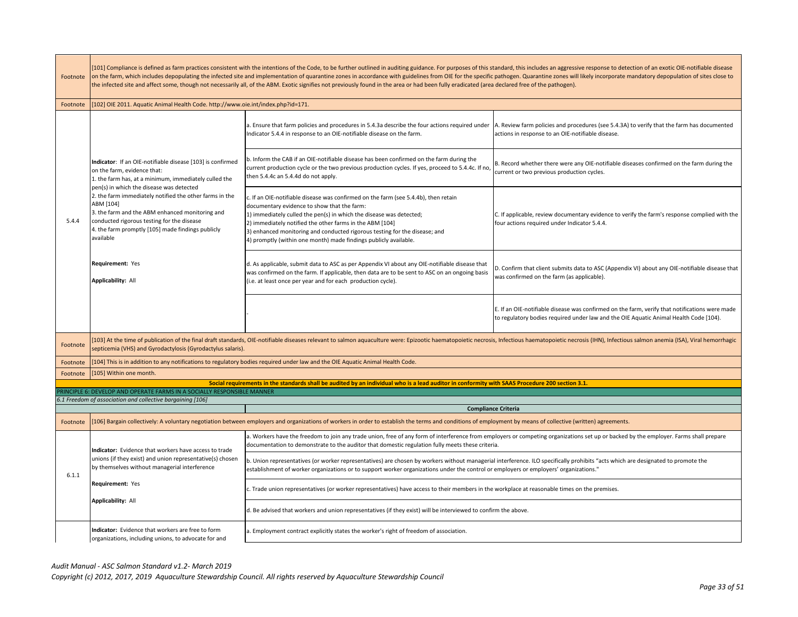| Footnote | [101] Compliance is defined as farm practices consistent with the intentions of the Code, to be further outlined in auditing guidance. For purposes of this standard, this includes an aggressive response to detection of an<br>on the farm, which includes depopulating the infected site and implementation of quarantine zones in accordance with guidelines from OIE for the specific pathogen. Quarantine zones will likely incorporate mandatory depopul<br>the infected site and affect some, though not necessarily all, of the ABM. Exotic signifies not previously found in the area or had been fully eradicated (area declared free of the pathogen). |                                                                                                                                                                                                                                                                                                                                                                                                                         |                                                                                                                                                                                         |
|----------|--------------------------------------------------------------------------------------------------------------------------------------------------------------------------------------------------------------------------------------------------------------------------------------------------------------------------------------------------------------------------------------------------------------------------------------------------------------------------------------------------------------------------------------------------------------------------------------------------------------------------------------------------------------------|-------------------------------------------------------------------------------------------------------------------------------------------------------------------------------------------------------------------------------------------------------------------------------------------------------------------------------------------------------------------------------------------------------------------------|-----------------------------------------------------------------------------------------------------------------------------------------------------------------------------------------|
| Footnote | [102] OIE 2011. Aquatic Animal Health Code. http://www.oie.int/index.php?id=171.                                                                                                                                                                                                                                                                                                                                                                                                                                                                                                                                                                                   |                                                                                                                                                                                                                                                                                                                                                                                                                         |                                                                                                                                                                                         |
|          |                                                                                                                                                                                                                                                                                                                                                                                                                                                                                                                                                                                                                                                                    | a. Ensure that farm policies and procedures in 5.4.3a describe the four actions required under<br>Indicator 5.4.4 in response to an OIE-notifiable disease on the farm.                                                                                                                                                                                                                                                 | A. Review farm policies and procedures (see 5.4.3A) to verify that the farm has documented<br>actions in response to an OIE-notifiable disease.                                         |
|          | Indicator: If an OIE-notifiable disease [103] is confirmed<br>on the farm, evidence that:<br>1. the farm has, at a minimum, immediately culled the                                                                                                                                                                                                                                                                                                                                                                                                                                                                                                                 | b. Inform the CAB if an OIE-notifiable disease has been confirmed on the farm during the<br>current production cycle or the two previous production cycles. If yes, proceed to 5.4.4c. If no,<br>then 5.4.4c an 5.4.4d do not apply.                                                                                                                                                                                    | B. Record whether there were any OIE-notifiable diseases confirmed on the farm during the<br>current or two previous production cycles.                                                 |
| 5.4.4    | pen(s) in which the disease was detected<br>2. the farm immediately notified the other farms in the<br>ABM [104]<br>3. the farm and the ABM enhanced monitoring and<br>conducted rigorous testing for the disease<br>4. the farm promptly [105] made findings publicly<br>available                                                                                                                                                                                                                                                                                                                                                                                | c. If an OIE-notifiable disease was confirmed on the farm (see 5.4.4b), then retain<br>documentary evidence to show that the farm:<br>1) immediately culled the pen(s) in which the disease was detected;<br>2) immediately notified the other farms in the ABM [104]<br>3) enhanced monitoring and conducted rigorous testing for the disease; and<br>4) promptly (within one month) made findings publicly available. | C. If applicable, review documentary evidence to verify the farm's response complied with the<br>four actions required under Indicator 5.4.4.                                           |
|          | Requirement: Yes<br>Applicability: All                                                                                                                                                                                                                                                                                                                                                                                                                                                                                                                                                                                                                             | d. As applicable, submit data to ASC as per Appendix VI about any OIE-notifiable disease that<br>was confirmed on the farm. If applicable, then data are to be sent to ASC on an ongoing basis<br>(i.e. at least once per year and for each production cycle).                                                                                                                                                          | D. Confirm that client submits data to ASC (Appendix VI) about any OIE-notifiable disease that<br>was confirmed on the farm (as applicable).                                            |
|          |                                                                                                                                                                                                                                                                                                                                                                                                                                                                                                                                                                                                                                                                    |                                                                                                                                                                                                                                                                                                                                                                                                                         | E. If an OIE-notifiable disease was confirmed on the farm, verify that notifications were made<br>to regulatory bodies required under law and the OIE Aquatic Animal Health Code [104). |
| Footnote | septicemia (VHS) and Gyrodactylosis (Gyrodactylus salaris).                                                                                                                                                                                                                                                                                                                                                                                                                                                                                                                                                                                                        | [103] At the time of publication of the final draft standards, OIE-notifiable diseases relevant to salmon aquaculture were: Epizootic haematopoietic necrosis, Infectious haematopoietic necrosis (IHN), Infectious salmon ane                                                                                                                                                                                          |                                                                                                                                                                                         |
| Footnote |                                                                                                                                                                                                                                                                                                                                                                                                                                                                                                                                                                                                                                                                    | 104] This is in addition to any notifications to regulatory bodies required under law and the OIE Aquatic Animal Health Code.                                                                                                                                                                                                                                                                                           |                                                                                                                                                                                         |
| Footnote | 105] Within one month.                                                                                                                                                                                                                                                                                                                                                                                                                                                                                                                                                                                                                                             |                                                                                                                                                                                                                                                                                                                                                                                                                         |                                                                                                                                                                                         |
|          |                                                                                                                                                                                                                                                                                                                                                                                                                                                                                                                                                                                                                                                                    | Social requirements in the standards shall be audited by an individual who is a lead auditor in conformity with SAAS Procedure 200 section 3.1.                                                                                                                                                                                                                                                                         |                                                                                                                                                                                         |
|          | RINCIPLE 6: DEVELOP AND OPERATE FARMS IN A SOCIALLY RESPONSIBLE MANNER<br>6.1 Freedom of association and collective bargaining [106]                                                                                                                                                                                                                                                                                                                                                                                                                                                                                                                               |                                                                                                                                                                                                                                                                                                                                                                                                                         |                                                                                                                                                                                         |
|          |                                                                                                                                                                                                                                                                                                                                                                                                                                                                                                                                                                                                                                                                    |                                                                                                                                                                                                                                                                                                                                                                                                                         | <b>Compliance Criteria</b>                                                                                                                                                              |
| Footnote |                                                                                                                                                                                                                                                                                                                                                                                                                                                                                                                                                                                                                                                                    | [106] Bargain collectively: A voluntary negotiation between employers and organizations of workers in order to establish the terms and conditions of employment by means of collective (written) agreements.                                                                                                                                                                                                            |                                                                                                                                                                                         |
|          | Indicator: Evidence that workers have access to trade                                                                                                                                                                                                                                                                                                                                                                                                                                                                                                                                                                                                              | a. Workers have the freedom to join any trade union, free of any form of interference from employers or competing organizations set up or backed by the employer. Farms shall prepare<br>documentation to demonstrate to the auditor that domestic regulation fully meets these criteria.                                                                                                                               |                                                                                                                                                                                         |
| 6.1.1    | unions (if they exist) and union representative(s) chosen<br>by themselves without managerial interference                                                                                                                                                                                                                                                                                                                                                                                                                                                                                                                                                         | b. Union representatives (or worker representatives) are chosen by workers without managerial interference. ILO specifically prohibits "acts which are designated to promote the<br>establishment of worker organizations or to support worker organizations under the control or employers or employers' organizations."                                                                                               |                                                                                                                                                                                         |
|          | Requirement: Yes                                                                                                                                                                                                                                                                                                                                                                                                                                                                                                                                                                                                                                                   | c. Trade union representatives (or worker representatives) have access to their members in the workplace at reasonable times on the premises.                                                                                                                                                                                                                                                                           |                                                                                                                                                                                         |
|          | Applicability: All                                                                                                                                                                                                                                                                                                                                                                                                                                                                                                                                                                                                                                                 | d. Be advised that workers and union representatives (if they exist) will be interviewed to confirm the above.                                                                                                                                                                                                                                                                                                          |                                                                                                                                                                                         |
|          | Indicator: Evidence that workers are free to form<br>organizations, including unions, to advocate for and                                                                                                                                                                                                                                                                                                                                                                                                                                                                                                                                                          | a. Employment contract explicitly states the worker's right of freedom of association.                                                                                                                                                                                                                                                                                                                                  |                                                                                                                                                                                         |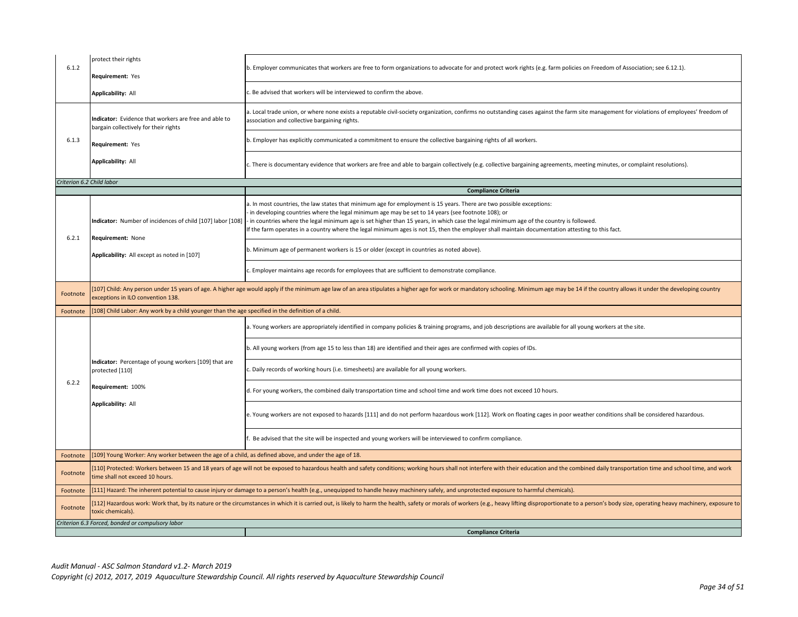| 6.1.2                     | protect their rights<br>Requirement: Yes                                                              | b. Employer communicates that workers are free to form organizations to advocate for and protect work rights (e.g. farm policies on Freedom of Association; see 6.12.1).                                                                                                                                                                                                                                                                                                                                                 |
|---------------------------|-------------------------------------------------------------------------------------------------------|--------------------------------------------------------------------------------------------------------------------------------------------------------------------------------------------------------------------------------------------------------------------------------------------------------------------------------------------------------------------------------------------------------------------------------------------------------------------------------------------------------------------------|
|                           | Applicability: All                                                                                    | . Be advised that workers will be interviewed to confirm the above.                                                                                                                                                                                                                                                                                                                                                                                                                                                      |
|                           | Indicator: Evidence that workers are free and able to<br>bargain collectively for their rights        | a. Local trade union, or where none exists a reputable civil-society organization, confirms no outstanding cases against the farm site management for violations of employees' freedom of<br>association and collective bargaining rights.                                                                                                                                                                                                                                                                               |
| 6.1.3                     | Requirement: Yes                                                                                      | b. Employer has explicitly communicated a commitment to ensure the collective bargaining rights of all workers.                                                                                                                                                                                                                                                                                                                                                                                                          |
|                           | Applicability: All                                                                                    | c. There is documentary evidence that workers are free and able to bargain collectively (e.g. collective bargaining agreements, meeting minutes, or complaint resolutions).                                                                                                                                                                                                                                                                                                                                              |
| Criterion 6.2 Child labor |                                                                                                       |                                                                                                                                                                                                                                                                                                                                                                                                                                                                                                                          |
|                           |                                                                                                       | <b>Compliance Criteria</b>                                                                                                                                                                                                                                                                                                                                                                                                                                                                                               |
| 6.2.1                     | Indicator: Number of incidences of child [107] labor [108]<br>Requirement: None                       | a. In most countries, the law states that minimum age for employment is 15 years. There are two possible exceptions:<br>in developing countries where the legal minimum age may be set to 14 years (see footnote 108); or<br>- in countries where the legal minimum age is set higher than 15 years, in which case the legal minimum age of the country is followed.<br>If the farm operates in a country where the legal minimum ages is not 15, then the employer shall maintain documentation attesting to this fact. |
|                           | Applicability: All except as noted in [107]                                                           | b. Minimum age of permanent workers is 15 or older (except in countries as noted above).                                                                                                                                                                                                                                                                                                                                                                                                                                 |
|                           |                                                                                                       | c. Employer maintains age records for employees that are sufficient to demonstrate compliance.                                                                                                                                                                                                                                                                                                                                                                                                                           |
| Footnote                  | exceptions in ILO convention 138.                                                                     | 107] Child: Any person under 15 years of age. A higher age would apply if the minimum age law of an area stipulates a higher age for work or mandatory schooling. Minimum age may be 14 if the country allows it under the dev                                                                                                                                                                                                                                                                                           |
| Footnote                  | [108] Child Labor: Any work by a child younger than the age specified in the definition of a child.   |                                                                                                                                                                                                                                                                                                                                                                                                                                                                                                                          |
|                           |                                                                                                       | a. Young workers are appropriately identified in company policies & training programs, and job descriptions are available for all young workers at the site.                                                                                                                                                                                                                                                                                                                                                             |
|                           |                                                                                                       | b. All young workers (from age 15 to less than 18) are identified and their ages are confirmed with copies of IDs.                                                                                                                                                                                                                                                                                                                                                                                                       |
|                           | Indicator: Percentage of young workers [109] that are<br>protected [110]                              | . Daily records of working hours (i.e. timesheets) are available for all young workers.                                                                                                                                                                                                                                                                                                                                                                                                                                  |
| 6.2.2                     | Requirement: 100%                                                                                     | d. For young workers, the combined daily transportation time and school time and work time does not exceed 10 hours.                                                                                                                                                                                                                                                                                                                                                                                                     |
|                           | Applicability: All                                                                                    | e. Young workers are not exposed to hazards [111] and do not perform hazardous work [112]. Work on floating cages in poor weather conditions shall be considered hazardous.                                                                                                                                                                                                                                                                                                                                              |
|                           |                                                                                                       | Be advised that the site will be inspected and young workers will be interviewed to confirm compliance.                                                                                                                                                                                                                                                                                                                                                                                                                  |
| Footnote                  | [109] Young Worker: Any worker between the age of a child, as defined above, and under the age of 18. |                                                                                                                                                                                                                                                                                                                                                                                                                                                                                                                          |
| Footnote                  | time shall not exceed 10 hours.                                                                       | [110] Protected: Workers between 15 and 18 years of age will not be exposed to hazardous health and safety conditions; working hours shall not interfere with their education and the combined daily transportation time and s                                                                                                                                                                                                                                                                                           |
| Footnote                  |                                                                                                       | [111] Hazard: The inherent potential to cause injury or damage to a person's health (e.g., unequipped to handle heavy machinery safely, and unprotected exposure to harmful chemicals).                                                                                                                                                                                                                                                                                                                                  |
| Footnote                  | toxic chemicals).                                                                                     | [112] Hazardous work: Work that, by its nature or the circumstances in which it is carried out, is likely to harm the health, safety or morals of workers (e.g., heavy lifting disproportionate to a person's body size, opera                                                                                                                                                                                                                                                                                           |
|                           | Criterion 6.3 Forced, bonded or compulsory labor                                                      |                                                                                                                                                                                                                                                                                                                                                                                                                                                                                                                          |
|                           |                                                                                                       | <b>Compliance Criteria</b>                                                                                                                                                                                                                                                                                                                                                                                                                                                                                               |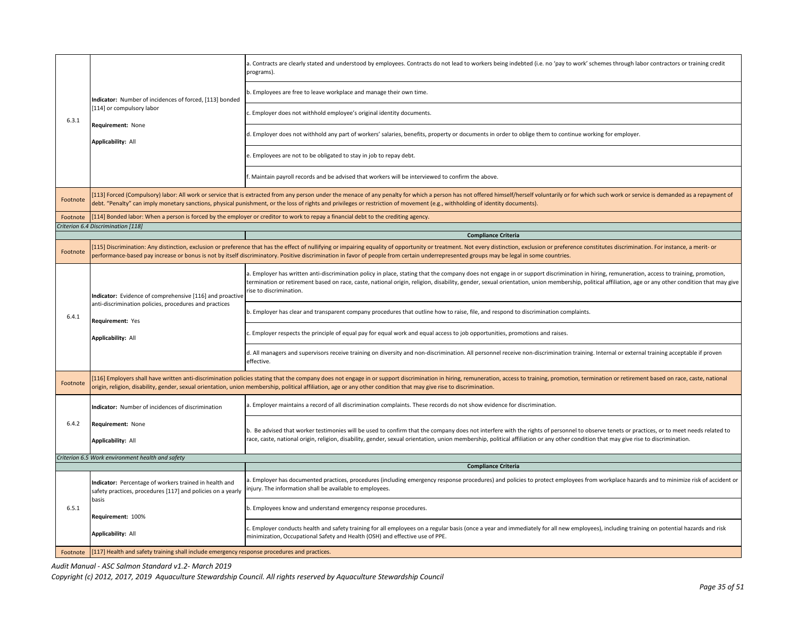|          |                                                                                                                       | a. Contracts are clearly stated and understood by employees. Contracts do not lead to workers being indebted (i.e. no 'pay to work' schemes through labor contractors or training credit<br>programs).                                                                                                                                                                                                                        |  |  |
|----------|-----------------------------------------------------------------------------------------------------------------------|-------------------------------------------------------------------------------------------------------------------------------------------------------------------------------------------------------------------------------------------------------------------------------------------------------------------------------------------------------------------------------------------------------------------------------|--|--|
|          | Indicator: Number of incidences of forced, [113] bonded<br>[114] or compulsory labor                                  | b. Employees are free to leave workplace and manage their own time.                                                                                                                                                                                                                                                                                                                                                           |  |  |
| 6.3.1    |                                                                                                                       | c. Employer does not withhold employee's original identity documents.                                                                                                                                                                                                                                                                                                                                                         |  |  |
|          | Requirement: None<br>Applicability: All                                                                               | d. Employer does not withhold any part of workers' salaries, benefits, property or documents in order to oblige them to continue working for employer.                                                                                                                                                                                                                                                                        |  |  |
|          |                                                                                                                       | e. Employees are not to be obligated to stay in job to repay debt.                                                                                                                                                                                                                                                                                                                                                            |  |  |
|          |                                                                                                                       | f. Maintain payroll records and be advised that workers will be interviewed to confirm the above.                                                                                                                                                                                                                                                                                                                             |  |  |
| Footnote |                                                                                                                       | [113] Forced (Compulsory) labor: All work or service that is extracted from any person under the menace of any penalty for which a person has not offered himself/herself voluntarily or for which such work or service is dem<br>debt. "Penalty" can imply monetary sanctions, physical punishment, or the loss of rights and privileges or restriction of movement (e.g., withholding of identity documents).               |  |  |
| Footnote |                                                                                                                       | [114] Bonded labor: When a person is forced by the employer or creditor to work to repay a financial debt to the crediting agency.                                                                                                                                                                                                                                                                                            |  |  |
|          | Criterion 6.4 Discrimination [118]                                                                                    |                                                                                                                                                                                                                                                                                                                                                                                                                               |  |  |
|          |                                                                                                                       | <b>Compliance Criteria</b>                                                                                                                                                                                                                                                                                                                                                                                                    |  |  |
| Footnote |                                                                                                                       | 115] Discrimination: Any distinction, exclusion or preference that has the effect of nullifying or impairing equality of opportunity or treatment. Not every distinction, exclusion or preference constitutes discrimination.<br>performance-based pay increase or bonus is not by itself discriminatory. Positive discrimination in favor of people from certain underrepresented groups may be legal in some countries.     |  |  |
|          | Indicator: Evidence of comprehensive [116] and proactive                                                              | a. Employer has written anti-discrimination policy in place, stating that the company does not engage in or support discrimination in hiring, remuneration, access to training, promotion,<br>termination or retirement based on race, caste, national origin, religion, disability, gender, sexual orientation, union membership, political affiliation, age or any other condition that may give<br>rise to discrimination. |  |  |
| 6.4.1    | anti-discrimination policies, procedures and practices<br>Requirement: Yes                                            | b. Employer has clear and transparent company procedures that outline how to raise, file, and respond to discrimination complaints.                                                                                                                                                                                                                                                                                           |  |  |
|          | Applicability: All                                                                                                    | c. Employer respects the principle of equal pay for equal work and equal access to job opportunities, promotions and raises.                                                                                                                                                                                                                                                                                                  |  |  |
|          |                                                                                                                       | d. All managers and supervisors receive training on diversity and non-discrimination. All personnel receive non-discrimination training. Internal or external training acceptable if proven<br>effective.                                                                                                                                                                                                                     |  |  |
| Footnote |                                                                                                                       | [116] Employers shall have written anti-discrimination policies stating that the company does not engage in or support discrimination in hiring, remuneration, access to training, promotion, termination or retirement based<br>prigin, religion, disability, gender, sexual orientation, union membership, political affiliation, age or any other condition that may give rise to discrimination.                          |  |  |
|          | ndicator: Number of incidences of discrimination                                                                      | a. Employer maintains a record of all discrimination complaints. These records do not show evidence for discrimination.                                                                                                                                                                                                                                                                                                       |  |  |
| 6.4.2    | Requirement: None<br>Applicability: All                                                                               | b. Be advised that worker testimonies will be used to confirm that the company does not interfere with the rights of personnel to observe tenets or practices, or to meet needs related to<br>race, caste, national origin, religion, disability, gender, sexual orientation, union membership, political affiliation or any other condition that may give rise to discrimination.                                            |  |  |
|          | Criterion 6.5 Work environment health and safety                                                                      |                                                                                                                                                                                                                                                                                                                                                                                                                               |  |  |
|          |                                                                                                                       | <b>Compliance Criteria</b>                                                                                                                                                                                                                                                                                                                                                                                                    |  |  |
|          | Indicator: Percentage of workers trained in health and<br>safety practices, procedures [117] and policies on a yearly | a. Employer has documented practices, procedures (including emergency response procedures) and policies to protect employees from workplace hazards and to minimize risk of accident or<br>injury. The information shall be available to employees.                                                                                                                                                                           |  |  |
| 6.5.1    | basis<br>Requirement: 100%                                                                                            | b. Employees know and understand emergency response procedures.                                                                                                                                                                                                                                                                                                                                                               |  |  |
|          | Applicability: All                                                                                                    | c. Employer conducts health and safety training for all employees on a regular basis (once a year and immediately for all new employees), including training on potential hazards and risk<br>minimization, Occupational Safety and Health (OSH) and effective use of PPE.                                                                                                                                                    |  |  |
|          | Footnote [117] Health and safety training shall include emergency response procedures and practices.                  |                                                                                                                                                                                                                                                                                                                                                                                                                               |  |  |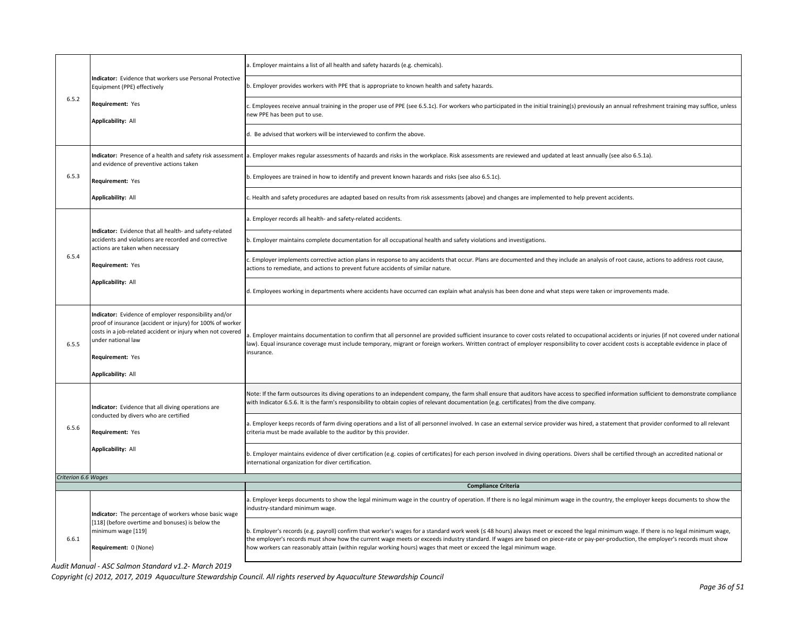|                     |                                                                                                                                                                                                                                                   | a. Employer maintains a list of all health and safety hazards (e.g. chemicals).                                                                                                                                                                                                                                                                                                                           |
|---------------------|---------------------------------------------------------------------------------------------------------------------------------------------------------------------------------------------------------------------------------------------------|-----------------------------------------------------------------------------------------------------------------------------------------------------------------------------------------------------------------------------------------------------------------------------------------------------------------------------------------------------------------------------------------------------------|
|                     | ndicator: Evidence that workers use Personal Protective<br>Equipment (PPE) effectively<br>Requirement: Yes<br><b>Applicability: All</b>                                                                                                           | b. Employer provides workers with PPE that is appropriate to known health and safety hazards.                                                                                                                                                                                                                                                                                                             |
| 6.5.2               |                                                                                                                                                                                                                                                   | c. Employees receive annual training in the proper use of PPE (see 6.5.1c). For workers who participated in the initial training(s) previously an annual refreshment training may suffice, unless<br>new PPE has been put to use.                                                                                                                                                                         |
|                     |                                                                                                                                                                                                                                                   | d. Be advised that workers will be interviewed to confirm the above.                                                                                                                                                                                                                                                                                                                                      |
|                     | and evidence of preventive actions taken                                                                                                                                                                                                          | Indicator: Presence of a health and safety risk assessment a. Employer makes regular assessments of hazards and risks in the workplace. Risk assessments are reviewed and updated at least annually (see also 6.5.1a).                                                                                                                                                                                    |
| 6.5.3               | Requirement: Yes                                                                                                                                                                                                                                  | b. Employees are trained in how to identify and prevent known hazards and risks (see also 6.5.1c).                                                                                                                                                                                                                                                                                                        |
|                     | <b>Applicability: All</b>                                                                                                                                                                                                                         | c. Health and safety procedures are adapted based on results from risk assessments (above) and changes are implemented to help prevent accidents.                                                                                                                                                                                                                                                         |
|                     |                                                                                                                                                                                                                                                   | a. Employer records all health- and safety-related accidents.                                                                                                                                                                                                                                                                                                                                             |
|                     | Indicator: Evidence that all health- and safety-related<br>accidents and violations are recorded and corrective<br>actions are taken when necessary                                                                                               | b. Employer maintains complete documentation for all occupational health and safety violations and investigations.                                                                                                                                                                                                                                                                                        |
| 6.5.4               | Requirement: Yes                                                                                                                                                                                                                                  | c. Employer implements corrective action plans in response to any accidents that occur. Plans are documented and they include an analysis of root cause, actions to address root cause,<br>actions to remediate, and actions to prevent future accidents of similar nature.                                                                                                                               |
|                     | <b>Applicability: All</b>                                                                                                                                                                                                                         | d. Employees working in departments where accidents have occurred can explain what analysis has been done and what steps were taken or improvements made.                                                                                                                                                                                                                                                 |
| 6.5.5               | Indicator: Evidence of employer responsibility and/or<br>proof of insurance (accident or injury) for 100% of worker<br>costs in a job-related accident or injury when not covered<br>under national law<br>Requirement: Yes<br>Applicability: All | . Employer maintains documentation to confirm that all personnel are provided sufficient insurance to cover costs related to occupational accidents or injuries (if not covered under national<br>law). Equal insurance coverage must include temporary, migrant or foreign workers. Written contract of employer responsibility to cover accident costs is acceptable evidence in place of<br>insurance. |
|                     | Indicator: Evidence that all diving operations are<br>conducted by divers who are certified<br>Requirement: Yes                                                                                                                                   | Note: If the farm outsources its diving operations to an independent company, the farm shall ensure that auditors have access to specified information sufficient to demonstrate compliance<br>with Indicator 6.5.6. It is the farm's responsibility to obtain copies of relevant documentation (e.g. certificates) from the dive company.                                                                |
| 6.5.6               |                                                                                                                                                                                                                                                   | a. Employer keeps records of farm diving operations and a list of all personnel involved. In case an external service provider was hired, a statement that provider conformed to all relevant<br>criteria must be made available to the auditor by this provider.                                                                                                                                         |
|                     | <b>Applicability: All</b>                                                                                                                                                                                                                         | b. Employer maintains evidence of diver certification (e.g. copies of certificates) for each person involved in diving operations. Divers shall be certified through an accredited national or<br>international organization for diver certification.                                                                                                                                                     |
| Criterion 6.6 Wages |                                                                                                                                                                                                                                                   |                                                                                                                                                                                                                                                                                                                                                                                                           |
|                     |                                                                                                                                                                                                                                                   | <b>Compliance Criteria</b>                                                                                                                                                                                                                                                                                                                                                                                |
|                     | Indicator: The percentage of workers whose basic wage                                                                                                                                                                                             | a. Employer keeps documents to show the legal minimum wage in the country of operation. If there is no legal minimum wage in the country, the employer keeps documents to show the<br>industry-standard minimum wage.                                                                                                                                                                                     |
|                     | [118] (before overtime and bonuses) is below the                                                                                                                                                                                                  | b. Employer's records (e.g. payroll) confirm that worker's wages for a standard work week (≤ 48 hours) always meet or exceed the legal minimum wage. If there is no legal minimum wage,                                                                                                                                                                                                                   |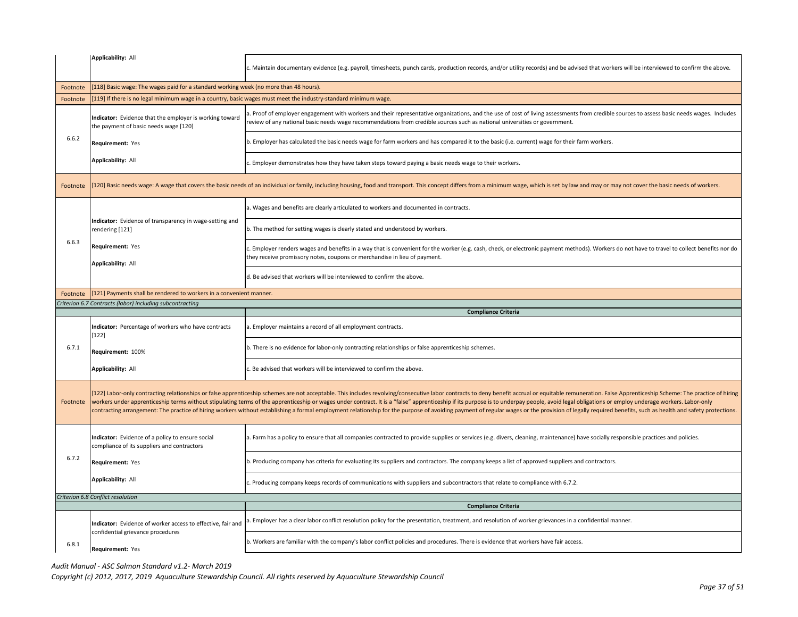|          | Applicability: All                                                                                              | Maintain documentary evidence (e.g. payroll, timesheets, punch cards, production records, and/or utility records) and be advised that workers will be interviewed to confirm the above.                                                                                                                                                                                                                                                                                                                                                                                                                                                                                                            |  |  |
|----------|-----------------------------------------------------------------------------------------------------------------|----------------------------------------------------------------------------------------------------------------------------------------------------------------------------------------------------------------------------------------------------------------------------------------------------------------------------------------------------------------------------------------------------------------------------------------------------------------------------------------------------------------------------------------------------------------------------------------------------------------------------------------------------------------------------------------------------|--|--|
| Footnote |                                                                                                                 | [118] Basic wage: The wages paid for a standard working week (no more than 48 hours).                                                                                                                                                                                                                                                                                                                                                                                                                                                                                                                                                                                                              |  |  |
| Footnote | [119] If there is no legal minimum wage in a country, basic wages must meet the industry-standard minimum wage. |                                                                                                                                                                                                                                                                                                                                                                                                                                                                                                                                                                                                                                                                                                    |  |  |
|          | Indicator: Evidence that the employer is working toward<br>the payment of basic needs wage [120]                | a. Proof of employer engagement with workers and their representative organizations, and the use of cost of living assessments from credible sources to assess basic needs wages. Includes<br>review of any national basic needs wage recommendations from credible sources such as national universities or government.                                                                                                                                                                                                                                                                                                                                                                           |  |  |
| 6.6.2    | Requirement: Yes                                                                                                | b. Employer has calculated the basic needs wage for farm workers and has compared it to the basic (i.e. current) wage for their farm workers.                                                                                                                                                                                                                                                                                                                                                                                                                                                                                                                                                      |  |  |
|          | Applicability: All                                                                                              | . Employer demonstrates how they have taken steps toward paying a basic needs wage to their workers.                                                                                                                                                                                                                                                                                                                                                                                                                                                                                                                                                                                               |  |  |
| Footnote |                                                                                                                 | [120] Basic needs wage: A wage that covers the basic needs of an individual or family, including housing, food and transport. This concept differs from a minimum wage, which is set by law and may or may not cover the basic                                                                                                                                                                                                                                                                                                                                                                                                                                                                     |  |  |
|          |                                                                                                                 | a. Wages and benefits are clearly articulated to workers and documented in contracts.                                                                                                                                                                                                                                                                                                                                                                                                                                                                                                                                                                                                              |  |  |
|          | Indicator: Evidence of transparency in wage-setting and<br>rendering [121]                                      | b. The method for setting wages is clearly stated and understood by workers.                                                                                                                                                                                                                                                                                                                                                                                                                                                                                                                                                                                                                       |  |  |
| 6.6.3    | Requirement: Yes<br><b>Applicability: All</b>                                                                   | Employer renders wages and benefits in a way that is convenient for the worker (e.g. cash, check, or electronic payment methods). Workers do not have to travel to collect benefits nor do<br>hey receive promissory notes, coupons or merchandise in lieu of payment.                                                                                                                                                                                                                                                                                                                                                                                                                             |  |  |
|          |                                                                                                                 | d. Be advised that workers will be interviewed to confirm the above.                                                                                                                                                                                                                                                                                                                                                                                                                                                                                                                                                                                                                               |  |  |
| Footnote | [121] Payments shall be rendered to workers in a convenient manner.                                             |                                                                                                                                                                                                                                                                                                                                                                                                                                                                                                                                                                                                                                                                                                    |  |  |
|          | Criterion 6.7 Contracts (labor) including subcontracting                                                        |                                                                                                                                                                                                                                                                                                                                                                                                                                                                                                                                                                                                                                                                                                    |  |  |
|          |                                                                                                                 |                                                                                                                                                                                                                                                                                                                                                                                                                                                                                                                                                                                                                                                                                                    |  |  |
|          | Indicator: Percentage of workers who have contracts<br>$[122]$                                                  | <b>Compliance Criteria</b><br>a. Employer maintains a record of all employment contracts.                                                                                                                                                                                                                                                                                                                                                                                                                                                                                                                                                                                                          |  |  |
| 6.7.1    | Requirement: 100%                                                                                               | . There is no evidence for labor-only contracting relationships or false apprenticeship schemes.                                                                                                                                                                                                                                                                                                                                                                                                                                                                                                                                                                                                   |  |  |
|          | <b>Applicability: All</b>                                                                                       | . Be advised that workers will be interviewed to confirm the above.                                                                                                                                                                                                                                                                                                                                                                                                                                                                                                                                                                                                                                |  |  |
| Footnote |                                                                                                                 | [122] Labor-only contracting relationships or false apprenticeship schemes are not acceptable. This includes revolving/consecutive labor contracts to deny benefit accrual or equitable remuneration. False Apprenticeship Sch<br>workers under apprenticeship terms without stipulating terms of the apprenticeship or wages under contract. It is a "false" apprenticeship if its purpose is to underpay people, avoid legal obligations or employ underage wo<br>contracting arrangement: The practice of hiring workers without establishing a formal employment relationship for the purpose of avoiding payment of regular wages or the provision of legally required benefits, such as heal |  |  |
|          | Indicator: Evidence of a policy to ensure social<br>compliance of its suppliers and contractors                 | a. Farm has a policy to ensure that all companies contracted to provide supplies or services (e.g. divers, cleaning, maintenance) have socially responsible practices and policies.                                                                                                                                                                                                                                                                                                                                                                                                                                                                                                                |  |  |
| 6.7.2    | Requirement: Yes                                                                                                | b. Producing company has criteria for evaluating its suppliers and contractors. The company keeps a list of approved suppliers and contractors.                                                                                                                                                                                                                                                                                                                                                                                                                                                                                                                                                    |  |  |
|          | Applicability: All                                                                                              | . Producing company keeps records of communications with suppliers and subcontractors that relate to compliance with 6.7.2.                                                                                                                                                                                                                                                                                                                                                                                                                                                                                                                                                                        |  |  |
|          | Criterion 6.8 Conflict resolution                                                                               |                                                                                                                                                                                                                                                                                                                                                                                                                                                                                                                                                                                                                                                                                                    |  |  |
|          |                                                                                                                 | <b>Compliance Criteria</b>                                                                                                                                                                                                                                                                                                                                                                                                                                                                                                                                                                                                                                                                         |  |  |
|          | Indicator: Evidence of worker access to effective, fair and<br>confidential grievance procedures                | . Employer has a clear labor conflict resolution policy for the presentation, treatment, and resolution of worker grievances in a confidential manner.                                                                                                                                                                                                                                                                                                                                                                                                                                                                                                                                             |  |  |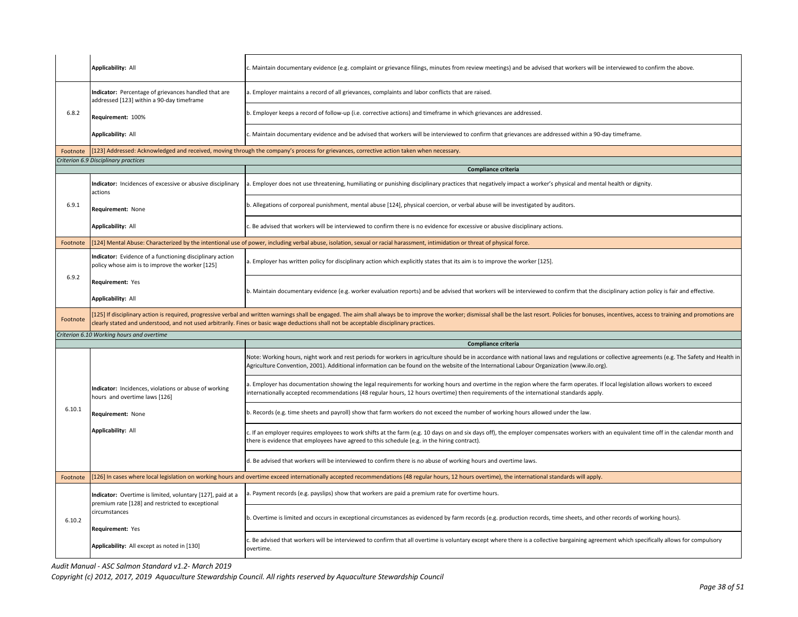|          | Applicability: All                                                                                                                                                                                                                                                                                                                                                        | Maintain documentary evidence (e.g. complaint or grievance filings, minutes from review meetings) and be advised that workers will be interviewed to confirm the above.                                                                                                                                                                                            |  |
|----------|---------------------------------------------------------------------------------------------------------------------------------------------------------------------------------------------------------------------------------------------------------------------------------------------------------------------------------------------------------------------------|--------------------------------------------------------------------------------------------------------------------------------------------------------------------------------------------------------------------------------------------------------------------------------------------------------------------------------------------------------------------|--|
|          | Indicator: Percentage of grievances handled that are<br>addressed [123] within a 90-day timeframe                                                                                                                                                                                                                                                                         | a. Employer maintains a record of all grievances, complaints and labor conflicts that are raised.                                                                                                                                                                                                                                                                  |  |
| 6.8.2    | Requirement: 100%                                                                                                                                                                                                                                                                                                                                                         | b. Employer keeps a record of follow-up (i.e. corrective actions) and timeframe in which grievances are addressed.                                                                                                                                                                                                                                                 |  |
|          | Applicability: All                                                                                                                                                                                                                                                                                                                                                        | c. Maintain documentary evidence and be advised that workers will be interviewed to confirm that grievances are addressed within a 90-day timeframe.                                                                                                                                                                                                               |  |
| Footnote |                                                                                                                                                                                                                                                                                                                                                                           | [123] Addressed: Acknowledged and received, moving through the company's process for grievances, corrective action taken when necessary.                                                                                                                                                                                                                           |  |
|          | Criterion 6.9 Disciplinary practices                                                                                                                                                                                                                                                                                                                                      | Compliance criteria                                                                                                                                                                                                                                                                                                                                                |  |
|          | Indicator: Incidences of excessive or abusive disciplinary<br>actions                                                                                                                                                                                                                                                                                                     | a. Employer does not use threatening, humiliating or punishing disciplinary practices that negatively impact a worker's physical and mental health or dignity.                                                                                                                                                                                                     |  |
| 6.9.1    | Requirement: None                                                                                                                                                                                                                                                                                                                                                         | b. Allegations of corporeal punishment, mental abuse [124], physical coercion, or verbal abuse will be investigated by auditors.                                                                                                                                                                                                                                   |  |
|          | <b>Applicability: All</b>                                                                                                                                                                                                                                                                                                                                                 | Be advised that workers will be interviewed to confirm there is no evidence for excessive or abusive disciplinary actions.                                                                                                                                                                                                                                         |  |
| Footnote |                                                                                                                                                                                                                                                                                                                                                                           | [124] Mental Abuse: Characterized by the intentional use of power, including verbal abuse, isolation, sexual or racial harassment, intimidation or threat of physical force.                                                                                                                                                                                       |  |
|          | Indicator: Evidence of a functioning disciplinary action<br>policy whose aim is to improve the worker [125]                                                                                                                                                                                                                                                               | a. Employer has written policy for disciplinary action which explicitly states that its aim is to improve the worker [125].                                                                                                                                                                                                                                        |  |
| 6.9.2    | Requirement: Yes<br><b>Applicability: All</b>                                                                                                                                                                                                                                                                                                                             | b. Maintain documentary evidence (e.g. worker evaluation reports) and be advised that workers will be interviewed to confirm that the disciplinary action policy is fair and effective.                                                                                                                                                                            |  |
| Footnote | 125] If disciplinary action is required, progressive verbal and written warnings shall be engaged. The aim shall always be to improve the worker; dismissal shall be the last resort. Policies for bonuses, incentives, access<br>clearly stated and understood, and not used arbitrarily. Fines or basic wage deductions shall not be acceptable disciplinary practices. |                                                                                                                                                                                                                                                                                                                                                                    |  |
|          |                                                                                                                                                                                                                                                                                                                                                                           |                                                                                                                                                                                                                                                                                                                                                                    |  |
|          | Criterion 6.10 Working hours and overtime                                                                                                                                                                                                                                                                                                                                 |                                                                                                                                                                                                                                                                                                                                                                    |  |
|          |                                                                                                                                                                                                                                                                                                                                                                           | Compliance criteria<br>Note: Working hours, night work and rest periods for workers in agriculture should be in accordance with national laws and regulations or collective agreements (e.g. The Safety and Health in<br>Agriculture Convention, 2001). Additional information can be found on the website of the International Labour Organization (www.ilo.org). |  |
|          | Indicator: Incidences, violations or abuse of working<br>hours and overtime laws [126]                                                                                                                                                                                                                                                                                    | a. Employer has documentation showing the legal requirements for working hours and overtime in the region where the farm operates. If local legislation allows workers to exceed<br>nternationally accepted recommendations (48 regular hours, 12 hours overtime) then requirements of the international standards apply.                                          |  |
| 6.10.1   | Requirement: None                                                                                                                                                                                                                                                                                                                                                         | b. Records (e.g. time sheets and payroll) show that farm workers do not exceed the number of working hours allowed under the law.                                                                                                                                                                                                                                  |  |
|          | <b>Applicability: All</b>                                                                                                                                                                                                                                                                                                                                                 | If an employer requires employees to work shifts at the farm (e.g. 10 days on and six days off), the employer compensates workers with an equivalent time off in the calendar month and<br>there is evidence that employees have agreed to this schedule (e.g. in the hiring contract).                                                                            |  |
|          |                                                                                                                                                                                                                                                                                                                                                                           | d. Be advised that workers will be interviewed to confirm there is no abuse of working hours and overtime laws.                                                                                                                                                                                                                                                    |  |
| Footnote |                                                                                                                                                                                                                                                                                                                                                                           | [126] In cases where local legislation on working hours and overtime exceed internationally accepted recommendations (48 regular hours, 12 hours overtime), the international standards will apply.                                                                                                                                                                |  |
|          | Indicator: Overtime is limited, voluntary [127], paid at a                                                                                                                                                                                                                                                                                                                | . Payment records (e.g. payslips) show that workers are paid a premium rate for overtime hours.                                                                                                                                                                                                                                                                    |  |
| 6.10.2   | premium rate [128] and restricted to exceptional<br>circumstances                                                                                                                                                                                                                                                                                                         | b. Overtime is limited and occurs in exceptional circumstances as evidenced by farm records (e.g. production records, time sheets, and other records of working hours).                                                                                                                                                                                            |  |
|          | Requirement: Yes<br>Applicability: All except as noted in [130]                                                                                                                                                                                                                                                                                                           | . Be advised that workers will be interviewed to confirm that all overtime is voluntary except where there is a collective bargaining agreement which specifically allows for compulsory<br>overtime.                                                                                                                                                              |  |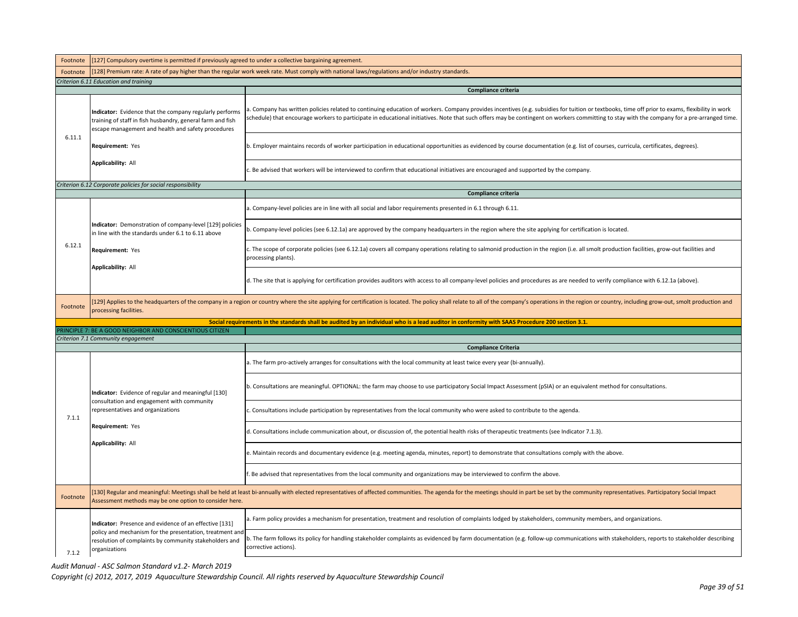| Footnote                                                                                       | [127] Compulsory overtime is permitted if previously agreed to under a collective bargaining agreement.                                                                                                                                                  |                                                                                                                                                                                                                                                                                                                                                                                               |  |  |
|------------------------------------------------------------------------------------------------|----------------------------------------------------------------------------------------------------------------------------------------------------------------------------------------------------------------------------------------------------------|-----------------------------------------------------------------------------------------------------------------------------------------------------------------------------------------------------------------------------------------------------------------------------------------------------------------------------------------------------------------------------------------------|--|--|
| Footnote                                                                                       | [128] Premium rate: A rate of pay higher than the regular work week rate. Must comply with national laws/regulations and/or industry standards.                                                                                                          |                                                                                                                                                                                                                                                                                                                                                                                               |  |  |
|                                                                                                | Criterion 6.11 Education and training                                                                                                                                                                                                                    |                                                                                                                                                                                                                                                                                                                                                                                               |  |  |
|                                                                                                |                                                                                                                                                                                                                                                          | Compliance criteria                                                                                                                                                                                                                                                                                                                                                                           |  |  |
|                                                                                                | Indicator: Evidence that the company regularly performs<br>training of staff in fish husbandry, general farm and fish<br>escape management and health and safety procedures                                                                              | a. Company has written policies related to continuing education of workers. Company provides incentives (e.g. subsidies for tuition or textbooks, time off prior to exams, flexibility in work<br>schedule) that encourage workers to participate in educational initiatives. Note that such offers may be contingent on workers committing to stay with the company for a pre-arranged time. |  |  |
| 6.11.1                                                                                         | Requirement: Yes                                                                                                                                                                                                                                         | b. Employer maintains records of worker participation in educational opportunities as evidenced by course documentation (e.g. list of courses, curricula, certificates, degrees).                                                                                                                                                                                                             |  |  |
|                                                                                                | Applicability: All                                                                                                                                                                                                                                       | c. Be advised that workers will be interviewed to confirm that educational initiatives are encouraged and supported by the company.                                                                                                                                                                                                                                                           |  |  |
|                                                                                                | Criterion 6.12 Corporate policies for social responsibility                                                                                                                                                                                              |                                                                                                                                                                                                                                                                                                                                                                                               |  |  |
|                                                                                                |                                                                                                                                                                                                                                                          | Compliance criteria                                                                                                                                                                                                                                                                                                                                                                           |  |  |
|                                                                                                |                                                                                                                                                                                                                                                          | a. Company-level policies are in line with all social and labor requirements presented in 6.1 through 6.11.                                                                                                                                                                                                                                                                                   |  |  |
|                                                                                                | Indicator: Demonstration of company-level [129] policies<br>in line with the standards under 6.1 to 6.11 above                                                                                                                                           | b. Company-level policies (see 6.12.1a) are approved by the company headquarters in the region where the site applying for certification is located.                                                                                                                                                                                                                                          |  |  |
| 6.12.1                                                                                         | Requirement: Yes                                                                                                                                                                                                                                         | c. The scope of corporate policies (see 6.12.1a) covers all company operations relating to salmonid production in the region (i.e. all smolt production facilities, grow-out facilities and<br>processing plants).                                                                                                                                                                            |  |  |
|                                                                                                | Applicability: All                                                                                                                                                                                                                                       | d. The site that is applying for certification provides auditors with access to all company-level policies and procedures as are needed to verify compliance with 6.12.1a (above).                                                                                                                                                                                                            |  |  |
| Footnote                                                                                       | [129] Applies to the headquarters of the company in a region or country where the site applying for certification is located. The policy shall relate to all of the company's operations in the region or country, including g<br>processing facilities. |                                                                                                                                                                                                                                                                                                                                                                                               |  |  |
|                                                                                                |                                                                                                                                                                                                                                                          | Social requirements in the standards shall be audited by an individual who is a lead auditor in conformity with SAAS Procedure 200 section 3.1.                                                                                                                                                                                                                                               |  |  |
| RINCIPLE 7: BE A GOOD NEIGHBOR AND CONSCIENTIOUS CITIZEN<br>Criterion 7.1 Community engagement |                                                                                                                                                                                                                                                          |                                                                                                                                                                                                                                                                                                                                                                                               |  |  |
|                                                                                                |                                                                                                                                                                                                                                                          | <b>Compliance Criteria</b>                                                                                                                                                                                                                                                                                                                                                                    |  |  |
|                                                                                                |                                                                                                                                                                                                                                                          | a. The farm pro-actively arranges for consultations with the local community at least twice every year (bi-annually).                                                                                                                                                                                                                                                                         |  |  |
|                                                                                                | Indicator: Evidence of regular and meaningful [130]                                                                                                                                                                                                      | b. Consultations are meaningful. OPTIONAL: the farm may choose to use participatory Social Impact Assessment (pSIA) or an equivalent method for consultations.                                                                                                                                                                                                                                |  |  |
| 7.1.1                                                                                          | consultation and engagement with community<br>representatives and organizations                                                                                                                                                                          | Consultations include participation by representatives from the local community who were asked to contribute to the agenda.                                                                                                                                                                                                                                                                   |  |  |
|                                                                                                | <b>Requirement: Yes</b>                                                                                                                                                                                                                                  | d. Consultations include communication about, or discussion of, the potential health risks of therapeutic treatments (see Indicator 7.1.3).                                                                                                                                                                                                                                                   |  |  |
|                                                                                                | Applicability: All                                                                                                                                                                                                                                       | e. Maintain records and documentary evidence (e.g. meeting agenda, minutes, report) to demonstrate that consultations comply with the above.                                                                                                                                                                                                                                                  |  |  |
|                                                                                                |                                                                                                                                                                                                                                                          | . Be advised that representatives from the local community and organizations may be interviewed to confirm the above.                                                                                                                                                                                                                                                                         |  |  |
| Footnote                                                                                       | Assessment methods may be one option to consider here.                                                                                                                                                                                                   | 130] Regular and meaningful: Meetings shall be held at least bi-annually with elected representatives of affected communities. The agenda for the meetings should in part be set by the community representatives. Participato                                                                                                                                                                |  |  |
|                                                                                                | Indicator: Presence and evidence of an effective [131]                                                                                                                                                                                                   | a. Farm policy provides a mechanism for presentation, treatment and resolution of complaints lodged by stakeholders, community members, and organizations.                                                                                                                                                                                                                                    |  |  |
| 7.1.2                                                                                          | policy and mechanism for the presentation, treatment and<br>resolution of complaints by community stakeholders and<br>organizations                                                                                                                      | b. The farm follows its policy for handling stakeholder complaints as evidenced by farm documentation (e.g. follow-up communications with stakeholders, reports to stakeholder describing<br>corrective actions).                                                                                                                                                                             |  |  |
|                                                                                                |                                                                                                                                                                                                                                                          |                                                                                                                                                                                                                                                                                                                                                                                               |  |  |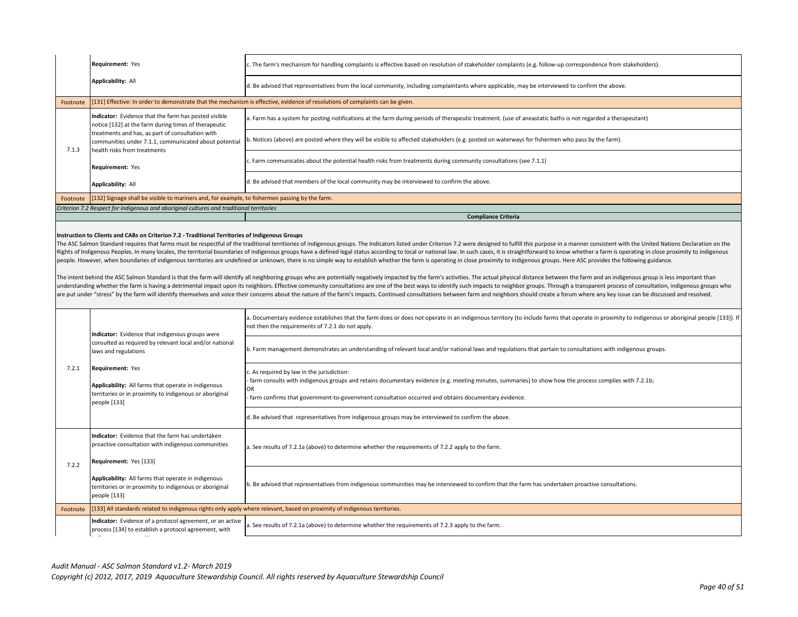|          | <b>Requirement: Yes</b>                                                                                                                   | c. The farm's mechanism for handling complaints is effective based on resolution of stakeholder complaints (e.g. follow-up correspondence from stakeholders). |
|----------|-------------------------------------------------------------------------------------------------------------------------------------------|---------------------------------------------------------------------------------------------------------------------------------------------------------------|
|          | Applicability: All                                                                                                                        | d. Be advised that representatives from the local community, including complaintants where applicable, may be interviewed to confirm the above.               |
| Footnote |                                                                                                                                           | [[131] Effective: In order to demonstrate that the mechanism is effective, evidence of resolutions of complaints can be given.                                |
|          | Indicator: Evidence that the farm has posted visible<br>notice [132] at the farm during times of therapeutic                              | a. Farm has a system for posting notifications at the farm during periods of therapeutic treatment. (use of aneastatic baths is not regarded a therapeutant)  |
| 7.1.3    | treatments and has, as part of consultation with<br>communities under 7.1.1, communicated about potential<br>health risks from treatments | b. Notices (above) are posted where they will be visible to affected stakeholders (e.g. posted on waterways for fishermen who pass by the farm).              |
|          | <b>Requirement: Yes</b>                                                                                                                   | c. Farm communicates about the potential health risks from treatments during community consultations (see 7.1.1)                                              |
|          | Applicability: All                                                                                                                        | d. Be advised that members of the local community may be interviewed to confirm the above.                                                                    |
| Footnote | [132] Signage shall be visible to mariners and, for example, to fishermen passing by the farm.                                            |                                                                                                                                                               |
|          | Criterion 7.2 Respect for indigenous and aboriginal cultures and traditional territories                                                  |                                                                                                                                                               |
|          |                                                                                                                                           | <b>Compliance Criteria</b>                                                                                                                                    |
|          |                                                                                                                                           |                                                                                                                                                               |

### **Instruction to Clients and CABs on Criterion 7.2 - Traditional Territories of Indigenous Groups**

The ASC Salmon Standard requires that farms must be respectful of the traditional territiories of indigenous groups. The Indicators listed under Criterion 7.2 were designed to fulfill this purpose in a manner consistent wi Rights of Indigenous Peoples. In many locales, the territorial boundaries of indigenous groups have a defined legal status according to local or national law. In such cases, it is straightforward to know whether a farm is people. However, when boundaries of indigenous territories are undefined or unknown, there is no simple way to establish whether the farm is operating in close proximity to indigenous groups. Here ASC provides the followin

The intent behind the ASC Salmon Standard is that the farm will identify all neighboring groups who are potentially negatively impacted by the farm's activities. The actual physical distance between the farm and an indigen understanding whether the farm is having a detrimental impact upon its neighbors. Effective community consultations are one of the best ways to identify such impacts to neighbor groups. Through a transparent process of con are put under "stress" by the farm will identify themselves and voice their concerns about the nature of the farm's impacts. Continued consultations between farm and neighbors should create a forum where any key issue can

| 7.2.1                                                                                                                                                                                                                    | Indicator: Evidence that indigenous groups were                                                                                                    | a. Documentary evidence establishes that the farm does or does not operate in an indigenous territory (to include farms that operate in proximity to indigenous or aboriginal people [133]). If<br>not then the requirements of 7.2.1 do not apply.                                                               |
|--------------------------------------------------------------------------------------------------------------------------------------------------------------------------------------------------------------------------|----------------------------------------------------------------------------------------------------------------------------------------------------|-------------------------------------------------------------------------------------------------------------------------------------------------------------------------------------------------------------------------------------------------------------------------------------------------------------------|
|                                                                                                                                                                                                                          | consulted as required by relevant local and/or national<br>laws and regulations                                                                    | b. Farm management demonstrates an understanding of relevant local and/or national laws and regulations that pertain to consultations with indigenous groups.                                                                                                                                                     |
|                                                                                                                                                                                                                          | Requirement: Yes<br>Applicability: All farms that operate in indigenous<br>territories or in proximity to indigenous or aboriginal<br>people [133] | . As required by law in the jurisdiction:<br>- farm consults with indigenous groups and retains documentary evidence (e.g. meeting minutes, summaries) to show how the process complies with 7.2.1b;<br>OR<br>farm confirms that government-to-government consultation occurred and obtains documentary evidence. |
|                                                                                                                                                                                                                          |                                                                                                                                                    | . Be advised that representatives from indigenous groups may be interviewed to confirm the above.                                                                                                                                                                                                                 |
|                                                                                                                                                                                                                          | <b>Indicator:</b> Evidence that the farm has undertaken<br>proactive consultation with indigenous communities<br>Requirement: Yes [133]            | a. See results of 7.2.1a (above) to determine whether the requirements of 7.2.2 apply to the farm.                                                                                                                                                                                                                |
| 7.2.2                                                                                                                                                                                                                    | Applicability: All farms that operate in indigenous<br>territories or in proximity to indigenous or aboriginal<br>people [133]                     | ). Be advised that representatives from indigenous communities may be interviewed to confirm that the farm has undertaken proactive consultations.                                                                                                                                                                |
| Footnote                                                                                                                                                                                                                 |                                                                                                                                                    | [133] All standards related to indigenous rights only apply where relevant, based on proximity of indigenous territories.                                                                                                                                                                                         |
| Indicator: Evidence of a protocol agreement, or an active<br>a. See results of 7.2.1a (above) to determine whether the requirements of 7.2.3 apply to the farm.<br>process [134] to establish a protocol agreement, with |                                                                                                                                                    |                                                                                                                                                                                                                                                                                                                   |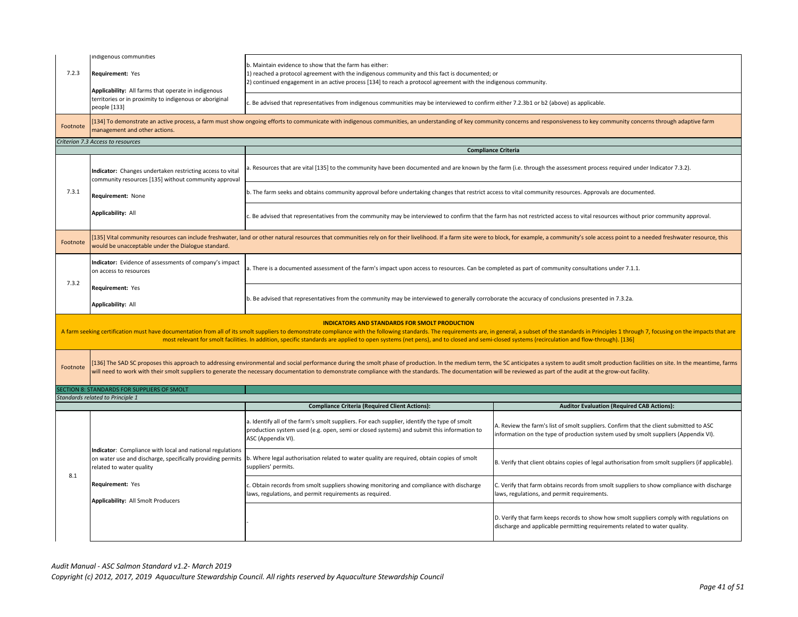| 7.2.3<br>Footnote | indigenous communities<br>Requirement: Yes<br>Applicability: All farms that operate in indigenous<br>territories or in proximity to indigenous or aboriginal<br>people [133]<br>management and other actions.                                                                                                                                                                                                                                                                       | b. Maintain evidence to show that the farm has either:<br>1) reached a protocol agreement with the indigenous community and this fact is documented; or<br>2) continued engagement in an active process [134] to reach a protocol agreement with the indigenous community.<br>Be advised that representatives from indigenous communities may be interviewed to confirm either 7.2.3b1 or b2 (above) as applicable.<br>[134] To demonstrate an active process, a farm must show ongoing efforts to communicate with indigenous communities, an understanding of key community concerns and responsiveness to key community concerns through adaptive |                                                                                                                                                                               |  |
|-------------------|-------------------------------------------------------------------------------------------------------------------------------------------------------------------------------------------------------------------------------------------------------------------------------------------------------------------------------------------------------------------------------------------------------------------------------------------------------------------------------------|------------------------------------------------------------------------------------------------------------------------------------------------------------------------------------------------------------------------------------------------------------------------------------------------------------------------------------------------------------------------------------------------------------------------------------------------------------------------------------------------------------------------------------------------------------------------------------------------------------------------------------------------------|-------------------------------------------------------------------------------------------------------------------------------------------------------------------------------|--|
|                   | Criterion 7.3 Access to resources<br><b>Compliance Criteria</b>                                                                                                                                                                                                                                                                                                                                                                                                                     |                                                                                                                                                                                                                                                                                                                                                                                                                                                                                                                                                                                                                                                      |                                                                                                                                                                               |  |
|                   | Indicator: Changes undertaken restricting access to vital<br>community resources [135] without community approval                                                                                                                                                                                                                                                                                                                                                                   | . Resources that are vital [135] to the community have been documented and are known by the farm (i.e. through the assessment process required under Indicator 7.3.2).                                                                                                                                                                                                                                                                                                                                                                                                                                                                               |                                                                                                                                                                               |  |
| 7.3.1             | Requirement: None                                                                                                                                                                                                                                                                                                                                                                                                                                                                   | b. The farm seeks and obtains community approval before undertaking changes that restrict access to vital community resources. Approvals are documented.                                                                                                                                                                                                                                                                                                                                                                                                                                                                                             |                                                                                                                                                                               |  |
|                   | <b>Applicability: All</b>                                                                                                                                                                                                                                                                                                                                                                                                                                                           | c. Be advised that representatives from the community may be interviewed to confirm that the farm has not restricted access to vital resources without prior community approval.                                                                                                                                                                                                                                                                                                                                                                                                                                                                     |                                                                                                                                                                               |  |
| Footnote          | would be unacceptable under the Dialogue standard.                                                                                                                                                                                                                                                                                                                                                                                                                                  | 135] Vital community resources can include freshwater, land or other natural resources that communities rely on for their livelihood. If a farm site were to block, for example, a community's sole access point to a needed f                                                                                                                                                                                                                                                                                                                                                                                                                       |                                                                                                                                                                               |  |
| 7.3.2             | Indicator: Evidence of assessments of company's impact<br>on access to resources                                                                                                                                                                                                                                                                                                                                                                                                    | a. There is a documented assessment of the farm's impact upon access to resources. Can be completed as part of community consultations under 7.1.1.                                                                                                                                                                                                                                                                                                                                                                                                                                                                                                  |                                                                                                                                                                               |  |
|                   | Requirement: Yes<br>Applicability: All                                                                                                                                                                                                                                                                                                                                                                                                                                              | b. Be advised that representatives from the community may be interviewed to generally corroborate the accuracy of conclusions presented in 7.3.2a.                                                                                                                                                                                                                                                                                                                                                                                                                                                                                                   |                                                                                                                                                                               |  |
|                   | <b>INDICATORS AND STANDARDS FOR SMOLT PRODUCTION</b><br>A farm seeking certification must have documentation from all of its smolt suppliers to demonstrate compliance with the following standards. The requirements are, in general, a subset of the standards in Principles 1 throu<br>most relevant for smolt facilities. In addition, specific standards are applied to open systems (net pens), and to closed and semi-closed systems (recirculation and flow-through). [136] |                                                                                                                                                                                                                                                                                                                                                                                                                                                                                                                                                                                                                                                      |                                                                                                                                                                               |  |
| Footnote          |                                                                                                                                                                                                                                                                                                                                                                                                                                                                                     | 136] The SAD SC proposes this approach to addressing environmental and social performance during the smolt phase of production. In the medium term, the SC anticipates a system to audit smolt production facilities on site.<br>will need to work with their smolt suppliers to generate the necessary documentation to demonstrate compliance with the standards. The documentation will be reviewed as part of the audit at the grow-out facility.                                                                                                                                                                                                |                                                                                                                                                                               |  |
|                   | ECTION 8: STANDARDS FOR SUPPLIERS OF SMOLT                                                                                                                                                                                                                                                                                                                                                                                                                                          |                                                                                                                                                                                                                                                                                                                                                                                                                                                                                                                                                                                                                                                      |                                                                                                                                                                               |  |
|                   | Standards related to Principle 1                                                                                                                                                                                                                                                                                                                                                                                                                                                    | <b>Compliance Criteria (Required Client Actions):</b>                                                                                                                                                                                                                                                                                                                                                                                                                                                                                                                                                                                                | <b>Auditor Evaluation (Required CAB Actions):</b>                                                                                                                             |  |
|                   |                                                                                                                                                                                                                                                                                                                                                                                                                                                                                     | a. Identify all of the farm's smolt suppliers. For each supplier, identify the type of smolt<br>production system used (e.g. open, semi or closed systems) and submit this information to<br>ASC (Appendix VI).                                                                                                                                                                                                                                                                                                                                                                                                                                      | A. Review the farm's list of smolt suppliers. Confirm that the client submitted to ASC<br>information on the type of production system used by smolt suppliers (Appendix VI). |  |
|                   | Indicator: Compliance with local and national regulations<br>on water use and discharge, specifically providing permits<br>related to water quality                                                                                                                                                                                                                                                                                                                                 | b. Where legal authorisation related to water quality are required, obtain copies of smolt<br>suppliers' permits.                                                                                                                                                                                                                                                                                                                                                                                                                                                                                                                                    | B. Verify that client obtains copies of legal authorisation from smolt suppliers (if applicable).                                                                             |  |
| 8.1               | Requirement: Yes<br>Applicability: All Smolt Producers                                                                                                                                                                                                                                                                                                                                                                                                                              | c. Obtain records from smolt suppliers showing monitoring and compliance with discharge<br>laws, regulations, and permit requirements as required.                                                                                                                                                                                                                                                                                                                                                                                                                                                                                                   | C. Verify that farm obtains records from smolt suppliers to show compliance with discharge<br>laws, regulations, and permit requirements.                                     |  |
|                   |                                                                                                                                                                                                                                                                                                                                                                                                                                                                                     |                                                                                                                                                                                                                                                                                                                                                                                                                                                                                                                                                                                                                                                      | D. Verify that farm keeps records to show how smolt suppliers comply with regulations on<br>discharge and applicable permitting requirements related to water quality.        |  |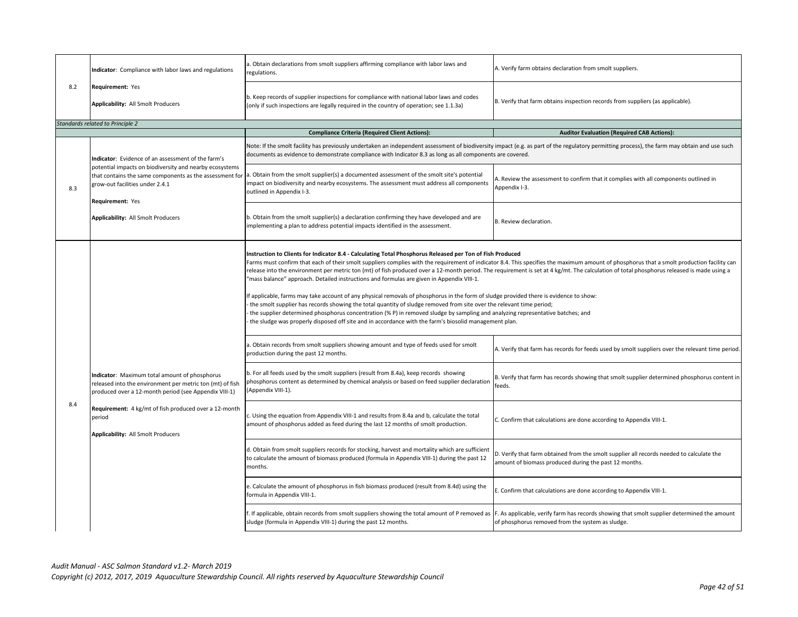|     | Indicator: Compliance with labor laws and regulations                                                                                                                                                                                                                        | . Obtain declarations from smolt suppliers affirming compliance with labor laws and<br>regulations.                                                                                                                                                                                                                                                                                                                                                                                                                                                                                                                                                                                                                                                                                                                                                                                                                                                                                                                                                                                                            | A. Verify farm obtains declaration from smolt suppliers.                                                                                          |
|-----|------------------------------------------------------------------------------------------------------------------------------------------------------------------------------------------------------------------------------------------------------------------------------|----------------------------------------------------------------------------------------------------------------------------------------------------------------------------------------------------------------------------------------------------------------------------------------------------------------------------------------------------------------------------------------------------------------------------------------------------------------------------------------------------------------------------------------------------------------------------------------------------------------------------------------------------------------------------------------------------------------------------------------------------------------------------------------------------------------------------------------------------------------------------------------------------------------------------------------------------------------------------------------------------------------------------------------------------------------------------------------------------------------|---------------------------------------------------------------------------------------------------------------------------------------------------|
| 8.2 | Requirement: Yes<br>Applicability: All Smolt Producers                                                                                                                                                                                                                       | b. Keep records of supplier inspections for compliance with national labor laws and codes<br>(only if such inspections are legally required in the country of operation; see 1.1.3a)                                                                                                                                                                                                                                                                                                                                                                                                                                                                                                                                                                                                                                                                                                                                                                                                                                                                                                                           | B. Verify that farm obtains inspection records from suppliers (as applicable).                                                                    |
|     | Standards related to Principle 2                                                                                                                                                                                                                                             | <b>Compliance Criteria (Required Client Actions):</b>                                                                                                                                                                                                                                                                                                                                                                                                                                                                                                                                                                                                                                                                                                                                                                                                                                                                                                                                                                                                                                                          | <b>Auditor Evaluation (Required CAB Actions):</b>                                                                                                 |
|     | Indicator: Evidence of an assessment of the farm's                                                                                                                                                                                                                           | Note: If the smolt facility has previously undertaken an independent assessment of biodiversity impact (e.g. as part of the regulatory permitting process), the farm may obtain and use such<br>documents as evidence to demonstrate compliance with Indicator 8.3 as long as all components are covered.                                                                                                                                                                                                                                                                                                                                                                                                                                                                                                                                                                                                                                                                                                                                                                                                      |                                                                                                                                                   |
| 8.3 | potential impacts on biodiversity and nearby ecosystems<br>that contains the same components as the assessment for<br>grow-out facilities under 2.4.1<br>Requirement: Yes                                                                                                    | a. Obtain from the smolt supplier(s) a documented assessment of the smolt site's potential<br>impact on biodiversity and nearby ecosystems. The assessment must address all components<br>outlined in Appendix I-3.                                                                                                                                                                                                                                                                                                                                                                                                                                                                                                                                                                                                                                                                                                                                                                                                                                                                                            | A. Review the assessment to confirm that it complies with all components outlined in<br>Appendix I-3.                                             |
|     | Applicability: All Smolt Producers                                                                                                                                                                                                                                           | b. Obtain from the smolt supplier(s) a declaration confirming they have developed and are<br>implementing a plan to address potential impacts identified in the assessment.                                                                                                                                                                                                                                                                                                                                                                                                                                                                                                                                                                                                                                                                                                                                                                                                                                                                                                                                    | B. Review declaration.                                                                                                                            |
|     | Indicator: Maximum total amount of phosphorus<br>released into the environment per metric ton (mt) of fish<br>produced over a 12-month period (see Appendix VIII-1)<br>Requirement: 4 kg/mt of fish produced over a 12-month<br>period<br>Applicability: All Smolt Producers | Instruction to Clients for Indicator 8.4 - Calculating Total Phosphorus Released per Ton of Fish Produced<br>Farms must confirm that each of their smolt suppliers complies with the requirement of indicator 8.4. This specifies the maximum amount of phosphorus that a smolt production facility can<br>release into the environment per metric ton (mt) of fish produced over a 12-month period. The requirement is set at 4 kg/mt. The calculation of total phosphorus released is made using a<br>"mass balance" approach. Detailed instructions and formulas are given in Appendix VIII-1.<br>If applicable, farms may take account of any physical removals of phosphorus in the form of sludge provided there is evidence to show:<br>the smolt supplier has records showing the total quantity of sludge removed from site over the relevant time period;<br>the supplier determined phosphorus concentration (% P) in removed sludge by sampling and analyzing representative batches; and<br>the sludge was properly disposed off site and in accordance with the farm's biosolid management plan. |                                                                                                                                                   |
|     |                                                                                                                                                                                                                                                                              | a. Obtain records from smolt suppliers showing amount and type of feeds used for smolt<br>production during the past 12 months.                                                                                                                                                                                                                                                                                                                                                                                                                                                                                                                                                                                                                                                                                                                                                                                                                                                                                                                                                                                | A. Verify that farm has records for feeds used by smolt suppliers over the relevant time period.                                                  |
|     |                                                                                                                                                                                                                                                                              | b. For all feeds used by the smolt suppliers (result from 8.4a), keep records showing<br>phosphorus content as determined by chemical analysis or based on feed supplier declaration<br>(Appendix VIII-1).                                                                                                                                                                                                                                                                                                                                                                                                                                                                                                                                                                                                                                                                                                                                                                                                                                                                                                     | B. Verify that farm has records showing that smolt supplier determined phosphorus content in<br>feeds.                                            |
| 8.4 |                                                                                                                                                                                                                                                                              | c. Using the equation from Appendix VIII-1 and results from 8.4a and b, calculate the total<br>amount of phosphorus added as feed during the last 12 months of smolt production.                                                                                                                                                                                                                                                                                                                                                                                                                                                                                                                                                                                                                                                                                                                                                                                                                                                                                                                               | C. Confirm that calculations are done according to Appendix VIII-1.                                                                               |
|     |                                                                                                                                                                                                                                                                              | d. Obtain from smolt suppliers records for stocking, harvest and mortality which are sufficient<br>to calculate the amount of biomass produced (formula in Appendix VIII-1) during the past 12<br>months.                                                                                                                                                                                                                                                                                                                                                                                                                                                                                                                                                                                                                                                                                                                                                                                                                                                                                                      | D. Verify that farm obtained from the smolt supplier all records needed to calculate the<br>amount of biomass produced during the past 12 months. |
|     |                                                                                                                                                                                                                                                                              | e. Calculate the amount of phosphorus in fish biomass produced (result from 8.4d) using the<br>formula in Appendix VIII-1.                                                                                                                                                                                                                                                                                                                                                                                                                                                                                                                                                                                                                                                                                                                                                                                                                                                                                                                                                                                     | E. Confirm that calculations are done according to Appendix VIII-1.                                                                               |
|     |                                                                                                                                                                                                                                                                              | f. If applicable, obtain records from smolt suppliers showing the total amount of P removed as<br>sludge (formula in Appendix VIII-1) during the past 12 months.                                                                                                                                                                                                                                                                                                                                                                                                                                                                                                                                                                                                                                                                                                                                                                                                                                                                                                                                               | F. As applicable, verify farm has records showing that smolt supplier determined the amount<br>of phosphorus removed from the system as sludge.   |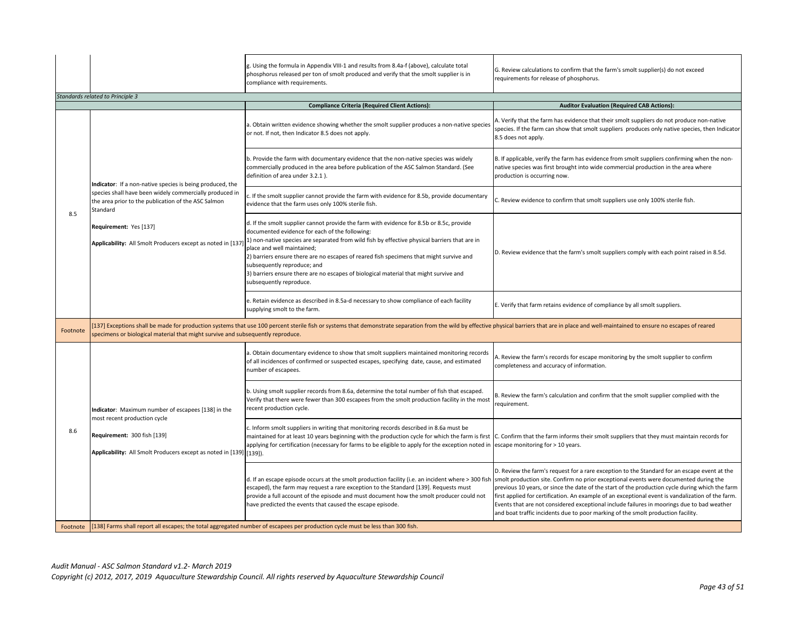|          |                                                                                                                                                                                          | g. Using the formula in Appendix VIII-1 and results from 8.4a-f (above), calculate total<br>phosphorus released per ton of smolt produced and verify that the smolt supplier is in<br>compliance with requirements.                                                                                                                                                                                                                                                                                                     | G. Review calculations to confirm that the farm's smolt supplier(s) do not exceed<br>requirements for release of phosphorus.                                                                                                                                                                                                                                                                                                                                                                                                                                                    |
|----------|------------------------------------------------------------------------------------------------------------------------------------------------------------------------------------------|-------------------------------------------------------------------------------------------------------------------------------------------------------------------------------------------------------------------------------------------------------------------------------------------------------------------------------------------------------------------------------------------------------------------------------------------------------------------------------------------------------------------------|---------------------------------------------------------------------------------------------------------------------------------------------------------------------------------------------------------------------------------------------------------------------------------------------------------------------------------------------------------------------------------------------------------------------------------------------------------------------------------------------------------------------------------------------------------------------------------|
|          | <b>Standards related to Principle 3</b>                                                                                                                                                  |                                                                                                                                                                                                                                                                                                                                                                                                                                                                                                                         |                                                                                                                                                                                                                                                                                                                                                                                                                                                                                                                                                                                 |
|          |                                                                                                                                                                                          | <b>Compliance Criteria (Required Client Actions):</b>                                                                                                                                                                                                                                                                                                                                                                                                                                                                   | <b>Auditor Evaluation (Required CAB Actions):</b>                                                                                                                                                                                                                                                                                                                                                                                                                                                                                                                               |
|          |                                                                                                                                                                                          | a. Obtain written evidence showing whether the smolt supplier produces a non-native species<br>or not. If not, then Indicator 8.5 does not apply.                                                                                                                                                                                                                                                                                                                                                                       | . Verify that the farm has evidence that their smolt suppliers do not produce non-native<br>species. If the farm can show that smolt suppliers produces only native species, then Indicator<br>8.5 does not apply.                                                                                                                                                                                                                                                                                                                                                              |
|          | Indicator: If a non-native species is being produced, the                                                                                                                                | b. Provide the farm with documentary evidence that the non-native species was widely<br>commercially produced in the area before publication of the ASC Salmon Standard. (See<br>definition of area under 3.2.1).                                                                                                                                                                                                                                                                                                       | B. If applicable, verify the farm has evidence from smolt suppliers confirming when the non-<br>native species was first brought into wide commercial production in the area where<br>production is occurring now.                                                                                                                                                                                                                                                                                                                                                              |
| 8.5      | species shall have been widely commercially produced in<br>the area prior to the publication of the ASC Salmon<br>Standard                                                               | c. If the smolt supplier cannot provide the farm with evidence for 8.5b, provide documentary<br>evidence that the farm uses only 100% sterile fish.                                                                                                                                                                                                                                                                                                                                                                     | C. Review evidence to confirm that smolt suppliers use only 100% sterile fish.                                                                                                                                                                                                                                                                                                                                                                                                                                                                                                  |
|          | Requirement: Yes [137]<br>Applicability: All Smolt Producers except as noted in [13]                                                                                                     | d. If the smolt supplier cannot provide the farm with evidence for 8.5b or 8.5c, provide<br>documented evidence for each of the following:<br>1) non-native species are separated from wild fish by effective physical barriers that are in<br>place and well maintained;<br>2) barriers ensure there are no escapes of reared fish specimens that might survive and<br>subsequently reproduce; and<br>3) barriers ensure there are no escapes of biological material that might survive and<br>subsequently reproduce. | D. Review evidence that the farm's smolt suppliers comply with each point raised in 8.5d.                                                                                                                                                                                                                                                                                                                                                                                                                                                                                       |
|          |                                                                                                                                                                                          | e. Retain evidence as described in 8.5a-d necessary to show compliance of each facility<br>supplying smolt to the farm.                                                                                                                                                                                                                                                                                                                                                                                                 | E. Verify that farm retains evidence of compliance by all smolt suppliers.                                                                                                                                                                                                                                                                                                                                                                                                                                                                                                      |
| Footnote | specimens or biological material that might survive and subsequently reproduce.                                                                                                          | 137] Exceptions shall be made for production systems that use 100 percent sterile fish or systems that demonstrate separation from the wild by effective physical barriers that are in place and well-maintained to ensure no                                                                                                                                                                                                                                                                                           |                                                                                                                                                                                                                                                                                                                                                                                                                                                                                                                                                                                 |
|          | Indicator: Maximum number of escapees [138] in the<br>most recent production cycle<br>Requirement: 300 fish [139]<br>Applicability: All Smolt Producers except as noted in [139] [139]). | a. Obtain documentary evidence to show that smolt suppliers maintained monitoring records<br>of all incidences of confirmed or suspected escapes, specifying date, cause, and estimated<br>number of escapees.                                                                                                                                                                                                                                                                                                          | A. Review the farm's records for escape monitoring by the smolt supplier to confirm<br>completeness and accuracy of information.                                                                                                                                                                                                                                                                                                                                                                                                                                                |
|          |                                                                                                                                                                                          | b. Using smolt supplier records from 8.6a, determine the total number of fish that escaped.<br>Verify that there were fewer than 300 escapees from the smolt production facility in the most<br>recent production cycle.                                                                                                                                                                                                                                                                                                | B. Review the farm's calculation and confirm that the smolt supplier complied with the<br>requirement.                                                                                                                                                                                                                                                                                                                                                                                                                                                                          |
| 8.6      |                                                                                                                                                                                          | c. Inform smolt suppliers in writing that monitoring records described in 8.6a must be<br>maintained for at least 10 years beginning with the production cycle for which the farm is first C. Confirm that the farm informs their smolt suppliers that they must maintain records for<br>applying for certification (necessary for farms to be eligible to apply for the exception noted in escape monitoring for > 10 years.                                                                                           |                                                                                                                                                                                                                                                                                                                                                                                                                                                                                                                                                                                 |
|          |                                                                                                                                                                                          | d. If an escape episode occurs at the smolt production facility (i.e. an incident where > 300 fish<br>escaped), the farm may request a rare exception to the Standard [139]. Requests must<br>provide a full account of the episode and must document how the smolt producer could not<br>have predicted the events that caused the escape episode.                                                                                                                                                                     | D. Review the farm's request for a rare exception to the Standard for an escape event at the<br>smolt production site. Confirm no prior exceptional events were documented during the<br>previous 10 years, or since the date of the start of the production cycle during which the farm<br>first applied for certification. An example of an exceptional event is vandalization of the farm.<br>Events that are not considered exceptional include failures in moorings due to bad weather<br>and boat traffic incidents due to poor marking of the smolt production facility. |
| Footnote |                                                                                                                                                                                          | [138] Farms shall report all escapes; the total aggregated number of escapees per production cycle must be less than 300 fish.                                                                                                                                                                                                                                                                                                                                                                                          |                                                                                                                                                                                                                                                                                                                                                                                                                                                                                                                                                                                 |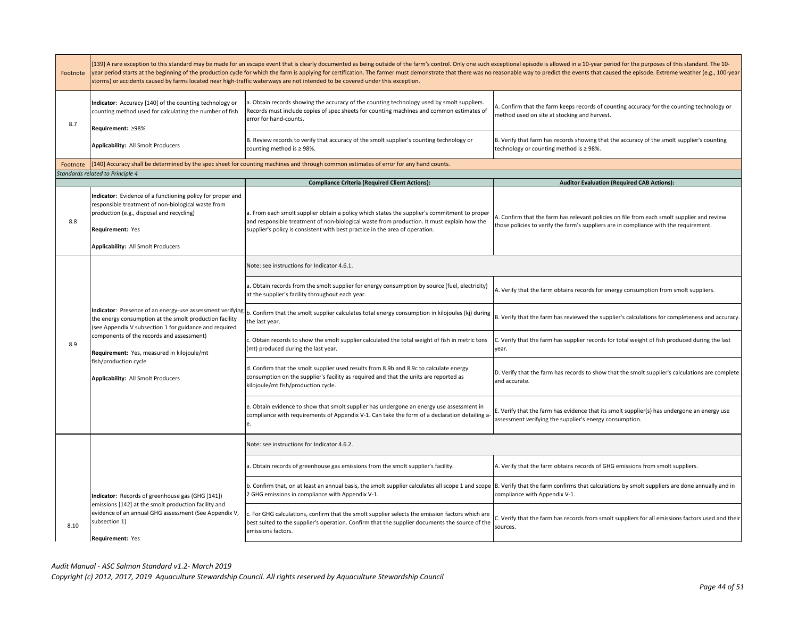| Footnote | [139] A rare exception to this standard may be made for an escape event that is clearly documented as being outside of the farm's control. Only one such exceptional episode is allowed in a 10-year period for the purposes o<br>year period starts at the beginning of the production cycle for which the farm is applying for certification. The farmer must demonstrate that there was no reasonable way to predict the events that caused the episode. Extr<br>storms) or accidents caused by farms located near high-traffic waterways are not intended to be covered under this exception. |                                                                                                                                                                                                                                                                            |                                                                                                                                                                                     |
|----------|---------------------------------------------------------------------------------------------------------------------------------------------------------------------------------------------------------------------------------------------------------------------------------------------------------------------------------------------------------------------------------------------------------------------------------------------------------------------------------------------------------------------------------------------------------------------------------------------------|----------------------------------------------------------------------------------------------------------------------------------------------------------------------------------------------------------------------------------------------------------------------------|-------------------------------------------------------------------------------------------------------------------------------------------------------------------------------------|
| 8.7      | Indicator: Accuracy [140] of the counting technology or<br>counting method used for calculating the number of fish<br>Requirement: ≥98%                                                                                                                                                                                                                                                                                                                                                                                                                                                           | a. Obtain records showing the accuracy of the counting technology used by smolt suppliers.<br>Records must include copies of spec sheets for counting machines and common estimates of<br>error for hand-counts.                                                           | A. Confirm that the farm keeps records of counting accuracy for the counting technology or<br>method used on site at stocking and harvest.                                          |
|          | Applicability: All Smolt Producers                                                                                                                                                                                                                                                                                                                                                                                                                                                                                                                                                                | B. Review records to verify that accuracy of the smolt supplier's counting technology or<br>counting method is ≥98%.                                                                                                                                                       | B. Verify that farm has records showing that the accuracy of the smolt supplier's counting<br>technology or counting method is ≥ 98%.                                               |
| Footnote |                                                                                                                                                                                                                                                                                                                                                                                                                                                                                                                                                                                                   | [140] Accuracy shall be determined by the spec sheet for counting machines and through common estimates of error for any hand counts.                                                                                                                                      |                                                                                                                                                                                     |
|          | Standards related to Principle 4                                                                                                                                                                                                                                                                                                                                                                                                                                                                                                                                                                  | <b>Compliance Criteria (Required Client Actions):</b>                                                                                                                                                                                                                      | <b>Auditor Evaluation (Required CAB Actions):</b>                                                                                                                                   |
| 8.8      | Indicator: Evidence of a functioning policy for proper and<br>responsible treatment of non-biological waste from<br>production (e.g., disposal and recycling)<br>Requirement: Yes<br>Applicability: All Smolt Producers                                                                                                                                                                                                                                                                                                                                                                           | a. From each smolt supplier obtain a policy which states the supplier's commitment to proper<br>and responsible treatment of non-biological waste from production. It must explain how the<br>supplier's policy is consistent with best practice in the area of operation. | A. Confirm that the farm has relevant policies on file from each smolt supplier and review<br>those policies to verify the farm's suppliers are in compliance with the requirement. |
|          |                                                                                                                                                                                                                                                                                                                                                                                                                                                                                                                                                                                                   | Note: see instructions for Indicator 4.6.1.                                                                                                                                                                                                                                |                                                                                                                                                                                     |
|          | Indicator: Presence of an energy-use assessment verifying<br>the energy consumption at the smolt production facility<br>(see Appendix V subsection 1 for guidance and required<br>components of the records and assessment)<br>Requirement: Yes, measured in kilojoule/mt<br>fish/production cycle<br>Applicability: All Smolt Producers                                                                                                                                                                                                                                                          | a. Obtain records from the smolt supplier for energy consumption by source (fuel, electricity)<br>at the supplier's facility throughout each year.                                                                                                                         | A. Verify that the farm obtains records for energy consumption from smolt suppliers.                                                                                                |
|          |                                                                                                                                                                                                                                                                                                                                                                                                                                                                                                                                                                                                   | b. Confirm that the smolt supplier calculates total energy consumption in kilojoules (kj) during<br>the last year.                                                                                                                                                         | B. Verify that the farm has reviewed the supplier's calculations for completeness and accuracy.                                                                                     |
| 8.9      |                                                                                                                                                                                                                                                                                                                                                                                                                                                                                                                                                                                                   | . Obtain records to show the smolt supplier calculated the total weight of fish in metric tons<br>mt) produced during the last year.                                                                                                                                       | C. Verify that the farm has supplier records for total weight of fish produced during the last<br>year.                                                                             |
|          |                                                                                                                                                                                                                                                                                                                                                                                                                                                                                                                                                                                                   | d. Confirm that the smolt supplier used results from 8.9b and 8.9c to calculate energy<br>consumption on the supplier's facility as required and that the units are reported as<br>kilojoule/mt fish/production cycle.                                                     | D. Verify that the farm has records to show that the smolt supplier's calculations are complete<br>and accurate.                                                                    |
|          |                                                                                                                                                                                                                                                                                                                                                                                                                                                                                                                                                                                                   | e. Obtain evidence to show that smolt supplier has undergone an energy use assessment in<br>compliance with requirements of Appendix V-1. Can take the form of a declaration detailing a-                                                                                  | E. Verify that the farm has evidence that its smolt supplier(s) has undergone an energy use<br>assessment verifying the supplier's energy consumption.                              |
|          |                                                                                                                                                                                                                                                                                                                                                                                                                                                                                                                                                                                                   | Note: see instructions for Indicator 4.6.2.                                                                                                                                                                                                                                |                                                                                                                                                                                     |
|          |                                                                                                                                                                                                                                                                                                                                                                                                                                                                                                                                                                                                   | a. Obtain records of greenhouse gas emissions from the smolt supplier's facility.                                                                                                                                                                                          | A. Verify that the farm obtains records of GHG emissions from smolt suppliers.                                                                                                      |
|          | Indicator: Records of greenhouse gas (GHG [141])                                                                                                                                                                                                                                                                                                                                                                                                                                                                                                                                                  | b. Confirm that, on at least an annual basis, the smolt supplier calculates all scope 1 and scope<br>2 GHG emissions in compliance with Appendix V-1.                                                                                                                      | B. Verify that the farm confirms that calculations by smolt suppliers are done annually and in<br>compliance with Appendix V-1.                                                     |
| 8.10     | emissions [142] at the smolt production facility and<br>evidence of an annual GHG assessment (See Appendix V,<br>subsection 1)<br>Requirement: Yes                                                                                                                                                                                                                                                                                                                                                                                                                                                | c. For GHG calculations, confirm that the smolt supplier selects the emission factors which are<br>best suited to the supplier's operation. Confirm that the supplier documents the source of the<br>emissions factors.                                                    | C. Verify that the farm has records from smolt suppliers for all emissions factors used and their<br>sources.                                                                       |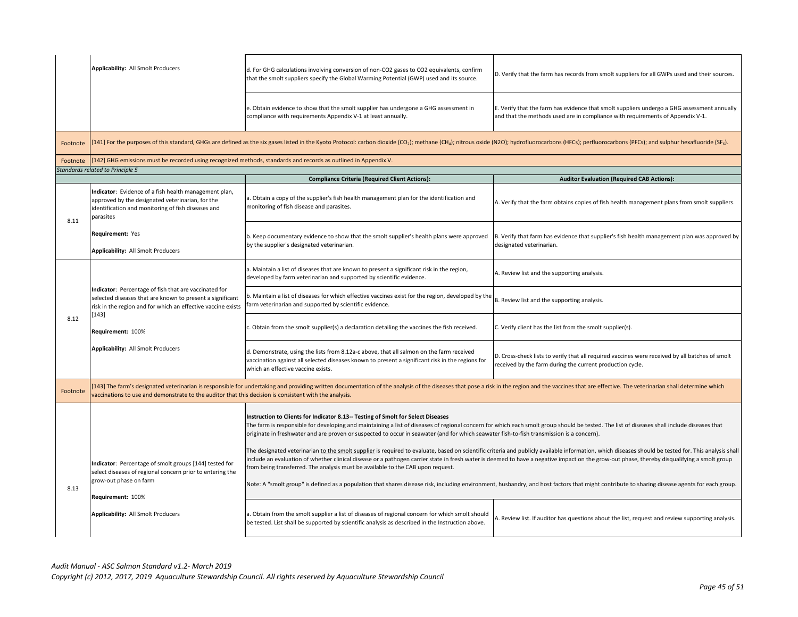|          | Applicability: All Smolt Producers                                                                                                                                                            | d. For GHG calculations involving conversion of non-CO2 gases to CO2 equivalents, confirm<br>that the smolt suppliers specify the Global Warming Potential (GWP) used and its source.                                                                                                                                                                                                                                                                                           | D. Verify that the farm has records from smolt suppliers for all GWPs used and their sources.                                                                                                        |
|----------|-----------------------------------------------------------------------------------------------------------------------------------------------------------------------------------------------|---------------------------------------------------------------------------------------------------------------------------------------------------------------------------------------------------------------------------------------------------------------------------------------------------------------------------------------------------------------------------------------------------------------------------------------------------------------------------------|------------------------------------------------------------------------------------------------------------------------------------------------------------------------------------------------------|
|          |                                                                                                                                                                                               | e. Obtain evidence to show that the smolt supplier has undergone a GHG assessment in<br>compliance with requirements Appendix V-1 at least annually.                                                                                                                                                                                                                                                                                                                            | E. Verify that the farm has evidence that smolt suppliers undergo a GHG assessment annually<br>and that the methods used are in compliance with requirements of Appendix V-1.                        |
| Footnote |                                                                                                                                                                                               | 141] For the purposes of this standard, GHGs are defined as the six gases listed in the Kyoto Protocol: carbon dioxide (CO <sub>2</sub> ); methane (CH <sub>a</sub> ); nitrous oxide (N2O); hydrofluorocarbons (HFCs); perfluorocarbons (PFCs); and                                                                                                                                                                                                                             |                                                                                                                                                                                                      |
| Footnote | [142] GHG emissions must be recorded using recognized methods, standards and records as outlined in Appendix V.                                                                               |                                                                                                                                                                                                                                                                                                                                                                                                                                                                                 |                                                                                                                                                                                                      |
|          | Standards related to Principle 5                                                                                                                                                              |                                                                                                                                                                                                                                                                                                                                                                                                                                                                                 |                                                                                                                                                                                                      |
|          |                                                                                                                                                                                               | <b>Compliance Criteria (Required Client Actions):</b>                                                                                                                                                                                                                                                                                                                                                                                                                           | <b>Auditor Evaluation (Required CAB Actions):</b>                                                                                                                                                    |
| 8.11     | Indicator: Evidence of a fish health management plan,<br>approved by the designated veterinarian, for the<br>identification and monitoring of fish diseases and<br>parasites                  | a. Obtain a copy of the supplier's fish health management plan for the identification and<br>monitoring of fish disease and parasites.                                                                                                                                                                                                                                                                                                                                          | A. Verify that the farm obtains copies of fish health management plans from smolt suppliers.                                                                                                         |
|          | Requirement: Yes<br>Applicability: All Smolt Producers                                                                                                                                        | b. Keep documentary evidence to show that the smolt supplier's health plans were approved<br>by the supplier's designated veterinarian.                                                                                                                                                                                                                                                                                                                                         | B. Verify that farm has evidence that supplier's fish health management plan was approved by<br>designated veterinarian.                                                                             |
|          |                                                                                                                                                                                               | a. Maintain a list of diseases that are known to present a significant risk in the region,<br>developed by farm veterinarian and supported by scientific evidence.                                                                                                                                                                                                                                                                                                              | A. Review list and the supporting analysis.                                                                                                                                                          |
|          | Indicator: Percentage of fish that are vaccinated for<br>selected diseases that are known to present a significant<br>risk in the region and for which an effective vaccine exists<br>$[143]$ | b. Maintain a list of diseases for which effective vaccines exist for the region, developed by the<br>farm veterinarian and supported by scientific evidence.                                                                                                                                                                                                                                                                                                                   | B. Review list and the supporting analysis.                                                                                                                                                          |
| 8.12     | Requirement: 100%                                                                                                                                                                             | c. Obtain from the smolt supplier(s) a declaration detailing the vaccines the fish received.                                                                                                                                                                                                                                                                                                                                                                                    | C. Verify client has the list from the smolt supplier(s).                                                                                                                                            |
|          | Applicability: All Smolt Producers                                                                                                                                                            | d. Demonstrate, using the lists from 8.12a-c above, that all salmon on the farm received<br>vaccination against all selected diseases known to present a significant risk in the regions for<br>which an effective vaccine exists.                                                                                                                                                                                                                                              | D. Cross-check lists to verify that all required vaccines were received by all batches of smolt<br>received by the farm during the current production cycle.                                         |
| Footnote | vaccinations to use and demonstrate to the auditor that this decision is consistent with the analysis.                                                                                        | 143] The farm's designated veterinarian is responsible for undertaking and providing written documentation of the analysis of the diseases that pose a risk in the region and the vaccines that are effective. The veterinaria                                                                                                                                                                                                                                                  |                                                                                                                                                                                                      |
|          |                                                                                                                                                                                               | Instruction to Clients for Indicator 8.13-- Testing of Smolt for Select Diseases<br>The farm is responsible for developing and maintaining a list of diseases of regional concern for which each smolt group should be tested. The list of diseases shall include diseases that<br>originate in freshwater and are proven or suspected to occur in seawater (and for which seawater fish-to-fish transmission is a concern).                                                    |                                                                                                                                                                                                      |
|          | Indicator: Percentage of smolt groups [144] tested for<br>select diseases of regional concern prior to entering the<br>grow-out phase on farm                                                 | include an evaluation of whether clinical disease or a pathogen carrier state in fresh water is deemed to have a negative impact on the grow-out phase, thereby disqualifying a smolt group<br>from being transferred. The analysis must be available to the CAB upon request.<br>Note: A "smolt group" is defined as a population that shares disease risk, including environment, husbandry, and host factors that might contribute to sharing disease agents for each group. | The designated veterinarian to the smolt supplier is required to evaluate, based on scientific criteria and publicly available information, which diseases should be tested for. This analysis shall |
| 8.13     | Requirement: 100%                                                                                                                                                                             |                                                                                                                                                                                                                                                                                                                                                                                                                                                                                 |                                                                                                                                                                                                      |
|          | Applicability: All Smolt Producers                                                                                                                                                            | a. Obtain from the smolt supplier a list of diseases of regional concern for which smolt should<br>be tested. List shall be supported by scientific analysis as described in the Instruction above.                                                                                                                                                                                                                                                                             | A. Review list. If auditor has questions about the list, request and review supporting analysis.                                                                                                     |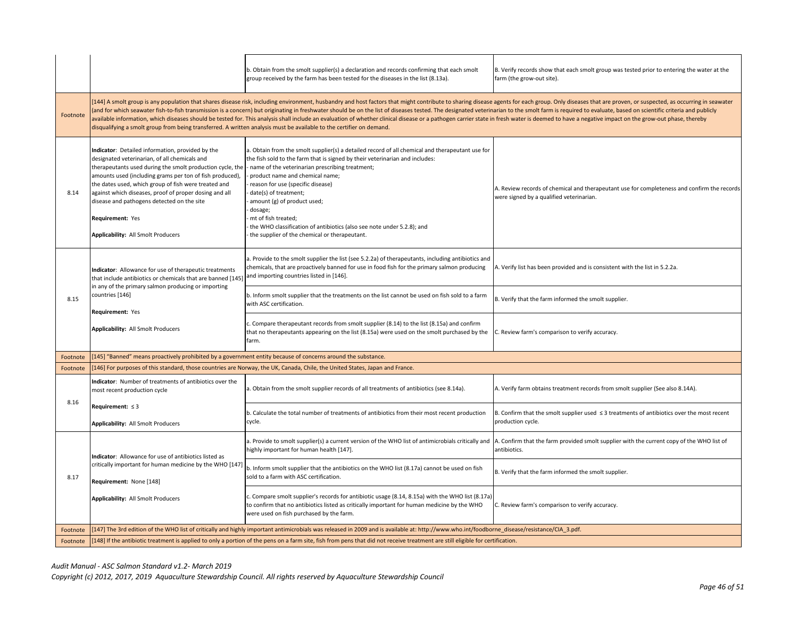|          |                                                                                                                                                                                                                                                                                                                                                                                                                                                      | b. Obtain from the smolt supplier(s) a declaration and records confirming that each smolt<br>group received by the farm has been tested for the diseases in the list (8.13a).                                                                                                                                                                                                                                                                                                                                                                                                                                                                                                                      | B. Verify records show that each smolt group was tested prior to entering the water at the<br>farm (the grow-out site).                 |
|----------|------------------------------------------------------------------------------------------------------------------------------------------------------------------------------------------------------------------------------------------------------------------------------------------------------------------------------------------------------------------------------------------------------------------------------------------------------|----------------------------------------------------------------------------------------------------------------------------------------------------------------------------------------------------------------------------------------------------------------------------------------------------------------------------------------------------------------------------------------------------------------------------------------------------------------------------------------------------------------------------------------------------------------------------------------------------------------------------------------------------------------------------------------------------|-----------------------------------------------------------------------------------------------------------------------------------------|
| Footnote | disqualifying a smolt group from being transferred. A written analysis must be available to the certifier on demand.                                                                                                                                                                                                                                                                                                                                 | [144] A smolt group is any population that shares disease risk, including environment, husbandry and host factors that might contribute to sharing disease agents for each group. Only diseases that are proven, or suspected,<br>and for which seawater fish-to-fish transmission is a concern) but originating in freshwater should be on the list of diseases tested. The designated veterinarian to the smolt farm is required to evaluate, based on scienti<br>available information, which diseases should be tested for. This analysis shall include an evaluation of whether clinical disease or a pathogen carrier state in fresh water is deemed to have a negative impact on the grow-o |                                                                                                                                         |
| 8.14     | Indicator: Detailed information, provided by the<br>designated veterinarian, of all chemicals and<br>therapeutants used during the smolt production cycle, the<br>amounts used (including grams per ton of fish produced),<br>the dates used, which group of fish were treated and<br>against which diseases, proof of proper dosing and all<br>disease and pathogens detected on the site<br>Requirement: Yes<br>Applicability: All Smolt Producers | a. Obtain from the smolt supplier(s) a detailed record of all chemical and therapeutant use for<br>the fish sold to the farm that is signed by their veterinarian and includes:<br>- name of the veterinarian prescribing treatment;<br>product name and chemical name;<br>reason for use (specific disease)<br>date(s) of treatment;<br>amount (g) of product used;<br>dosage;<br>mt of fish treated;<br>the WHO classification of antibiotics (also see note under 5.2.8); and<br>the supplier of the chemical or therapeutant.                                                                                                                                                                  | A. Review records of chemical and therapeutant use for completeness and confirm the records<br>were signed by a qualified veterinarian. |
|          | Indicator: Allowance for use of therapeutic treatments<br>that include antibiotics or chemicals that are banned [145]<br>in any of the primary salmon producing or importing<br>countries [146]<br>Requirement: Yes                                                                                                                                                                                                                                  | a. Provide to the smolt supplier the list (see 5.2.2a) of therapeutants, including antibiotics and<br>chemicals, that are proactively banned for use in food fish for the primary salmon producing<br>and importing countries listed in [146].                                                                                                                                                                                                                                                                                                                                                                                                                                                     | A. Verify list has been provided and is consistent with the list in 5.2.2a.                                                             |
| 8.15     |                                                                                                                                                                                                                                                                                                                                                                                                                                                      | b. Inform smolt supplier that the treatments on the list cannot be used on fish sold to a farm<br>with ASC certification.                                                                                                                                                                                                                                                                                                                                                                                                                                                                                                                                                                          | B. Verify that the farm informed the smolt supplier.                                                                                    |
|          | Applicability: All Smolt Producers                                                                                                                                                                                                                                                                                                                                                                                                                   | c. Compare therapeutant records from smolt supplier (8.14) to the list (8.15a) and confirm<br>that no therapeutants appearing on the list (8.15a) were used on the smolt purchased by the<br>farm.                                                                                                                                                                                                                                                                                                                                                                                                                                                                                                 | C. Review farm's comparison to verify accuracy.                                                                                         |
| Footnote | 145] "Banned" means proactively prohibited by a government entity because of concerns around the substance.                                                                                                                                                                                                                                                                                                                                          |                                                                                                                                                                                                                                                                                                                                                                                                                                                                                                                                                                                                                                                                                                    |                                                                                                                                         |
| Footnote |                                                                                                                                                                                                                                                                                                                                                                                                                                                      | 146] For purposes of this standard, those countries are Norway, the UK, Canada, Chile, the United States, Japan and France.                                                                                                                                                                                                                                                                                                                                                                                                                                                                                                                                                                        |                                                                                                                                         |
| 8.16     | Indicator: Number of treatments of antibiotics over the<br>most recent production cycle                                                                                                                                                                                                                                                                                                                                                              | a. Obtain from the smolt supplier records of all treatments of antibiotics (see 8.14a).                                                                                                                                                                                                                                                                                                                                                                                                                                                                                                                                                                                                            | A. Verify farm obtains treatment records from smolt supplier (See also 8.14A).                                                          |
|          | Requirement: $\leq$ 3<br>Applicability: All Smolt Producers                                                                                                                                                                                                                                                                                                                                                                                          | b. Calculate the total number of treatments of antibiotics from their most recent production<br>cycle.                                                                                                                                                                                                                                                                                                                                                                                                                                                                                                                                                                                             | B. Confirm that the smolt supplier used $\leq$ 3 treatments of antibiotics over the most recent<br>production cycle.                    |
|          | Indicator: Allowance for use of antibiotics listed as                                                                                                                                                                                                                                                                                                                                                                                                | a. Provide to smolt supplier(s) a current version of the WHO list of antimicrobials critically and<br>highly important for human health [147].                                                                                                                                                                                                                                                                                                                                                                                                                                                                                                                                                     | A. Confirm that the farm provided smolt supplier with the current copy of the WHO list of<br>antibiotics.                               |
| 8.17     | critically important for human medicine by the WHO [147]<br>Requirement: None [148]                                                                                                                                                                                                                                                                                                                                                                  | b. Inform smolt supplier that the antibiotics on the WHO list (8.17a) cannot be used on fish<br>sold to a farm with ASC certification.                                                                                                                                                                                                                                                                                                                                                                                                                                                                                                                                                             | B. Verify that the farm informed the smolt supplier.                                                                                    |
|          | Applicability: All Smolt Producers                                                                                                                                                                                                                                                                                                                                                                                                                   | c. Compare smolt supplier's records for antibiotic usage (8.14, 8.15a) with the WHO list (8.17a)<br>to confirm that no antibiotics listed as critically important for human medicine by the WHO<br>were used on fish purchased by the farm.                                                                                                                                                                                                                                                                                                                                                                                                                                                        | C. Review farm's comparison to verify accuracy.                                                                                         |
| Footnote |                                                                                                                                                                                                                                                                                                                                                                                                                                                      | [147] The 3rd edition of the WHO list of critically and highly important antimicrobials was released in 2009 and is available at: http://www.who.int/foodborne disease/resistance/CIA 3.pdf.                                                                                                                                                                                                                                                                                                                                                                                                                                                                                                       |                                                                                                                                         |
| Footnote | [148] If the antibiotic treatment is applied to only a portion of the pens on a farm site, fish from pens that did not receive treatment are still eligible for certification.                                                                                                                                                                                                                                                                       |                                                                                                                                                                                                                                                                                                                                                                                                                                                                                                                                                                                                                                                                                                    |                                                                                                                                         |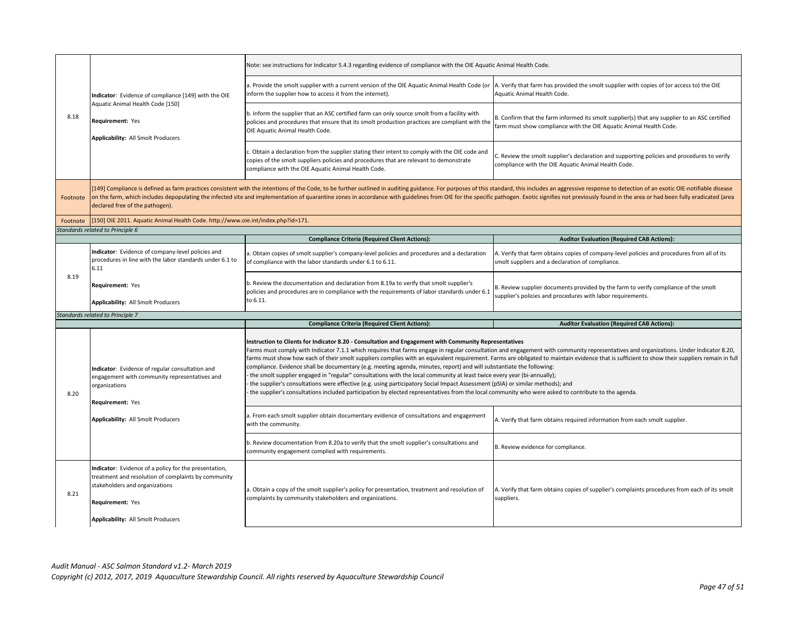| Indicator: Evidence of compliance [149] with the OIE<br>Aquatic Animal Health Code [150]<br>Requirement: Yes<br>Applicability: All Smolt Producers                                                       | Note: see instructions for Indicator 5.4.3 regarding evidence of compliance with the OIE Aquatic Animal Health Code.                                                                                                                                                                                                                                                                                                                                                                                                                                                                                                                                                                                                                                                                                                                                                                                                                                                                                                                           |                                                                                                                                                                                                                                                                                                                                                                                                                                                                                                                                                                                                               |
|----------------------------------------------------------------------------------------------------------------------------------------------------------------------------------------------------------|------------------------------------------------------------------------------------------------------------------------------------------------------------------------------------------------------------------------------------------------------------------------------------------------------------------------------------------------------------------------------------------------------------------------------------------------------------------------------------------------------------------------------------------------------------------------------------------------------------------------------------------------------------------------------------------------------------------------------------------------------------------------------------------------------------------------------------------------------------------------------------------------------------------------------------------------------------------------------------------------------------------------------------------------|---------------------------------------------------------------------------------------------------------------------------------------------------------------------------------------------------------------------------------------------------------------------------------------------------------------------------------------------------------------------------------------------------------------------------------------------------------------------------------------------------------------------------------------------------------------------------------------------------------------|
|                                                                                                                                                                                                          | a. Provide the smolt supplier with a current version of the OIE Aquatic Animal Health Code (or<br>inform the supplier how to access it from the internet).                                                                                                                                                                                                                                                                                                                                                                                                                                                                                                                                                                                                                                                                                                                                                                                                                                                                                     | A. Verify that farm has provided the smolt supplier with copies of (or access to) the OIE<br>Aquatic Animal Health Code.                                                                                                                                                                                                                                                                                                                                                                                                                                                                                      |
|                                                                                                                                                                                                          | b. Inform the supplier that an ASC certified farm can only source smolt from a facility with<br>policies and procedures that ensure that its smolt production practices are compliant with the<br>OIE Aquatic Animal Health Code.                                                                                                                                                                                                                                                                                                                                                                                                                                                                                                                                                                                                                                                                                                                                                                                                              | B. Confirm that the farm informed its smolt supplier(s) that any supplier to an ASC certified<br>farm must show compliance with the OIE Aquatic Animal Health Code.                                                                                                                                                                                                                                                                                                                                                                                                                                           |
|                                                                                                                                                                                                          | c. Obtain a declaration from the supplier stating their intent to comply with the OIE code and<br>copies of the smolt suppliers policies and procedures that are relevant to demonstrate<br>compliance with the OIE Aquatic Animal Health Code.                                                                                                                                                                                                                                                                                                                                                                                                                                                                                                                                                                                                                                                                                                                                                                                                | C. Review the smolt supplier's declaration and supporting policies and procedures to verify<br>compliance with the OIE Aquatic Animal Health Code.                                                                                                                                                                                                                                                                                                                                                                                                                                                            |
| declared free of the pathogen).                                                                                                                                                                          |                                                                                                                                                                                                                                                                                                                                                                                                                                                                                                                                                                                                                                                                                                                                                                                                                                                                                                                                                                                                                                                |                                                                                                                                                                                                                                                                                                                                                                                                                                                                                                                                                                                                               |
|                                                                                                                                                                                                          |                                                                                                                                                                                                                                                                                                                                                                                                                                                                                                                                                                                                                                                                                                                                                                                                                                                                                                                                                                                                                                                |                                                                                                                                                                                                                                                                                                                                                                                                                                                                                                                                                                                                               |
|                                                                                                                                                                                                          |                                                                                                                                                                                                                                                                                                                                                                                                                                                                                                                                                                                                                                                                                                                                                                                                                                                                                                                                                                                                                                                | <b>Auditor Evaluation (Required CAB Actions):</b>                                                                                                                                                                                                                                                                                                                                                                                                                                                                                                                                                             |
| Indicator: Evidence of company-level policies and<br>procedures in line with the labor standards under 6.1 to                                                                                            | a. Obtain copies of smolt supplier's company-level policies and procedures and a declaration<br>of compliance with the labor standards under 6.1 to 6.11.                                                                                                                                                                                                                                                                                                                                                                                                                                                                                                                                                                                                                                                                                                                                                                                                                                                                                      | A. Verify that farm obtains copies of company-level policies and procedures from all of its<br>smolt suppliers and a declaration of compliance.                                                                                                                                                                                                                                                                                                                                                                                                                                                               |
| Requirement: Yes<br>Applicability: All Smolt Producers                                                                                                                                                   | b. Review the documentation and declaration from 8.19a to verify that smolt supplier's<br>policies and procedures are in compliance with the requirements of labor standards under 6.1<br>to 6.11.                                                                                                                                                                                                                                                                                                                                                                                                                                                                                                                                                                                                                                                                                                                                                                                                                                             | B. Review supplier documents provided by the farm to verify compliance of the smolt<br>supplier's policies and procedures with labor requirements.                                                                                                                                                                                                                                                                                                                                                                                                                                                            |
| Standards related to Principle 7                                                                                                                                                                         |                                                                                                                                                                                                                                                                                                                                                                                                                                                                                                                                                                                                                                                                                                                                                                                                                                                                                                                                                                                                                                                |                                                                                                                                                                                                                                                                                                                                                                                                                                                                                                                                                                                                               |
|                                                                                                                                                                                                          | <b>Compliance Criteria (Required Client Actions):</b>                                                                                                                                                                                                                                                                                                                                                                                                                                                                                                                                                                                                                                                                                                                                                                                                                                                                                                                                                                                          | <b>Auditor Evaluation (Required CAB Actions):</b>                                                                                                                                                                                                                                                                                                                                                                                                                                                                                                                                                             |
| Indicator: Evidence of regular consultation and<br>engagement with community representatives and<br>organizations<br><b>Requirement: Yes</b>                                                             | Instruction to Clients for Indicator 8.20 - Consultation and Engagement with Community Representatives<br>Farms must comply with Indicator 7.1.1 which requires that farms engage in regular consultation and engagement with community representatives and organizations. Under Indicator 8.20,<br>farms must show how each of their smolt suppliers complies with an equivalent requirement. Farms are obligated to maintain evidence that is sufficient to show their suppliers remain in full<br>compliance. Evidence shall be documentary (e.g. meeting agenda, minutes, report) and will substantiate the following:<br>the smolt supplier engaged in "regular" consultations with the local community at least twice every year (bi-annually);<br>the supplier's consultations were effective (e.g. using participatory Social Impact Assessment (pSIA) or similar methods); and<br>the supplier's consultations included participation by elected representatives from the local community who were asked to contribute to the agenda. |                                                                                                                                                                                                                                                                                                                                                                                                                                                                                                                                                                                                               |
| Applicability: All Smolt Producers                                                                                                                                                                       | a. From each smolt supplier obtain documentary evidence of consultations and engagement<br>with the community.                                                                                                                                                                                                                                                                                                                                                                                                                                                                                                                                                                                                                                                                                                                                                                                                                                                                                                                                 | A. Verify that farm obtains required information from each smolt supplier.                                                                                                                                                                                                                                                                                                                                                                                                                                                                                                                                    |
|                                                                                                                                                                                                          | b. Review documentation from 8.20a to verify that the smolt supplier's consultations and<br>community engagement complied with requirements.                                                                                                                                                                                                                                                                                                                                                                                                                                                                                                                                                                                                                                                                                                                                                                                                                                                                                                   | B. Review evidence for compliance.                                                                                                                                                                                                                                                                                                                                                                                                                                                                                                                                                                            |
| Indicator: Evidence of a policy for the presentation,<br>treatment and resolution of complaints by community<br>stakeholders and organizations<br>Requirement: Yes<br>Applicability: All Smolt Producers | a. Obtain a copy of the smolt supplier's policy for presentation, treatment and resolution of<br>complaints by community stakeholders and organizations.                                                                                                                                                                                                                                                                                                                                                                                                                                                                                                                                                                                                                                                                                                                                                                                                                                                                                       | A. Verify that farm obtains copies of supplier's complaints procedures from each of its smolt<br>suppliers.                                                                                                                                                                                                                                                                                                                                                                                                                                                                                                   |
|                                                                                                                                                                                                          | Standards related to Principle 6<br>6.11                                                                                                                                                                                                                                                                                                                                                                                                                                                                                                                                                                                                                                                                                                                                                                                                                                                                                                                                                                                                       | 149] Compliance is defined as farm practices consistent with the intentions of the Code, to be further outlined in auditing guidance. For purposes of this standard, this includes an aggressive response to detection of an e<br>on the farm, which includes depopulating the infected site and implementation of quarantine zones in accordance with guidelines from OIE for the specific pathogen. Exotic signifies not previously found in the area or had b<br>[150] OIE 2011. Aquatic Animal Health Code. http://www.oie.int/index.php?id=171.<br><b>Compliance Criteria (Required Client Actions):</b> |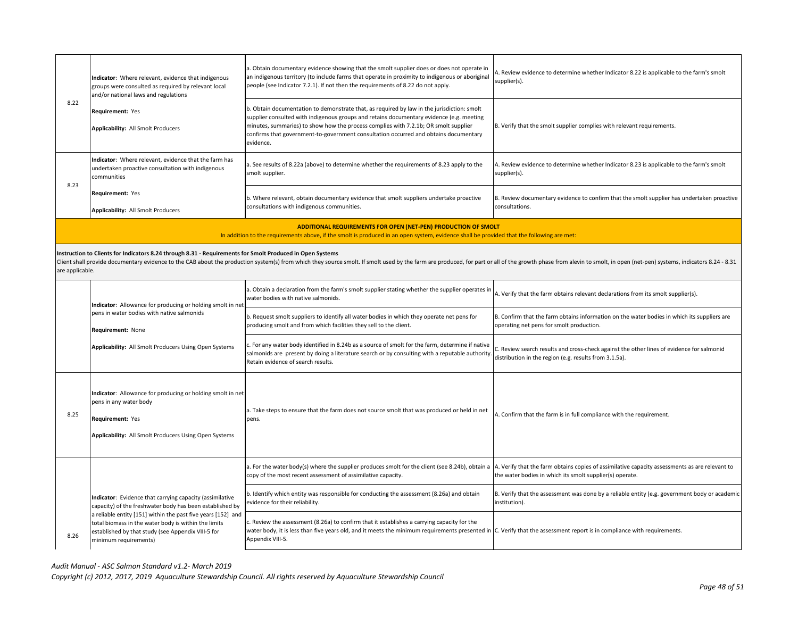| 8.22                                                                                                                                                                                                                                                                                                                                                           | Indicator: Where relevant, evidence that indigenous<br>groups were consulted as required by relevant local<br>and/or national laws and regulations                                                                                                                                                                          | a. Obtain documentary evidence showing that the smolt supplier does or does not operate in<br>an indigenous territory (to include farms that operate in proximity to indigenous or aboriginal<br>people (see Indicator 7.2.1). If not then the requirements of 8.22 do not apply.                                                                                                  | . Review evidence to determine whether Indicator 8.22 is applicable to the farm's smolt<br>supplier(s).                                                    |
|----------------------------------------------------------------------------------------------------------------------------------------------------------------------------------------------------------------------------------------------------------------------------------------------------------------------------------------------------------------|-----------------------------------------------------------------------------------------------------------------------------------------------------------------------------------------------------------------------------------------------------------------------------------------------------------------------------|------------------------------------------------------------------------------------------------------------------------------------------------------------------------------------------------------------------------------------------------------------------------------------------------------------------------------------------------------------------------------------|------------------------------------------------------------------------------------------------------------------------------------------------------------|
|                                                                                                                                                                                                                                                                                                                                                                | Requirement: Yes<br>Applicability: All Smolt Producers                                                                                                                                                                                                                                                                      | b. Obtain documentation to demonstrate that, as required by law in the jurisdiction: smolt<br>supplier consulted with indigenous groups and retains documentary evidence (e.g. meeting<br>minutes, summaries) to show how the process complies with 7.2.1b; OR smolt supplier<br>confirms that government-to-government consultation occurred and obtains documentary<br>evidence. | B. Verify that the smolt supplier complies with relevant requirements.                                                                                     |
| 8.23                                                                                                                                                                                                                                                                                                                                                           | Indicator: Where relevant, evidence that the farm has<br>undertaken proactive consultation with indigenous<br>communities                                                                                                                                                                                                   | a. See results of 8.22a (above) to determine whether the requirements of 8.23 apply to the<br>smolt supplier.                                                                                                                                                                                                                                                                      | A. Review evidence to determine whether Indicator 8.23 is applicable to the farm's smolt<br>supplier(s).                                                   |
|                                                                                                                                                                                                                                                                                                                                                                | Requirement: Yes<br>Applicability: All Smolt Producers                                                                                                                                                                                                                                                                      | b. Where relevant, obtain documentary evidence that smolt suppliers undertake proactive<br>consultations with indigenous communities.                                                                                                                                                                                                                                              | B. Review documentary evidence to confirm that the smolt supplier has undertaken proactive<br>consultations.                                               |
|                                                                                                                                                                                                                                                                                                                                                                |                                                                                                                                                                                                                                                                                                                             | ADDITIONAL REQUIREMENTS FOR OPEN (NET-PEN) PRODUCTION OF SMOLT<br>In addition to the requirements above, if the smolt is produced in an open system, evidence shall be provided that the following are met:                                                                                                                                                                        |                                                                                                                                                            |
| Instruction to Clients for Indicators 8.24 through 8.31 - Requirements for Smolt Produced in Open Systems<br>Client shall provide documentary evidence to the CAB about the production system(s) from which they source smolt. If smolt used by the farm are produced, for part or all of the growth phase from alevin to smolt, in open (n<br>are applicable. |                                                                                                                                                                                                                                                                                                                             |                                                                                                                                                                                                                                                                                                                                                                                    |                                                                                                                                                            |
|                                                                                                                                                                                                                                                                                                                                                                | Indicator: Allowance for producing or holding smolt in net<br>pens in water bodies with native salmonids<br>Requirement: None<br>Applicability: All Smolt Producers Using Open Systems                                                                                                                                      | a. Obtain a declaration from the farm's smolt supplier stating whether the supplier operates in<br>water bodies with native salmonids.                                                                                                                                                                                                                                             | A. Verify that the farm obtains relevant declarations from its smolt supplier(s).                                                                          |
|                                                                                                                                                                                                                                                                                                                                                                |                                                                                                                                                                                                                                                                                                                             | b. Request smolt suppliers to identify all water bodies in which they operate net pens for<br>producing smolt and from which facilities they sell to the client.                                                                                                                                                                                                                   | B. Confirm that the farm obtains information on the water bodies in which its suppliers are<br>operating net pens for smolt production.                    |
|                                                                                                                                                                                                                                                                                                                                                                |                                                                                                                                                                                                                                                                                                                             | For any water body identified in 8.24b as a source of smolt for the farm, determine if native<br>salmonids are present by doing a literature search or by consulting with a reputable authority<br>Retain evidence of search results.                                                                                                                                              | . Review search results and cross-check against the other lines of evidence for salmonid<br>distribution in the region (e.g. results from 3.1.5a).         |
| 8.25                                                                                                                                                                                                                                                                                                                                                           | Indicator: Allowance for producing or holding smolt in net<br>pens in any water body<br>Requirement: Yes<br>Applicability: All Smolt Producers Using Open Systems                                                                                                                                                           | a. Take steps to ensure that the farm does not source smolt that was produced or held in net<br>pens.                                                                                                                                                                                                                                                                              | A. Confirm that the farm is in full compliance with the requirement.                                                                                       |
|                                                                                                                                                                                                                                                                                                                                                                | Indicator: Evidence that carrying capacity (assimilative<br>capacity) of the freshwater body has been established by<br>a reliable entity [151] within the past five years [152] and<br>total biomass in the water body is within the limits<br>established by that study (see Appendix VIII-5 for<br>minimum requirements) | a. For the water body(s) where the supplier produces smolt for the client (see 8.24b), obtain a<br>copy of the most recent assessment of assimilative capacity.                                                                                                                                                                                                                    | A. Verify that the farm obtains copies of assimilative capacity assessments as are relevant to<br>the water bodies in which its smolt supplier(s) operate. |
| 8.26                                                                                                                                                                                                                                                                                                                                                           |                                                                                                                                                                                                                                                                                                                             | b. Identify which entity was responsible for conducting the assessment (8.26a) and obtain<br>evidence for their reliability.                                                                                                                                                                                                                                                       | B. Verify that the assessment was done by a reliable entity (e.g. government body or academic<br>institution).                                             |
|                                                                                                                                                                                                                                                                                                                                                                |                                                                                                                                                                                                                                                                                                                             | c. Review the assessment (8.26a) to confirm that it establishes a carrying capacity for the<br>water body, it is less than five years old, and it meets the minimum requirements presented in C. Verify that the assessment report is in compliance with requirements.<br>Appendix VIII-5.                                                                                         |                                                                                                                                                            |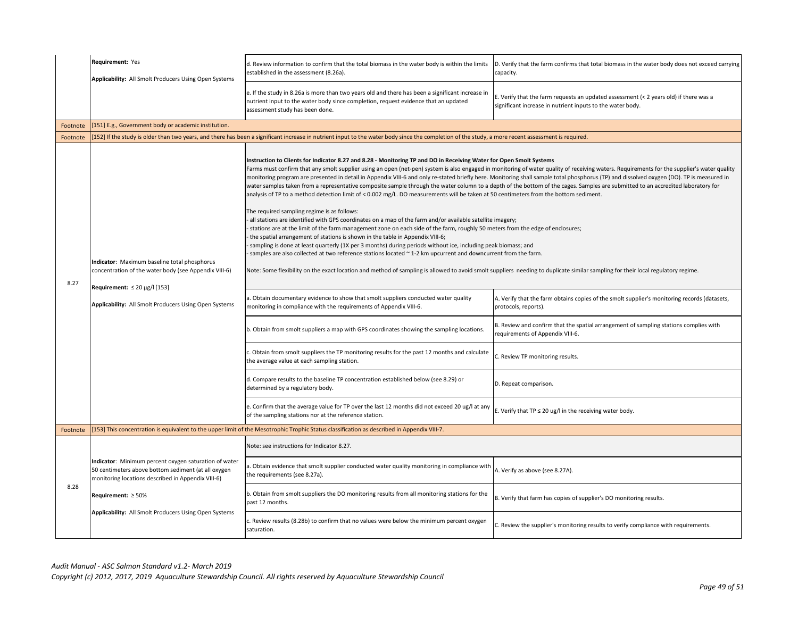|          | Requirement: Yes<br>Applicability: All Smolt Producers Using Open Systems                                                                                                                            | d. Review information to confirm that the total biomass in the water body is within the limits<br>established in the assessment (8.26a).                                                                                                                                                                                                                                                                                                                                                                                                                                                                                                                                                                                                                                                                                                                                                                                                                                                                                                                                                                                                                                                                                                                                                                                                                                                                                                                                                                                                                                                                                                           | D. Verify that the farm confirms that total biomass in the water body does not exceed carrying<br>capacity.                                         |
|----------|------------------------------------------------------------------------------------------------------------------------------------------------------------------------------------------------------|----------------------------------------------------------------------------------------------------------------------------------------------------------------------------------------------------------------------------------------------------------------------------------------------------------------------------------------------------------------------------------------------------------------------------------------------------------------------------------------------------------------------------------------------------------------------------------------------------------------------------------------------------------------------------------------------------------------------------------------------------------------------------------------------------------------------------------------------------------------------------------------------------------------------------------------------------------------------------------------------------------------------------------------------------------------------------------------------------------------------------------------------------------------------------------------------------------------------------------------------------------------------------------------------------------------------------------------------------------------------------------------------------------------------------------------------------------------------------------------------------------------------------------------------------------------------------------------------------------------------------------------------------|-----------------------------------------------------------------------------------------------------------------------------------------------------|
|          |                                                                                                                                                                                                      | e. If the study in 8.26a is more than two years old and there has been a significant increase in<br>nutrient input to the water body since completion, request evidence that an updated<br>assessment study has been done.                                                                                                                                                                                                                                                                                                                                                                                                                                                                                                                                                                                                                                                                                                                                                                                                                                                                                                                                                                                                                                                                                                                                                                                                                                                                                                                                                                                                                         | E. Verify that the farm requests an updated assessment (< 2 years old) if there was a<br>significant increase in nutrient inputs to the water body. |
| Footnote | [151] E.g., Government body or academic institution.                                                                                                                                                 |                                                                                                                                                                                                                                                                                                                                                                                                                                                                                                                                                                                                                                                                                                                                                                                                                                                                                                                                                                                                                                                                                                                                                                                                                                                                                                                                                                                                                                                                                                                                                                                                                                                    |                                                                                                                                                     |
| Footnote |                                                                                                                                                                                                      | [152] If the study is older than two years, and there has been a significant increase in nutrient input to the water body since the completion of the study, a more recent assessment is required.                                                                                                                                                                                                                                                                                                                                                                                                                                                                                                                                                                                                                                                                                                                                                                                                                                                                                                                                                                                                                                                                                                                                                                                                                                                                                                                                                                                                                                                 |                                                                                                                                                     |
| 8.27     | Indicator: Maximum baseline total phosphorus<br>concentration of the water body (see Appendix VIII-6)<br>Requirement: $\leq 20 \mu g / 153$<br>Applicability: All Smolt Producers Using Open Systems | Instruction to Clients for Indicator 8.27 and 8.28 - Monitoring TP and DO in Receiving Water for Open Smolt Systems<br>Farms must confirm that any smolt supplier using an open (net-pen) system is also engaged in monitoring of water quality of receiving waters. Requirements for the supplier's water quality<br>monitoring program are presented in detail in Appendix VIII-6 and only re-stated briefly here. Monitoring shall sample total phosphorus (TP) and dissolved oxygen (DO). TP is measured in<br>water samples taken from a representative composite sample through the water column to a depth of the bottom of the cages. Samples are submitted to an accredited laboratory for<br>analysis of TP to a method detection limit of < 0.002 mg/L. DO measurements will be taken at 50 centimeters from the bottom sediment.<br>The required sampling regime is as follows:<br>all stations are identified with GPS coordinates on a map of the farm and/or available satellite imagery;<br>stations are at the limit of the farm management zone on each side of the farm, roughly 50 meters from the edge of enclosures;<br>the spatial arrangement of stations is shown in the table in Appendix VIII-6;<br>sampling is done at least quarterly (1X per 3 months) during periods without ice, including peak biomass; and<br>samples are also collected at two reference stations located ~ 1-2 km upcurrent and downcurrent from the farm.<br>Note: Some flexibility on the exact location and method of sampling is allowed to avoid smolt suppliers needing to duplicate similar sampling for their local regulatory regime. |                                                                                                                                                     |
|          |                                                                                                                                                                                                      | a. Obtain documentary evidence to show that smolt suppliers conducted water quality<br>monitoring in compliance with the requirements of Appendix VIII-6.                                                                                                                                                                                                                                                                                                                                                                                                                                                                                                                                                                                                                                                                                                                                                                                                                                                                                                                                                                                                                                                                                                                                                                                                                                                                                                                                                                                                                                                                                          | A. Verify that the farm obtains copies of the smolt supplier's monitoring records (datasets,<br>protocols, reports).                                |
|          |                                                                                                                                                                                                      | b. Obtain from smolt suppliers a map with GPS coordinates showing the sampling locations.                                                                                                                                                                                                                                                                                                                                                                                                                                                                                                                                                                                                                                                                                                                                                                                                                                                                                                                                                                                                                                                                                                                                                                                                                                                                                                                                                                                                                                                                                                                                                          | B. Review and confirm that the spatial arrangement of sampling stations complies with<br>requirements of Appendix VIII-6.                           |
|          |                                                                                                                                                                                                      | c. Obtain from smolt suppliers the TP monitoring results for the past 12 months and calculate<br>the average value at each sampling station.                                                                                                                                                                                                                                                                                                                                                                                                                                                                                                                                                                                                                                                                                                                                                                                                                                                                                                                                                                                                                                                                                                                                                                                                                                                                                                                                                                                                                                                                                                       | C. Review TP monitoring results.                                                                                                                    |
|          |                                                                                                                                                                                                      | d. Compare results to the baseline TP concentration established below (see 8.29) or<br>determined by a regulatory body.                                                                                                                                                                                                                                                                                                                                                                                                                                                                                                                                                                                                                                                                                                                                                                                                                                                                                                                                                                                                                                                                                                                                                                                                                                                                                                                                                                                                                                                                                                                            | D. Repeat comparison.                                                                                                                               |
|          |                                                                                                                                                                                                      | e. Confirm that the average value for TP over the last 12 months did not exceed 20 ug/l at any<br>of the sampling stations nor at the reference station.                                                                                                                                                                                                                                                                                                                                                                                                                                                                                                                                                                                                                                                                                                                                                                                                                                                                                                                                                                                                                                                                                                                                                                                                                                                                                                                                                                                                                                                                                           | E. Verify that TP $\leq$ 20 ug/l in the receiving water body.                                                                                       |
| Footnote |                                                                                                                                                                                                      | [153] This concentration is equivalent to the upper limit of the Mesotrophic Trophic Status classification as described in Appendix VIII-7.                                                                                                                                                                                                                                                                                                                                                                                                                                                                                                                                                                                                                                                                                                                                                                                                                                                                                                                                                                                                                                                                                                                                                                                                                                                                                                                                                                                                                                                                                                        |                                                                                                                                                     |
|          | Indicator: Minimum percent oxygen saturation of water<br>50 centimeters above bottom sediment (at all oxygen<br>monitoring locations described in Appendix VIII-6)<br>Requirement: $\geq 50\%$       | Note: see instructions for Indicator 8.27.                                                                                                                                                                                                                                                                                                                                                                                                                                                                                                                                                                                                                                                                                                                                                                                                                                                                                                                                                                                                                                                                                                                                                                                                                                                                                                                                                                                                                                                                                                                                                                                                         |                                                                                                                                                     |
| 8.28     |                                                                                                                                                                                                      | a. Obtain evidence that smolt supplier conducted water quality monitoring in compliance with<br>the requirements (see 8.27a).                                                                                                                                                                                                                                                                                                                                                                                                                                                                                                                                                                                                                                                                                                                                                                                                                                                                                                                                                                                                                                                                                                                                                                                                                                                                                                                                                                                                                                                                                                                      | A. Verify as above (see 8.27A).                                                                                                                     |
|          |                                                                                                                                                                                                      | b. Obtain from smolt suppliers the DO monitoring results from all monitoring stations for the<br>past 12 months.                                                                                                                                                                                                                                                                                                                                                                                                                                                                                                                                                                                                                                                                                                                                                                                                                                                                                                                                                                                                                                                                                                                                                                                                                                                                                                                                                                                                                                                                                                                                   | B. Verify that farm has copies of supplier's DO monitoring results.                                                                                 |
|          | Applicability: All Smolt Producers Using Open Systems                                                                                                                                                | c. Review results (8.28b) to confirm that no values were below the minimum percent oxygen<br>saturation.                                                                                                                                                                                                                                                                                                                                                                                                                                                                                                                                                                                                                                                                                                                                                                                                                                                                                                                                                                                                                                                                                                                                                                                                                                                                                                                                                                                                                                                                                                                                           | C. Review the supplier's monitoring results to verify compliance with requirements.                                                                 |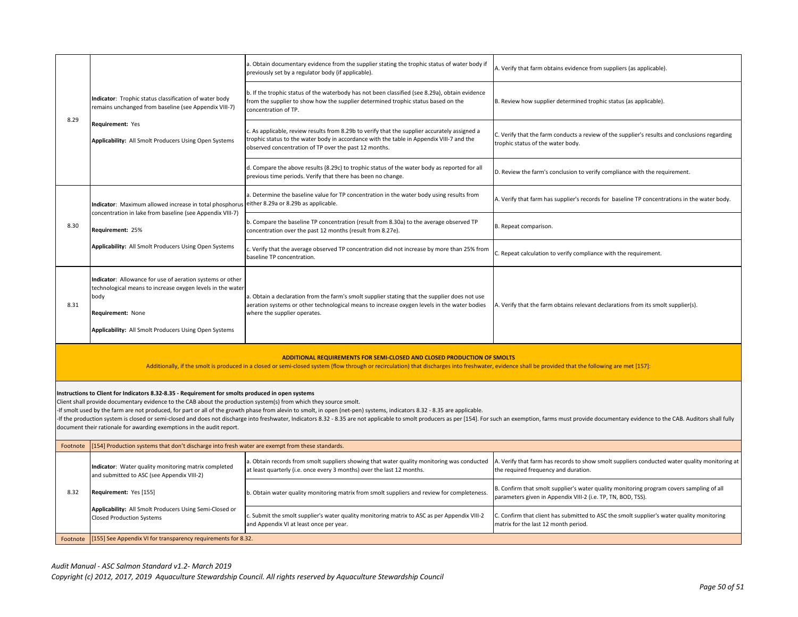| 8.29                                                                                                                                                                                                                                                                                                                                                                                                                                                                                                                                                                                                                                                                                                          | Indicator: Trophic status classification of water body<br>remains unchanged from baseline (see Appendix VIII-7)<br>Requirement: Yes<br>Applicability: All Smolt Producers Using Open Systems                  | a. Obtain documentary evidence from the supplier stating the trophic status of water body if<br>previously set by a regulator body (if applicable).                                                                                                | A. Verify that farm obtains evidence from suppliers (as applicable).                                                                                     |
|---------------------------------------------------------------------------------------------------------------------------------------------------------------------------------------------------------------------------------------------------------------------------------------------------------------------------------------------------------------------------------------------------------------------------------------------------------------------------------------------------------------------------------------------------------------------------------------------------------------------------------------------------------------------------------------------------------------|---------------------------------------------------------------------------------------------------------------------------------------------------------------------------------------------------------------|----------------------------------------------------------------------------------------------------------------------------------------------------------------------------------------------------------------------------------------------------|----------------------------------------------------------------------------------------------------------------------------------------------------------|
|                                                                                                                                                                                                                                                                                                                                                                                                                                                                                                                                                                                                                                                                                                               |                                                                                                                                                                                                               | b. If the trophic status of the waterbody has not been classified (see 8.29a), obtain evidence<br>from the supplier to show how the supplier determined trophic status based on the<br>concentration of TP.                                        | B. Review how supplier determined trophic status (as applicable).                                                                                        |
|                                                                                                                                                                                                                                                                                                                                                                                                                                                                                                                                                                                                                                                                                                               |                                                                                                                                                                                                               | c. As applicable, review results from 8.29b to verify that the supplier accurately assigned a<br>trophic status to the water body in accordance with the table in Appendix VIII-7 and the<br>observed concentration of TP over the past 12 months. | C. Verify that the farm conducts a review of the supplier's results and conclusions regarding<br>trophic status of the water body.                       |
|                                                                                                                                                                                                                                                                                                                                                                                                                                                                                                                                                                                                                                                                                                               |                                                                                                                                                                                                               | d. Compare the above results (8.29c) to trophic status of the water body as reported for all<br>previous time periods. Verify that there has been no change.                                                                                       | D. Review the farm's conclusion to verify compliance with the requirement.                                                                               |
|                                                                                                                                                                                                                                                                                                                                                                                                                                                                                                                                                                                                                                                                                                               | Indicator: Maximum allowed increase in total phosphorus                                                                                                                                                       | a. Determine the baseline value for TP concentration in the water body using results from<br>either 8.29a or 8.29b as applicable.                                                                                                                  | A. Verify that farm has supplier's records for baseline TP concentrations in the water body.                                                             |
| 8.30                                                                                                                                                                                                                                                                                                                                                                                                                                                                                                                                                                                                                                                                                                          | concentration in lake from baseline (see Appendix VIII-7)<br>Requirement: 25%                                                                                                                                 | b. Compare the baseline TP concentration (result from 8.30a) to the average observed TP<br>concentration over the past 12 months (result from 8.27e).                                                                                              | B. Repeat comparison.                                                                                                                                    |
| Applicability: All Smolt Producers Using Open Systems                                                                                                                                                                                                                                                                                                                                                                                                                                                                                                                                                                                                                                                         | c. Verify that the average observed TP concentration did not increase by more than 25% from<br>baseline TP concentration.                                                                                     | C. Repeat calculation to verify compliance with the requirement.                                                                                                                                                                                   |                                                                                                                                                          |
| 8.31                                                                                                                                                                                                                                                                                                                                                                                                                                                                                                                                                                                                                                                                                                          | Indicator: Allowance for use of aeration systems or other<br>technological means to increase oxygen levels in the water<br>body<br>Requirement: None<br>Applicability: All Smolt Producers Using Open Systems | a. Obtain a declaration from the farm's smolt supplier stating that the supplier does not use<br>aeration systems or other technological means to increase oxygen levels in the water bodies<br>where the supplier operates.                       | A. Verify that the farm obtains relevant declarations from its smolt supplier(s).                                                                        |
| ADDITIONAL REQUIREMENTS FOR SEMI-CLOSED AND CLOSED PRODUCTION OF SMOLTS<br>Additionally, if the smolt is produced in a closed or semi-closed system (flow through or recirculation) that discharges into freshwater, evidence shall be provided that the following are met [157]:                                                                                                                                                                                                                                                                                                                                                                                                                             |                                                                                                                                                                                                               |                                                                                                                                                                                                                                                    |                                                                                                                                                          |
| Instructions to Client for Indicators 8.32-8.35 - Requirement for smolts produced in open systems<br>Client shall provide documentary evidence to the CAB about the production system(s) from which they source smolt.<br>-If smolt used by the farm are not produced, for part or all of the growth phase from alevin to smolt, in open (net-pen) systems, indicators 8.32 - 8.35 are applicable.<br>If the production system is closed or semi-closed and does not discharge into freshwater, Indicators 8.32 - 8.35 are not applicable to smolt producers as per [154]. For such an exemption, farms must provide documentary evi<br>document their rationale for awarding exemptions in the audit report. |                                                                                                                                                                                                               |                                                                                                                                                                                                                                                    |                                                                                                                                                          |
| Footnote                                                                                                                                                                                                                                                                                                                                                                                                                                                                                                                                                                                                                                                                                                      | 154] Production systems that don't discharge into fresh water are exempt from these standards.                                                                                                                |                                                                                                                                                                                                                                                    |                                                                                                                                                          |
| 8.32                                                                                                                                                                                                                                                                                                                                                                                                                                                                                                                                                                                                                                                                                                          | Indicator: Water quality monitoring matrix completed<br>and submitted to ASC (see Appendix VIII-2)                                                                                                            | a. Obtain records from smolt suppliers showing that water quality monitoring was conducted<br>at least quarterly (i.e. once every 3 months) over the last 12 months.                                                                               | A. Verify that farm has records to show smolt suppliers conducted water quality monitoring at<br>the required frequency and duration.                    |
|                                                                                                                                                                                                                                                                                                                                                                                                                                                                                                                                                                                                                                                                                                               | Requirement: Yes [155]                                                                                                                                                                                        | b. Obtain water quality monitoring matrix from smolt suppliers and review for completeness.                                                                                                                                                        | B. Confirm that smolt supplier's water quality monitoring program covers sampling of all<br>parameters given in Appendix VIII-2 (i.e. TP, TN, BOD, TSS). |
|                                                                                                                                                                                                                                                                                                                                                                                                                                                                                                                                                                                                                                                                                                               | Applicability: All Smolt Producers Using Semi-Closed or<br>Closed Production Systems                                                                                                                          | c. Submit the smolt supplier's water quality monitoring matrix to ASC as per Appendix VIII-2                                                                                                                                                       | C. Confirm that client has submitted to ASC the smolt supplier's water quality monitoring                                                                |

matrix for the last 12 month period.

[155] See Appendix VI for transparency requirements for 8.32.

Footnote

and Appendix VI at least once per year.